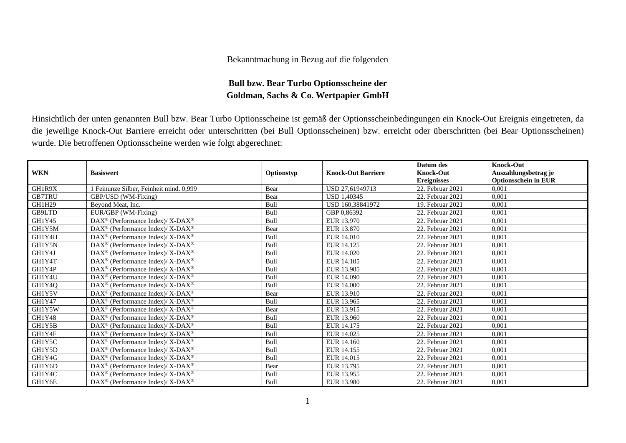## Bekanntmachung in Bezug auf die folgenden

## **Bull bzw. Bear Turbo Optionsscheine der Goldman, Sachs & Co. Wertpapier GmbH**

Hinsichtlich der unten genannten Bull bzw. Bear Turbo Optionsscheine ist gemäß der Optionsscheinbedingungen ein Knock-Out Ereignis eingetreten, da die jeweilige Knock-Out Barriere erreicht oder unterschritten (bei Bull Optionsscheinen) bzw. erreicht oder überschritten (bei Bear Optionsscheinen) wurde. Die betroffenen Optionsscheine werden wie folgt abgerechnet:

|               |                                                                   |            |                           | Datum des          | <b>Knock-Out</b>            |
|---------------|-------------------------------------------------------------------|------------|---------------------------|--------------------|-----------------------------|
| <b>WKN</b>    | <b>Basiswert</b>                                                  | Optionstyp | <b>Knock-Out Barriere</b> | <b>Knock-Out</b>   | Auszahlungsbetrag je        |
|               |                                                                   |            |                           | <b>Ereignisses</b> | <b>Optionsschein in EUR</b> |
| GH1R9X        | Feinunze Silber, Feinheit mind. 0,999                             | Bear       | USD 27,61949713           | 22. Februar 2021   | 0,001                       |
| <b>GB7TRU</b> | GBP/USD (WM-Fixing)                                               | Bear       | <b>USD 1.40345</b>        | 22. Februar 2021   | 0,001                       |
| GH1H29        | Beyond Meat, Inc.                                                 | Bull       | USD 160.38841972          | 19. Februar 2021   | 0,001                       |
| GB9LTD        | EUR/GBP (WM-Fixing)                                               | Bull       | GBP 0.86392               | 22. Februar 2021   | 0,001                       |
| GH1Y45        | $\text{DAX}^{\circledR}$ (Performance Index)/ X-DAX <sup>®</sup>  | Bull       | EUR 13.970                | 22. Februar 2021   | 0,001                       |
| GH1Y5M        | $\text{DAX}^{\circledR}$ (Performance Index)/ X-DAX <sup>®</sup>  | Bear       | EUR 13.870                | 22. Februar 2021   | 0,001                       |
| GH1Y4H        | $\text{DAX}^{\circledast}$ (Performance Index)/X-DAX <sup>®</sup> | Bull       | EUR 14.010                | 22. Februar 2021   | 0,001                       |
| GH1Y5N        | $DAX^{\circledast}$ (Performance Index)/X-DAX <sup>®</sup>        | Bull       | EUR 14.125                | 22. Februar 2021   | 0,001                       |
| GH1Y4J        | $DAX^{\circledast}$ (Performance Index)/X-DAX <sup>®</sup>        | Bull       | EUR 14.020                | 22. Februar 2021   | 0,001                       |
| GH1Y4T        | DAX <sup>®</sup> (Performance Index)/ X-DAX <sup>®</sup>          | Bull       | EUR 14.105                | 22. Februar 2021   | 0,001                       |
| GH1Y4P        | $DAX^{\circledcirc}$ (Performance Index)/X-DAX <sup>®</sup>       | Bull       | EUR 13.985                | 22. Februar 2021   | 0.001                       |
| GH1Y4U        | $DAX^{\circledast}$ (Performance Index)/X-DAX <sup>®</sup>        | Bull       | EUR 14.090                | 22. Februar 2021   | 0,001                       |
| GH1Y4Q        | $DAX^{\circledast}$ (Performance Index)/X-DAX <sup>®</sup>        | Bull       | EUR 14.000                | 22. Februar 2021   | 0,001                       |
| GH1Y5V        | $\text{DAX}^{\otimes}$ (Performance Index)/X-DAX <sup>®</sup>     | Bear       | EUR 13.910                | 22. Februar 2021   | 0,001                       |
| GH1Y47        | DAX <sup>®</sup> (Performance Index)/X-DAX <sup>®</sup>           | Bull       | EUR 13.965                | 22. Februar 2021   | 0,001                       |
| GH1Y5W        | $\text{DAX}^{\circledast}$ (Performance Index)/X-DAX <sup>®</sup> | Bear       | EUR 13.915                | 22. Februar 2021   | 0,001                       |
| GH1Y48        | $DAX^{\circledast}$ (Performance Index)/X-DAX <sup>®</sup>        | Bull       | EUR 13.960                | 22. Februar 2021   | 0,001                       |
| GH1Y5B        | $DAX^{\circledast}$ (Performance Index)/ X-DAX <sup>®</sup>       | Bull       | EUR 14.175                | 22. Februar 2021   | 0,001                       |
| GH1Y4F        | $DAX^{\circledast}$ (Performance Index)/ X-DAX <sup>®</sup>       | Bull       | EUR 14.025                | 22. Februar 2021   | 0,001                       |
| GH1Y5C        | $DAX^{\omega}$ (Performance Index)/X-DAX <sup>®</sup>             | Bull       | EUR 14.160                | 22. Februar 2021   | 0,001                       |
| GH1Y5D        | $\text{DAX}^{\circledR}$ (Performance Index)/ X-DAX <sup>®</sup>  | Bull       | EUR 14.155                | 22. Februar 2021   | 0,001                       |
| GH1Y4G        | $DAX^{\circledast}$ (Performance Index)/X-DAX <sup>®</sup>        | Bull       | EUR 14.015                | 22. Februar 2021   | 0,001                       |
| GH1Y6D        | $DAX^{\circledast}$ (Performance Index)/X-DAX <sup>®</sup>        | Bear       | EUR 13.795                | 22. Februar 2021   | 0,001                       |
| GH1Y4C        | $DAX^{\circledcirc}$ (Performance Index)/X-DAX <sup>®</sup>       | Bull       | EUR 13.955                | 22. Februar 2021   | 0,001                       |
| GH1Y6E        | DAX <sup>®</sup> (Performance Index)/ X-DAX <sup>®</sup>          | Bull       | EUR 13.980                | 22. Februar 2021   | 0,001                       |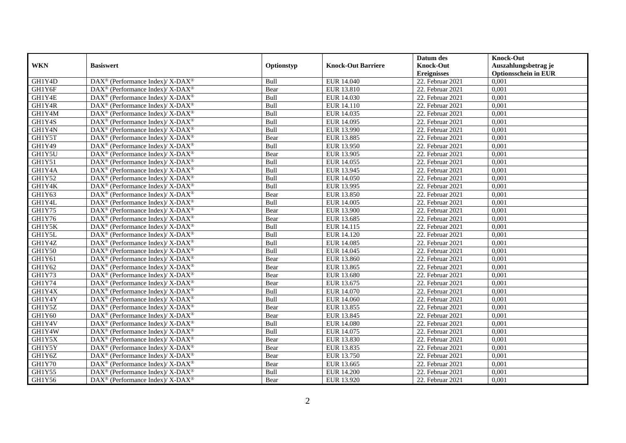|               |                                                                          |             |                           | Datum des          | <b>Knock-Out</b>            |
|---------------|--------------------------------------------------------------------------|-------------|---------------------------|--------------------|-----------------------------|
| <b>WKN</b>    | <b>Basiswert</b>                                                         | Optionstyp  | <b>Knock-Out Barriere</b> | <b>Knock-Out</b>   | Auszahlungsbetrag je        |
|               |                                                                          |             |                           | <b>Ereignisses</b> | <b>Optionsschein in EUR</b> |
| GH1Y4D        | DAX <sup>®</sup> (Performance Index)/X-DAX <sup>®</sup>                  | Bull        | EUR 14.040                | $22.$ Februar 2021 | 0,001                       |
| GH1Y6F        | $\text{DAX}^{\circledast}$ (Performance Index)/ X-DAX <sup>®</sup>       | Bear        | EUR 13.810                | 22. Februar 2021   | 0,001                       |
| GH1Y4E        | $\text{DAX}^{\circledast}$ (Performance Index)/ X-DAX <sup>®</sup>       | Bull        | EUR 14.030                | 22. Februar 2021   | 0,001                       |
| GH1Y4R        | DAX <sup>®</sup> (Performance Index)/X-DAX <sup>®</sup>                  | Bull        | EUR 14.110                | 22. Februar 2021   | 0,001                       |
| GH1Y4M        | DAX <sup>®</sup> (Performance Index)/ X-DAX <sup>®</sup>                 | Bull        | EUR 14.035                | 22. Februar 2021   | 0,001                       |
| GH1Y4S        | $\text{DAX}^{\circledR}$ (Performance Index)/ X-DAX <sup>®</sup>         | Bull        | EUR 14.095                | 22. Februar 2021   | 0,001                       |
| GH1Y4N        | $\text{DAX}^{\circledR}$ (Performance Index)/ X-DAX <sup>®</sup>         | Bull        | EUR 13.990                | 22. Februar 2021   | 0,001                       |
| GH1Y5T        | $\text{DAX}^{\otimes}$ (Performance Index)/X-DAX <sup>®</sup>            | Bear        | EUR 13.885                | 22. Februar 2021   | 0,001                       |
| GH1Y49        | $\text{DAX}^{\circledast}$ (Performance Index)/ X-DAX <sup>®</sup>       | Bull        | EUR 13.950                | 22. Februar 2021   | 0,001                       |
| GH1Y5U        | DAX <sup>®</sup> (Performance Index)/ X-DAX <sup>®</sup>                 | Bear        | EUR 13.905                | 22. Februar 2021   | 0,001                       |
| GH1Y51        | $\text{DAX}^{\circledast}$ (Performance Index)/ X-DAX <sup>®</sup>       | Bull        | EUR 14.055                | 22. Februar 2021   | 0,001                       |
| GH1Y4A        | $\text{DAX}^{\circledR}$ (Performance Index)/ X-DAX <sup>®</sup>         | Bull        | EUR 13.945                | $22.$ Februar 2021 | 0,001                       |
| GH1Y52        | $\text{DAX}^{\circledast}$ (Performance Index)/ X-DAX <sup>®</sup>       | Bull        | <b>EUR 14.050</b>         | 22. Februar 2021   | 0,001                       |
| GH1Y4K        | $\text{DAX}^{\circledast}$ (Performance Index)/ X-DAX <sup>®</sup>       | Bull        | EUR 13.995                | 22. Februar 2021   | 0,001                       |
| GH1Y63        | DAX <sup>®</sup> (Performance Index)/ X-DAX <sup>®</sup>                 | Bear        | EUR 13.850                | 22. Februar 2021   | 0,001                       |
| GH1Y4L        | DAX <sup>®</sup> (Performance Index)/ X-DAX <sup>®</sup>                 | Bull        | EUR 14.005                | 22. Februar 2021   | 0,001                       |
| GH1Y75        | DAX <sup>®</sup> (Performance Index)/ X-DAX <sup>®</sup>                 | Bear        | EUR 13.900                | 22. Februar 2021   | 0,001                       |
| GH1Y76        | $\text{DAX}^{\circledast}$ (Performance Index)/ X-DAX <sup>®</sup>       | Bear        | EUR 13.685                | 22. Februar 2021   | 0,001                       |
| GH1Y5K        | $\text{DAX}^{\circledast}$ (Performance Index)/ X-DAX <sup>®</sup>       | Bull        | EUR 14.115                | 22. Februar 2021   | 0,001                       |
| GH1Y5L        | $\text{DAX}^{\circledast}$ (Performance Index)/ X-DAX <sup>®</sup>       | Bull        | EUR 14.120                | 22. Februar 2021   | 0,001                       |
| GH1Y4Z        | $\text{DAX}^{\circledast}$ (Performance Index)/ X-DAX <sup>®</sup>       | Bull        | EUR 14.085                | 22. Februar 2021   | 0,001                       |
| GH1Y50        | $\text{DAX}^{\circledast}$ (Performance Index)/ X-DAX <sup>®</sup>       | Bull        | EUR 14.045                | 22. Februar 2021   | 0,001                       |
| GH1Y61        | DAX <sup>®</sup> (Performance Index)/ X-DAX <sup>®</sup>                 | Bear        | EUR 13.860                | 22. Februar 2021   | 0,001                       |
| GH1Y62        | $\text{DAX}^{\circledR}$ (Performance Index)/ X-DAX <sup>®</sup>         | Bear        | EUR 13.865                | 22. Februar 2021   | 0,001                       |
| GH1Y73        | $\text{DAX}^{\circledast}$ (Performance Index)/ X-DAX <sup>®</sup>       | Bear        | EUR 13.680                | 22. Februar 2021   | 0.001                       |
| GH1Y74        | $\text{DAX}^{\circledast}$ (Performance Index)/ X-DAX <sup>®</sup>       | Bear        | EUR 13.675                | 22. Februar 2021   | 0,001                       |
| GH1Y4X        | DAX <sup>®</sup> (Performance Index)/ X-DAX <sup>®</sup>                 | Bull        | <b>EUR 14.070</b>         | 22. Februar 2021   | 0,001                       |
| GH1Y4Y        | DAX <sup>®</sup> (Performance Index)/ X-DAX <sup>®</sup>                 | Bull        | EUR 14.060                | 22. Februar 2021   | 0,001                       |
| GH1Y5Z        | $\text{DAX}^{\circledR}$ (Performance Index)/ X-DAX <sup>®</sup>         | Bear        | EUR 13.855                | 22. Februar 2021   | 0,001                       |
| GH1Y60        | $\text{DAX}^{\otimes}$ (Performance Index)/X-DAX <sup>®</sup>            | Bear        | EUR 13.845                | 22. Februar 2021   | 0,001                       |
| GH1Y4V        | $\text{DAX}^{\circledast}$ (Performance Index)/ X-DAX <sup>®</sup>       | Bull        | <b>EUR 14.080</b>         | 22. Februar 2021   | 0,001                       |
| GH1Y4W        | $\overline{\text{DAX}^{\otimes}}$ (Performance Index)/X-DAX <sup>®</sup> | <b>Bull</b> | EUR 14.075                | 22. Februar 2021   | 0,001                       |
| GH1Y5X        | $\text{DAX}^{\circledast}$ (Performance Index)/ X-DAX <sup>®</sup>       | Bear        | EUR 13.830                | 22. Februar 2021   | 0,001                       |
| GH1Y5Y        | $\text{DAX}^{\circledR}$ (Performance Index)/ X-DAX <sup>®</sup>         | Bear        | EUR 13.835                | 22. Februar 2021   | 0,001                       |
| GH1Y6Z        | $\text{DAX}^{\circledR}$ (Performance Index)/ X-DAX <sup>®</sup>         | Bear        | EUR 13.750                | 22. Februar 2021   | 0,001                       |
| <b>GH1Y70</b> | $\text{DAX}^{\otimes}$ (Performance Index)/X-DAX <sup>®</sup>            | Bear        | EUR 13.665                | 22. Februar 2021   | 0,001                       |
| GH1Y55        | DAX <sup>®</sup> (Performance Index)/ X-DAX <sup>®</sup>                 | Bull        | <b>EUR 14.200</b>         | 22. Februar 2021   | 0,001                       |
| GH1Y56        | DAX <sup>®</sup> (Performance Index)/ X-DAX <sup>®</sup>                 | Bear        | EUR 13.920                | 22. Februar 2021   | 0,001                       |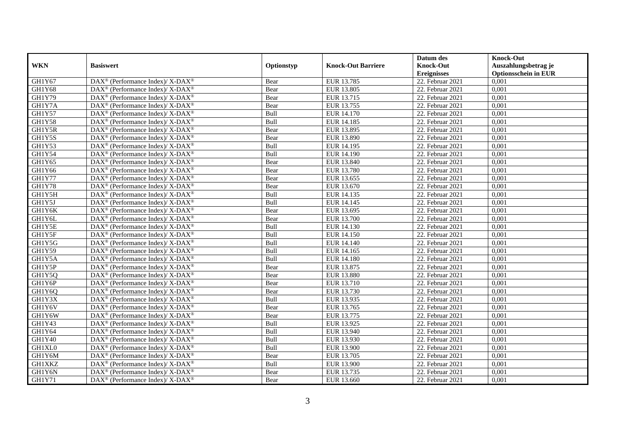|            |                                                                    |            |                           | Datum des          | <b>Knock-Out</b>            |
|------------|--------------------------------------------------------------------|------------|---------------------------|--------------------|-----------------------------|
| <b>WKN</b> | <b>Basiswert</b>                                                   | Optionstyp | <b>Knock-Out Barriere</b> | <b>Knock-Out</b>   | Auszahlungsbetrag je        |
|            |                                                                    |            |                           | <b>Ereignisses</b> | <b>Optionsschein in EUR</b> |
| GH1Y67     | DAX <sup>®</sup> (Performance Index)/X-DAX <sup>®</sup>            | Bear       | EUR 13.785                | 22. Februar 2021   | 0,001                       |
| GH1Y68     | DAX <sup>®</sup> (Performance Index)/X-DAX <sup>®</sup>            | Bear       | EUR 13.805                | 22. Februar 2021   | 0,001                       |
| GH1Y79     | DAX <sup>®</sup> (Performance Index)/X-DAX <sup>®</sup>            | Bear       | EUR 13.715                | 22. Februar 2021   | 0,001                       |
| GH1Y7A     | DAX <sup>®</sup> (Performance Index)/X-DAX <sup>®</sup>            | Bear       | EUR 13.755                | 22. Februar 2021   | 0,001                       |
| GH1Y57     | $\text{DAX}^{\circledast}$ (Performance Index)/ X-DAX <sup>®</sup> | Bull       | <b>EUR 14.170</b>         | 22. Februar 2021   | 0,001                       |
| GH1Y58     | DAX <sup>®</sup> (Performance Index)/ X-DAX <sup>®</sup>           | Bull       | EUR 14.185                | 22. Februar 2021   | 0,001                       |
| GH1Y5R     | DAX <sup>®</sup> (Performance Index)/ X-DAX <sup>®</sup>           | Bear       | EUR 13.895                | 22. Februar 2021   | 0,001                       |
| GH1Y5S     | DAX <sup>®</sup> (Performance Index)/X-DAX <sup>®</sup>            | Bear       | EUR 13.890                | 22. Februar 2021   | 0,001                       |
| GH1Y53     | DAX <sup>®</sup> (Performance Index)/X-DAX <sup>®</sup>            | Bull       | EUR 14.195                | 22. Februar 2021   | 0,001                       |
| GH1Y54     | DAX <sup>®</sup> (Performance Index)/ X-DAX <sup>®</sup>           | Bull       | EUR 14.190                | 22. Februar 2021   | 0,001                       |
| GH1Y65     | DAX <sup>®</sup> (Performance Index)/ X-DAX <sup>®</sup>           | Bear       | EUR 13.840                | 22. Februar 2021   | 0,001                       |
| GH1Y66     | DAX <sup>®</sup> (Performance Index)/ X-DAX <sup>®</sup>           | Bear       | <b>EUR 13.780</b>         | 22. Februar 2021   | 0,001                       |
| GH1Y77     | $DAX^{\circledast}$ (Performance Index)/ X-DAX <sup>®</sup>        | Bear       | EUR 13.655                | 22. Februar 2021   | 0,001                       |
| GH1Y78     | DAX <sup>®</sup> (Performance Index)/ X-DAX <sup>®</sup>           | Bear       | EUR 13.670                | 22. Februar 2021   | 0,001                       |
| GH1Y5H     | DAX <sup>®</sup> (Performance Index)/ X-DAX <sup>®</sup>           | Bull       | EUR 14.135                | 22. Februar 2021   | 0,001                       |
| GH1Y5J     | DAX <sup>®</sup> (Performance Index)/ X-DAX <sup>®</sup>           | Bull       | EUR 14.145                | 22. Februar 2021   | 0,001                       |
| GH1Y6K     | DAX <sup>®</sup> (Performance Index)/ X-DAX <sup>®</sup>           | Bear       | EUR 13.695                | 22. Februar 2021   | 0,001                       |
| GH1Y6L     | $DAX^{\circledast}$ (Performance Index)/ X-DAX <sup>®</sup>        | Bear       | EUR 13.700                | 22. Februar 2021   | 0,001                       |
| GH1Y5E     | $DAX^{\circledast}$ (Performance Index)/ X-DAX <sup>®</sup>        | Bull       | EUR 14.130                | 22. Februar 2021   | 0,001                       |
| GH1Y5F     | DAX <sup>®</sup> (Performance Index)/ X-DAX <sup>®</sup>           | Bull       | EUR 14.150                | 22. Februar 2021   | 0,001                       |
| GH1Y5G     | DAX <sup>®</sup> (Performance Index)/X-DAX <sup>®</sup>            | Bull       | EUR 14.140                | 22. Februar 2021   | 0,001                       |
| GH1Y59     | $\text{DAX}^{\circledast}$ (Performance Index)/ X-DAX <sup>®</sup> | Bull       | EUR 14.165                | 22. Februar 2021   | 0,001                       |
| GH1Y5A     | DAX <sup>®</sup> (Performance Index)/ X-DAX <sup>®</sup>           | Bull       | <b>EUR 14.180</b>         | 22. Februar 2021   | 0,001                       |
| GH1Y5P     | $DAX^{\circledast}$ (Performance Index)/ X-DAX <sup>®</sup>        | Bear       | EUR 13.875                | 22. Februar 2021   | 0,001                       |
| GH1Y5Q     | DAX <sup>®</sup> (Performance Index)/ X-DAX <sup>®</sup>           | Bear       | <b>EUR 13.880</b>         | 22. Februar 2021   | 0.001                       |
| GH1Y6P     | DAX <sup>®</sup> (Performance Index)/ X-DAX <sup>®</sup>           | Bear       | EUR 13.710                | 22. Februar 2021   | 0,001                       |
| GH1Y6Q     | DAX <sup>®</sup> (Performance Index)/X-DAX <sup>®</sup>            | Bear       | EUR 13.730                | 22. Februar 2021   | 0,001                       |
| GH1Y3X     | DAX <sup>®</sup> (Performance Index)/ X-DAX <sup>®</sup>           | Bull       | EUR 13.935                | 22. Februar 2021   | 0,001                       |
| GH1Y6V     | DAX <sup>®</sup> (Performance Index)/ X-DAX <sup>®</sup>           | Bear       | EUR 13.765                | 22. Februar 2021   | 0,001                       |
| GH1Y6W     | $\text{DAX}^{\circledast}$ (Performance Index)/ X-DAX <sup>®</sup> | Bear       | EUR 13.775                | 22. Februar 2021   | 0,001                       |
| GH1Y43     | $DAX^{\circledast}$ (Performance Index)/ X-DAX <sup>®</sup>        | Bull       | EUR 13.925                | 22. Februar 2021   | 0,001                       |
| GH1Y64     | DAX <sup>®</sup> (Performance Index)/X-DAX <sup>®</sup>            | Bull       | EUR 13.940                | 22. Februar 2021   | 0,001                       |
| GH1Y40     | $DAX^{\circledast}$ (Performance Index)/ X-DAX <sup>®</sup>        | Bull       | EUR 13.930                | 22. Februar 2021   | 0,001                       |
| GH1XL0     | DAX <sup>®</sup> (Performance Index)/ X-DAX <sup>®</sup>           | Bull       | <b>EUR 13.900</b>         | 22. Februar 2021   | 0,001                       |
| GH1Y6M     | DAX <sup>®</sup> (Performance Index)/ X-DAX <sup>®</sup>           | Bear       | EUR 13.705                | 22. Februar 2021   | 0,001                       |
| GH1XKZ     | $\text{DAX}^{\circledast}$ (Performance Index)/X-DAX <sup>®</sup>  | Bull       | EUR 13.900                | 22. Februar 2021   | 0,001                       |
| GH1Y6N     | DAX <sup>®</sup> (Performance Index)/ X-DAX <sup>®</sup>           | Bear       | EUR 13.735                | 22. Februar 2021   | 0,001                       |
| GH1Y71     | DAX <sup>®</sup> (Performance Index)/ X-DAX <sup>®</sup>           | Bear       | EUR 13.660                | 22. Februar 2021   | 0,001                       |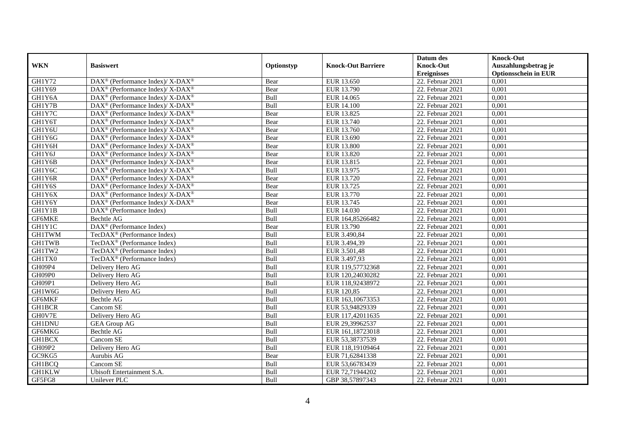|               |                                                             |            |                           | Datum des          | <b>Knock-Out</b>            |
|---------------|-------------------------------------------------------------|------------|---------------------------|--------------------|-----------------------------|
| <b>WKN</b>    | <b>Basiswert</b>                                            | Optionstyp | <b>Knock-Out Barriere</b> | <b>Knock-Out</b>   | Auszahlungsbetrag je        |
|               |                                                             |            |                           | <b>Ereignisses</b> | <b>Optionsschein in EUR</b> |
| GH1Y72        | DAX <sup>®</sup> (Performance Index)/ X-DAX <sup>®</sup>    | Bear       | EUR 13.650                | 22. Februar 2021   | 0,001                       |
| GH1Y69        | DAX <sup>®</sup> (Performance Index)/ X-DAX <sup>®</sup>    | Bear       | EUR 13.790                | 22. Februar 2021   | 0,001                       |
| GH1Y6A        | DAX <sup>®</sup> (Performance Index)/ X-DAX <sup>®</sup>    | Bull       | EUR 14.065                | 22. Februar 2021   | 0,001                       |
| GH1Y7B        | DAX <sup>®</sup> (Performance Index)/ X-DAX <sup>®</sup>    | Bull       | <b>EUR 14.100</b>         | 22. Februar 2021   | 0,001                       |
| GH1Y7C        | DAX <sup>®</sup> (Performance Index)/X-DAX <sup>®</sup>     | Bear       | EUR 13.825                | 22. Februar 2021   | 0,001                       |
| GH1Y6T        | $DAX^{\circledast}$ (Performance Index)/ X-DAX <sup>®</sup> | Bear       | EUR 13.740                | 22. Februar 2021   | 0,001                       |
| GH1Y6U        | DAX <sup>®</sup> (Performance Index)/ X-DAX <sup>®</sup>    | Bear       | EUR 13.760                | 22. Februar 2021   | 0,001                       |
| GH1Y6G        | DAX <sup>®</sup> (Performance Index)/ X-DAX <sup>®</sup>    | Bear       | EUR 13.690                | 22. Februar 2021   | 0,001                       |
| GH1Y6H        | DAX <sup>®</sup> (Performance Index)/ X-DAX <sup>®</sup>    | Bear       | <b>EUR 13.800</b>         | 22. Februar 2021   | 0,001                       |
| GH1Y6J        | DAX <sup>®</sup> (Performance Index)/X-DAX <sup>®</sup>     | Bear       | EUR 13.820                | 22. Februar 2021   | 0,001                       |
| GH1Y6B        | DAX <sup>®</sup> (Performance Index)/ X-DAX <sup>®</sup>    | Bear       | EUR 13.815                | 22. Februar 2021   | 0,001                       |
| GH1Y6C        | DAX <sup>®</sup> (Performance Index)/ X-DAX <sup>®</sup>    | Bull       | EUR 13.975                | 22. Februar 2021   | 0,001                       |
| GH1Y6R        | $DAX^{\circledast}$ (Performance Index)/ X-DAX <sup>®</sup> | Bear       | EUR 13.720                | 22. Februar 2021   | 0,001                       |
| GH1Y6S        | $DAX^{\circledcirc}$ (Performance Index)/X-DAX <sup>®</sup> | Bear       | EUR 13.725                | 22. Februar 2021   | 0.001                       |
| GH1Y6X        | $DAX^{\circledast}$ (Performance Index)/ X-DAX <sup>®</sup> | Bear       | EUR 13.770                | 22. Februar 2021   | 0,001                       |
| GH1Y6Y        | DAX <sup>®</sup> (Performance Index)/ X-DAX <sup>®</sup>    | Bear       | EUR 13.745                | 22. Februar 2021   | 0,001                       |
| GH1Y1B        | DAX <sup>®</sup> (Performance Index)                        | Bull       | EUR 14.030                | $22.$ Februar 2021 | 0,001                       |
| GF6MKE        | Bechtle AG                                                  | Bull       | EUR 164,85266482          | 22. Februar 2021   | 0,001                       |
| GH1Y1C        | DAX <sup>®</sup> (Performance Index)                        | Bear       | EUR 13.790                | 22. Februar 2021   | 0,001                       |
| <b>GH1TWM</b> | TecDAX <sup>®</sup> (Performance Index)                     | Bull       | EUR 3.490,84              | 22. Februar 2021   | 0,001                       |
| <b>GH1TWB</b> | TecDAX <sup>®</sup> (Performance Index)                     | Bull       | EUR 3.494,39              | 22. Februar 2021   | 0,001                       |
| GH1TW2        | TecDAX <sup>®</sup> (Performance Index)                     | Bull       | EUR 3.501,48              | 22. Februar 2021   | 0,001                       |
| GH1TX0        | TecDAX <sup>®</sup> (Performance Index)                     | Bull       | EUR 3.497,93              | 22. Februar 2021   | 0,001                       |
| GH09P4        | Delivery Hero AG                                            | Bull       | EUR 119,57732368          | 22. Februar 2021   | 0,001                       |
| GH09P0        | Delivery Hero AG                                            | Bull       | EUR 120,24030282          | 22. Februar 2021   | 0,001                       |
| GH09P1        | Delivery Hero AG                                            | Bull       | EUR 118,92438972          | 22. Februar 2021   | 0,001                       |
| GH1W6G        | Delivery Hero AG                                            | Bull       | EUR 120,85                | 22. Februar 2021   | 0,001                       |
| GF6MKF        | Bechtle AG                                                  | Bull       | EUR 163,10673353          | 22. Februar 2021   | 0,001                       |
| <b>GH1BCR</b> | Cancom SE                                                   | Bull       | EUR 53,94829339           | 22. Februar 2021   | 0,001                       |
| GH0V7E        | Delivery Hero AG                                            | Bull       | EUR 117,42011635          | 22. Februar 2021   | 0,001                       |
| <b>GH1DNU</b> | <b>GEA Group AG</b>                                         | Bull       | EUR 29,39962537           | 22. Februar 2021   | 0,001                       |
| GF6MKG        | Bechtle AG                                                  | Bull       | EUR 161,18723018          | 22. Februar 2021   | 0,001                       |
| <b>GH1BCX</b> | Cancom SE                                                   | Bull       | EUR 53,38737539           | 22. Februar 2021   | 0,001                       |
| GH09P2        | Delivery Hero AG                                            | Bull       | EUR 118,19109464          | 22. Februar 2021   | 0,001                       |
| GC9KG5        | Aurubis AG                                                  | Bear       | EUR 71,62841338           | 22. Februar 2021   | 0,001                       |
| GH1BCQ        | Cancom SE                                                   | Bull       | EUR 53,66783439           | 22. Februar 2021   | 0,001                       |
| <b>GH1KLW</b> | Ubisoft Entertainment S.A.                                  | Bull       | EUR 72,71944202           | 22. Februar 2021   | 0,001                       |
| GF5FG8        | Unilever PLC                                                | Bull       | GBP 38,57897343           | 22. Februar 2021   | 0,001                       |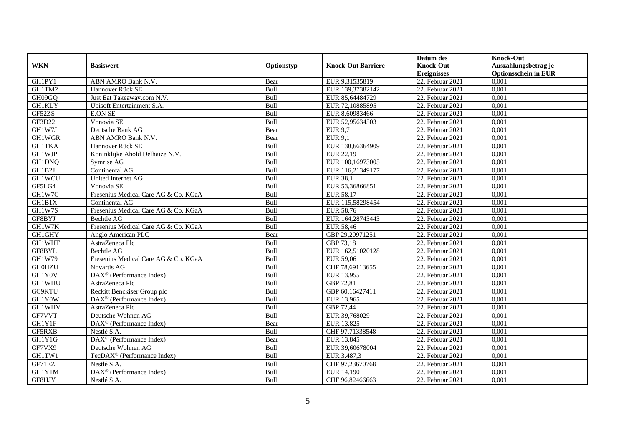|               |                                                    |             |                           | Datum des          | <b>Knock-Out</b>            |
|---------------|----------------------------------------------------|-------------|---------------------------|--------------------|-----------------------------|
| <b>WKN</b>    | <b>Basiswert</b>                                   | Optionstyp  | <b>Knock-Out Barriere</b> | <b>Knock-Out</b>   | Auszahlungsbetrag je        |
|               |                                                    |             |                           | <b>Ereignisses</b> | <b>Optionsschein in EUR</b> |
| GH1PY1        | ABN AMRO Bank N.V.                                 | Bear        | EUR 9,31535819            | $22.$ Februar 2021 | 0,001                       |
| GH1TM2        | Hannover Rück SE                                   | Bull        | EUR 139,37382142          | 22. Februar 2021   | 0,001                       |
| GH09GQ        | Just Eat Takeaway.com N.V.                         | Bull        | EUR 85,64484729           | 22. Februar 2021   | 0,001                       |
| <b>GH1KLY</b> | Ubisoft Entertainment S.A.                         | Bull        | EUR 72,10885895           | 22. Februar 2021   | 0,001                       |
| GF52ZS        | <b>E.ON SE</b>                                     | Bull        | EUR 8,60983466            | 22. Februar 2021   | 0,001                       |
| GF3D22        | Vonovia SE                                         | Bull        | EUR 52,95634503           | 22. Februar 2021   | 0,001                       |
| GH1W7J        | Deutsche Bank AG                                   | Bear        | <b>EUR 9.7</b>            | 22. Februar 2021   | 0,001                       |
| GH1WGR        | ABN AMRO Bank N.V.                                 | Bear        | <b>EUR 9,1</b>            | 22. Februar 2021   | 0,001                       |
| <b>GH1TKA</b> | Hannover Rück SE                                   | Bull        | EUR 138,66364909          | 22. Februar 2021   | 0,001                       |
| <b>GH1WJP</b> | Koninklijke Ahold Delhaize N.V.                    | Bull        | EUR 22,19                 | 22. Februar 2021   | 0,001                       |
| GH1DNQ        | Symrise AG                                         | Bull        | EUR 100,16973005          | 22. Februar 2021   | 0,001                       |
| GH1B2J        | Continental AG                                     | Bull        | EUR 116,21349177          | 22. Februar 2021   | 0,001                       |
| <b>GH1WCU</b> | United Internet AG                                 | Bull        | <b>EUR 38,1</b>           | 22. Februar 2021   | 0,001                       |
| GF5LG4        | Vonovia SE                                         | <b>Bull</b> | EUR 53.36866851           | 22. Februar 2021   | 0.001                       |
| GH1W7C        | Fresenius Medical Care AG & Co. KGaA               | Bull        | EUR 58,17                 | 22. Februar 2021   | 0,001                       |
| GH1B1X        | Continental AG                                     | Bull        | EUR 115,58298454          | 22. Februar 2021   | 0,001                       |
| GH1W7S        | Fresenius Medical Care AG & Co. KGaA               | Bull        | <b>EUR 58,76</b>          | $22.$ Februar 2021 | 0,001                       |
| GF8BYJ        | Bechtle AG                                         | Bull        | EUR 164,28743443          | 22. Februar 2021   | 0,001                       |
| GH1W7K        | Fresenius Medical Care AG & Co. KGaA               | Bull        | EUR 58,46                 | 22. Februar 2021   | 0,001                       |
| GH1GHY        | Anglo American PLC                                 | Bear        | GBP 29,20971251           | 22. Februar 2021   | 0,001                       |
| GH1WHT        | AstraZeneca Plc                                    | Bull        | GBP 73,18                 | 22. Februar 2021   | 0,001                       |
| GF8BYL        | Bechtle AG                                         | Bull        | EUR 162,51020128          | 22. Februar 2021   | 0,001                       |
| <b>GH1W79</b> | Fresenius Medical Care AG & Co. KGaA               | Bull        | EUR 59,06                 | $22.$ Februar 2021 | 0,001                       |
| <b>GH0HZU</b> | Novartis AG                                        | Bull        | CHF 78,69113655           | 22. Februar 2021   | 0,001                       |
| GH1Y0V        | $\text{DAX}^{\textcircled{D}}$ (Performance Index) | Bull        | EUR 13.955                | 22. Februar 2021   | 0,001                       |
| GH1WHU        | AstraZeneca Plc                                    | Bull        | GBP 72,81                 | 22. Februar 2021   | 0,001                       |
| GC9KTU        | Reckitt Benckiser Group plc                        | Bull        | GBP 60,16427411           | 22. Februar 2021   | 0,001                       |
| GH1Y0W        | DAX <sup>®</sup> (Performance Index)               | Bull        | EUR 13.965                | 22. Februar 2021   | 0,001                       |
| GH1WHV        | AstraZeneca Plc                                    | Bull        | GBP 72,44                 | 22. Februar 2021   | 0,001                       |
| GF7VVT        | Deutsche Wohnen AG                                 | Bull        | EUR 39,768029             | 22. Februar 2021   | 0,001                       |
| GH1Y1F        | DAX <sup>®</sup> (Performance Index)               | Bear        | EUR 13.825                | 22. Februar 2021   | 0,001                       |
| GF5RXB        | Nestlé S.A.                                        | Bull        | CHF 97,71338548           | 22. Februar 2021   | 0,001                       |
| GH1Y1G        | DAX <sup>®</sup> (Performance Index)               | Bear        | EUR 13.845                | 22. Februar 2021   | 0,001                       |
| GF7VX9        | Deutsche Wohnen AG                                 | Bull        | EUR 39,60678004           | 22. Februar 2021   | 0,001                       |
| GH1TW1        | TecDAX <sup>®</sup> (Performance Index)            | Bull        | EUR 3.487,3               | 22. Februar 2021   | 0,001                       |
| GF71EZ        | Nestlé S.A.                                        | Bull        | CHF 97,23670768           | 22. Februar 2021   | 0,001                       |
| GH1Y1M        | DAX <sup>®</sup> (Performance Index)               | Bull        | EUR 14.190                | 22. Februar 2021   | 0,001                       |
| GF8HJY        | Nestlé S.A.                                        | Bull        | CHF 96,82466663           | 22. Februar 2021   | 0,001                       |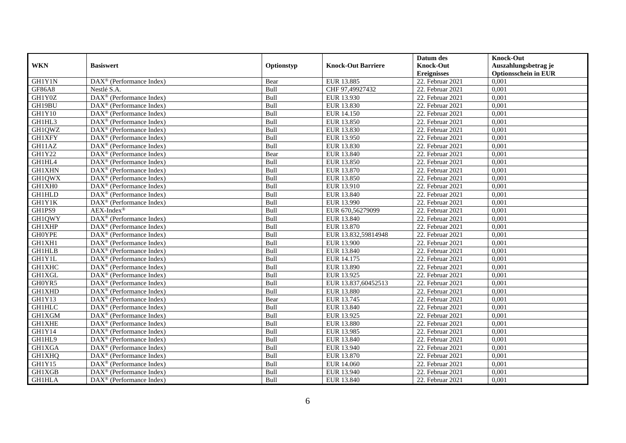|               |                                                         |            |                           | Datum des          | <b>Knock-Out</b>            |
|---------------|---------------------------------------------------------|------------|---------------------------|--------------------|-----------------------------|
| <b>WKN</b>    | <b>Basiswert</b>                                        | Optionstyp | <b>Knock-Out Barriere</b> | <b>Knock-Out</b>   | Auszahlungsbetrag je        |
|               |                                                         |            |                           | <b>Ereignisses</b> | <b>Optionsschein in EUR</b> |
| <b>GH1Y1N</b> | DAX <sup>®</sup> (Performance Index)                    | Bear       | EUR 13.885                | 22. Februar 2021   | 0,001                       |
| <b>GF86A8</b> | Nestlé S.A.                                             | Bull       | CHF 97,49927432           | 22. Februar 2021   | 0,001                       |
| GH1Y0Z        | DAX <sup>®</sup> (Performance Index)                    | Bull       | EUR 13.930                | 22. Februar 2021   | 0,001                       |
| GH19BU        | $DAX^{\circledast}$ (Performance Index)                 | Bull       | EUR 13.830                | 22. Februar 2021   | 0,001                       |
| GH1Y10        | DAX <sup>®</sup> (Performance Index)                    | Bull       | EUR 14.150                | 22. Februar 2021   | 0,001                       |
| GH1HL3        | DAX <sup>®</sup> (Performance Index)                    | Bull       | EUR 13.850                | 22. Februar 2021   | 0,001                       |
| GH1QWZ        | $\text{DAX}^{\textcircled{}}$ (Performance Index)       | Bull       | EUR 13.830                | 22. Februar 2021   | 0,001                       |
| <b>GH1XFY</b> | $DAX^{\circledR}$ (Performance Index)                   | Bull       | EUR 13.950                | 22. Februar 2021   | 0,001                       |
| GH11AZ        | $DAX^{\circledR}$ (Performance Index)                   | Bull       | EUR 13.830                | 22. Februar 2021   | 0,001                       |
| GH1Y22        | DAX <sup>®</sup> (Performance Index)                    | Bear       | EUR 13.840                | 22. Februar 2021   | 0,001                       |
| GH1HL4        | DAX <sup>®</sup> (Performance Index)                    | Bull       | EUR 13.850                | 22. Februar 2021   | 0,001                       |
| <b>GH1XHN</b> | $\overline{\text{DAX}^{\otimes}}$ (Performance Index)   | Bull       | EUR 13.870                | 22. Februar 2021   | 0,001                       |
| GH1QWX        | DAX <sup>®</sup> (Performance Index)                    | Bull       | EUR 13.850                | 22. Februar 2021   | 0,001                       |
| GH1XH0        | DAX <sup>®</sup> (Performance Index)                    | Bull       | EUR 13.910                | 22. Februar 2021   | 0,001                       |
| GH1HLD        | $DAX^{\circledast}$ (Performance Index)                 | Bull       | EUR 13.840                | 22. Februar 2021   | 0,001                       |
| GH1Y1K        | DAX <sup>®</sup> (Performance Index)                    | Bull       | EUR 13.990                | 22. Februar 2021   | 0,001                       |
| GH1PS9        | $AEX-Index^{\circledR}$                                 | Bull       | EUR 670,56279099          | 22. Februar 2021   | 0,001                       |
| GH1QWY        | $DAX^{\circledcirc}$ (Performance Index)                | Bull       | EUR 13.840                | 22. Februar 2021   | 0,001                       |
| <b>GH1XHP</b> | $DAX^{\circledR}$ (Performance Index)                   | Bull       | EUR 13.870                | 22. Februar 2021   | 0,001                       |
| <b>GH0YPE</b> | $\overline{\text{DAX}^{\otimes}}$ (Performance Index)   | Bull       | EUR 13.832,59814948       | 22. Februar 2021   | 0,001                       |
| GH1XH1        | DAX <sup>®</sup> (Performance Index)                    | Bull       | <b>EUR 13.900</b>         | 22. Februar 2021   | 0,001                       |
| <b>GH1HLB</b> | DAX <sup>®</sup> (Performance Index)                    | Bull       | EUR 13.840                | 22. Februar 2021   | 0,001                       |
| GH1Y1L        | DAX <sup>®</sup> (Performance Index)                    | Bull       | EUR 14.175                | 22. Februar 2021   | 0,001                       |
| <b>GH1XHC</b> | $DAX^{\circledast}$ (Performance Index)                 | Bull       | EUR 13.890                | 22. Februar 2021   | 0,001                       |
| GH1XGL        | DAX <sup>®</sup> (Performance Index)                    | Bull       | EUR 13.925                | 22. Februar 2021   | 0,001                       |
| GH0YR5        | DAX <sup>®</sup> (Performance Index)                    | Bull       | EUR 13.837,60452513       | $22.$ Februar 2021 | 0,001                       |
| GH1XHD        | $DAX^{\circledast}$ (Performance Index)                 | Bull       | EUR 13.880                | 22. Februar 2021   | 0,001                       |
| GH1Y13        | $DAX^{\circledR}$ (Performance Index)                   | Bear       | EUR 13.745                | 22. Februar 2021   | 0,001                       |
| <b>GH1HLC</b> | $\overline{\text{DAX}}^{\textcirc}$ (Performance Index) | Bull       | EUR 13.840                | 22. Februar 2021   | 0,001                       |
| <b>GH1XGM</b> | $DAX^{\circledR}$ (Performance Index)                   | Bull       | EUR 13.925                | 22. Februar 2021   | 0,001                       |
| <b>GH1XHE</b> | DAX <sup>®</sup> (Performance Index)                    | Bull       | <b>EUR 13.880</b>         | 22. Februar 2021   | 0,001                       |
| GH1Y14        | DAX <sup>®</sup> (Performance Index)                    | Bull       | EUR 13.985                | 22. Februar 2021   | 0,001                       |
| GH1HL9        | $\overline{\text{DAX}^{\otimes}}$ (Performance Index)   | Bull       | EUR 13.840                | 22. Februar 2021   | 0,001                       |
| GH1XGA        | DAX <sup>®</sup> (Performance Index)                    | Bull       | EUR 13.940                | 22. Februar 2021   | 0,001                       |
| <b>GH1XHQ</b> | $DAX^{\circledast}$ (Performance Index)                 | Bull       | EUR 13.870                | 22. Februar 2021   | 0,001                       |
| GH1Y15        | $DAX^{\circledast}$ (Performance Index)                 | Bull       | <b>EUR 14.060</b>         | 22. Februar 2021   | 0,001                       |
| GH1XGB        | DAX <sup>®</sup> (Performance Index)                    | Bull       | EUR 13.940                | 22. Februar 2021   | 0,001                       |
| <b>GH1HLA</b> | $\text{DAX}^{\textcircled{}}$ (Performance Index)       | Bull       | EUR 13.840                | 22. Februar 2021   | 0,001                       |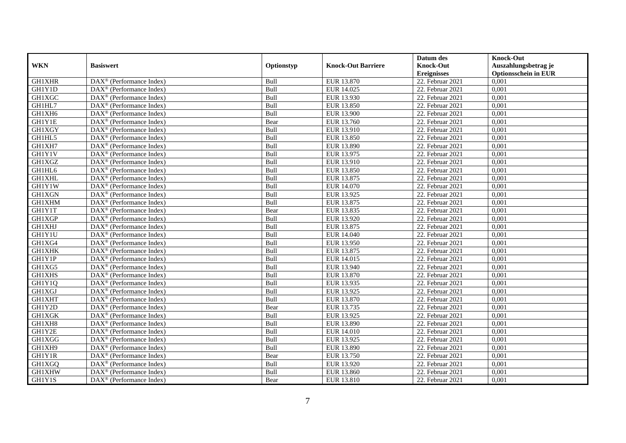|               |                                                         |             |                           | Datum des          | <b>Knock-Out</b>            |
|---------------|---------------------------------------------------------|-------------|---------------------------|--------------------|-----------------------------|
| <b>WKN</b>    | <b>Basiswert</b>                                        | Optionstyp  | <b>Knock-Out Barriere</b> | <b>Knock-Out</b>   | Auszahlungsbetrag je        |
|               |                                                         |             |                           | <b>Ereignisses</b> | <b>Optionsschein in EUR</b> |
| <b>GH1XHR</b> | DAX <sup>®</sup> (Performance Index)                    | Bull        | EUR 13.870                | 22. Februar 2021   | 0,001                       |
| GH1Y1D        | $DAX^{\circledR}$ (Performance Index)                   | Bull        | EUR 14.025                | 22. Februar 2021   | 0,001                       |
| <b>GH1XGC</b> | DAX <sup>®</sup> (Performance Index)                    | Bull        | EUR 13.930                | 22. Februar 2021   | 0,001                       |
| GH1HL7        | $\text{DAX}^{\otimes}$ (Performance Index)              | Bull        | EUR 13.850                | 22. Februar 2021   | 0,001                       |
| GH1XH6        | DAX <sup>®</sup> (Performance Index)                    | Bull        | <b>EUR 13.900</b>         | 22. Februar 2021   | 0,001                       |
| GH1Y1E        | $\text{DAX}^{\textcircled{n}}$ (Performance Index)      | Bear        | EUR 13.760                | 22. Februar 2021   | 0,001                       |
| <b>GH1XGY</b> | $\text{DAX}^{\textcircled{n}}$ (Performance Index)      | Bull        | EUR 13.910                | 22. Februar 2021   | 0,001                       |
| GH1HL5        | $\text{DAX}^{\textcircled{}}$ (Performance Index)       | Bull        | EUR 13.850                | 22. Februar 2021   | 0,001                       |
| GH1XH7        | $\text{DAX}^{\textcircled{D}}$ (Performance Index)      | Bull        | <b>EUR 13.890</b>         | 22. Februar 2021   | 0,001                       |
| GH1Y1V        | $DAX^{\otimes}$ (Performance Index)                     | Bull        | EUR 13.975                | 22. Februar 2021   | 0,001                       |
| <b>GH1XGZ</b> | DAX <sup>®</sup> (Performance Index)                    | Bull        | EUR 13.910                | 22. Februar 2021   | 0,001                       |
| GH1HL6        | $\overline{\text{DAX}^{\otimes}}$ (Performance Index)   | Bull        | EUR 13.850                | $22.$ Februar 2021 | 0,001                       |
| <b>GH1XHL</b> | $\text{DAX}^{\textcircled{n}}$ (Performance Index)      | Bull        | EUR 13.875                | 22. Februar 2021   | 0,001                       |
| GH1Y1W        | DAX <sup>®</sup> (Performance Index)                    | Bull        | EUR 14.070                | 22. Februar 2021   | 0,001                       |
| GH1XGN        | DAX <sup>®</sup> (Performance Index)                    | Bull        | EUR 13.925                | $22.$ Februar 2021 | 0,001                       |
| GH1XHM        | DAX <sup>®</sup> (Performance Index)                    | Bull        | EUR 13.875                | 22. Februar 2021   | 0,001                       |
| GH1Y1T        | DAX <sup>®</sup> (Performance Index)                    | Bear        | EUR 13.835                | 22. Februar 2021   | 0,001                       |
| GH1XGP        | $\overline{\text{DAX}}^{\textcirc}$ (Performance Index) | <b>Bull</b> | EUR 13.920                | 22. Februar 2021   | 0,001                       |
| <b>GH1XHJ</b> | DAX <sup>®</sup> (Performance Index)                    | Bull        | EUR 13.875                | 22. Februar 2021   | 0,001                       |
| GH1Y1U        | DAX <sup>®</sup> (Performance Index)                    | Bull        | EUR 14.040                | 22. Februar 2021   | 0,001                       |
| GH1XG4        | DAX <sup>®</sup> (Performance Index)                    | Bull        | EUR 13.950                | 22. Februar 2021   | 0,001                       |
| <b>GH1XHK</b> | $\overline{\text{DAX}^{\otimes}}$ (Performance Index)   | Bull        | EUR 13.875                | 22. Februar 2021   | 0,001                       |
| GH1Y1P        | $\text{DAX}^{\circledast}$ (Performance Index)          | Bull        | EUR 14.015                | $22.$ Februar 2021 | 0,001                       |
| GH1XG5        | DAX <sup>®</sup> (Performance Index)                    | Bull        | EUR 13.940                | 22. Februar 2021   | 0,001                       |
| <b>GH1XHS</b> | DAX <sup>®</sup> (Performance Index)                    | Bull        | EUR 13.870                | 22. Februar 2021   | 0,001                       |
| GH1Y1Q        | $\text{DAX}^{\otimes}$ (Performance Index)              | Bull        | EUR 13.935                | 22. Februar 2021   | 0,001                       |
| GH1XGJ        | $\text{DAX}^{\circledast}$ (Performance Index)          | Bull        | EUR 13.925                | 22. Februar 2021   | 0,001                       |
| <b>GH1XHT</b> | $\text{DAX}^{\textcircled{D}}$ (Performance Index)      | Bull        | EUR 13.870                | $22.$ Februar 2021 | 0,001                       |
| GH1Y2D        | $\text{DAX}^{\textcircled{D}}$ (Performance Index)      | Bear        | EUR 13.735                | 22. Februar 2021   | 0,001                       |
| <b>GH1XGK</b> | $DAX^{\otimes}$ (Performance Index)                     | Bull        | EUR 13.925                | 22. Februar 2021   | 0,001                       |
| GH1XH8        | DAX <sup>®</sup> (Performance Index)                    | Bull        | EUR 13.890                | 22. Februar 2021   | 0,001                       |
| GH1Y2E        | DAX <sup>®</sup> (Performance Index)                    | Bull        | <b>EUR 14.010</b>         | 22. Februar 2021   | 0,001                       |
| <b>GH1XGG</b> | $\overline{\text{DAX}^{\otimes}}$ (Performance Index)   | Bull        | EUR 13.925                | 22. Februar 2021   | 0,001                       |
| GH1XH9        | DAX <sup>®</sup> (Performance Index)                    | Bull        | <b>EUR 13.890</b>         | $22.$ Februar 2021 | 0,001                       |
| GH1Y1R        | $\text{DAX}^{\textcircled{n}}$ (Performance Index)      | Bear        | EUR 13.750                | 22. Februar 2021   | 0,001                       |
| GH1XGQ        | $\text{DAX}^{\textcircled{n}}$ (Performance Index)      | Bull        | EUR 13.920                | 22. Februar 2021   | 0,001                       |
| GH1XHW        | $\text{DAX}^{\otimes}$ (Performance Index)              | Bull        | EUR 13.860                | 22. Februar 2021   | 0,001                       |
| GH1Y1S        | $\overline{\text{DAX}}^{\textcirc}$ (Performance Index) | Bear        | EUR 13.810                | 22. Februar 2021   | 0,001                       |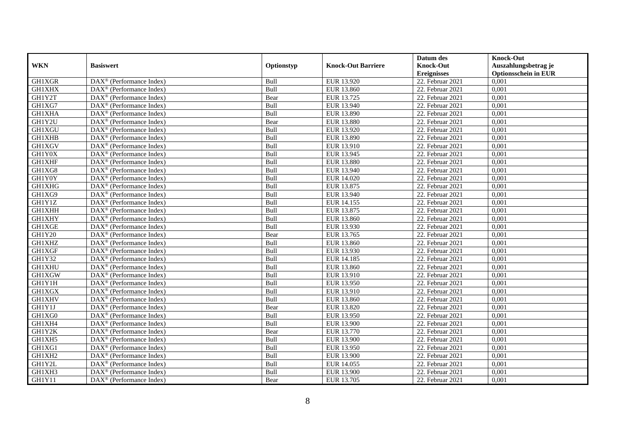|               |                                                         |             |                           | Datum des          | <b>Knock-Out</b>            |
|---------------|---------------------------------------------------------|-------------|---------------------------|--------------------|-----------------------------|
| <b>WKN</b>    | <b>Basiswert</b>                                        | Optionstyp  | <b>Knock-Out Barriere</b> | <b>Knock-Out</b>   | Auszahlungsbetrag je        |
|               |                                                         |             |                           | <b>Ereignisses</b> | <b>Optionsschein in EUR</b> |
| GH1XGR        | DAX <sup>®</sup> (Performance Index)                    | Bull        | EUR 13.920                | 22. Februar 2021   | 0,001                       |
| <b>GH1XHX</b> | $\text{DAX}^{\circledast}$ (Performance Index)          | Bull        | EUR 13.860                | 22. Februar 2021   | 0,001                       |
| GH1Y2T        | $DAX^{\circledR}$ (Performance Index)                   | Bear        | EUR 13.725                | 22. Februar 2021   | 0,001                       |
| GH1XG7        | DAX <sup>®</sup> (Performance Index)                    | Bull        | EUR 13.940                | 22. Februar 2021   | 0,001                       |
| GH1XHA        | DAX <sup>®</sup> (Performance Index)                    | Bull        | EUR 13.890                | 22. Februar 2021   | 0,001                       |
| GH1Y2U        | $\text{DAX}^{\textcircled{D}}$ (Performance Index)      | Bear        | <b>EUR 13.880</b>         | $22.$ Februar 2021 | 0,001                       |
| <b>GH1XGU</b> | $\overline{\text{DAX}}^{\textcirc}$ (Performance Index) | Bull        | EUR 13.920                | 22. Februar 2021   | 0,001                       |
| <b>GH1XHB</b> | $\overline{\text{DAX}}^{\textcirc}$ (Performance Index) | Bull        | <b>EUR 13.890</b>         | 22. Februar 2021   | 0,001                       |
| GH1XGV        | $\text{DAX}^{\circledast}$ (Performance Index)          | Bull        | EUR 13.910                | 22. Februar 2021   | 0,001                       |
| GH1Y0X        | DAX <sup>®</sup> (Performance Index)                    | Bull        | EUR 13.945                | 22. Februar 2021   | 0,001                       |
| <b>GH1XHF</b> | $\overline{\text{DAX}^{\otimes}}$ (Performance Index)   | Bull        | EUR 13.880                | 22. Februar 2021   | 0,001                       |
| GH1XG8        | DAX <sup>®</sup> (Performance Index)                    | Bull        | EUR 13.940                | 22. Februar 2021   | 0,001                       |
| GH1Y0Y        | $\text{DAX}^{\textcircled{n}}$ (Performance Index)      | Bull        | EUR 14.020                | 22. Februar 2021   | 0,001                       |
| <b>GH1XHG</b> | $DAX^{\circledR}$ (Performance Index)                   | <b>Bull</b> | EUR 13.875                | 22. Februar 2021   | 0.001                       |
| GH1XG9        | $\overline{\text{DAX}^{\otimes}}$ (Performance Index)   | Bull        | EUR 13.940                | 22. Februar 2021   | 0,001                       |
| GH1Y1Z        | DAX <sup>®</sup> (Performance Index)                    | Bull        | EUR 14.155                | 22. Februar 2021   | 0,001                       |
| <b>GH1XHH</b> | DAX <sup>®</sup> (Performance Index)                    | Bull        | EUR 13.875                | $22.$ Februar 2021 | 0,001                       |
| <b>GH1XHY</b> | DAX <sup>®</sup> (Performance Index)                    | Bull        | EUR 13.860                | 22. Februar 2021   | 0,001                       |
| <b>GH1XGE</b> | $\text{DAX}^{\otimes}$ (Performance Index)              | Bull        | EUR 13.930                | 22. Februar 2021   | 0,001                       |
| GH1Y20        | $\text{DAX}^{\otimes}$ (Performance Index)              | Bear        | EUR 13.765                | $22.$ Februar 2021 | 0,001                       |
| GH1XHZ        | DAX <sup>®</sup> (Performance Index)                    | Bull        | EUR 13.860                | 22. Februar 2021   | 0,001                       |
| <b>GH1XGF</b> | $DAX^{\circledR}$ (Performance Index)                   | Bull        | EUR 13.930                | 22. Februar 2021   | 0,001                       |
| GH1Y32        | $\overline{\text{DAX}}^{\textcirc}$ (Performance Index) | Bull        | EUR 14.185                | 22. Februar 2021   | 0,001                       |
| <b>GH1XHU</b> | $\text{DAX}^{\textcircled{p}}$ (Performance Index)      | Bull        | EUR 13.860                | 22. Februar 2021   | 0,001                       |
| GH1XGW        | $DAX^{\circledR}$ (Performance Index)                   | Bull        | EUR 13.910                | 22. Februar 2021   | 0,001                       |
| GH1Y1H        | $\text{DAX}^{\circledast}$ (Performance Index)          | Bull        | EUR 13.950                | 22. Februar 2021   | 0,001                       |
| GH1XGX        | DAX <sup>®</sup> (Performance Index)                    | Bull        | EUR 13.910                | 22. Februar 2021   | 0,001                       |
| <b>GH1XHV</b> | DAX <sup>®</sup> (Performance Index)                    | Bull        | EUR 13.860                | 22. Februar 2021   | 0,001                       |
| GH1Y1J        | $\text{DAX}^{\otimes}$ (Performance Index)              | Bear        | EUR 13.820                | 22. Februar 2021   | 0,001                       |
| GH1XG0        | $\text{DAX}^{\textcircled{n}}$ (Performance Index)      | Bull        | EUR 13.950                | 22. Februar 2021   | 0,001                       |
| GH1XH4        | DAX <sup>®</sup> (Performance Index)                    | Bull        | EUR 13.900                | 22. Februar 2021   | 0,001                       |
| GH1Y2K        | DAX <sup>®</sup> (Performance Index)                    | Bear        | EUR 13.770                | 22. Februar 2021   | 0,001                       |
| GH1XH5        | $\overline{\text{DAX}^{\otimes}}$ (Performance Index)   | Bull        | EUR 13.900                | 22. Februar 2021   | 0,001                       |
| GH1XG1        | $\overline{\text{DAX}}^{\textcirc}$ (Performance Index) | Bull        | EUR 13.950                | $22.$ Februar 2021 | 0,001                       |
| GH1XH2        | $\text{DAX}^{\otimes}$ (Performance Index)              | Bull        | EUR 13.900                | 22. Februar 2021   | 0,001                       |
| GH1Y2L        | $\text{DAX}^{\textcircled{n}}$ (Performance Index)      | Bull        | EUR 14.055                | 22. Februar 2021   | 0,001                       |
| GH1XH3        | $\text{DAX}^{\otimes}$ (Performance Index)              | Bull        | <b>EUR 13.900</b>         | 22. Februar 2021   | 0,001                       |
| GH1Y11        | $\overline{\text{DAX}}^{\textcirc}$ (Performance Index) | Bear        | EUR 13.705                | 22. Februar 2021   | 0,001                       |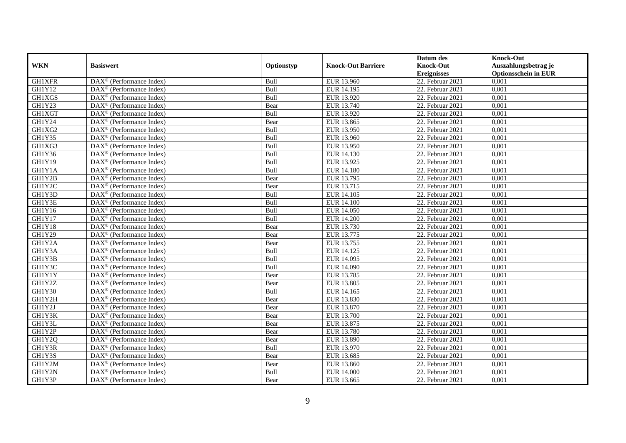|               |                                                             |             |                           | Datum des          | <b>Knock-Out</b>            |
|---------------|-------------------------------------------------------------|-------------|---------------------------|--------------------|-----------------------------|
| <b>WKN</b>    | <b>Basiswert</b>                                            | Optionstyp  | <b>Knock-Out Barriere</b> | <b>Knock-Out</b>   | Auszahlungsbetrag je        |
|               |                                                             |             |                           | <b>Ereignisses</b> | <b>Optionsschein in EUR</b> |
| GH1XFR        | DAX <sup>®</sup> (Performance Index)                        | Bull        | EUR 13.960                | 22. Februar 2021   | 0,001                       |
| <b>GH1Y12</b> | $\text{DAX}^{\circledast}$ (Performance Index)              | Bull        | EUR 14.195                | 22. Februar 2021   | 0,001                       |
| GH1XGS        | $DAX^{\circledR}$ (Performance Index)                       | Bull        | EUR 13.920                | 22. Februar 2021   | 0,001                       |
| GH1Y23        | DAX <sup>®</sup> (Performance Index)                        | Bear        | EUR 13.740                | 22. Februar 2021   | 0,001                       |
| GH1XGT        | DAX <sup>®</sup> (Performance Index)                        | Bull        | EUR 13.920                | 22. Februar 2021   | 0,001                       |
| GH1Y24        | $\text{DAX}^{\textcircled{p}}$ (Performance Index)          | Bear        | EUR 13.865                | $22.$ Februar 2021 | 0,001                       |
| GH1XG2        | $\overline{\text{DAX}}^{\textcirc}$ (Performance Index)     | Bull        | EUR 13.950                | 22. Februar 2021   | 0,001                       |
| GH1Y35        | DAX <sup>®</sup> (Performance Index)                        | Bull        | EUR 13.960                | 22. Februar 2021   | 0,001                       |
| GH1XG3        | $\text{DAX}^{\circledast}$ (Performance Index)              | Bull        | EUR 13.950                | 22. Februar 2021   | 0,001                       |
| GH1Y36        | DAX <sup>®</sup> (Performance Index)                        | Bull        | EUR 14.130                | 22. Februar 2021   | 0,001                       |
| <b>GH1Y19</b> | $\overline{\text{DAX}^{\otimes}}$ (Performance Index)       | Bull        | EUR 13.925                | 22. Februar 2021   | 0,001                       |
| GH1Y1A        | DAX <sup>®</sup> (Performance Index)                        | Bull        | EUR 14.180                | 22. Februar 2021   | 0,001                       |
| GH1Y2B        | $\text{DAX}^{\textcircled{n}}$ (Performance Index)          | Bear        | EUR 13.795                | 22. Februar 2021   | 0,001                       |
| GH1Y2C        | $DAX^{\circledR}$ (Performance Index)                       | Bear        | EUR 13.715                | 22. Februar 2021   | 0,001                       |
| GH1Y3D        | $\overline{\text{DAX}^{\otimes}}$ (Performance Index)       | Bull        | EUR 14.105                | 22. Februar 2021   | 0,001                       |
| GH1Y3E        | DAX <sup>®</sup> (Performance Index)                        | Bull        | <b>EUR 14.100</b>         | 22. Februar 2021   | 0,001                       |
| GH1Y16        | DAX <sup>®</sup> (Performance Index)                        | Bull        | <b>EUR 14.050</b>         | $22.$ Februar 2021 | 0,001                       |
| GH1Y17        | DAX <sup>®</sup> (Performance Index)                        | Bull        | <b>EUR 14.200</b>         | 22. Februar 2021   | 0,001                       |
| GH1Y18        | $\text{DAX}^{\otimes}$ (Performance Index)                  | Bear        | EUR 13.730                | 22. Februar 2021   | 0,001                       |
| GH1Y29        | $\text{DAX}^{\otimes}$ (Performance Index)                  | Bear        | EUR 13.775                | $22.$ Februar 2021 | 0,001                       |
| GH1Y2A        | DAX <sup>®</sup> (Performance Index)                        | Bear        | EUR 13.755                | 22. Februar 2021   | 0,001                       |
| GH1Y3A        | $DAX^{\circledR}$ (Performance Index)                       | <b>Bull</b> | EUR 14.125                | 22. Februar 2021   | 0,001                       |
| GH1Y3B        | $\overline{\text{DAX}}^{\textcirc}$ (Performance Index)     | Bull        | EUR 14.095                | 22. Februar 2021   | 0,001                       |
| GH1Y3C        | $\text{DAX}^{\textcircled{p}}$ (Performance Index)          | Bull        | EUR 14.090                | 22. Februar 2021   | 0,001                       |
| GH1Y1Y        | $DAX^{\circledR}$ (Performance Index)                       | Bear        | EUR 13.785                | 22. Februar 2021   | 0,001                       |
| GH1Y2Z        | $\text{DAX}^{\circledast}$ (Performance Index)              | Bear        | EUR 13.805                | 22. Februar 2021   | 0,001                       |
| GH1Y30        | DAX <sup>®</sup> (Performance Index)                        | Bull        | EUR 14.165                | 22. Februar 2021   | 0,001                       |
| GH1Y2H        | DAX <sup>®</sup> (Performance Index)                        | Bear        | EUR 13.830                | 22. Februar 2021   | 0,001                       |
| GH1Y2J        | $\text{DAX}^{\textcircled{n}}$ (Performance Index)          | Bear        | EUR 13.870                | 22. Februar 2021   | 0,001                       |
| GH1Y3K        | $\text{DAX}^{\textcircled{n}}$ (Performance Index)          | Bear        | <b>EUR 13.700</b>         | 22. Februar 2021   | 0,001                       |
| GH1Y3L        | DAX <sup>®</sup> (Performance Index)                        | Bear        | EUR 13.875                | 22. Februar 2021   | 0,001                       |
| GH1Y2P        | DAX <sup>®</sup> (Performance Index)                        | Bear        | <b>EUR 13.780</b>         | 22. Februar 2021   | 0,001                       |
| GH1Y2Q        | DAX <sup>®</sup> (Performance Index)                        | Bear        | <b>EUR 13.890</b>         | 22. Februar 2021   | 0,001                       |
| GH1Y3R        | $\overline{\text{DAX}^{\otimes}(\text{Performance Index})}$ | Bull        | EUR 13.970                | $22.$ Februar 2021 | 0,001                       |
| GH1Y3S        | $\text{DAX}^{\textcircled{n}}$ (Performance Index)          | Bear        | EUR 13.685                | 22. Februar 2021   | 0,001                       |
| GH1Y2M        | $\text{DAX}^{\textcircled{n}}$ (Performance Index)          | Bear        | EUR 13.860                | 22. Februar 2021   | 0,001                       |
| GH1Y2N        | $\text{DAX}^{\otimes}$ (Performance Index)                  | Bull        | EUR 14.000                | 22. Februar 2021   | 0,001                       |
| GH1Y3P        | $\overline{\text{DAX}}^{\textcirc}$ (Performance Index)     | Bear        | EUR 13.665                | 22. Februar 2021   | 0,001                       |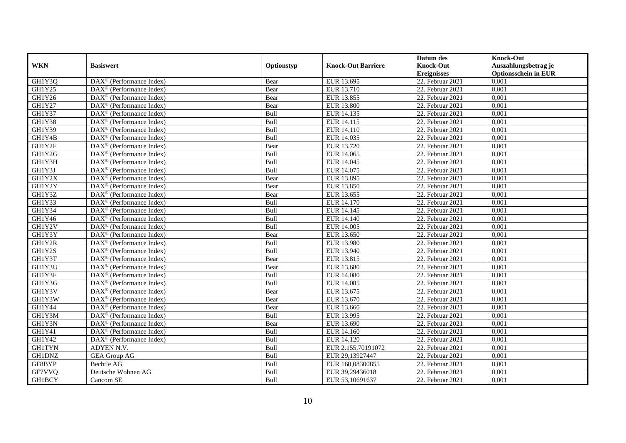|               |                                                              |            |                           | Datum des          | <b>Knock-Out</b>            |
|---------------|--------------------------------------------------------------|------------|---------------------------|--------------------|-----------------------------|
| <b>WKN</b>    | <b>Basiswert</b>                                             | Optionstyp | <b>Knock-Out Barriere</b> | <b>Knock-Out</b>   | Auszahlungsbetrag je        |
|               |                                                              |            |                           | <b>Ereignisses</b> | <b>Optionsschein in EUR</b> |
| GH1Y3Q        | $\overline{\text{DAX}}^{\textcirc}$ (Performance Index)      | Bear       | EUR 13.695                | 22. Februar 2021   | 0,001                       |
| GH1Y25        | $\text{DAX}^{\textcircled{p}}$ (Performance Index)           | Bear       | EUR 13.710                | 22. Februar 2021   | 0,001                       |
| GH1Y26        | DAX <sup>®</sup> (Performance Index)                         | Bear       | EUR 13.855                | 22. Februar 2021   | 0,001                       |
| GH1Y27        | $\text{DAX}^{\otimes}$ (Performance Index)                   | Bear       | EUR 13.800                | 22. Februar 2021   | 0,001                       |
| GH1Y37        | DAX <sup>®</sup> (Performance Index)                         | Bull       | EUR 14.135                | 22. Februar 2021   | 0,001                       |
| GH1Y38        | $\text{DAX}^{\textcircled{n}}$ (Performance Index)           | Bull       | EUR 14.115                | 22. Februar 2021   | 0,001                       |
| GH1Y39        | $\text{DAX}^{\textcircled{n}}$ (Performance Index)           | Bull       | EUR 14.110                | 22. Februar 2021   | 0,001                       |
| GH1Y4B        | $DAX^{\otimes}$ (Performance Index)                          | Bull       | EUR 14.035                | 22. Februar 2021   | 0,001                       |
| GH1Y2F        | $\text{DAX}^{\textcircled{p}}$ (Performance Index)           | Bear       | EUR 13.720                | 22. Februar 2021   | 0,001                       |
| GH1Y2G        | $DAX^{\otimes}$ (Performance Index)                          | Bull       | EUR 14.065                | 22. Februar 2021   | 0,001                       |
| GH1Y3H        | $\overline{\text{DAX}}^{\textcircled{}}$ (Performance Index) | Bull       | EUR 14.045                | 22. Februar 2021   | 0,001                       |
| GH1Y3J        | $\overline{\text{DAX}^{\otimes}}$ (Performance Index)        | Bull       | EUR 14.075                | $22.$ Februar 2021 | 0,001                       |
| GH1Y2X        | $\text{DAX}^{\textcircled{n}}$ (Performance Index)           | Bear       | EUR 13.895                | 22. Februar 2021   | 0,001                       |
| GH1Y2Y        | DAX <sup>®</sup> (Performance Index)                         | Bear       | EUR 13.850                | 22. Februar 2021   | 0,001                       |
| GH1Y3Z        | DAX <sup>®</sup> (Performance Index)                         | Bear       | EUR 13.655                | $22.$ Februar 2021 | 0,001                       |
| GH1Y33        | DAX <sup>®</sup> (Performance Index)                         | Bull       | EUR 14.170                | 22. Februar 2021   | 0,001                       |
| GH1Y34        | DAX <sup>®</sup> (Performance Index)                         | Bull       | EUR 14.145                | 22. Februar 2021   | 0,001                       |
| GH1Y46        | $\overline{\text{DAX}^{\otimes}}$ (Performance Index)        | Bull       | EUR 14.140                | 22. Februar 2021   | 0,001                       |
| GH1Y2V        | $\overline{\text{DAX}}^{\textcircled{}}$ (Performance Index) | Bull       | EUR 14.005                | 22. Februar 2021   | 0,001                       |
| GH1Y3Y        | DAX <sup>®</sup> (Performance Index)                         | Bear       | EUR 13.650                | 22. Februar 2021   | 0,001                       |
| GH1Y2R        | DAX <sup>®</sup> (Performance Index)                         | Bull       | <b>EUR 13.980</b>         | 22. Februar 2021   | 0,001                       |
| GH1Y2S        | $\overline{\text{DAX}^{\otimes}}$ (Performance Index)        | Bull       | EUR 13.940                | 22. Februar 2021   | 0,001                       |
| GH1Y3T        | $\text{DAX}^{\circledast}$ (Performance Index)               | Bear       | EUR 13.815                | $22.$ Februar 2021 | 0,001                       |
| GH1Y3U        | DAX <sup>®</sup> (Performance Index)                         | Bear       | <b>EUR 13.680</b>         | 22. Februar 2021   | 0,001                       |
| GH1Y3F        | DAX <sup>®</sup> (Performance Index)                         | Bull       | <b>EUR 14.080</b>         | 22. Februar 2021   | 0,001                       |
| GH1Y3G        | $\text{DAX}^{\otimes}$ (Performance Index)                   | Bull       | EUR 14.085                | 22. Februar 2021   | 0,001                       |
| GH1Y3V        | $\text{DAX}^{\circledast}$ (Performance Index)               | Bear       | EUR 13.675                | 22. Februar 2021   | 0,001                       |
| GH1Y3W        | $\text{DAX}^{\textcircled{D}}$ (Performance Index)           | Bear       | EUR 13.670                | $22.$ Februar 2021 | 0,001                       |
| GH1Y44        | $\text{DAX}^{\textcircled{D}}$ (Performance Index)           | Bear       | EUR 13.660                | 22. Februar 2021   | 0,001                       |
| GH1Y3M        | $\text{DAX}^{\textcircled{D}}$ (Performance Index)           | Bull       | EUR 13.995                | 22. Februar 2021   | 0,001                       |
| GH1Y3N        | DAX <sup>®</sup> (Performance Index)                         | Bear       | EUR 13.690                | 22. Februar 2021   | 0,001                       |
| GH1Y41        | DAX <sup>®</sup> (Performance Index)                         | Bull       | EUR 14.160                | 22. Februar 2021   | 0,001                       |
| GH1Y42        | DAX <sup>®</sup> (Performance Index)                         | Bull       | EUR 14.120                | 22. Februar 2021   | 0,001                       |
| <b>GH1TYN</b> | ADYEN N.V.                                                   | Bull       | EUR 2.155,70191072        | $22.$ Februar 2021 | 0,001                       |
| GH1DNZ        | <b>GEA Group AG</b>                                          | Bull       | EUR 29,13927447           | 22. Februar 2021   | 0,001                       |
| GF8BYP        | Bechtle AG                                                   | Bull       | EUR 160,08300855          | 22. Februar 2021   | 0,001                       |
| GF7VVQ        | Deutsche Wohnen AG                                           | Bull       | EUR 39,29436018           | 22. Februar 2021   | 0,001                       |
| GH1BCY        | Cancom SE                                                    | Bull       | EUR 53,10691637           | 22. Februar 2021   | 0,001                       |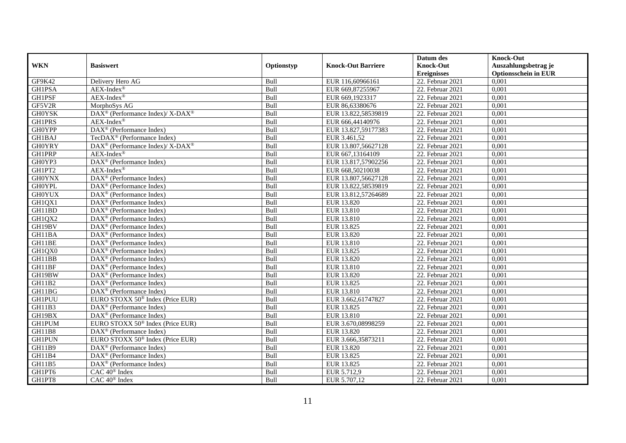|               |                                                              |            |                           | Datum des          | <b>Knock-Out</b>            |
|---------------|--------------------------------------------------------------|------------|---------------------------|--------------------|-----------------------------|
| <b>WKN</b>    | <b>Basiswert</b>                                             | Optionstyp | <b>Knock-Out Barriere</b> | <b>Knock-Out</b>   | Auszahlungsbetrag je        |
|               |                                                              |            |                           | <b>Ereignisses</b> | <b>Optionsschein in EUR</b> |
| GF9K42        | Delivery Hero AG                                             | Bull       | EUR 116,60966161          | 22. Februar 2021   | 0,001                       |
| <b>GH1PSA</b> | $AEX-Index^{\circledR}$                                      | Bull       | EUR 669,87255967          | 22. Februar 2021   | 0,001                       |
| GH1PSF        | $AEX-Index^{\circledR}$                                      | Bull       | EUR 669,1923317           | 22. Februar 2021   | 0,001                       |
| GF5V2R        | MorphoSys AG                                                 | Bull       | EUR 86,63380676           | 22. Februar 2021   | 0,001                       |
| <b>GH0YSK</b> | DAX <sup>®</sup> (Performance Index)/ X-DAX <sup>®</sup>     | Bull       | EUR 13.822,58539819       | 22. Februar 2021   | 0,001                       |
| <b>GH1PRS</b> | $AEX-Index^{\circledR}$                                      | Bull       | EUR 666,44140976          | 22. Februar 2021   | 0,001                       |
| <b>GH0YPP</b> | $\overline{\text{DAX}^{\otimes}}$ (Performance Index)        | Bull       | EUR 13.827,59177383       | 22. Februar 2021   | 0,001                       |
| GH1BAJ        | TecDAX <sup>®</sup> (Performance Index)                      | Bull       | EUR 3.461,52              | 22. Februar 2021   | 0,001                       |
| <b>GH0YRY</b> | $DAX^{\circledcirc}$ (Performance Index)/ X-DAX <sup>®</sup> | Bull       | EUR 13.807,56627128       | 22. Februar 2021   | 0,001                       |
| <b>GH1PRP</b> | $AEX-Index^{\circledR}$                                      | Bull       | EUR 667,13164109          | 22. Februar 2021   | 0,001                       |
| GH0YP3        | DAX <sup>®</sup> (Performance Index)                         | Bull       | EUR 13.817,57902256       | 22. Februar 2021   | 0,001                       |
| GH1PT2        | $AEX$ -Index®                                                | Bull       | EUR 668,50210038          | 22. Februar 2021   | 0,001                       |
| <b>GH0YNX</b> | DAX <sup>®</sup> (Performance Index)                         | Bull       | EUR 13.807,56627128       | 22. Februar 2021   | 0,001                       |
| <b>GH0YPL</b> | $\text{DAX}^{\textcircled{n}}$ (Performance Index)           | Bull       | EUR 13.822,58539819       | 22. Februar 2021   | 0,001                       |
| <b>GH0YUX</b> | $\text{DAX}^{\otimes}$ (Performance Index)                   | Bull       | EUR 13.812,57264689       | 22. Februar 2021   | 0,001                       |
| GH1QX1        | DAX <sup>®</sup> (Performance Index)                         | Bull       | EUR 13.820                | 22. Februar 2021   | 0,001                       |
| GH11BD        | DAX <sup>®</sup> (Performance Index)                         | Bull       | EUR 13.810                | 22. Februar 2021   | 0,001                       |
| GH1QX2        | $DAX^{\circledR}$ (Performance Index)                        | Bull       | EUR 13.810                | 22. Februar 2021   | 0,001                       |
| GH19BV        | $\overline{\text{DAX}}^{\textcirc}$ (Performance Index)      | Bull       | EUR 13.825                | 22. Februar 2021   | 0,001                       |
| GH11BA        | $\overline{\text{DAX}^{\otimes}}$ (Performance Index)        | Bull       | EUR 13.820                | 22. Februar 2021   | 0,001                       |
| GH11BE        | DAX <sup>®</sup> (Performance Index)                         | Bull       | EUR 13.810                | 22. Februar 2021   | 0,001                       |
| GH1QX0        | $\overline{\text{DAX}^{\otimes}}$ (Performance Index)        | Bull       | EUR 13.825                | 22. Februar 2021   | 0,001                       |
| GH11BB        | $\overline{\text{DAX}^{\otimes}}$ (Performance Index)        | Bull       | EUR 13.820                | 22. Februar 2021   | 0,001                       |
| GH11BF        | DAX <sup>®</sup> (Performance Index)                         | Bull       | EUR 13.810                | 22. Februar 2021   | 0,001                       |
| GH19BW        | DAX <sup>®</sup> (Performance Index)                         | Bull       | EUR 13.820                | 22. Februar 2021   | 0,001                       |
| GH11B2        | $\text{DAX}^{\otimes}$ (Performance Index)                   | Bull       | EUR 13.825                | 22. Februar 2021   | 0,001                       |
| GH11BG        | $\text{DAX}^{\circledast}$ (Performance Index)               | Bull       | EUR 13.810                | 22. Februar 2021   | 0,001                       |
| <b>GH1PUU</b> | EURO STOXX 50 <sup>®</sup> Index (Price EUR)                 | Bull       | EUR 3.662,61747827        | 22. Februar 2021   | 0,001                       |
| GH11B3        | $\text{DAX}^{\textcircled{D}}$ (Performance Index)           | Bull       | EUR 13.825                | 22. Februar 2021   | 0,001                       |
| GH19BX        | $\text{DAX}^{\textcircled{D}}$ (Performance Index)           | Bull       | EUR 13.810                | 22. Februar 2021   | 0,001                       |
| <b>GH1PUM</b> | EURO STOXX 50 <sup>®</sup> Index (Price EUR)                 | Bull       | EUR 3.670,08998259        | 22. Februar 2021   | 0,001                       |
| GH11B8        | $\overline{\text{DAX}}^{\textcircled{}}$ (Performance Index) | Bull       | EUR 13.820                | 22. Februar 2021   | 0,001                       |
| <b>GH1PUN</b> | EURO STOXX 50 <sup>®</sup> Index (Price EUR)                 | Bull       | EUR 3.666,35873211        | 22. Februar 2021   | 0,001                       |
| <b>GH11B9</b> | DAX <sup>®</sup> (Performance Index)                         | Bull       | EUR 13.820                | $22.$ Februar 2021 | 0,001                       |
| <b>GH11B4</b> | $\text{DAX}^{\textcircled{n}}$ (Performance Index)           | Bull       | EUR 13.825                | 22. Februar 2021   | 0,001                       |
| GH11B5        | $\text{DAX}^{\circledast}$ (Performance Index)               | Bull       | EUR 13.825                | 22. Februar 2021   | 0,001                       |
| GH1PT6        | CAC 40 <sup>®</sup> Index                                    | Bull       | EUR 5.712,9               | 22. Februar 2021   | 0,001                       |
| GH1PT8        | CAC 40 <sup>®</sup> Index                                    | Bull       | EUR 5.707,12              | 22. Februar 2021   | 0,001                       |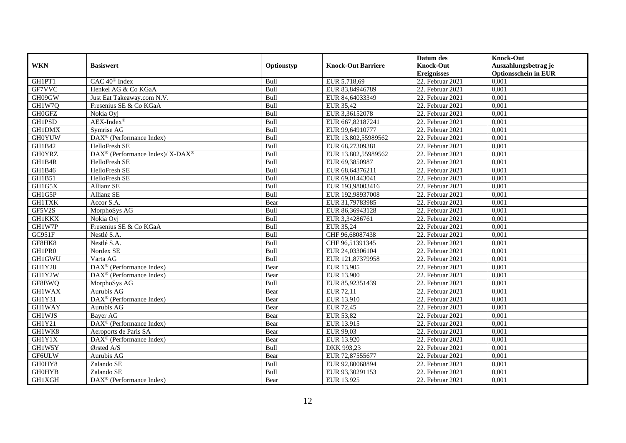|               |                                                          |            |                           | Datum des          | <b>Knock-Out</b>            |
|---------------|----------------------------------------------------------|------------|---------------------------|--------------------|-----------------------------|
| <b>WKN</b>    | <b>Basiswert</b>                                         | Optionstyp | <b>Knock-Out Barriere</b> | <b>Knock-Out</b>   | Auszahlungsbetrag je        |
|               |                                                          |            |                           | <b>Ereignisses</b> | <b>Optionsschein in EUR</b> |
| GH1PT1        | CAC 40 <sup>®</sup> Index                                | Bull       | EUR 5.718,69              | 22. Februar 2021   | 0,001                       |
| GF7VVC        | Henkel AG & Co KGaA                                      | Bull       | EUR 83,84946789           | 22. Februar 2021   | 0,001                       |
| GH09GW        | Just Eat Takeaway.com N.V.                               | Bull       | EUR 84,64033349           | 22. Februar 2021   | 0,001                       |
| GH1W7Q        | Fresenius SE & Co KGaA                                   | Bull       | EUR 35,42                 | 22. Februar 2021   | 0,001                       |
| <b>GH0GFZ</b> | Nokia Oyj                                                | Bull       | EUR 3,36152078            | 22. Februar 2021   | 0,001                       |
| <b>GH1PSD</b> | $AEX-Index^{\circledR}$                                  | Bull       | EUR 667,82187241          | 22. Februar 2021   | 0,001                       |
| <b>GH1DMX</b> | Symrise AG                                               | Bull       | EUR 99,64910777           | 22. Februar 2021   | 0,001                       |
| <b>GH0YUW</b> | DAX <sup>®</sup> (Performance Index)                     | Bull       | EUR 13.802,55989562       | 22. Februar 2021   | 0,001                       |
| GH1B42        | HelloFresh SE                                            | Bull       | EUR 68,27309381           | 22. Februar 2021   | 0,001                       |
| <b>GH0YRZ</b> | DAX <sup>®</sup> (Performance Index)/ X-DAX <sup>®</sup> | Bull       | EUR 13.802,55989562       | 22. Februar 2021   | 0,001                       |
| GH1B4R        | HelloFresh SE                                            | Bull       | EUR 69,3850987            | 22. Februar 2021   | 0,001                       |
| GH1B46        | HelloFresh SE                                            | Bull       | EUR 68,64376211           | 22. Februar 2021   | 0,001                       |
| GH1B51        | HelloFresh SE                                            | Bull       | EUR 69,01443041           | 22. Februar 2021   | 0,001                       |
| GH1G5X        | Allianz SE                                               | Bull       | EUR 193,98003416          | 22. Februar 2021   | 0.001                       |
| GH1G5P        | Allianz SE                                               | Bull       | EUR 192,98937008          | 22. Februar 2021   | 0,001                       |
| <b>GH1TXK</b> | Accor S.A.                                               | Bear       | EUR 31,79783985           | 22. Februar 2021   | 0,001                       |
| GF5V2S        | MorphoSys AG                                             | Bull       | EUR 86,36943128           | $22.$ Februar 2021 | 0,001                       |
| <b>GH1KKX</b> | Nokia Ovi                                                | Bull       | EUR 3,34286761            | 22. Februar 2021   | 0,001                       |
| GH1W7P        | Fresenius SE & Co KGaA                                   | Bull       | EUR 35,24                 | 22. Februar 2021   | 0,001                       |
| GC951F        | Nestlé S.A.                                              | Bull       | CHF 96,68087438           | 22. Februar 2021   | 0,001                       |
| GF8HK8        | Nestlé S.A.                                              | Bull       | CHF 96,51391345           | 22. Februar 2021   | 0,001                       |
| GH1PR0        | Nordex SE                                                | Bull       | EUR 24,03306104           | 22. Februar 2021   | 0,001                       |
| <b>GH1GWU</b> | Varta AG                                                 | Bull       | EUR 121,87379958          | 22. Februar 2021   | 0,001                       |
| GH1Y28        | $DAX^{\circledR}$ (Performance Index)                    | Bear       | EUR 13.905                | 22. Februar 2021   | 0,001                       |
| GH1Y2W        | $DAX^{\circledR}$ (Performance Index)                    | Bear       | EUR 13.900                | 22. Februar 2021   | 0,001                       |
| GF8BWQ        | MorphoSys AG                                             | Bull       | EUR 85,92351439           | 22. Februar 2021   | 0,001                       |
| <b>GH1WAX</b> | Aurubis AG                                               | Bear       | EUR 72,11                 | 22. Februar 2021   | 0,001                       |
| GH1Y31        | DAX <sup>®</sup> (Performance Index)                     | Bear       | EUR 13.910                | 22. Februar 2021   | 0,001                       |
| <b>GH1WAY</b> | Aurubis AG                                               | Bear       | EUR 72,45                 | 22. Februar 2021   | 0,001                       |
| GH1WJS        | Bayer AG                                                 | Bear       | <b>EUR 53,82</b>          | 22. Februar 2021   | 0,001                       |
| GH1Y21        | DAX <sup>®</sup> (Performance Index)                     | Bear       | EUR 13.915                | 22. Februar 2021   | 0,001                       |
| GH1WK8        | Aeroports de Paris SA                                    | Bear       | EUR 99,03                 | 22. Februar 2021   | 0,001                       |
| <b>GH1Y1X</b> | DAX <sup>®</sup> (Performance Index)                     | Bear       | EUR 13.920                | 22. Februar 2021   | 0,001                       |
| GH1W5Y        | Ørsted A/S                                               | Bull       | DKK 993,23                | 22. Februar 2021   | 0,001                       |
| GF6ULW        | Aurubis AG                                               | Bear       | EUR 72,87555677           | 22. Februar 2021   | 0,001                       |
| GH0HY8        | Zalando SE                                               | Bull       | EUR 92,80068894           | 22. Februar 2021   | 0,001                       |
| <b>GH0HYB</b> | Zalando SE                                               | Bull       | EUR 93,30291153           | 22. Februar 2021   | 0,001                       |
| GH1XGH        | $\text{DAX}^{\textcircled{}}$ (Performance Index)        | Bear       | EUR 13.925                | 22. Februar 2021   | 0,001                       |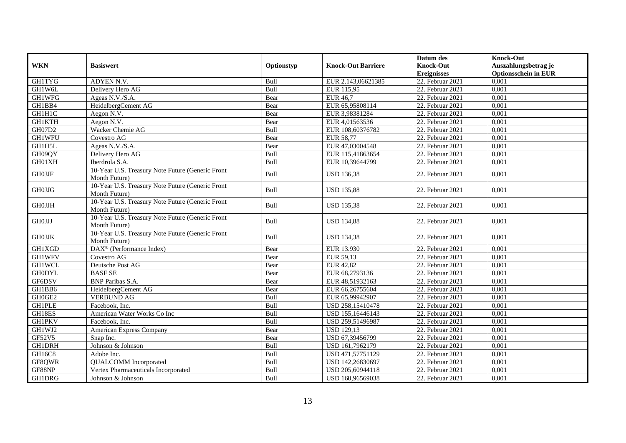|                         |                                                                   |            |                           | Datum des                              | <b>Knock-Out</b>                                    |
|-------------------------|-------------------------------------------------------------------|------------|---------------------------|----------------------------------------|-----------------------------------------------------|
| <b>WKN</b>              | <b>Basiswert</b>                                                  | Optionstyp | <b>Knock-Out Barriere</b> | <b>Knock-Out</b><br><b>Ereignisses</b> | Auszahlungsbetrag je<br><b>Optionsschein in EUR</b> |
| <b>GH1TYG</b>           | <b>ADYEN N.V.</b>                                                 | Bull       | EUR 2.143,06621385        | 22. Februar 2021                       | 0,001                                               |
| GH1W6L                  | Delivery Hero AG                                                  | Bull       | EUR 115,95                | 22. Februar 2021                       | 0,001                                               |
| <b>GH1WFG</b>           | Ageas N.V./S.A.                                                   | Bear       | <b>EUR 46,7</b>           | 22. Februar 2021                       | 0,001                                               |
| GH1BB4                  | HeidelbergCement AG                                               | Bear       | EUR 65,95808114           | 22. Februar 2021                       | 0,001                                               |
| GH1H1C                  | Aegon N.V.                                                        | Bear       | EUR 3,98381284            | 22. Februar 2021                       | 0,001                                               |
| <b>GH1KTH</b>           | Aegon N.V.                                                        | Bear       | EUR 4,01563536            | 22. Februar 2021                       | 0,001                                               |
| <b>GH07D2</b>           | Wacker Chemie AG                                                  | Bull       | EUR 108,60376782          | 22. Februar 2021                       | 0,001                                               |
| <b>GH1WFU</b>           | Covestro AG                                                       | Bear       | <b>EUR 58,77</b>          | 22. Februar 2021                       | 0,001                                               |
| GH1H5L                  | Ageas N.V./S.A.                                                   | Bear       | EUR 47,03004548           | 22. Februar 2021                       | 0,001                                               |
| GH09QY                  | Delivery Hero AG                                                  | Bull       | EUR 115,41863654          | 22. Februar 2021                       | 0,001                                               |
| GH01XH                  | Iberdrola S.A.                                                    | Bull       | EUR 10,39644799           | 22. Februar 2021                       | 0,001                                               |
| $\operatorname{GHOJJF}$ | 10-Year U.S. Treasury Note Future (Generic Front<br>Month Future) | Bull       | <b>USD 136,38</b>         | 22. Februar 2021                       | 0,001                                               |
| <b>GH0JJG</b>           | 10-Year U.S. Treasury Note Future (Generic Front<br>Month Future) | Bull       | <b>USD 135,88</b>         | 22. Februar 2021                       | 0,001                                               |
| <b>GH0JJH</b>           | 10-Year U.S. Treasury Note Future (Generic Front<br>Month Future) | Bull       | <b>USD 135,38</b>         | 22. Februar 2021                       | 0.001                                               |
| <b>GHOJJJ</b>           | 10-Year U.S. Treasury Note Future (Generic Front<br>Month Future) | Bull       | <b>USD 134,88</b>         | 22. Februar 2021                       | 0,001                                               |
| $\operatorname{GHOJJK}$ | 10-Year U.S. Treasury Note Future (Generic Front<br>Month Future) | Bull       | <b>USD 134,38</b>         | 22. Februar 2021                       | 0.001                                               |
| <b>GH1XGD</b>           | DAX <sup>®</sup> (Performance Index)                              | Bear       | EUR 13.930                | 22. Februar 2021                       | 0,001                                               |
| <b>GH1WFV</b>           | Covestro AG                                                       | Bear       | EUR 59,13                 | 22. Februar 2021                       | 0,001                                               |
| <b>GH1WCL</b>           | Deutsche Post AG                                                  | Bear       | <b>EUR 42,82</b>          | 22. Februar 2021                       | 0,001                                               |
| <b>GH0DYL</b>           | <b>BASF SE</b>                                                    | Bear       | EUR 68,2793136            | 22. Februar 2021                       | 0,001                                               |
| GF6DSV                  | <b>BNP</b> Paribas S.A.                                           | Bear       | EUR 48,51932163           | 22. Februar 2021                       | 0,001                                               |
| GH1BB6                  | HeidelbergCement AG                                               | Bear       | EUR 66,26755604           | 22. Februar 2021                       | 0,001                                               |
| GH0GE2                  | <b>VERBUND AG</b>                                                 | Bull       | EUR 65,99942907           | 22. Februar 2021                       | 0,001                                               |
| <b>GH1PLE</b>           | Facebook. Inc.                                                    | Bull       | USD 258,15410478          | 22. Februar 2021                       | 0,001                                               |
| GH18ES                  | American Water Works Co Inc                                       | Bull       | USD 155,16446143          | 22. Februar 2021                       | 0,001                                               |
| <b>GH1PKV</b>           | Facebook, Inc.                                                    | Bull       | USD 259,51496987          | 22. Februar 2021                       | 0,001                                               |
| GH1WJ2                  | American Express Company                                          | Bear       | <b>USD 129,13</b>         | 22. Februar 2021                       | 0,001                                               |
| GF52V5                  | Snap Inc.                                                         | Bear       | USD 67,39456799           | 22. Februar 2021                       | 0,001                                               |
| <b>GH1DRH</b>           | Johnson & Johnson                                                 | Bull       | USD 161,7962179           | 22. Februar 2021                       | 0,001                                               |
| <b>GH16C8</b>           | Adobe Inc.                                                        | Bull       | USD 471,57751129          | 22. Februar 2021                       | 0,001                                               |
| GF8QWR                  | <b>QUALCOMM</b> Incorporated                                      | Bull       | USD 142,26830697          | 22. Februar 2021                       | 0,001                                               |
| GF88NP                  | Vertex Pharmaceuticals Incorporated                               | Bull       | USD 205,60944118          | 22. Februar 2021                       | 0,001                                               |
| <b>GH1DRG</b>           | Johnson & Johnson                                                 | Bull       | USD 160,96569038          | 22. Februar 2021                       | 0,001                                               |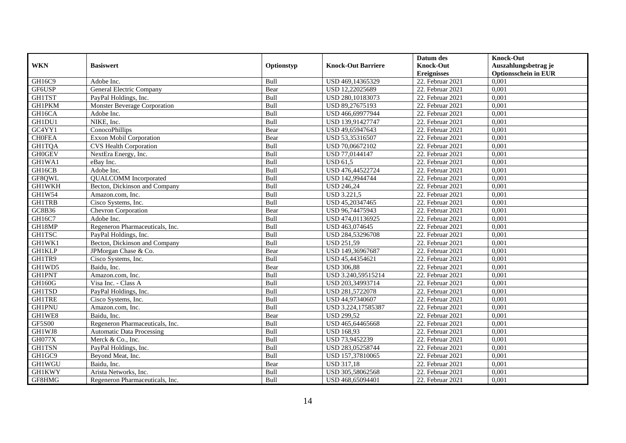|               |                                     |            |                           | Datum des          | <b>Knock-Out</b>            |
|---------------|-------------------------------------|------------|---------------------------|--------------------|-----------------------------|
| <b>WKN</b>    | <b>Basiswert</b>                    | Optionstyp | <b>Knock-Out Barriere</b> | <b>Knock-Out</b>   | Auszahlungsbetrag je        |
|               |                                     |            |                           | <b>Ereignisses</b> | <b>Optionsschein in EUR</b> |
| GH16C9        | Adobe Inc.                          | Bull       | USD 469,14365329          | 22. Februar 2021   | 0,001                       |
| GF6USP        | General Electric Company            | Bear       | USD 12,22025689           | 22. Februar 2021   | 0,001                       |
| <b>GH1TST</b> | PayPal Holdings, Inc.               | Bull       | USD 280,10183073          | 22. Februar 2021   | 0,001                       |
| <b>GH1PKM</b> | <b>Monster Beverage Corporation</b> | Bull       | USD 89,27675193           | 22. Februar 2021   | 0,001                       |
| GH16CA        | Adobe Inc.                          | Bull       | USD 466,69977944          | 22. Februar 2021   | 0,001                       |
| GH1DU1        | NIKE, Inc.                          | Bull       | USD 139,91427747          | 22. Februar 2021   | 0,001                       |
| GC4YY1        | ConocoPhillips                      | Bear       | USD 49,65947643           | $22.$ Februar 2021 | 0,001                       |
| <b>CH0FEA</b> | Exxon Mobil Corporation             | Bear       | USD 53,35316507           | 22. Februar 2021   | 0,001                       |
| <b>GH1TQA</b> | <b>CVS</b> Health Corporation       | Bull       | USD 70,06672102           | 22. Februar 2021   | 0,001                       |
| <b>GH0GEV</b> | NextEra Energy, Inc.                | Bull       | USD 77,0144147            | 22. Februar 2021   | 0,001                       |
| GH1WA1        | eBay Inc.                           | Bull       | <b>USD 61.5</b>           | 22. Februar 2021   | 0,001                       |
| GH16CB        | Adobe Inc.                          | Bull       | USD 476,44522724          | 22. Februar 2021   | 0,001                       |
| GF8QWL        | <b>QUALCOMM</b> Incorporated        | Bull       | USD 142,9944744           | 22. Februar 2021   | 0,001                       |
| <b>GH1WKH</b> | Becton, Dickinson and Company       | Bull       | <b>USD 246,24</b>         | 22. Februar 2021   | 0,001                       |
| GH1W54        | Amazon.com, Inc.                    | Bull       | <b>USD 3.221,5</b>        | 22. Februar 2021   | 0,001                       |
| <b>GH1TRB</b> | Cisco Systems, Inc.                 | Bull       | USD 45,20347465           | 22. Februar 2021   | 0,001                       |
| GC8B36        | Chevron Corporation                 | Bear       | USD 96,74475943           | 22. Februar 2021   | 0,001                       |
| GH16C7        | Adobe Inc.                          | Bull       | USD 474,01136925          | $22.$ Februar 2021 | 0,001                       |
| GH18MP        | Regeneron Pharmaceuticals, Inc.     | Bull       | USD 463,074645            | 22. Februar 2021   | 0,001                       |
| <b>GH1TSC</b> | PayPal Holdings, Inc.               | Bull       | USD 284,53296708          | 22. Februar 2021   | 0,001                       |
| GH1WK1        | Becton, Dickinson and Company       | Bull       | <b>USD 251,59</b>         | 22. Februar 2021   | 0,001                       |
| <b>GH1KLP</b> | JPMorgan Chase & Co.                | Bear       | USD 149,36967687          | 22. Februar 2021   | 0,001                       |
| GH1TR9        | Cisco Systems, Inc.                 | Bull       | USD 45,44354621           | $22.$ Februar 2021 | 0,001                       |
| GH1WD5        | Baidu, Inc.                         | Bear       | <b>USD 306,88</b>         | 22. Februar 2021   | 0,001                       |
| <b>GH1PNT</b> | Amazon.com. Inc.                    | Bull       | USD 3.240,59515214        | 22. Februar 2021   | 0.001                       |
| GH160G        | Visa Inc. - Class A                 | Bull       | USD 203,34993714          | 22. Februar 2021   | 0,001                       |
| <b>GH1TSD</b> | PayPal Holdings, Inc.               | Bull       | USD 281,5722078           | 22. Februar 2021   | 0,001                       |
| <b>GH1TRE</b> | Cisco Systems, Inc.                 | Bull       | USD 44,97340607           | 22. Februar 2021   | 0,001                       |
| <b>GH1PNU</b> | Amazon.com, Inc.                    | Bull       | USD 3.224,17585387        | 22. Februar 2021   | 0,001                       |
| GH1WE8        | Baidu, Inc.                         | Bear       | <b>USD 299,52</b>         | 22. Februar 2021   | 0,001                       |
| <b>GF5S00</b> | Regeneron Pharmaceuticals, Inc.     | Bull       | USD 465,64465668          | 22. Februar 2021   | 0,001                       |
| GH1WJ8        | <b>Automatic Data Processing</b>    | Bull       | <b>USD 168,93</b>         | 22. Februar 2021   | 0,001                       |
| GH077X        | Merck & Co., Inc.                   | Bull       | USD 73,9452239            | 22. Februar 2021   | 0,001                       |
| <b>GH1TSN</b> | PayPal Holdings, Inc.               | Bull       | USD 283,05258744          | $22.$ Februar 2021 | 0,001                       |
| GH1GC9        | Beyond Meat, Inc.                   | Bull       | USD 157,37810065          | 22. Februar 2021   | 0,001                       |
| GH1WGU        | Baidu, Inc.                         | Bear       | <b>USD 317,18</b>         | 22. Februar 2021   | 0,001                       |
| <b>GH1KWY</b> | Arista Networks, Inc.               | Bull       | USD 305,58062568          | 22. Februar 2021   | 0,001                       |
| GF8HMG        | Regeneron Pharmaceuticals, Inc.     | Bull       | USD 468,65094401          | 22. Februar 2021   | 0,001                       |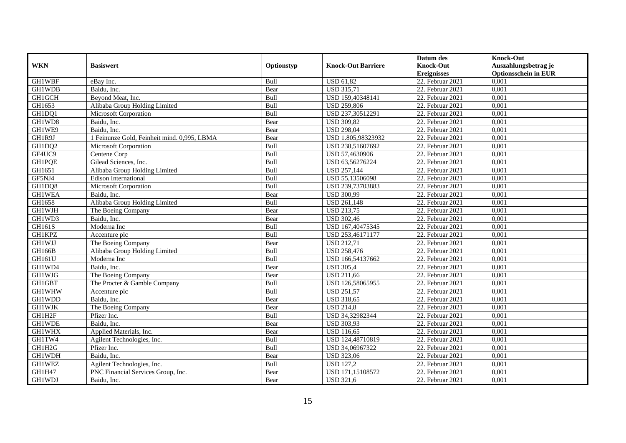|               |                                             |            |                           | Datum des          | <b>Knock-Out</b>            |
|---------------|---------------------------------------------|------------|---------------------------|--------------------|-----------------------------|
| <b>WKN</b>    | <b>Basiswert</b>                            | Optionstyp | <b>Knock-Out Barriere</b> | <b>Knock-Out</b>   | Auszahlungsbetrag je        |
|               |                                             |            |                           | <b>Ereignisses</b> | <b>Optionsschein in EUR</b> |
| <b>GH1WBF</b> | eBay Inc.                                   | Bull       | <b>USD 61,82</b>          | 22. Februar 2021   | 0,001                       |
| <b>GH1WDB</b> | Baidu, Inc.                                 | Bear       | <b>USD 315,71</b>         | 22. Februar 2021   | 0,001                       |
| GH1GCH        | Beyond Meat, Inc.                           | Bull       | USD 159,40348141          | 22. Februar 2021   | 0,001                       |
| GH1653        | Alibaba Group Holding Limited               | Bull       | <b>USD 259,806</b>        | 22. Februar 2021   | 0,001                       |
| GH1DQ1        | Microsoft Corporation                       | Bull       | USD 237,30512291          | 22. Februar 2021   | 0,001                       |
| GH1WD8        | Baidu, Inc.                                 | Bear       | <b>USD 309,82</b>         | 22. Februar 2021   | 0,001                       |
| GH1WE9        | Baidu, Inc.                                 | Bear       | <b>USD 298,04</b>         | 22. Februar 2021   | 0,001                       |
| GH1R9J        | 1 Feinunze Gold, Feinheit mind. 0,995, LBMA | Bear       | USD 1.805,98323932        | 22. Februar 2021   | 0,001                       |
| GH1DQ2        | Microsoft Corporation                       | Bull       | USD 238,51607692          | 22. Februar 2021   | 0,001                       |
| GF4UC9        | Centene Corp                                | Bull       | USD 57,4630906            | 22. Februar 2021   | 0,001                       |
| <b>GH1PQE</b> | Gilead Sciences, Inc.                       | Bull       | USD 63,56276224           | 22. Februar 2021   | 0,001                       |
| GH1651        | Alibaba Group Holding Limited               | Bull       | <b>USD 257,144</b>        | $22.$ Februar 2021 | 0,001                       |
| GF5NJ4        | <b>Edison International</b>                 | Bull       | USD 55,13506098           | 22. Februar 2021   | 0,001                       |
| GH1DQ8        | Microsoft Corporation                       | Bull       | USD 239,73703883          | 22. Februar 2021   | 0,001                       |
| <b>GH1WEA</b> | Baidu, Inc.                                 | Bear       | <b>USD 300,99</b>         | 22. Februar 2021   | 0,001                       |
| GH1658        | Alibaba Group Holding Limited               | Bull       | <b>USD 261,148</b>        | 22. Februar 2021   | 0,001                       |
| GH1WJH        | The Boeing Company                          | Bear       | <b>USD 213,75</b>         | 22. Februar 2021   | 0,001                       |
| GH1WD3        | Baidu. Inc.                                 | Bear       | <b>USD 302.46</b>         | 22. Februar 2021   | 0,001                       |
| GH161S        | Moderna Inc                                 | Bull       | USD 167,40475345          | 22. Februar 2021   | 0,001                       |
| <b>GH1KPZ</b> | Accenture plc                               | Bull       | USD 253,46171177          | 22. Februar 2021   | 0,001                       |
| <b>GH1WJJ</b> | The Boeing Company                          | Bear       | <b>USD 212,71</b>         | 22. Februar 2021   | 0,001                       |
| <b>GH166B</b> | Alibaba Group Holding Limited               | Bull       | <b>USD 258,476</b>        | 22. Februar 2021   | 0,001                       |
| GH161U        | Moderna Inc                                 | Bull       | USD 166,54137662          | $22.$ Februar 2021 | 0,001                       |
| GH1WD4        | Baidu, Inc.                                 | Bear       | <b>USD 305,4</b>          | 22. Februar 2021   | 0,001                       |
| GH1WJG        | The Boeing Company                          | Bear       | <b>USD 211,66</b>         | 22. Februar 2021   | 0,001                       |
| GH1GBT        | The Procter & Gamble Company                | Bull       | USD 126,58065955          | 22. Februar 2021   | 0,001                       |
| <b>GH1WHW</b> | Accenture plc                               | Bull       | <b>USD 251,57</b>         | 22. Februar 2021   | 0,001                       |
| GH1WDD        | Baidu, Inc.                                 | Bear       | <b>USD 318,65</b>         | 22. Februar 2021   | 0,001                       |
| <b>GH1WJK</b> | The Boeing Company                          | Bear       | <b>USD 214,8</b>          | 22. Februar 2021   | 0,001                       |
| GH1H2F        | Pfizer Inc.                                 | Bull       | USD 34,32982344           | 22. Februar 2021   | 0,001                       |
| GH1WDE        | Baidu, Inc.                                 | Bear       | <b>USD 303,93</b>         | 22. Februar 2021   | 0,001                       |
| <b>GH1WHX</b> | Applied Materials, Inc.                     | Bear       | <b>USD 116,65</b>         | 22. Februar 2021   | 0,001                       |
| GH1TW4        | Agilent Technologies, Inc.                  | Bull       | USD 124,48710819          | 22. Februar 2021   | 0,001                       |
| GH1H2G        | Pfizer Inc.                                 | Bull       | USD 34,06967322           | $22.$ Februar 2021 | 0,001                       |
| GH1WDH        | Baidu, Inc.                                 | Bear       | <b>USD 323,06</b>         | 22. Februar 2021   | 0,001                       |
| GH1WEZ        | Agilent Technologies, Inc.                  | Bull       | <b>USD 127,2</b>          | 22. Februar 2021   | 0,001                       |
| GH1H47        | PNC Financial Services Group, Inc.          | Bear       | USD 171,15108572          | 22. Februar 2021   | 0,001                       |
| GH1WDJ        | Baidu, Inc.                                 | Bear       | <b>USD 321,6</b>          | 22. Februar 2021   | 0,001                       |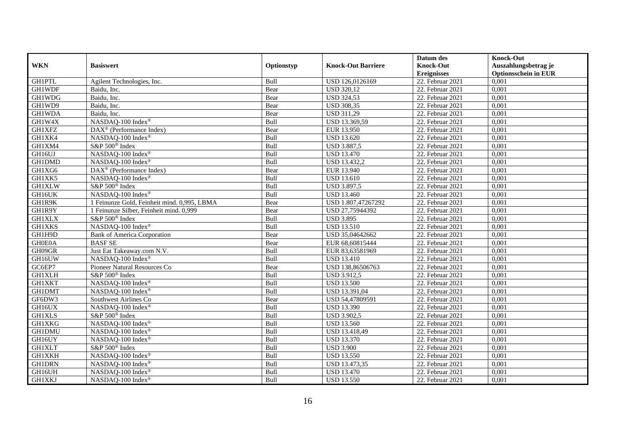|               |                                             |             |                           | Datum des          | <b>Knock-Out</b>            |
|---------------|---------------------------------------------|-------------|---------------------------|--------------------|-----------------------------|
| <b>WKN</b>    | <b>Basiswert</b>                            | Optionstyp  | <b>Knock-Out Barriere</b> | <b>Knock-Out</b>   | Auszahlungsbetrag je        |
|               |                                             |             |                           | <b>Ereignisses</b> | <b>Optionsschein in EUR</b> |
| <b>GH1PTL</b> | Agilent Technologies, Inc.                  | Bull        | USD 126,0126169           | 22. Februar 2021   | 0,001                       |
| <b>GH1WDF</b> | Baidu, Inc.                                 | Bear        | <b>USD 320,12</b>         | 22. Februar 2021   | 0,001                       |
| <b>GH1WDG</b> | Baidu, Inc.                                 | Bear        | <b>USD 324,53</b>         | 22. Februar 2021   | 0,001                       |
| GH1WD9        | Baidu, Inc.                                 | Bear        | <b>USD 308,35</b>         | 22. Februar 2021   | 0,001                       |
| <b>GH1WDA</b> | Baidu, Inc.                                 | Bear        | <b>USD 311,29</b>         | 22. Februar 2021   | 0,001                       |
| GH1W4X        | NASDAQ-100 Index®                           | Bull        | USD 13.369,59             | 22. Februar 2021   | 0,001                       |
| GH1XFZ        | DAX <sup>®</sup> (Performance Index)        | Bear        | EUR 13.950                | 22. Februar 2021   | 0,001                       |
| GH1XK4        | NASDAQ-100 Index®                           | Bull        | <b>USD 13.620</b>         | 22. Februar 2021   | 0,001                       |
| GH1XM4        | S&P 500 <sup>®</sup> Index                  | Bull        | <b>USD 3.887,5</b>        | 22. Februar 2021   | 0,001                       |
| GH16UJ        | NASDAQ-100 Index®                           | <b>Bull</b> | <b>USD 13.470</b>         | 22. Februar 2021   | 0,001                       |
| <b>GH1DMD</b> | NASDAQ-100 Index <sup>®</sup>               | Bull        | USD 13.432,2              | 22. Februar 2021   | 0,001                       |
| GH1XG6        | DAX <sup>®</sup> (Performance Index)        | Bear        | EUR 13.940                | $22.$ Februar 2021 | 0,001                       |
| GH1XK5        | NASDAQ-100 Index®                           | Bull        | <b>USD 13.610</b>         | 22. Februar 2021   | 0,001                       |
| <b>GH1XLW</b> | S&P 500 <sup>®</sup> Index                  | Bull        | <b>USD 3.897,5</b>        | 22. Februar 2021   | 0,001                       |
| GH16UK        | NASDAQ-100 Index®                           | Bull        | <b>USD 13.460</b>         | 22. Februar 2021   | 0,001                       |
| GH1R9K        | 1 Feinunze Gold, Feinheit mind. 0,995, LBMA | Bear        | USD 1.807,47267292        | 22. Februar 2021   | 0,001                       |
| GH1R9Y        | 1 Feinunze Silber, Feinheit mind. 0,999     | Bear        | USD 27,75944392           | 22. Februar 2021   | 0,001                       |
| <b>GH1XLX</b> | S&P 500 <sup>®</sup> Index                  | Bull        | <b>USD 3.895</b>          | 22. Februar 2021   | 0,001                       |
| <b>GH1XKS</b> | NASDAQ-100 Index®                           | Bull        | <b>USD 13.510</b>         | 22. Februar 2021   | 0,001                       |
| GH1H9D        | Bank of America Corporation                 | Bear        | USD 35,04642662           | 22. Februar 2021   | 0,001                       |
| GH0E0A        | <b>BASF SE</b>                              | Bear        | EUR 68,60815444           | 22. Februar 2021   | 0,001                       |
| GH09GR        | Just Eat Takeaway.com N.V.                  | Bull        | EUR 83,63581969           | 22. Februar 2021   | 0,001                       |
| GH16UW        | NASDAQ-100 Index®                           | Bull        | <b>USD 13.410</b>         | 22. Februar 2021   | 0,001                       |
| GC6EP7        | Pioneer Natural Resources Co                | Bear        | USD 138,86506763          | 22. Februar 2021   | 0,001                       |
| <b>GH1XLH</b> | S&P 500 <sup>®</sup> Index                  | Bull        | <b>USD 3.912,5</b>        | 22. Februar 2021   | 0,001                       |
| <b>GH1XKT</b> | NASDAQ-100 Index®                           | Bull        | <b>USD 13.500</b>         | 22. Februar 2021   | 0,001                       |
| <b>GH1DMT</b> | NASDAQ-100 Index®                           | Bull        | USD 13.391,04             | 22. Februar 2021   | 0,001                       |
| GF6DW3        | Southwest Airlines Co                       | Bear        | USD 54,47809591           | $22.$ Februar 2021 | 0,001                       |
| GH16UX        | NASDAQ-100 Index®                           | Bull        | <b>USD 13.390</b>         | 22. Februar 2021   | 0,001                       |
| <b>GH1XLS</b> | S&P 500 <sup>®</sup> Index                  | Bull        | <b>USD 3.902,5</b>        | 22. Februar 2021   | 0,001                       |
| <b>GH1XKG</b> | NASDAQ-100 Index®                           | Bull        | <b>USD 13.560</b>         | 22. Februar 2021   | 0,001                       |
| <b>GH1DMU</b> | NASDAQ-100 Index®                           | Bull        | USD 13.418,49             | 22. Februar 2021   | 0,001                       |
| GH16UY        | NASDAQ-100 Index®                           | Bull        | <b>USD 13.370</b>         | 22. Februar 2021   | 0,001                       |
| <b>GH1XLT</b> | S&P 500 <sup>®</sup> Index                  | Bull        | <b>USD 3.900</b>          | 22. Februar 2021   | 0,001                       |
| <b>GH1XKH</b> | NASDAQ-100 Index®                           | Bull        | <b>USD 13.550</b>         | 22. Februar 2021   | 0,001                       |
| <b>GH1DRN</b> | NASDAQ-100 Index®                           | Bull        | USD 13.473,35             | 22. Februar 2021   | 0,001                       |
| GH16UH        | NASDAQ-100 Index®                           | Bull        | <b>USD 13.470</b>         | 22. Februar 2021   | 0,001                       |
| <b>GH1XKJ</b> | NASDAQ-100 Index®                           | Bull        | <b>USD 13.550</b>         | 22. Februar 2021   | 0,001                       |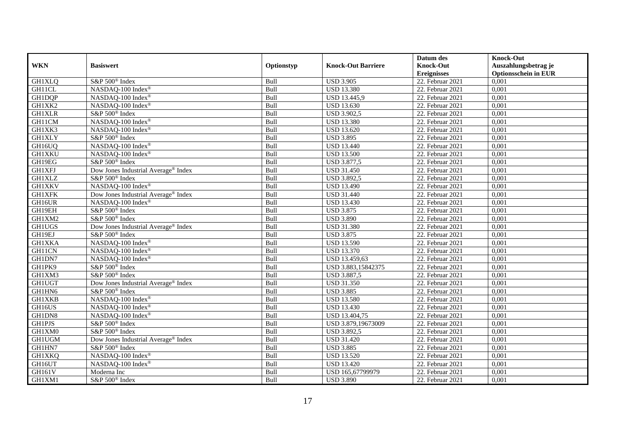|               |                                                 |            |                           | Datum des          | <b>Knock-Out</b>            |
|---------------|-------------------------------------------------|------------|---------------------------|--------------------|-----------------------------|
| <b>WKN</b>    | <b>Basiswert</b>                                | Optionstyp | <b>Knock-Out Barriere</b> | <b>Knock-Out</b>   | Auszahlungsbetrag je        |
|               |                                                 |            |                           | <b>Ereignisses</b> | <b>Optionsschein in EUR</b> |
| <b>GH1XLQ</b> | S&P 500 <sup>®</sup> Index                      | Bull       | <b>USD 3.905</b>          | 22. Februar 2021   | 0,001                       |
| GH11CL        | NASDAQ-100 Index®                               | Bull       | <b>USD 13.380</b>         | 22. Februar 2021   | 0,001                       |
| <b>GH1DQP</b> | NASDAQ-100 Index®                               | Bull       | USD 13.445,9              | 22. Februar 2021   | 0,001                       |
| GH1XK2        | NASDAQ-100 Index®                               | Bull       | <b>USD 13.630</b>         | 22. Februar 2021   | 0,001                       |
| <b>GH1XLR</b> | S&P 500 <sup>®</sup> Index                      | Bull       | <b>USD 3.902,5</b>        | 22. Februar 2021   | 0,001                       |
| GH11CM        | NASDAQ-100 Index®                               | Bull       | <b>USD 13.380</b>         | 22. Februar 2021   | 0,001                       |
| GH1XK3        | NASDAQ-100 Index®                               | Bull       | <b>USD 13.620</b>         | 22. Februar 2021   | 0,001                       |
| <b>GH1XLY</b> | S&P 500 <sup>®</sup> Index                      | Bull       | <b>USD 3.895</b>          | 22. Februar 2021   | 0,001                       |
| GH16UQ        | NASDAQ-100 Index®                               | Bull       | <b>USD 13.440</b>         | 22. Februar 2021   | 0,001                       |
| <b>GH1XKU</b> | NASDAQ-100 Index®                               | Bull       | <b>USD 13.500</b>         | 22. Februar 2021   | 0,001                       |
| GH19EG        | S&P 500 <sup>®</sup> Index                      | Bull       | <b>USD 3.877,5</b>        | 22. Februar 2021   | 0,001                       |
| <b>GH1XFJ</b> | Dow Jones Industrial Average® Index             | Bull       | <b>USD 31.450</b>         | 22. Februar 2021   | 0,001                       |
| <b>GH1XLZ</b> | S&P 500 <sup>®</sup> Index                      | Bull       | <b>USD 3.892,5</b>        | 22. Februar 2021   | 0,001                       |
| <b>GH1XKV</b> | NASDAQ-100 Index®                               | Bull       | <b>USD 13.490</b>         | 22. Februar 2021   | 0,001                       |
| GH1XFK        | Dow Jones Industrial Average <sup>®</sup> Index | Bull       | <b>USD 31.440</b>         | 22. Februar 2021   | 0,001                       |
| GH16UR        | NASDAQ-100 Index®                               | Bull       | <b>USD 13.430</b>         | 22. Februar 2021   | 0,001                       |
| GH19EH        | S&P 500 <sup>®</sup> Index                      | Bull       | <b>USD 3.875</b>          | 22. Februar 2021   | 0,001                       |
| GH1XM2        | S&P 500 <sup>®</sup> Index                      | Bull       | <b>USD 3.890</b>          | 22. Februar 2021   | 0,001                       |
| <b>GH1UGS</b> | Dow Jones Industrial Average® Index             | Bull       | <b>USD 31.380</b>         | 22. Februar 2021   | 0,001                       |
| GH19EJ        | S&P 500 <sup>®</sup> Index                      | Bull       | <b>USD 3.875</b>          | 22. Februar 2021   | 0,001                       |
| <b>GH1XKA</b> | NASDAQ-100 Index®                               | Bull       | <b>USD 13.590</b>         | 22. Februar 2021   | 0,001                       |
| GH11CN        | NASDAQ-100 Index®                               | Bull       | <b>USD 13.370</b>         | 22. Februar 2021   | 0,001                       |
| GH1DN7        | NASDAQ-100 Index®                               | Bull       | USD 13.459,63             | 22. Februar 2021   | 0,001                       |
| GH1PK9        | S&P 500 <sup>®</sup> Index                      | Bull       | USD 3.883,15842375        | 22. Februar 2021   | 0,001                       |
| GH1XM3        | S&P 500 <sup>®</sup> Index                      | Bull       | <b>USD 3.887,5</b>        | 22. Februar 2021   | 0,001                       |
| <b>GH1UGT</b> | Dow Jones Industrial Average® Index             | Bull       | <b>USD 31.350</b>         | 22. Februar 2021   | 0,001                       |
| GH1HN6        | S&P 500 <sup>®</sup> Index                      | Bull       | <b>USD 3.885</b>          | 22. Februar 2021   | 0,001                       |
| <b>GH1XKB</b> | NASDAQ-100 Index®                               | Bull       | <b>USD 13.580</b>         | 22. Februar 2021   | 0,001                       |
| GH16US        | NASDAQ-100 Index®                               | Bull       | <b>USD 13.430</b>         | 22. Februar 2021   | 0,001                       |
| GH1DN8        | NASDAQ-100 Index®                               | Bull       | USD 13.404,75             | 22. Februar 2021   | 0,001                       |
| <b>GH1PJS</b> | S&P 500 <sup>®</sup> Index                      | Bull       | USD 3.879,19673009        | 22. Februar 2021   | 0,001                       |
| GH1XM0        | S&P 500 <sup>®</sup> Index                      | Bull       | <b>USD 3.892,5</b>        | 22. Februar 2021   | 0,001                       |
| <b>GH1UGM</b> | Dow Jones Industrial Average® Index             | Bull       | <b>USD 31.420</b>         | 22. Februar 2021   | 0,001                       |
| GH1HN7        | S&P 500 <sup>®</sup> Index                      | Bull       | <b>USD 3.885</b>          | 22. Februar 2021   | 0,001                       |
| GH1XKQ        | NASDAQ-100 Index®                               | Bull       | <b>USD 13.520</b>         | 22. Februar 2021   | 0,001                       |
| GH16UT        | NASDAQ-100 Index®                               | Bull       | <b>USD 13.420</b>         | 22. Februar 2021   | 0,001                       |
| GH161V        | Moderna Inc                                     | Bull       | USD 165,67799979          | 22. Februar 2021   | 0,001                       |
| GH1XM1        | S&P 500 <sup>®</sup> Index                      | Bull       | <b>USD 3.890</b>          | 22. Februar 2021   | 0,001                       |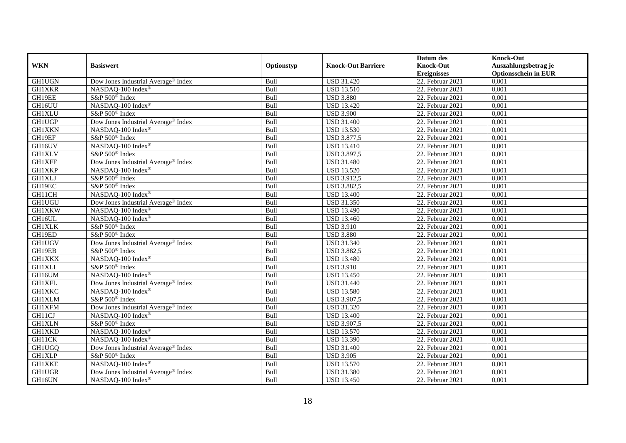|               |                                                 |            |                           | Datum des          | <b>Knock-Out</b>            |
|---------------|-------------------------------------------------|------------|---------------------------|--------------------|-----------------------------|
| <b>WKN</b>    | <b>Basiswert</b>                                | Optionstyp | <b>Knock-Out Barriere</b> | <b>Knock-Out</b>   | Auszahlungsbetrag je        |
|               |                                                 |            |                           | <b>Ereignisses</b> | <b>Optionsschein in EUR</b> |
| <b>GH1UGN</b> | Dow Jones Industrial Average® Index             | Bull       | <b>USD 31.420</b>         | $22.$ Februar 2021 | 0,001                       |
| <b>GH1XKR</b> | NASDAQ-100 Index®                               | Bull       | <b>USD 13.510</b>         | 22. Februar 2021   | 0,001                       |
| GH19EE        | S&P 500 <sup>®</sup> Index                      | Bull       | <b>USD 3.880</b>          | 22. Februar 2021   | 0,001                       |
| GH16UU        | NASDAQ-100 Index®                               | Bull       | <b>USD 13.420</b>         | 22. Februar 2021   | 0,001                       |
| <b>GH1XLU</b> | S&P 500 <sup>®</sup> Index                      | Bull       | <b>USD 3.900</b>          | 22. Februar 2021   | 0,001                       |
| <b>GH1UGP</b> | Dow Jones Industrial Average <sup>®</sup> Index | Bull       | <b>USD 31.400</b>         | 22. Februar 2021   | 0,001                       |
| <b>GH1XKN</b> | NASDAQ-100 Index®                               | Bull       | <b>USD 13.530</b>         | 22. Februar 2021   | 0,001                       |
| GH19EF        | S&P 500 <sup>®</sup> Index                      | Bull       | <b>USD 3.877,5</b>        | 22. Februar 2021   | 0,001                       |
| GH16UV        | NASDAQ-100 Index®                               | Bull       | <b>USD 13.410</b>         | 22. Februar 2021   | 0,001                       |
| <b>GH1XLV</b> | S&P 500 <sup>®</sup> Index                      | Bull       | <b>USD 3.897,5</b>        | 22. Februar 2021   | 0,001                       |
| <b>GH1XFF</b> | Dow Jones Industrial Average® Index             | Bull       | <b>USD 31.480</b>         | 22. Februar 2021   | 0,001                       |
| <b>GH1XKP</b> | NASDAQ-100 Index®                               | Bull       | <b>USD 13.520</b>         | 22. Februar 2021   | 0,001                       |
| <b>GH1XLJ</b> | S&P 500 <sup>®</sup> Index                      | Bull       | <b>USD 3.912,5</b>        | 22. Februar 2021   | 0,001                       |
| GH19EC        | S&P 500 <sup>®</sup> Index                      | Bull       | <b>USD 3.882,5</b>        | 22. Februar 2021   | 0,001                       |
| GH11CH        | NASDAQ-100 Index®                               | Bull       | <b>USD 13.400</b>         | 22. Februar 2021   | 0,001                       |
| GH1UGU        | Dow Jones Industrial Average <sup>®</sup> Index | Bull       | <b>USD 31.350</b>         | 22. Februar 2021   | 0,001                       |
| <b>GH1XKW</b> | NASDAQ-100 Index®                               | Bull       | <b>USD 13.490</b>         | 22. Februar 2021   | 0,001                       |
| GH16UL        | NASDAO-100 Index®                               | Bull       | <b>USD 13.460</b>         | 22. Februar 2021   | 0,001                       |
| <b>GH1XLK</b> | S&P 500 <sup>®</sup> Index                      | Bull       | <b>USD 3.910</b>          | 22. Februar 2021   | 0,001                       |
| GH19ED        | $S\&P 500^{\circ}$ Index                        | Bull       | <b>USD 3.880</b>          | 22. Februar 2021   | 0,001                       |
| <b>GH1UGV</b> | Dow Jones Industrial Average® Index             | Bull       | <b>USD 31.340</b>         | 22. Februar 2021   | 0,001                       |
| GH19EB        | S&P 500 <sup>®</sup> Index                      | Bull       | <b>USD 3.882,5</b>        | 22. Februar 2021   | 0,001                       |
| <b>GH1XKX</b> | NASDAQ-100 Index®                               | Bull       | <b>USD 13.480</b>         | 22. Februar 2021   | 0,001                       |
| <b>GH1XLL</b> | S&P 500 <sup>®</sup> Index                      | Bull       | <b>USD 3.910</b>          | 22. Februar 2021   | 0,001                       |
| GH16UM        | NASDAO-100 Index®                               | Bull       | <b>USD 13.450</b>         | 22. Februar 2021   | 0,001                       |
| <b>GH1XFL</b> | Dow Jones Industrial Average® Index             | Bull       | <b>USD 31.440</b>         | 22. Februar 2021   | 0,001                       |
| <b>GH1XKC</b> | NASDAQ-100 Index®                               | Bull       | <b>USD 13.580</b>         | 22. Februar 2021   | 0,001                       |
| <b>GH1XLM</b> | S&P 500 <sup>®</sup> Index                      | Bull       | <b>USD 3.907,5</b>        | 22. Februar 2021   | 0,001                       |
| <b>GH1XFM</b> | Dow Jones Industrial Average® Index             | Bull       | <b>USD 31.320</b>         | 22. Februar 2021   | 0,001                       |
| GH11CJ        | NASDAQ-100 Index®                               | Bull       | <b>USD 13.400</b>         | 22. Februar 2021   | 0,001                       |
| <b>GH1XLN</b> | S&P 500 <sup>®</sup> Index                      | Bull       | USD 3.907,5               | 22. Februar 2021   | 0,001                       |
| GH1XKD        | NASDAQ-100 Index®                               | Bull       | <b>USD 13.570</b>         | 22. Februar 2021   | 0,001                       |
| GH11CK        | NASDAQ-100 Index®                               | Bull       | <b>USD 13.390</b>         | 22. Februar 2021   | 0,001                       |
| GH1UGQ        | Dow Jones Industrial Average® Index             | Bull       | <b>USD 31.400</b>         | 22. Februar 2021   | 0,001                       |
| <b>GH1XLP</b> | S&P 500 <sup>®</sup> Index                      | Bull       | <b>USD 3.905</b>          | 22. Februar 2021   | 0,001                       |
| <b>GH1XKE</b> | NASDAQ-100 Index®                               | Bull       | <b>USD 13.570</b>         | 22. Februar 2021   | 0,001                       |
| GH1UGR        | Dow Jones Industrial Average <sup>®</sup> Index | Bull       | <b>USD 31.380</b>         | 22. Februar 2021   | 0,001                       |
| GH16UN        | NASDAQ-100 Index®                               | Bull       | <b>USD 13.450</b>         | 22. Februar 2021   | 0,001                       |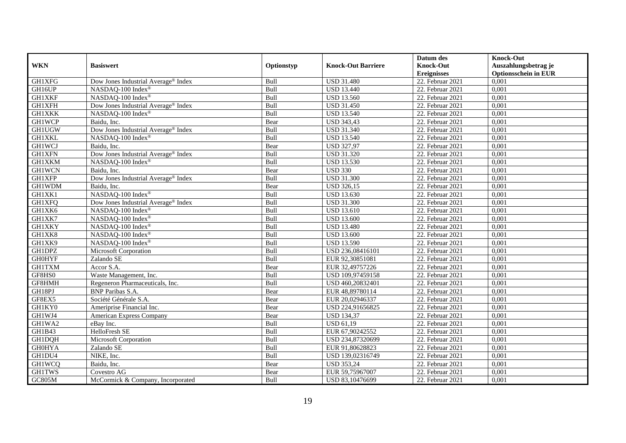|               |                                                 |            |                           | Datum des          | <b>Knock-Out</b>            |
|---------------|-------------------------------------------------|------------|---------------------------|--------------------|-----------------------------|
| <b>WKN</b>    | <b>Basiswert</b>                                | Optionstyp | <b>Knock-Out Barriere</b> | <b>Knock-Out</b>   | Auszahlungsbetrag je        |
|               |                                                 |            |                           | <b>Ereignisses</b> | <b>Optionsschein in EUR</b> |
| <b>GH1XFG</b> | Dow Jones Industrial Average® Index             | Bull       | <b>USD 31.480</b>         | 22. Februar 2021   | 0,001                       |
| GH16UP        | NASDAQ-100 Index®                               | Bull       | <b>USD</b> 13.440         | 22. Februar 2021   | 0,001                       |
| <b>GH1XKF</b> | NASDAQ-100 Index®                               | Bull       | <b>USD 13.560</b>         | 22. Februar 2021   | 0,001                       |
| <b>GH1XFH</b> | Dow Jones Industrial Average® Index             | Bull       | <b>USD 31.450</b>         | 22. Februar 2021   | 0,001                       |
| <b>GH1XKK</b> | NASDAQ-100 Index®                               | Bull       | <b>USD 13.540</b>         | 22. Februar 2021   | 0,001                       |
| <b>GH1WCP</b> | Baidu, Inc.                                     | Bear       | <b>USD 343,43</b>         | 22. Februar 2021   | 0,001                       |
| <b>GH1UGW</b> | Dow Jones Industrial Average <sup>®</sup> Index | Bull       | <b>USD 31.340</b>         | 22. Februar 2021   | 0,001                       |
| <b>GH1XKL</b> | NASDAQ-100 Index®                               | Bull       | <b>USD 13.540</b>         | 22. Februar 2021   | 0,001                       |
| <b>GH1WCJ</b> | Baidu, Inc.                                     | Bear       | <b>USD 327,97</b>         | 22. Februar 2021   | 0,001                       |
| <b>GH1XFN</b> | Dow Jones Industrial Average® Index             | Bull       | <b>USD 31.320</b>         | 22. Februar 2021   | 0,001                       |
| <b>GH1XKM</b> | NASDAQ-100 Index®                               | Bull       | <b>USD 13.530</b>         | 22. Februar 2021   | 0,001                       |
| <b>GH1WCN</b> | Baidu, Inc.                                     | Bear       | <b>USD 330</b>            | 22. Februar 2021   | 0,001                       |
| <b>GH1XFP</b> | Dow Jones Industrial Average® Index             | Bull       | <b>USD 31.300</b>         | 22. Februar 2021   | 0,001                       |
| GH1WDM        | Baidu, Inc.                                     | Bear       | <b>USD 326,15</b>         | 22. Februar 2021   | 0,001                       |
| GH1XK1        | NASDAQ-100 Index®                               | Bull       | <b>USD 13.630</b>         | 22. Februar 2021   | 0,001                       |
| <b>GH1XFQ</b> | Dow Jones Industrial Average <sup>®</sup> Index | Bull       | <b>USD 31.300</b>         | 22. Februar 2021   | 0,001                       |
| GH1XK6        | NASDAQ-100 Index®                               | Bull       | <b>USD 13.610</b>         | $22.$ Februar 2021 | 0,001                       |
| GH1XK7        | NASDAQ-100 Index®                               | Bull       | <b>USD 13.600</b>         | 22. Februar 2021   | 0,001                       |
| <b>GH1XKY</b> | NASDAQ-100 Index®                               | Bull       | <b>USD 13.480</b>         | 22. Februar 2021   | 0,001                       |
| GH1XK8        | NASDAQ-100 Index®                               | Bull       | <b>USD 13.600</b>         | 22. Februar 2021   | 0,001                       |
| GH1XK9        | NASDAQ-100 Index®                               | Bull       | <b>USD 13.590</b>         | 22. Februar 2021   | 0,001                       |
| <b>GH1DPZ</b> | Microsoft Corporation                           | Bull       | USD 236,08416101          | 22. Februar 2021   | 0,001                       |
| <b>GH0HYF</b> | Zalando SE                                      | Bull       | EUR 92,30851081           | $22.$ Februar 2021 | 0,001                       |
| <b>GH1TXM</b> | Accor S.A.                                      | Bear       | EUR 32,49757226           | 22. Februar 2021   | 0,001                       |
| GF8HS0        | Waste Management, Inc.                          | Bull       | USD 109,97459158          | 22. Februar 2021   | 0,001                       |
| GF8HMH        | Regeneron Pharmaceuticals, Inc.                 | Bull       | USD 460,20832401          | 22. Februar 2021   | 0,001                       |
| GH18PJ        | <b>BNP</b> Paribas S.A.                         | Bear       | EUR 48,89780114           | 22. Februar 2021   | 0,001                       |
| GF8EX5        | Société Générale S.A.                           | Bear       | EUR 20,02946337           | 22. Februar 2021   | 0,001                       |
| GH1KY0        | Ameriprise Financial Inc.                       | Bear       | USD 224,91656825          | 22. Februar 2021   | 0,001                       |
| GH1WJ4        | American Express Company                        | Bear       | <b>USD 134,37</b>         | 22. Februar 2021   | 0,001                       |
| GH1WA2        | eBay Inc.                                       | Bull       | <b>USD 61,19</b>          | 22. Februar 2021   | 0,001                       |
| GH1B43        | HelloFresh SE                                   | Bull       | EUR 67,90242552           | 22. Februar 2021   | 0,001                       |
| <b>GH1DQH</b> | Microsoft Corporation                           | Bull       | USD 234,87320699          | 22. Februar 2021   | 0,001                       |
| <b>GH0HYA</b> | Zalando SE                                      | Bull       | EUR 91,80628823           | $22.$ Februar 2021 | 0,001                       |
| GH1DU4        | NIKE, Inc.                                      | Bull       | USD 139,02316749          | 22. Februar 2021   | 0,001                       |
| <b>GH1WCQ</b> | Baidu, Inc.                                     | Bear       | <b>USD 353,24</b>         | 22. Februar 2021   | 0,001                       |
| <b>GH1TWS</b> | Covestro AG                                     | Bear       | EUR 59,75967007           | 22. Februar 2021   | 0,001                       |
| GC805M        | McCormick & Company, Incorporated               | Bull       | USD 83,10476699           | 22. Februar 2021   | 0,001                       |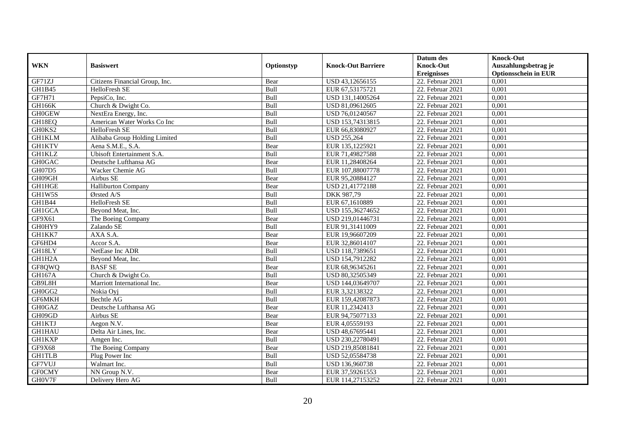|               |                                |            |                           | Datum des          | <b>Knock-Out</b>            |
|---------------|--------------------------------|------------|---------------------------|--------------------|-----------------------------|
| <b>WKN</b>    | <b>Basiswert</b>               | Optionstyp | <b>Knock-Out Barriere</b> | <b>Knock-Out</b>   | Auszahlungsbetrag je        |
|               |                                |            |                           | <b>Ereignisses</b> | <b>Optionsschein in EUR</b> |
| GF71ZJ        | Citizens Financial Group, Inc. | Bear       | USD 43,12656155           | 22. Februar 2021   | 0,001                       |
| GH1B45        | HelloFresh SE                  | Bull       | EUR 67,53175721           | 22. Februar 2021   | 0,001                       |
| GF7H71        | PepsiCo, Inc.                  | Bull       | USD 131,14005264          | 22. Februar 2021   | 0,001                       |
| <b>GH166K</b> | Church & Dwight Co.            | Bull       | USD 81,09612605           | 22. Februar 2021   | 0,001                       |
| <b>GH0GEW</b> | NextEra Energy, Inc.           | Bull       | USD 76,01240567           | 22. Februar 2021   | 0,001                       |
| GH18EQ        | American Water Works Co Inc    | Bull       | USD 153,74313815          | 22. Februar 2021   | 0,001                       |
| GH0KS2        | HelloFresh SE                  | Bull       | EUR 66,83080927           | 22. Februar 2021   | 0,001                       |
| <b>GH1KLM</b> | Alibaba Group Holding Limited  | Bull       | <b>USD 255,264</b>        | 22. Februar 2021   | 0,001                       |
| <b>GH1KTV</b> | Aena S.M.E., S.A.              | Bear       | EUR 135,1225921           | 22. Februar 2021   | 0,001                       |
| <b>GH1KLZ</b> | Ubisoft Entertainment S.A.     | Bull       | EUR 71,49827588           | 22. Februar 2021   | 0,001                       |
| <b>GH0GAC</b> | Deutsche Lufthansa AG          | Bear       | EUR 11,28408264           | 22. Februar 2021   | 0,001                       |
| <b>GH07D5</b> | Wacker Chemie AG               | Bull       | EUR 107,88007778          | $22.$ Februar 2021 | 0,001                       |
| GH09GH        | Airbus SE                      | Bear       | EUR 95,20884127           | 22. Februar 2021   | 0,001                       |
| <b>GH1HGE</b> | <b>Halliburton Company</b>     | Bear       | USD 21,41772188           | 22. Februar 2021   | 0,001                       |
| GH1W5S        | Ørsted A/S                     | Bull       | DKK 987,79                | 22. Februar 2021   | 0,001                       |
| GH1B44        | HelloFresh SE                  | Bull       | EUR 67,1610889            | 22. Februar 2021   | 0,001                       |
| GH1GCA        | Beyond Meat, Inc.              | Bull       | USD 155,36274652          | 22. Februar 2021   | 0,001                       |
| GF9X61        | The Boeing Company             | Bear       | USD 219,01446731          | 22. Februar 2021   | 0,001                       |
| GH0HY9        | Zalando SE                     | Bull       | EUR 91,31411009           | 22. Februar 2021   | 0,001                       |
| GH1KK7        | AXA S.A.                       | Bear       | EUR 19,96607209           | 22. Februar 2021   | 0,001                       |
| GF6HD4        | Accor S.A.                     | Bear       | EUR 32,86014107           | 22. Februar 2021   | 0,001                       |
| GH18LY        | NetEase Inc ADR                | Bull       | USD 118,7389651           | 22. Februar 2021   | 0,001                       |
| GH1H2A        | Beyond Meat, Inc.              | Bull       | USD 154,7912282           | 22. Februar 2021   | 0,001                       |
| GF8QWQ        | <b>BASF SE</b>                 | Bear       | EUR 68,96345261           | 22. Februar 2021   | 0,001                       |
| <b>GH167A</b> | Church & Dwight Co.            | Bull       | USD 80,32505349           | 22. Februar 2021   | 0,001                       |
| GB9L8H        | Marriott International Inc.    | Bear       | USD 144,03649707          | 22. Februar 2021   | 0,001                       |
| GH0GG2        | Nokia Ovi                      | Bull       | EUR 3,32138322            | 22. Februar 2021   | 0,001                       |
| GF6MKH        | <b>Bechtle AG</b>              | Bull       | EUR 159,42087873          | $22.$ Februar 2021 | 0,001                       |
| <b>GH0GAZ</b> | Deutsche Lufthansa AG          | Bear       | EUR 11,2342413            | 22. Februar 2021   | 0,001                       |
| GH09GD        | Airbus SE                      | Bear       | EUR 94,75077133           | 22. Februar 2021   | 0,001                       |
| <b>GH1KTJ</b> | Aegon N.V.                     | Bear       | EUR 4,05559193            | 22. Februar 2021   | 0,001                       |
| <b>GH1HAU</b> | Delta Air Lines, Inc.          | Bear       | USD 48,67695441           | 22. Februar 2021   | 0,001                       |
| <b>GH1KXP</b> | Amgen Inc.                     | Bull       | USD 230,22780491          | $22.$ Februar 2021 | 0,001                       |
| GF9X68        | The Boeing Company             | Bear       | USD 219,85081841          | 22. Februar 2021   | 0,001                       |
| <b>GH1TLB</b> | Plug Power Inc                 | Bull       | USD 52,05584738           | 22. Februar 2021   | 0,001                       |
| GF7VUJ        | Walmart Inc.                   | Bull       | USD 136,960738            | 22. Februar 2021   | 0,001                       |
| <b>GFOCMY</b> | NN Group N.V.                  | Bear       | EUR 37,59261553           | 22. Februar 2021   | 0,001                       |
| GH0V7F        | Delivery Hero AG               | Bull       | EUR 114,27153252          | 22. Februar 2021   | 0,001                       |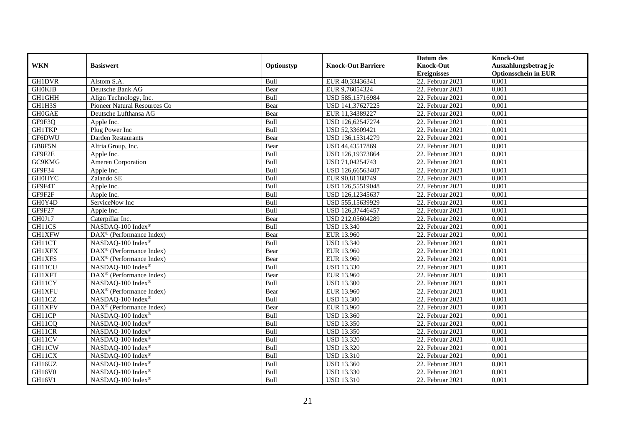|               |                                                    |            |                           | Datum des          | <b>Knock-Out</b>            |
|---------------|----------------------------------------------------|------------|---------------------------|--------------------|-----------------------------|
| <b>WKN</b>    | <b>Basiswert</b>                                   | Optionstyp | <b>Knock-Out Barriere</b> | <b>Knock-Out</b>   | Auszahlungsbetrag je        |
|               |                                                    |            |                           | <b>Ereignisses</b> | <b>Optionsschein in EUR</b> |
| <b>GH1DVR</b> | Alstom S.A.                                        | Bull       | EUR 40,33436341           | $22.$ Februar 2021 | 0,001                       |
| <b>GH0KJB</b> | Deutsche Bank AG                                   | Bear       | EUR 9,76054324            | 22. Februar 2021   | 0,001                       |
| <b>GH1GHH</b> | Align Technology, Inc.                             | Bull       | USD 585,15716984          | 22. Februar 2021   | 0,001                       |
| GH1H3S        | Pioneer Natural Resources Co                       | Bear       | USD 141,37627225          | 22. Februar 2021   | 0,001                       |
| <b>GH0GAE</b> | Deutsche Lufthansa AG                              | Bear       | EUR 11,34389227           | 22. Februar 2021   | 0,001                       |
| GF9F3Q        | Apple Inc.                                         | Bull       | USD 126,62547274          | 22. Februar 2021   | 0,001                       |
| <b>GH1TKP</b> | Plug Power Inc                                     | Bull       | USD 52,33609421           | 22. Februar 2021   | 0,001                       |
| GF6DWU        | Darden Restaurants                                 | Bear       | USD 136,15314279          | 22. Februar 2021   | 0,001                       |
| GB8F5N        | Altria Group, Inc.                                 | Bear       | USD 44,43517869           | 22. Februar 2021   | 0,001                       |
| GF9F2E        | Apple Inc.                                         | Bull       | USD 126,19373864          | 22. Februar 2021   | 0,001                       |
| GC9KMG        | Ameren Corporation                                 | Bull       | USD 71,04254743           | 22. Februar 2021   | 0,001                       |
| GF9F34        | Apple Inc.                                         | Bull       | USD 126,66563407          | $22.$ Februar 2021 | 0,001                       |
| <b>GH0HYC</b> | Zalando SE                                         | Bull       | EUR 90,81188749           | 22. Februar 2021   | 0,001                       |
| GF9F4T        | Apple Inc.                                         | Bull       | USD 126,55519048          | 22. Februar 2021   | 0,001                       |
| GF9F2F        | Apple Inc.                                         | Bull       | USD 126,12345637          | 22. Februar 2021   | 0,001                       |
| GH0Y4D        | ServiceNow Inc                                     | Bull       | USD 555,15639929          | 22. Februar 2021   | 0,001                       |
| GF9F27        | Apple Inc.                                         | Bull       | USD 126,37446457          | 22. Februar 2021   | 0,001                       |
| GH0J17        | Caterpillar Inc.                                   | Bear       | USD 212,05604289          | 22. Februar 2021   | 0,001                       |
| GH11CS        | NASDAQ-100 Index®                                  | Bull       | <b>USD 13.340</b>         | 22. Februar 2021   | 0,001                       |
| <b>GH1XFW</b> | DAX <sup>®</sup> (Performance Index)               | Bear       | EUR 13.960                | 22. Februar 2021   | 0,001                       |
| GH11CT        | NASDAQ-100 Index®                                  | Bull       | <b>USD 13.340</b>         | 22. Februar 2021   | 0,001                       |
| <b>GH1XFX</b> | DAX <sup>®</sup> (Performance Index)               | Bear       | <b>EUR 13.960</b>         | $22.$ Februar 2021 | 0,001                       |
| <b>GH1XFS</b> | $\text{DAX}^{\textcircled{D}}$ (Performance Index) | Bear       | EUR 13.960                | 22. Februar 2021   | 0,001                       |
| GH11CU        | NASDAQ-100 Index®                                  | Bull       | <b>USD 13.330</b>         | 22. Februar 2021   | 0,001                       |
| GH1XFT        | DAX <sup>®</sup> (Performance Index)               | Bear       | EUR 13.960                | 22. Februar 2021   | 0,001                       |
| GH11CY        | NASDAQ-100 Index®                                  | Bull       | <b>USD 13.300</b>         | 22. Februar 2021   | 0,001                       |
| <b>GH1XFU</b> | DAX <sup>®</sup> (Performance Index)               | Bear       | EUR 13.960                | 22. Februar 2021   | 0,001                       |
| GH11CZ        | NASDAQ-100 Index®                                  | Bull       | <b>USD 13.300</b>         | 22. Februar 2021   | 0,001                       |
| <b>GH1XFV</b> | DAX <sup>®</sup> (Performance Index)               | Bear       | <b>EUR 13.960</b>         | 22. Februar 2021   | 0,001                       |
| GH11CP        | NASDAQ-100 Index®                                  | Bull       | <b>USD 13.360</b>         | 22. Februar 2021   | 0,001                       |
| GH11CQ        | NASDAQ-100 Index®                                  | Bull       | <b>USD 13.350</b>         | 22. Februar 2021   | 0,001                       |
| GH11CR        | NASDAQ-100 Index®                                  | Bull       | <b>USD 13.350</b>         | 22. Februar 2021   | 0,001                       |
| GH11CV        | NASDAQ-100 Index®                                  | Bull       | <b>USD 13.320</b>         | 22. Februar 2021   | 0,001                       |
| GH11CW        | NASDAQ-100 Index®                                  | Bull       | <b>USD 13.320</b>         | 22. Februar 2021   | 0,001                       |
| GH11CX        | NASDAQ-100 Index®                                  | Bull       | <b>USD 13.310</b>         | 22. Februar 2021   | 0,001                       |
| GH16UZ        | NASDAQ-100 Index®                                  | Bull       | <b>USD 13.360</b>         | 22. Februar 2021   | 0,001                       |
| GH16V0        | NASDAQ-100 Index®                                  | Bull       | <b>USD 13.330</b>         | 22. Februar 2021   | 0,001                       |
| GH16V1        | NASDAQ-100 Index®                                  | Bull       | <b>USD 13.310</b>         | 22. Februar 2021   | 0,001                       |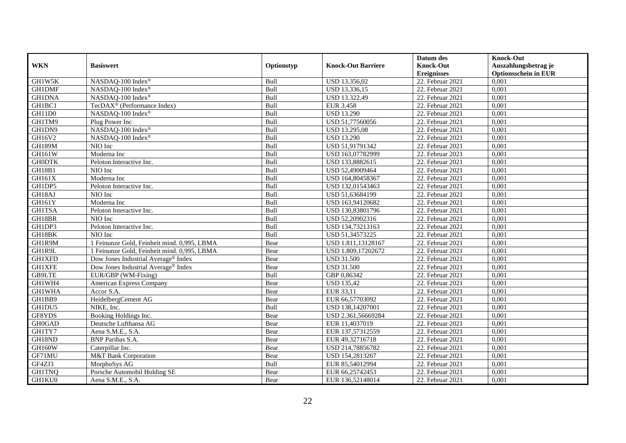|               |                                             |             |                           | Datum des          | <b>Knock-Out</b>            |
|---------------|---------------------------------------------|-------------|---------------------------|--------------------|-----------------------------|
| <b>WKN</b>    | <b>Basiswert</b>                            | Optionstyp  | <b>Knock-Out Barriere</b> | <b>Knock-Out</b>   | Auszahlungsbetrag je        |
|               |                                             |             |                           | <b>Ereignisses</b> | <b>Optionsschein in EUR</b> |
| GH1W5K        | NASDAQ-100 Index®                           | Bull        | USD 13.356,02             | 22. Februar 2021   | 0,001                       |
| <b>GH1DMF</b> | NASDAQ-100 Index®                           | Bull        | USD 13.336,15             | 22. Februar 2021   | 0,001                       |
| <b>GH1DNA</b> | NASDAQ-100 Index®                           | Bull        | USD 13.322,49             | 22. Februar 2021   | 0,001                       |
| GH1BC1        | TecDAX <sup>®</sup> (Performance Index)     | Bull        | <b>EUR 3.458</b>          | 22. Februar 2021   | 0,001                       |
| GH11D0        | NASDAQ-100 Index®                           | Bull        | <b>USD 13.290</b>         | 22. Februar 2021   | 0,001                       |
| GH1TM9        | Plug Power Inc                              | Bull        | USD 51,77560056           | 22. Februar 2021   | 0,001                       |
| GH1DN9        | NASDAQ-100 Index®                           | Bull        | USD 13.295,08             | 22. Februar 2021   | 0,001                       |
| GH16V2        | NASDAO-100 Index®                           | Bull        | <b>USD 13.290</b>         | 22. Februar 2021   | 0,001                       |
| GH189M        | NIO Inc                                     | Bull        | USD 51,91791342           | 22. Februar 2021   | 0,001                       |
| GH161W        | Moderna Inc                                 | Bull        | USD 163,07782999          | 22. Februar 2021   | 0,001                       |
| <b>GH0DTK</b> | Peloton Interactive Inc.                    | Bull        | USD 133,8882615           | 22. Februar 2021   | 0,001                       |
| <b>GH18B1</b> | NIO Inc                                     | Bull        | USD 52,49009464           | 22. Februar 2021   | 0,001                       |
| GH161X        | Moderna Inc                                 | Bull        | USD 164,80458367          | 22. Februar 2021   | 0,001                       |
| GH1DP5        | Peloton Interactive Inc.                    | Bull        | USD 132,01543463          | 22. Februar 2021   | 0,001                       |
| GH18AJ        | NIO Inc                                     | Bull        | USD 51,63684199           | 22. Februar 2021   | 0,001                       |
| GH161Y        | Moderna Inc                                 | Bull        | USD 163,94120682          | 22. Februar 2021   | 0,001                       |
| <b>GH1TSA</b> | Peloton Interactive Inc.                    | Bull        | USD 130,83801796          | 22. Februar 2021   | 0,001                       |
| GH18BR        | NIO Inc                                     | <b>Bull</b> | USD 52,20902316           | $22.$ Februar 2021 | 0,001                       |
| GH1DP3        | Peloton Interactive Inc.                    | Bull        | USD 134,73213163          | 22. Februar 2021   | 0,001                       |
| GH18BK        | NIO Inc                                     | Bull        | USD 51,34573225           | 22. Februar 2021   | 0,001                       |
| GH1R9M        | 1 Feinunze Gold, Feinheit mind. 0,995, LBMA | Bear        | USD 1.811,13128167        | 22. Februar 2021   | 0,001                       |
| GH1R9L        | 1 Feinunze Gold, Feinheit mind. 0,995, LBMA | Bear        | USD 1.809,17202672        | 22. Februar 2021   | 0,001                       |
| <b>GH1XFD</b> | Dow Jones Industrial Average® Index         | Bear        | <b>USD 31.500</b>         | 22. Februar 2021   | 0,001                       |
| <b>GH1XFE</b> | Dow Jones Industrial Average® Index         | Bear        | <b>USD 31.500</b>         | 22. Februar 2021   | 0,001                       |
| GB9LTE        | EUR/GBP (WM-Fixing)                         | Bull        | GBP 0,86342               | 22. Februar 2021   | 0,001                       |
| GH1WH4        | American Express Company                    | Bear        | <b>USD 135,42</b>         | 22. Februar 2021   | 0,001                       |
| <b>GH1WHA</b> | Accor S.A.                                  | Bear        | EUR 33,11                 | 22. Februar 2021   | 0,001                       |
| GH1BB9        | HeidelbergCement AG                         | Bear        | EUR 66,57703092           | 22. Februar 2021   | 0.001                       |
| GH1DU5        | NIKE, Inc.                                  | Bull        | USD 138,14207001          | 22. Februar 2021   | 0,001                       |
| GF8YDS        | Booking Holdings Inc.                       | Bear        | USD 2.361,56669284        | 22. Februar 2021   | 0,001                       |
| GH0GAD        | Deutsche Lufthansa AG                       | Bear        | EUR 11,4037019            | 22. Februar 2021   | 0,001                       |
| GH1TY7        | Aena S.M.E., S.A.                           | Bear        | EUR 137,57312559          | 22. Februar 2021   | 0,001                       |
| GH18ND        | <b>BNP</b> Paribas S.A.                     | Bear        | EUR 49,32716718           | 22. Februar 2021   | 0,001                       |
| <b>GH160W</b> | Caterpillar Inc.                            | Bear        | USD 214,78856782          | $22.$ Februar 2021 | 0,001                       |
| GF71MU        | M&T Bank Corporation                        | Bear        | USD 154,2813267           | 22. Februar 2021   | 0,001                       |
| GF4ZJ3        | MorphoSys AG                                | Bull        | EUR 85,54012994           | 22. Februar 2021   | 0,001                       |
| <b>GH1TNQ</b> | Porsche Automobil Holding SE                | Bear        | EUR 66,25742453           | 22. Februar 2021   | 0,001                       |
| GH1KU0        | Aena S.M.E., S.A.                           | Bear        | EUR 136,52148014          | 22. Februar 2021   | 0,001                       |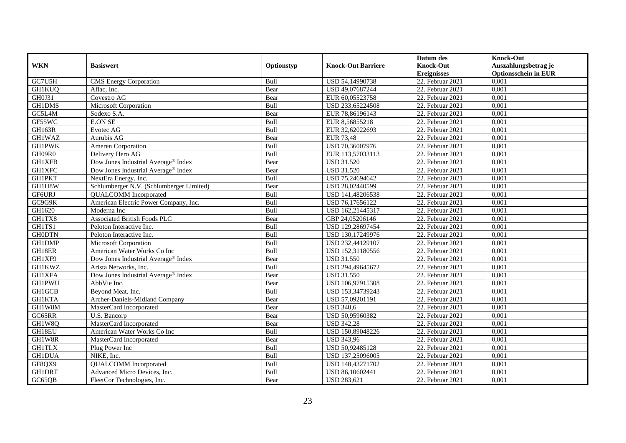|               |                                                 |            |                           | Datum des          | <b>Knock-Out</b>            |
|---------------|-------------------------------------------------|------------|---------------------------|--------------------|-----------------------------|
| <b>WKN</b>    | <b>Basiswert</b>                                | Optionstyp | <b>Knock-Out Barriere</b> | <b>Knock-Out</b>   | Auszahlungsbetrag je        |
|               |                                                 |            |                           | <b>Ereignisses</b> | <b>Optionsschein in EUR</b> |
| GC7U5H        | <b>CMS</b> Energy Corporation                   | Bull       | USD 54,14990738           | 22. Februar 2021   | 0,001                       |
| <b>GH1KUQ</b> | Aflac. Inc.                                     | Bear       | USD 49,07687244           | 22. Februar 2021   | 0,001                       |
| GH0J31        | Covestro AG                                     | Bear       | EUR 60,05523758           | 22. Februar 2021   | 0,001                       |
| GH1DMS        | Microsoft Corporation                           | Bull       | USD 233,65224508          | 22. Februar 2021   | 0,001                       |
| GC5L4M        | Sodexo S.A.                                     | Bear       | EUR 78,86196143           | 22. Februar 2021   | 0,001                       |
| GF55WC        | <b>E.ON SE</b>                                  | Bull       | EUR 8,56855218            | 22. Februar 2021   | 0,001                       |
| GH163R        | Evotec AG                                       | Bull       | EUR 32,62022693           | $22.$ Februar 2021 | 0,001                       |
| <b>GH1WAZ</b> | Aurubis AG                                      | Bear       | <b>EUR 73,48</b>          | 22. Februar 2021   | 0,001                       |
| <b>GH1PWK</b> | Ameren Corporation                              | Bull       | USD 70,36007976           | 22. Februar 2021   | 0,001                       |
| GH09R0        | Delivery Hero AG                                | Bull       | EUR 113,57033113          | 22. Februar 2021   | 0,001                       |
| <b>GH1XFB</b> | Dow Jones Industrial Average <sup>®</sup> Index | Bear       | <b>USD 31.520</b>         | 22. Februar 2021   | 0,001                       |
| <b>GH1XFC</b> | Dow Jones Industrial Average <sup>®</sup> Index | Bear       | <b>USD 31.520</b>         | 22. Februar 2021   | 0,001                       |
| <b>GH1PKT</b> | NextEra Energy, Inc.                            | Bull       | USD 75,24694642           | 22. Februar 2021   | 0,001                       |
| GH1H8W        | Schlumberger N.V. (Schlumberger Limited)        | Bear       | USD 28,02440599           | 22. Februar 2021   | 0,001                       |
| GF6URJ        | <b>QUALCOMM</b> Incorporated                    | Bull       | USD 141,48206538          | 22. Februar 2021   | 0,001                       |
| GC9G9K        | American Electric Power Company, Inc.           | Bull       | USD 76,17656122           | 22. Februar 2021   | 0,001                       |
| GH1620        | Moderna Inc                                     | Bull       | USD 162,21445317          | 22. Februar 2021   | 0,001                       |
| GH1TX8        | <b>Associated British Foods PLC</b>             | Bear       | GBP 24,05206146           | 22. Februar 2021   | 0,001                       |
| GH1TS1        | Peloton Interactive Inc.                        | Bull       | USD 129,28697454          | 22. Februar 2021   | 0,001                       |
| <b>GH0DTN</b> | Peloton Interactive Inc.                        | Bull       | USD 130,17249976          | 22. Februar 2021   | 0,001                       |
| GH1DMP        | Microsoft Corporation                           | Bull       | USD 232,44129107          | 22. Februar 2021   | 0,001                       |
| GH18ER        | American Water Works Co Inc                     | Bull       | USD 152,31180556          | 22. Februar 2021   | 0,001                       |
| GH1XF9        | Dow Jones Industrial Average® Index             | Bear       | <b>USD 31.550</b>         | $22.$ Februar 2021 | 0,001                       |
| <b>GH1KWZ</b> | Arista Networks, Inc.                           | Bull       | USD 294,49645672          | 22. Februar 2021   | 0,001                       |
| <b>GH1XFA</b> | Dow Jones Industrial Average® Index             | Bear       | <b>USD 31.550</b>         | 22. Februar 2021   | 0,001                       |
| <b>GH1PWU</b> | AbbVie Inc.                                     | Bear       | USD 106,97915308          | 22. Februar 2021   | 0,001                       |
| <b>GH1GCB</b> | Beyond Meat, Inc.                               | Bull       | USD 153,34739243          | 22. Februar 2021   | 0,001                       |
| <b>GH1KTA</b> | Archer-Daniels-Midland Company                  | Bear       | USD 57,09201191           | 22. Februar 2021   | 0,001                       |
| GH1W8M        | MasterCard Incorporated                         | Bear       | <b>USD 340,6</b>          | $22.$ Februar 2021 | 0,001                       |
| GC65RR        | U.S. Bancorp                                    | Bear       | USD 50,95960382           | 22. Februar 2021   | 0.001                       |
| GH1W8Q        | MasterCard Incorporated                         | Bear       | <b>USD 342,28</b>         | 22. Februar 2021   | 0,001                       |
| GH18EU        | American Water Works Co Inc                     | Bull       | USD 150,89048226          | 22. Februar 2021   | 0,001                       |
| GH1W8R        | MasterCard Incorporated                         | Bear       | <b>USD 343,96</b>         | 22. Februar 2021   | 0,001                       |
| <b>GH1TLX</b> | Plug Power Inc                                  | Bull       | USD 50,92485128           | 22. Februar 2021   | 0,001                       |
| <b>GH1DUA</b> | NIKE, Inc.                                      | Bull       | USD 137,25096005          | 22. Februar 2021   | 0,001                       |
| GF8QX9        | <b>QUALCOMM</b> Incorporated                    | Bull       | USD 140,43271702          | 22. Februar 2021   | 0,001                       |
| <b>GH1DRT</b> | Advanced Micro Devices, Inc.                    | Bull       | USD 86,10602441           | 22. Februar 2021   | 0,001                       |
| GC65QB        | FleetCor Technologies, Inc.                     | Bear       | <b>USD 283,621</b>        | 22. Februar 2021   | 0,001                       |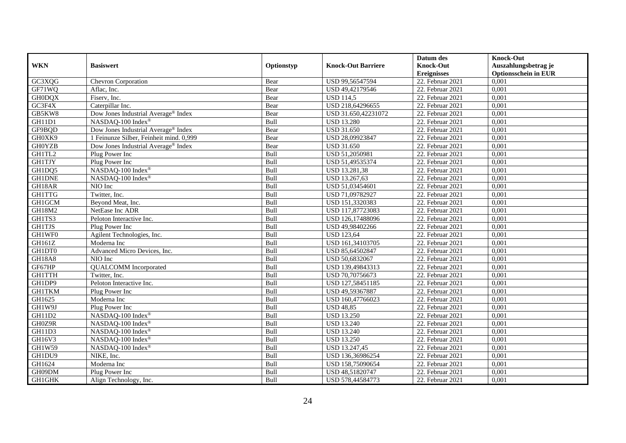|               |                                         |            |                           | Datum des          | <b>Knock-Out</b>            |
|---------------|-----------------------------------------|------------|---------------------------|--------------------|-----------------------------|
| <b>WKN</b>    | <b>Basiswert</b>                        | Optionstyp | <b>Knock-Out Barriere</b> | <b>Knock-Out</b>   | Auszahlungsbetrag je        |
|               |                                         |            |                           | <b>Ereignisses</b> | <b>Optionsschein in EUR</b> |
| GC3XQG        | <b>Chevron Corporation</b>              | Bear       | USD 99,56547594           | 22. Februar 2021   | 0,001                       |
| GF71WQ        | Aflac, Inc.                             | Bear       | USD 49,42179546           | 22. Februar 2021   | 0,001                       |
| <b>GH0DQX</b> | Fiserv, Inc.                            | Bear       | <b>USD 114,5</b>          | 22. Februar 2021   | 0,001                       |
| GC3F4X        | Caterpillar Inc.                        | Bear       | USD 218,64296655          | 22. Februar 2021   | 0,001                       |
| GB5KW8        | Dow Jones Industrial Average® Index     | Bear       | USD 31.650,42231072       | 22. Februar 2021   | 0,001                       |
| GH11D1        | NASDAQ-100 Index®                       | Bull       | <b>USD 13.280</b>         | 22. Februar 2021   | 0,001                       |
| GF9BQD        | Dow Jones Industrial Average® Index     | Bear       | <b>USD 31.650</b>         | 22. Februar 2021   | 0,001                       |
| GH0XK9        | 1 Feinunze Silber, Feinheit mind. 0,999 | Bear       | USD 28,09923847           | 22. Februar 2021   | 0,001                       |
| <b>GH0YZB</b> | Dow Jones Industrial Average® Index     | Bear       | <b>USD 31.650</b>         | 22. Februar 2021   | 0,001                       |
| GH1TL2        | Plug Power Inc                          | Bull       | USD 51,2050981            | 22. Februar 2021   | 0,001                       |
| <b>GH1TJY</b> | Plug Power Inc                          | Bull       | USD 51,49535374           | 22. Februar 2021   | 0,001                       |
| GH1DQ5        | NASDAQ-100 Index®                       | Bull       | USD 13.281,38             | 22. Februar 2021   | 0,001                       |
| <b>GH1DNE</b> | NASDAQ-100 Index®                       | Bull       | USD 13.267,63             | 22. Februar 2021   | 0,001                       |
| GH18AR        | NIO Inc                                 | Bull       | USD 51,03454601           | 22. Februar 2021   | 0,001                       |
| <b>GH1TTG</b> | Twitter, Inc.                           | Bull       | USD 71,09782927           | 22. Februar 2021   | 0,001                       |
| GH1GCM        | Beyond Meat, Inc.                       | Bull       | USD 151,3320383           | 22. Februar 2021   | 0,001                       |
| GH18M2        | NetEase Inc ADR                         | Bull       | USD 117,87723083          | 22. Februar 2021   | 0,001                       |
| GH1TS3        | Peloton Interactive Inc.                | Bull       | USD 126,17488096          | 22. Februar 2021   | 0,001                       |
| <b>GH1TJS</b> | Plug Power Inc                          | Bull       | USD 49,98402266           | 22. Februar 2021   | 0,001                       |
| GH1WF0        | Agilent Technologies, Inc.              | Bull       | <b>USD 123,64</b>         | 22. Februar 2021   | 0,001                       |
| GH161Z        | Moderna Inc                             | Bull       | USD 161,34103705          | 22. Februar 2021   | 0,001                       |
| GH1DT0        | Advanced Micro Devices, Inc.            | Bull       | USD 85,64502847           | 22. Februar 2021   | 0,001                       |
| <b>GH18A8</b> | NIO Inc                                 | Bull       | USD 50,6832067            | 22. Februar 2021   | 0,001                       |
| GF67HP        | <b>QUALCOMM</b> Incorporated            | Bull       | USD 139,49843313          | 22. Februar 2021   | 0,001                       |
| <b>GH1TTH</b> | Twitter, Inc.                           | Bull       | USD 70,70756673           | 22. Februar 2021   | 0,001                       |
| GH1DP9        | Peloton Interactive Inc.                | Bull       | USD 127,58451185          | 22. Februar 2021   | 0,001                       |
| <b>GH1TKM</b> | Plug Power Inc                          | Bull       | USD 49,59367887           | 22. Februar 2021   | 0,001                       |
| GH1625        | Moderna Inc                             | Bull       | USD 160,47766023          | 22. Februar 2021   | 0,001                       |
| GH1W9J        | Plug Power Inc                          | Bull       | <b>USD 48,85</b>          | 22. Februar 2021   | 0,001                       |
| GH11D2        | NASDAQ-100 Index®                       | Bull       | <b>USD 13.250</b>         | 22. Februar 2021   | 0,001                       |
| GH0Z9R        | NASDAQ-100 Index®                       | Bull       | <b>USD 13.240</b>         | 22. Februar 2021   | 0,001                       |
| GH11D3        | NASDAQ-100 Index®                       | Bull       | <b>USD 13.240</b>         | 22. Februar 2021   | 0,001                       |
| GH16V3        | NASDAQ-100 Index®                       | Bull       | <b>USD 13.250</b>         | 22. Februar 2021   | 0,001                       |
| GH1W59        | NASDAQ-100 Index®                       | Bull       | USD 13.247,45             | 22. Februar 2021   | 0,001                       |
| GH1DU9        | NIKE, Inc.                              | Bull       | USD 136,36986254          | 22. Februar 2021   | 0,001                       |
| GH1624        | Moderna Inc                             | Bull       | USD 158,75090654          | 22. Februar 2021   | 0,001                       |
| GH09DM        | Plug Power Inc                          | Bull       | USD 48,51820747           | 22. Februar 2021   | 0,001                       |
| GH1GHK        | Align Technology, Inc.                  | Bull       | USD 578,44584773          | 22. Februar 2021   | 0,001                       |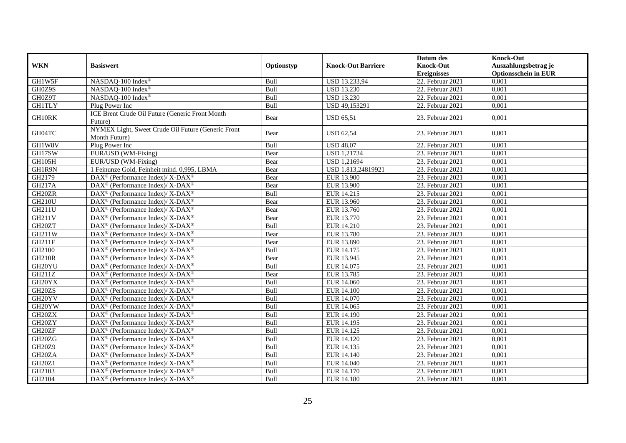| <b>WKN</b>          | <b>Basiswert</b>                                                    | Optionstyp | <b>Knock-Out Barriere</b> | Datum des<br><b>Knock-Out</b><br><b>Ereignisses</b> | <b>Knock-Out</b><br>Auszahlungsbetrag je<br><b>Optionsschein in EUR</b> |
|---------------------|---------------------------------------------------------------------|------------|---------------------------|-----------------------------------------------------|-------------------------------------------------------------------------|
| GH1W5F              | NASDAQ-100 Index®                                                   | Bull       | USD 13.233,94             | $22.$ Februar 2021                                  | 0,001                                                                   |
| GH0Z9S              | NASDAO-100 Index®                                                   | Bull       | <b>USD 13.230</b>         | 22. Februar 2021                                    | 0,001                                                                   |
| GH0Z9T              | NASDAQ-100 Index®                                                   | Bull       | <b>USD 13.230</b>         | 22. Februar 2021                                    | 0,001                                                                   |
| <b>GH1TLY</b>       | Plug Power Inc                                                      | Bull       | USD 49,153291             | 22. Februar 2021                                    | 0,001                                                                   |
| GH10RK              | ICE Brent Crude Oil Future (Generic Front Month<br>Future)          | Bear       | <b>USD 65,51</b>          | 23. Februar 2021                                    | 0.001                                                                   |
| GH04TC              | NYMEX Light, Sweet Crude Oil Future (Generic Front<br>Month Future) | Bear       | <b>USD 62,54</b>          | 23. Februar 2021                                    | 0,001                                                                   |
| GH1W8V              | Plug Power Inc                                                      | Bull       | <b>USD 48,07</b>          | 22. Februar 2021                                    | 0,001                                                                   |
| GH17SW              | EUR/USD (WM-Fixing)                                                 | Bear       | <b>USD 1,21734</b>        | 23. Februar 2021                                    | 0.001                                                                   |
| GH105H              | EUR/USD (WM-Fixing)                                                 | Bear       | <b>USD 1,21694</b>        | 23. Februar 2021                                    | 0,001                                                                   |
| GH1R9N              | 1 Feinunze Gold, Feinheit mind. 0,995, LBMA                         | Bear       | USD 1.813,24819921        | 23. Februar 2021                                    | 0,001                                                                   |
| GH2179              | DAX <sup>®</sup> (Performance Index)/ X-DAX <sup>®</sup>            | Bear       | <b>EUR 13.900</b>         | 23. Februar 2021                                    | 0,001                                                                   |
| GH217A              | DAX <sup>®</sup> (Performance Index)/ X-DAX <sup>®</sup>            | Bear       | <b>EUR 13.900</b>         | 23. Februar 2021                                    | 0.001                                                                   |
| GH20ZR              | $\text{DAX}^{\circledast}$ (Performance Index)/ X-DAX <sup>®</sup>  | Bull       | EUR 14.215                | 23. Februar 2021                                    | 0,001                                                                   |
| <b>GH210U</b>       | DAX <sup>®</sup> (Performance Index)/ X-DAX <sup>®</sup>            | Bear       | <b>EUR 13.960</b>         | 23. Februar 2021                                    | 0,001                                                                   |
| <b>GH211U</b>       | DAX <sup>®</sup> (Performance Index)/ X-DAX <sup>®</sup>            | Bear       | EUR 13.760                | 23. Februar 2021                                    | 0,001                                                                   |
| <b>GH211V</b>       | $\text{DAX}^{\circledast}$ (Performance Index)/ X-DAX <sup>®</sup>  | Bear       | EUR 13.770                | 23. Februar 2021                                    | 0,001                                                                   |
| GH <sub>20</sub> ZT | DAX <sup>®</sup> (Performance Index)/ X-DAX <sup>®</sup>            | Bull       | EUR 14.210                | 23. Februar 2021                                    | 0,001                                                                   |
| GH211W              | $\text{DAX}^{\circledast}$ (Performance Index)/ X-DAX <sup>®</sup>  | Bear       | EUR 13.780                | 23. Februar 2021                                    | 0,001                                                                   |
| <b>GH211F</b>       | DAX <sup>®</sup> (Performance Index)/ X-DAX <sup>®</sup>            | Bear       | EUR 13.890                | 23. Februar 2021                                    | 0,001                                                                   |
| GH2100              | $\text{DAX}^{\circledast}$ (Performance Index)/ X-DAX <sup>®</sup>  | Bull       | EUR 14.175                | 23. Februar 2021                                    | 0,001                                                                   |
| <b>GH210R</b>       | $\text{DAX}^{\circledR}$ (Performance Index)/ X-DAX <sup>®</sup>    | Bear       | EUR 13.945                | $23.$ Februar 2021                                  | 0,001                                                                   |
| GH <sub>20</sub> YU | $\text{DAX}^{\circledR}$ (Performance Index)/ X-DAX <sup>®</sup>    | Bull       | EUR 14.075                | 23. Februar 2021                                    | 0,001                                                                   |
| GH211Z              | $\text{DAX}^{\circledast}$ (Performance Index)/ X-DAX <sup>®</sup>  | Bear       | EUR 13.785                | 23. Februar 2021                                    | 0,001                                                                   |
| GH20YX              | $\text{DAX}^{\circledast}$ (Performance Index)/ X-DAX <sup>®</sup>  | Bull       | EUR 14.060                | 23. Februar 2021                                    | 0,001                                                                   |
| GH20ZS              | DAX <sup>®</sup> (Performance Index)/ X-DAX <sup>®</sup>            | Bull       | <b>EUR 14.100</b>         | 23. Februar 2021                                    | 0,001                                                                   |
| GH <sub>20</sub> YV | DAX <sup>®</sup> (Performance Index)/ X-DAX <sup>®</sup>            | Bull       | EUR 14.070                | 23. Februar 2021                                    | 0,001                                                                   |
| GH20YW              | DAX <sup>®</sup> (Performance Index)/X-DAX <sup>®</sup>             | Bull       | EUR 14.065                | 23. Februar 2021                                    | 0,001                                                                   |
| GH20ZX              | $\text{DAX}^{\circledast}$ (Performance Index)/ X-DAX <sup>®</sup>  | Bull       | EUR 14.190                | 23. Februar 2021                                    | 0,001                                                                   |
| GH20ZY              | $\text{DAX}^{\circledast}$ (Performance Index)/ X-DAX <sup>®</sup>  | Bull       | EUR 14.195                | 23. Februar 2021                                    | 0,001                                                                   |
| GH20ZF              | $\text{DAX}^{\circledast}$ (Performance Index)/ X-DAX <sup>®</sup>  | Bull       | EUR 14.125                | 23. Februar 2021                                    | 0,001                                                                   |
| GH20ZG              | $\text{DAX}^{\circledR}$ (Performance Index)/ X-DAX <sup>®</sup>    | Bull       | EUR 14.120                | 23. Februar 2021                                    | 0,001                                                                   |
| GH20Z9              | $\text{DAX}^{\circledast}$ (Performance Index)/ X-DAX <sup>®</sup>  | Bull       | EUR 14.135                | 23. Februar 2021                                    | 0,001                                                                   |
| GH <sub>20</sub> ZA | $\text{DAX}^{\circledR}$ (Performance Index)/ X-DAX <sup>®</sup>    | Bull       | EUR 14.140                | 23. Februar 2021                                    | 0,001                                                                   |
| GH20Z1              | $\text{DAX}^{\circledR}$ (Performance Index)/ X-DAX <sup>®</sup>    | Bull       | EUR 14.040                | 23. Februar 2021                                    | 0,001                                                                   |
| GH2103              | DAX <sup>®</sup> (Performance Index)/X-DAX <sup>®</sup>             | Bull       | EUR 14.170                | 23. Februar 2021                                    | 0,001                                                                   |
| GH2104              | DAX <sup>®</sup> (Performance Index)/ X-DAX <sup>®</sup>            | Bull       | <b>EUR 14.180</b>         | 23. Februar 2021                                    | 0,001                                                                   |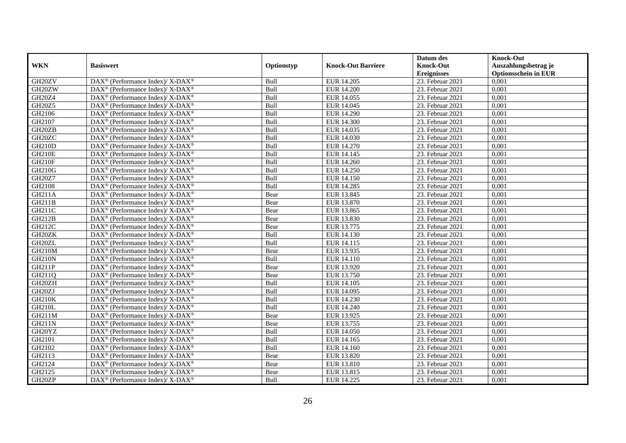|                     |                                                                          |            |                           | Datum des          | <b>Knock-Out</b>            |
|---------------------|--------------------------------------------------------------------------|------------|---------------------------|--------------------|-----------------------------|
| <b>WKN</b>          | <b>Basiswert</b>                                                         | Optionstyp | <b>Knock-Out Barriere</b> | <b>Knock-Out</b>   | Auszahlungsbetrag je        |
|                     |                                                                          |            |                           | <b>Ereignisses</b> | <b>Optionsschein in EUR</b> |
| GH20ZV              | DAX <sup>®</sup> (Performance Index)/X-DAX <sup>®</sup>                  | Bull       | EUR 14.205                | 23. Februar 2021   | 0,001                       |
| GH20ZW              | $\text{DAX}^{\circledast}$ (Performance Index)/ X-DAX <sup>®</sup>       | Bull       | <b>EUR 14.200</b>         | 23. Februar 2021   | 0,001                       |
| GH20Z4              | $\text{DAX}^{\circledast}$ (Performance Index)/ X-DAX <sup>®</sup>       | Bull       | EUR 14.055                | 23. Februar 2021   | 0,001                       |
| <b>GH20Z5</b>       | DAX <sup>®</sup> (Performance Index)/X-DAX <sup>®</sup>                  | Bull       | EUR 14.045                | 23. Februar 2021   | 0,001                       |
| GH2106              | DAX <sup>®</sup> (Performance Index)/ X-DAX <sup>®</sup>                 | Bull       | <b>EUR 14.290</b>         | 23. Februar 2021   | 0,001                       |
| GH2107              | $\text{DAX}^{\circledR}$ (Performance Index)/ X-DAX <sup>®</sup>         | Bull       | <b>EUR 14.300</b>         | 23. Februar 2021   | 0,001                       |
| GH20ZB              | $\text{DAX}^{\circledR}$ (Performance Index)/ X-DAX <sup>®</sup>         | Bull       | EUR 14.035                | 23. Februar 2021   | 0,001                       |
| GH20ZC              | $\text{DAX}^{\otimes}$ (Performance Index)/X-DAX <sup>®</sup>            | Bull       | EUR 14.030                | 23. Februar 2021   | 0,001                       |
| <b>GH210D</b>       | $\text{DAX}^{\circledast}$ (Performance Index)/ X-DAX <sup>®</sup>       | Bull       | EUR 14.270                | 23. Februar 2021   | 0,001                       |
| <b>GH210E</b>       | DAX <sup>®</sup> (Performance Index)/ X-DAX <sup>®</sup>                 | Bull       | EUR 14.145                | 23. Februar 2021   | 0,001                       |
| <b>GH210F</b>       | $\text{DAX}^{\circledast}$ (Performance Index)/ X-DAX <sup>®</sup>       | Bull       | EUR 14.260                | 23. Februar 2021   | 0,001                       |
| <b>GH210G</b>       | $\text{DAX}^{\circledR}$ (Performance Index)/ X-DAX <sup>®</sup>         | Bull       | <b>EUR 14.250</b>         | 23. Februar 2021   | 0,001                       |
| <b>GH20Z7</b>       | $\text{DAX}^{\circledast}$ (Performance Index)/ X-DAX <sup>®</sup>       | Bull       | <b>EUR 14.150</b>         | 23. Februar 2021   | 0,001                       |
| GH2108              | $\text{DAX}^{\circledast}$ (Performance Index)/ X-DAX <sup>®</sup>       | Bull       | EUR 14.285                | 23. Februar 2021   | 0,001                       |
| GH211A              | DAX <sup>®</sup> (Performance Index)/ X-DAX <sup>®</sup>                 | Bear       | EUR 13.845                | 23. Februar 2021   | 0,001                       |
| GH211B              | DAX <sup>®</sup> (Performance Index)/ X-DAX <sup>®</sup>                 | Bear       | EUR 13.870                | 23. Februar 2021   | 0,001                       |
| GH211C              | DAX <sup>®</sup> (Performance Index)/ X-DAX <sup>®</sup>                 | Bear       | EUR 13.865                | 23. Februar 2021   | 0,001                       |
| <b>GH212B</b>       | $\text{DAX}^{\circledast}$ (Performance Index)/ X-DAX <sup>®</sup>       | Bear       | EUR 13.830                | 23. Februar 2021   | 0,001                       |
| GH212C              | $\text{DAX}^{\circledast}$ (Performance Index)/ X-DAX <sup>®</sup>       | Bear       | EUR 13.775                | 23. Februar 2021   | 0,001                       |
| GH <sub>20</sub> ZK | DAX <sup>®</sup> (Performance Index)/X-DAX <sup>®</sup>                  | Bull       | EUR 14.130                | 23. Februar 2021   | 0,001                       |
| GH <sub>20</sub> ZL | $\text{DAX}^{\circledast}$ (Performance Index)/ X-DAX <sup>®</sup>       | Bull       | EUR 14.115                | 23. Februar 2021   | 0,001                       |
| <b>GH210M</b>       | $\text{DAX}^{\circledast}$ (Performance Index)/ X-DAX <sup>®</sup>       | Bear       | EUR 13.935                | 23. Februar 2021   | 0,001                       |
| <b>GH210N</b>       | DAX <sup>®</sup> (Performance Index)/ X-DAX <sup>®</sup>                 | Bull       | EUR 14.110                | 23. Februar 2021   | 0,001                       |
| <b>GH211P</b>       | DAX <sup>®</sup> (Performance Index)/ X-DAX <sup>®</sup>                 | Bear       | EUR 13.920                | 23. Februar 2021   | 0,001                       |
| GH211Q              | $\overline{\text{DAX}^{\otimes}}$ (Performance Index)/X-DAX <sup>®</sup> | Bear       | EUR 13.750                | 23. Februar 2021   | 0.001                       |
| GH20ZH              | $\text{DAX}^{\circledast}$ (Performance Index)/ X-DAX <sup>®</sup>       | Bull       | EUR 14.105                | 23. Februar 2021   | 0,001                       |
| GH <sub>20</sub> ZJ | DAX <sup>®</sup> (Performance Index)/ X-DAX <sup>®</sup>                 | Bull       | <b>EUR 14.095</b>         | 23. Februar 2021   | 0,001                       |
| <b>GH210K</b>       | DAX <sup>®</sup> (Performance Index)/ X-DAX <sup>®</sup>                 | Bull       | EUR 14.230                | 23. Februar 2021   | 0,001                       |
| <b>GH210L</b>       | DAX <sup>®</sup> (Performance Index)/ X-DAX <sup>®</sup>                 | Bull       | EUR 14.240                | 23. Februar 2021   | 0,001                       |
| GH211M              | $\text{DAX}^{\otimes}$ (Performance Index)/X-DAX <sup>®</sup>            | Bear       | EUR 13.925                | 23. Februar 2021   | 0,001                       |
| <b>GH211N</b>       | $\text{DAX}^{\circledast}$ (Performance Index)/ X-DAX <sup>®</sup>       | Bear       | EUR 13.755                | 23. Februar 2021   | 0,001                       |
| GH20YZ              | $\overline{\text{DAX}^{\otimes}}$ (Performance Index)/X-DAX <sup>®</sup> | Bull       | EUR 14.050                | 23. Februar 2021   | 0,001                       |
| GH2101              | $\text{DAX}^{\circledast}$ (Performance Index)/ X-DAX <sup>®</sup>       | Bull       | EUR 14.165                | 23. Februar 2021   | 0,001                       |
| GH2102              | DAX <sup>®</sup> (Performance Index)/ X-DAX <sup>®</sup>                 | Bull       | EUR 14.160                | 23. Februar 2021   | 0,001                       |
| GH2113              | DAX <sup>®</sup> (Performance Index)/ X-DAX <sup>®</sup>                 | Bear       | EUR 13.820                | 23. Februar 2021   | 0,001                       |
| GH2124              | $\text{DAX}^{\otimes}$ (Performance Index)/X-DAX <sup>®</sup>            | Bear       | EUR 13.810                | 23. Februar 2021   | 0,001                       |
| GH2125              | DAX <sup>®</sup> (Performance Index)/ X-DAX <sup>®</sup>                 | Bear       | EUR 13.815                | 23. Februar 2021   | 0,001                       |
| GH20ZP              | DAX <sup>®</sup> (Performance Index)/ X-DAX <sup>®</sup>                 | Bull       | EUR 14.225                | 23. Februar 2021   | 0,001                       |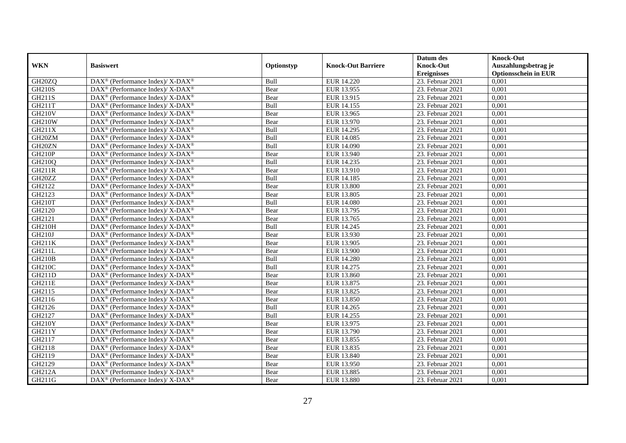|                     |                                                                   |            |                           | Datum des          | <b>Knock-Out</b>            |
|---------------------|-------------------------------------------------------------------|------------|---------------------------|--------------------|-----------------------------|
| <b>WKN</b>          | <b>Basiswert</b>                                                  | Optionstyp | <b>Knock-Out Barriere</b> | <b>Knock-Out</b>   | Auszahlungsbetrag je        |
|                     |                                                                   |            |                           | <b>Ereignisses</b> | <b>Optionsschein in EUR</b> |
| GH <sub>20</sub> ZQ | DAX <sup>®</sup> (Performance Index)/X-DAX <sup>®</sup>           | Bull       | EUR 14.220                | 23. Februar 2021   | 0,001                       |
| <b>GH210S</b>       | $DAX^{\circledast}$ (Performance Index)/ X-DAX <sup>®</sup>       | Bear       | EUR 13.955                | 23. Februar 2021   | 0,001                       |
| GH211S              | $DAX^{\circledast}$ (Performance Index)/ X-DAX <sup>®</sup>       | Bear       | EUR 13.915                | 23. Februar 2021   | 0,001                       |
| GH211T              | $DAX^{\circledast}$ (Performance Index)/ X-DAX <sup>®</sup>       | Bull       | EUR 14.155                | 23. Februar 2021   | 0,001                       |
| <b>GH210V</b>       | $\text{DAX}^{\circledast}$ (Performance Index)/X-DAX <sup>®</sup> | Bear       | EUR 13.965                | 23. Februar 2021   | 0,001                       |
| <b>GH210W</b>       | DAX <sup>®</sup> (Performance Index)/ X-DAX <sup>®</sup>          | Bear       | EUR 13.970                | 23. Februar 2021   | 0,001                       |
| GH211X              | $DAX^{\circledast}$ (Performance Index)/ X-DAX <sup>®</sup>       | Bull       | EUR 14.295                | 23. Februar 2021   | 0,001                       |
| GH20ZM              | $DAX^{\circledast}$ (Performance Index)/ X-DAX <sup>®</sup>       | Bull       | EUR 14.085                | 23. Februar 2021   | 0,001                       |
| GH20ZN              | $DAX^{\circledast}$ (Performance Index)/ X-DAX <sup>®</sup>       | Bull       | EUR 14.090                | 23. Februar 2021   | 0,001                       |
| <b>GH210P</b>       | $DAX^{\circledast}$ (Performance Index)/ X-DAX <sup>®</sup>       | Bear       | EUR 13.940                | 23. Februar 2021   | 0,001                       |
| GH210Q              | $DAX^{\circledast}$ (Performance Index)/ X-DAX <sup>®</sup>       | Bull       | EUR 14.235                | 23. Februar 2021   | 0,001                       |
| <b>GH211R</b>       | DAX <sup>®</sup> (Performance Index)/ X-DAX <sup>®</sup>          | Bear       | EUR 13.910                | 23. Februar 2021   | 0,001                       |
| GH20ZZ              | $DAX^{\circledast}$ (Performance Index)/ X-DAX <sup>®</sup>       | Bull       | EUR 14.185                | 23. Februar 2021   | 0,001                       |
| GH2122              | DAX <sup>®</sup> (Performance Index)/ X-DAX <sup>®</sup>          | Bear       | <b>EUR 13.800</b>         | 23. Februar 2021   | 0,001                       |
| GH2123              | DAX <sup>®</sup> (Performance Index)/ X-DAX <sup>®</sup>          | Bear       | EUR 13.805                | 23. Februar 2021   | 0,001                       |
| GH210T              | DAX <sup>®</sup> (Performance Index)/ X-DAX <sup>®</sup>          | Bull       | <b>EUR 14.080</b>         | 23. Februar 2021   | 0,001                       |
| GH2120              | DAX <sup>®</sup> (Performance Index)/ X-DAX <sup>®</sup>          | Bear       | EUR 13.795                | 23. Februar 2021   | 0,001                       |
| GH2121              | $DAX^{\circledast}$ (Performance Index)/ X-DAX <sup>®</sup>       | Bear       | EUR 13.765                | 23. Februar 2021   | 0,001                       |
| <b>GH210H</b>       | $DAX^{\circledast}$ (Performance Index)/ X-DAX <sup>®</sup>       | Bull       | EUR 14.245                | 23. Februar 2021   | 0,001                       |
| GH210J              | DAX <sup>®</sup> (Performance Index)/ X-DAX <sup>®</sup>          | Bear       | EUR 13.930                | 23. Februar 2021   | 0,001                       |
| <b>GH211K</b>       | DAX <sup>®</sup> (Performance Index)/X-DAX <sup>®</sup>           | Bear       | EUR 13.905                | 23. Februar 2021   | 0,001                       |
| <b>GH211L</b>       | $\text{DAX}^{\circledast}$ (Performance Index)/X-DAX <sup>®</sup> | Bear       | EUR 13.900                | 23. Februar 2021   | 0,001                       |
| <b>GH210B</b>       | DAX <sup>®</sup> (Performance Index)/ X-DAX <sup>®</sup>          | Bull       | <b>EUR 14.280</b>         | 23. Februar 2021   | 0,001                       |
| <b>GH210C</b>       | $DAX^{\circledast}$ (Performance Index)/ X-DAX <sup>®</sup>       | Bull       | EUR 14.275                | 23. Februar 2021   | 0,001                       |
| <b>GH211D</b>       | DAX <sup>®</sup> (Performance Index)/ X-DAX <sup>®</sup>          | Bear       | EUR 13.860                | 23. Februar 2021   | 0.001                       |
| <b>GH211E</b>       | DAX <sup>®</sup> (Performance Index)/ X-DAX <sup>®</sup>          | Bear       | EUR 13.875                | 23. Februar 2021   | 0,001                       |
| GH2115              | DAX <sup>®</sup> (Performance Index)/X-DAX <sup>®</sup>           | Bear       | EUR 13.825                | 23. Februar 2021   | 0,001                       |
| GH2116              | DAX <sup>®</sup> (Performance Index)/ X-DAX <sup>®</sup>          | Bear       | <b>EUR 13.850</b>         | 23. Februar 2021   | 0,001                       |
| GH2126              | DAX <sup>®</sup> (Performance Index)/ X-DAX <sup>®</sup>          | Bull       | EUR 14.265                | 23. Februar 2021   | 0,001                       |
| GH2127              | $\text{DAX}^{\circledast}$ (Performance Index)/X-DAX <sup>®</sup> | Bull       | EUR 14.255                | 23. Februar 2021   | 0,001                       |
| <b>GH210Y</b>       | $DAX^{\circledast}$ (Performance Index)/ X-DAX <sup>®</sup>       | Bear       | EUR 13.975                | 23. Februar 2021   | 0,001                       |
| GH211Y              | DAX <sup>®</sup> (Performance Index)/X-DAX <sup>®</sup>           | Bear       | EUR 13.790                | 23. Februar 2021   | 0,001                       |
| GH2117              | $DAX^{\circledast}$ (Performance Index)/ X-DAX <sup>®</sup>       | Bear       | EUR 13.855                | 23. Februar 2021   | 0,001                       |
| GH2118              | DAX <sup>®</sup> (Performance Index)/ X-DAX <sup>®</sup>          | Bear       | EUR 13.835                | 23. Februar 2021   | 0,001                       |
| GH2119              | DAX <sup>®</sup> (Performance Index)/ X-DAX <sup>®</sup>          | Bear       | EUR 13.840                | 23. Februar 2021   | 0,001                       |
| GH2129              | $\text{DAX}^{\circledast}$ (Performance Index)/X-DAX <sup>®</sup> | Bear       | EUR 13.950                | 23. Februar 2021   | 0,001                       |
| <b>GH212A</b>       | DAX <sup>®</sup> (Performance Index)/ X-DAX <sup>®</sup>          | Bear       | EUR 13.885                | 23. Februar 2021   | 0,001                       |
| GH211G              | DAX <sup>®</sup> (Performance Index)/ X-DAX <sup>®</sup>          | Bear       | EUR 13.880                | 23. Februar 2021   | 0,001                       |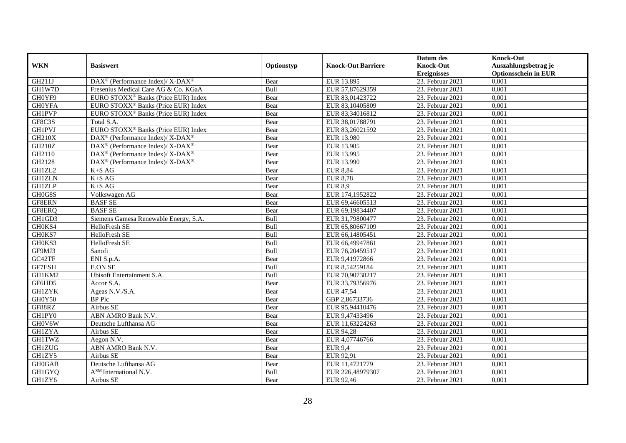|               |                                                          |            |                           | Datum des          | <b>Knock-Out</b>            |
|---------------|----------------------------------------------------------|------------|---------------------------|--------------------|-----------------------------|
| <b>WKN</b>    | <b>Basiswert</b>                                         | Optionstyp | <b>Knock-Out Barriere</b> | <b>Knock-Out</b>   | Auszahlungsbetrag je        |
|               |                                                          |            |                           | <b>Ereignisses</b> | <b>Optionsschein in EUR</b> |
| GH211J        | DAX <sup>®</sup> (Performance Index)/ X-DAX <sup>®</sup> | Bear       | EUR 13.895                | 23. Februar 2021   | 0,001                       |
| GH1W7D        | Fresenius Medical Care AG & Co. KGaA                     | Bull       | EUR 57,87629359           | 23. Februar 2021   | 0,001                       |
| GH0YF9        | EURO STOXX <sup>®</sup> Banks (Price EUR) Index          | Bear       | EUR 83,01423722           | 23. Februar 2021   | 0,001                       |
| <b>GHOYFA</b> | EURO STOXX <sup>®</sup> Banks (Price EUR) Index          | Bear       | EUR 83,10405809           | 23. Februar 2021   | 0,001                       |
| <b>GH1PVP</b> | EURO STOXX <sup>®</sup> Banks (Price EUR) Index          | Bear       | EUR 83,34016812           | 23. Februar 2021   | 0,001                       |
| GF8C3S        | Total S.A.                                               | Bear       | EUR 38,01788791           | 23. Februar 2021   | 0,001                       |
| <b>GH1PVJ</b> | EURO STOXX <sup>®</sup> Banks (Price EUR) Index          | Bear       | EUR 83,26021592           | 23. Februar 2021   | 0,001                       |
| <b>GH210X</b> | DAX <sup>®</sup> (Performance Index)/ X-DAX <sup>®</sup> | Bear       | EUR 13.980                | 23. Februar 2021   | 0,001                       |
| GH210Z        | DAX <sup>®</sup> (Performance Index)/ X-DAX <sup>®</sup> | Bear       | EUR 13.985                | 23. Februar 2021   | 0,001                       |
| GH2110        | DAX <sup>®</sup> (Performance Index)/ X-DAX <sup>®</sup> | Bear       | EUR 13.995                | 23. Februar 2021   | 0,001                       |
| GH2128        | DAX <sup>®</sup> (Performance Index)/X-DAX <sup>®</sup>  | Bear       | EUR 13.990                | 23. Februar 2021   | 0,001                       |
| GH1ZL2        | $K+SAG$                                                  | Bear       | <b>EUR 8,84</b>           | 23. Februar 2021   | 0,001                       |
| <b>GH1ZLN</b> | $K+SAG$                                                  | Bear       | <b>EUR 8,78</b>           | 23. Februar 2021   | 0,001                       |
| <b>GH1ZLP</b> | $K+SAG$                                                  | Bear       | <b>EUR 8.9</b>            | 23. Februar 2021   | 0.001                       |
| GH0G8S        | Volkswagen AG                                            | Bear       | EUR 174,1952822           | 23. Februar 2021   | 0,001                       |
| GF8ERN        | <b>BASF SE</b>                                           | Bear       | EUR 69,46605513           | 23. Februar 2021   | 0,001                       |
| GF8ERQ        | <b>BASF SE</b>                                           | Bear       | EUR 69,19834407           | 23. Februar 2021   | 0,001                       |
| GH1GD3        | Siemens Gamesa Renewable Energy, S.A.                    | Bull       | EUR 31,79800477           | 23. Februar 2021   | 0,001                       |
| GH0KS4        | HelloFresh SE                                            | Bull       | EUR 65,80667109           | 23. Februar 2021   | 0,001                       |
| GH0KS7        | HelloFresh SE                                            | Bull       | EUR 66,14805451           | 23. Februar 2021   | 0,001                       |
| GH0KS3        | HelloFresh SE                                            | Bull       | EUR 66,49947861           | 23. Februar 2021   | 0,001                       |
| GF9MJ3        | Sanofi                                                   | Bull       | EUR 76,20459517           | 23. Februar 2021   | 0,001                       |
| GC42TF        | ENI S.p.A.                                               | Bear       | EUR 9,41972866            | 23. Februar 2021   | 0,001                       |
| GF7ESH        | <b>E.ON SE</b>                                           | Bull       | EUR 8,54259184            | 23. Februar 2021   | 0,001                       |
| GH1KM2        | Ubisoft Entertainment S.A.                               | Bull       | EUR 70,90738217           | 23. Februar 2021   | 0,001                       |
| GF6HD5        | Accor S.A.                                               | Bear       | EUR 33,79356976           | 23. Februar 2021   | 0,001                       |
| <b>GH1ZYK</b> | Ageas N.V./S.A.                                          | Bear       | EUR 47,54                 | 23. Februar 2021   | 0,001                       |
| GH0Y50        | <b>BP</b> Plc                                            | Bear       | GBP 2,86733736            | 23. Februar 2021   | 0,001                       |
| GF88RZ        | Airbus SE                                                | Bear       | EUR 95,94410476           | 23. Februar 2021   | 0,001                       |
| GH1PY0        | ABN AMRO Bank N.V.                                       | Bear       | EUR 9,47433496            | 23. Februar 2021   | 0,001                       |
| GH0V6W        | Deutsche Lufthansa AG                                    | Bear       | EUR 11,63224263           | 23. Februar 2021   | 0,001                       |
| <b>GH1ZYA</b> | Airbus SE                                                | Bear       | <b>EUR 94,28</b>          | 23. Februar 2021   | 0,001                       |
| <b>GH1TWZ</b> | Aegon N.V.                                               | Bear       | EUR 4,07746766            | 23. Februar 2021   | 0,001                       |
| <b>GH1ZUG</b> | ABN AMRO Bank N.V.                                       | Bear       | <b>EUR 9,4</b>            | 23. Februar 2021   | 0,001                       |
| GH1ZY5        | Airbus SE                                                | Bear       | EUR 92,91                 | 23. Februar 2021   | 0,001                       |
| <b>GH0GAB</b> | Deutsche Lufthansa AG                                    | Bear       | EUR 11,4721779            | 23. Februar 2021   | 0,001                       |
| GH1GYQ        | A <sup>SM</sup> International N.V.                       | Bull       | EUR 226,48979307          | 23. Februar 2021   | 0,001                       |
| GH1ZY6        | Airbus SE                                                | Bear       | EUR 92,46                 | 23. Februar 2021   | 0,001                       |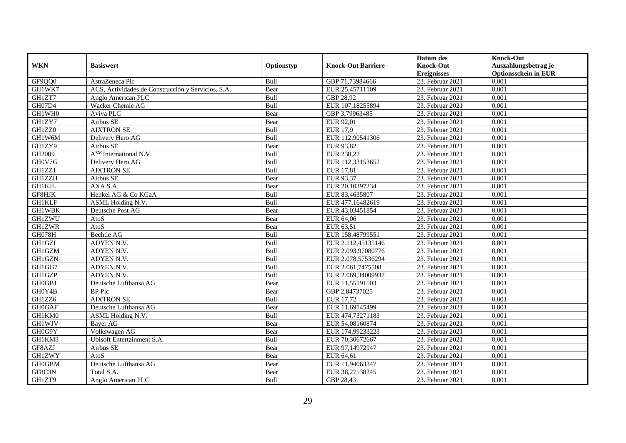|               |                                                    |            |                           | Datum des          | <b>Knock-Out</b>            |
|---------------|----------------------------------------------------|------------|---------------------------|--------------------|-----------------------------|
| <b>WKN</b>    | <b>Basiswert</b>                                   | Optionstyp | <b>Knock-Out Barriere</b> | <b>Knock-Out</b>   | Auszahlungsbetrag je        |
|               |                                                    |            |                           | <b>Ereignisses</b> | <b>Optionsschein in EUR</b> |
| GF9QQ0        | AstraZeneca Plc                                    | Bull       | GBP 71,73984666           | 23. Februar 2021   | 0,001                       |
| GH1WK7        | ACS, Actividades de Construcción y Servicios, S.A. | Bear       | EUR 25,45711109           | 23. Februar 2021   | 0,001                       |
| GH1ZT7        | Anglo American PLC                                 | Bull       | GBP 28,92                 | 23. Februar 2021   | 0,001                       |
| GH07D4        | Wacker Chemie AG                                   | Bull       | EUR 107,18255894          | 23. Februar 2021   | 0,001                       |
| GH1WH0        | Aviva PLC                                          | Bear       | GBP 3,79963485            | 23. Februar 2021   | 0,001                       |
| GH1ZY7        | Airbus SE                                          | Bear       | EUR 92,01                 | 23. Februar 2021   | 0,001                       |
| GH1ZZ0        | <b>AIXTRON SE</b>                                  | Bull       | $\overline{EUR}$ 17,9     | 23. Februar 2021   | 0,001                       |
| GH1W6M        | Delivery Hero AG                                   | Bull       | EUR 112,90541306          | 23. Februar 2021   | 0,001                       |
| GH1ZY9        | Airbus SE                                          | Bear       | EUR 93,82                 | 23. Februar 2021   | 0,001                       |
| GH2009        | A <sup>SM</sup> International N.V.                 | Bull       | EUR 238,22                | 23. Februar 2021   | 0,001                       |
| GH0V7G        | Delivery Hero AG                                   | Bull       | EUR 112,33153652          | 23. Februar 2021   | 0,001                       |
| GH1ZZ1        | <b>AIXTRON SE</b>                                  | Bull       | EUR 17,81                 | 23. Februar 2021   | 0,001                       |
| <b>GH1ZZH</b> | Airbus SE                                          | Bear       | EUR 93,37                 | 23. Februar 2021   | 0,001                       |
| <b>GH1KJL</b> | AXA S.A.                                           | Bear       | EUR 20,10397234           | 23. Februar 2021   | 0,001                       |
| GF8HJK        | Henkel AG & Co KGaA                                | Bull       | EUR 83,4635807            | 23. Februar 2021   | 0,001                       |
| <b>GH1KLF</b> | ASML Holding N.V.                                  | Bull       | EUR 477,16482619          | 23. Februar 2021   | 0,001                       |
| <b>GH1WBK</b> | Deutsche Post AG                                   | Bear       | EUR 43,03451854           | 23. Februar 2021   | 0,001                       |
| <b>GH1ZWU</b> | AtoS                                               | Bear       | EUR 64,06                 | 23. Februar 2021   | 0,001                       |
| <b>GH1ZWR</b> | AtoS                                               | Bear       | EUR 63,51                 | 23. Februar 2021   | 0,001                       |
| GH078H        | <b>Bechtle AG</b>                                  | Bull       | EUR 158,48799551          | 23. Februar 2021   | 0,001                       |
| GH1GZL        | ADYEN N.V.                                         | Bull       | EUR 2.112,45135146        | 23. Februar 2021   | 0,001                       |
| GH1GZM        | ADYEN N.V.                                         | Bull       | EUR 2.093,97080776        | 23. Februar 2021   | 0,001                       |
| GH1GZN        | ADYEN N.V.                                         | Bull       | EUR 2.078,57536294        | $23.$ Februar 2021 | 0,001                       |
| GH1GG7        | ADYEN N.V.                                         | Bull       | EUR 2.061,7475508         | 23. Februar 2021   | 0,001                       |
| GH1GZP        | ADYEN N.V.                                         | Bull       | EUR 2.069,34009937        | 23. Februar 2021   | 0,001                       |
| GH0GBJ        | Deutsche Lufthansa AG                              | Bear       | EUR 11,55191503           | 23. Februar 2021   | 0,001                       |
| GH0Y4B        | <b>BP</b> Plc                                      | Bear       | GBP 2,84737025            | 23. Februar 2021   | 0,001                       |
| GH1ZZ6        | <b>AIXTRON SE</b>                                  | Bull       | EUR 17,72                 | 23. Februar 2021   | 0,001                       |
| <b>GH0GAF</b> | Deutsche Lufthansa AG                              | Bear       | EUR 11,69145499           | 23. Februar 2021   | 0,001                       |
| GH1KM0        | ASML Holding N.V.                                  | Bull       | EUR 474,73271183          | 23. Februar 2021   | 0,001                       |
| GH1WJV        | Bayer AG                                           | Bear       | EUR 54,08160874           | 23. Februar 2021   | 0,001                       |
| GH0G9Y        | Volkswagen AG                                      | Bear       | EUR 174,99233223          | 23. Februar 2021   | 0,001                       |
| GH1KM3        | <b>Ubisoft Entertainment S.A.</b>                  | Bull       | EUR 70,30672667           | 23. Februar 2021   | 0,001                       |
| GF8AZJ        | Airbus SE                                          | Bear       | EUR 97,14972947           | $23.$ Februar 2021 | 0,001                       |
| <b>GH1ZWY</b> | AtoS                                               | Bear       | EUR 64,61                 | 23. Februar 2021   | 0,001                       |
| <b>GH0GBM</b> | Deutsche Lufthansa AG                              | Bear       | EUR 11,94063347           | 23. Februar 2021   | 0,001                       |
| GF8C3N        | Total S.A.                                         | Bear       | EUR 38,27538245           | 23. Februar 2021   | 0,001                       |
| GH1ZT9        | Anglo American PLC                                 | Bull       | GBP 28,43                 | 23. Februar 2021   | 0,001                       |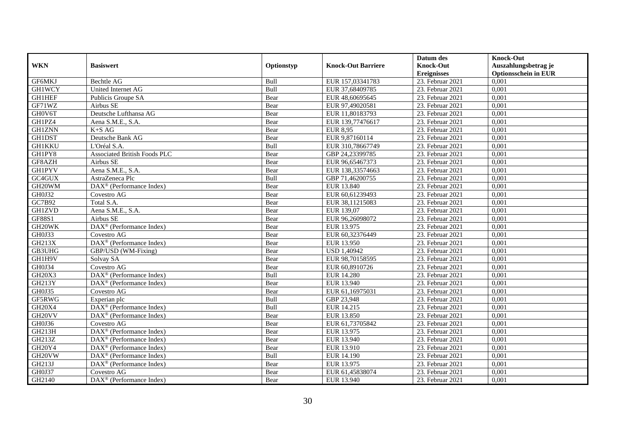|                     |                                                              |            |                           | Datum des          | <b>Knock-Out</b>            |
|---------------------|--------------------------------------------------------------|------------|---------------------------|--------------------|-----------------------------|
| <b>WKN</b>          | <b>Basiswert</b>                                             | Optionstyp | <b>Knock-Out Barriere</b> | <b>Knock-Out</b>   | Auszahlungsbetrag je        |
|                     |                                                              |            |                           | <b>Ereignisses</b> | <b>Optionsschein in EUR</b> |
| GF6MKJ              | <b>Bechtle AG</b>                                            | Bull       | EUR 157,03341783          | 23. Februar 2021   | 0,001                       |
| <b>GH1WCY</b>       | United Internet AG                                           | Bull       | EUR 37,68409785           | 23. Februar 2021   | 0,001                       |
| <b>GH1HEF</b>       | Publicis Groupe SA                                           | Bear       | EUR 48,60695645           | 23. Februar 2021   | 0,001                       |
| GF71WZ              | Airbus SE                                                    | Bear       | EUR 97,49020581           | 23. Februar 2021   | 0,001                       |
| GH0V6T              | Deutsche Lufthansa AG                                        | Bear       | EUR 11,80183793           | 23. Februar 2021   | 0,001                       |
| GH1PZ4              | Aena S.M.E., S.A.                                            | Bear       | EUR 139,77476617          | 23. Februar 2021   | 0,001                       |
| <b>GH1ZNN</b>       | $K+SAG$                                                      | Bear       | <b>EUR 8,95</b>           | 23. Februar 2021   | 0,001                       |
| <b>GH1DST</b>       | Deutsche Bank AG                                             | Bear       | EUR 9,87160114            | 23. Februar 2021   | 0,001                       |
| <b>GH1KKU</b>       | L'Oréal S.A.                                                 | Bull       | EUR 310,78667749          | 23. Februar 2021   | 0,001                       |
| GH1PY8              | <b>Associated British Foods PLC</b>                          | Bear       | GBP 24,23399785           | 23. Februar 2021   | 0,001                       |
| GF8AZH              | Airbus SE                                                    | Bear       | EUR 96,65467373           | 23. Februar 2021   | 0,001                       |
| <b>GH1PYV</b>       | Aena S.M.E., S.A.                                            | Bear       | EUR 138,33574663          | 23. Februar 2021   | 0,001                       |
| GC4GUX              | AstraZeneca Plc                                              | Bull       | GBP 71,46200755           | 23. Februar 2021   | 0,001                       |
| GH20WM              | DAX <sup>®</sup> (Performance Index)                         | Bear       | EUR 13.840                | 23. Februar 2021   | 0,001                       |
| GH0J32              | Covestro AG                                                  | Bear       | EUR 60,61239493           | 23. Februar 2021   | 0,001                       |
| GC7B92              | Total S.A.                                                   | Bear       | EUR 38,11215083           | 23. Februar 2021   | 0,001                       |
| <b>GH1ZVD</b>       | Aena S.M.E., S.A.                                            | Bear       | EUR 139,07                | 23. Februar 2021   | 0,001                       |
| GF88S1              | Airbus SE                                                    | Bear       | EUR 96.26098072           | 23. Februar 2021   | 0,001                       |
| GH20WK              | DAX <sup>®</sup> (Performance Index)                         | Bear       | EUR 13.975                | 23. Februar 2021   | 0,001                       |
| GH0J33              | Covestro AG                                                  | Bear       | EUR 60,32376449           | 23. Februar 2021   | 0,001                       |
| <b>GH213X</b>       | DAX <sup>®</sup> (Performance Index)                         | Bear       | EUR 13.950                | 23. Februar 2021   | 0,001                       |
| GB3UHG              | GBP/USD (WM-Fixing)                                          | Bear       | <b>USD 1,40942</b>        | 23. Februar 2021   | 0,001                       |
| GH1H9V              | Solvay SA                                                    | Bear       | EUR 98,70158595           | 23. Februar 2021   | 0,001                       |
| GH0J34              | Covestro AG                                                  | Bear       | EUR 60,8910726            | 23. Februar 2021   | 0,001                       |
| <b>GH20X3</b>       | $\text{DAX}^{\otimes}$ (Performance Index)                   | Bull       | <b>EUR 14.280</b>         | 23. Februar 2021   | 0,001                       |
| GH213Y              | DAX <sup>®</sup> (Performance Index)                         | Bear       | EUR 13.940                | 23. Februar 2021   | 0,001                       |
| GH0J35              | Covestro AG                                                  | Bear       | EUR 61,16975031           | 23. Februar 2021   | 0,001                       |
| GF5RWG              | Experian plc                                                 | Bull       | GBP 23,948                | 23. Februar 2021   | 0,001                       |
| <b>GH20X4</b>       | DAX <sup>®</sup> (Performance Index)                         | Bull       | EUR 14.215                | 23. Februar 2021   | 0,001                       |
| GH <sub>20</sub> VV | DAX <sup>®</sup> (Performance Index)                         | Bear       | <b>EUR 13.850</b>         | 23. Februar 2021   | 0,001                       |
| GH0J36              | Covestro AG                                                  | Bear       | EUR 61,73705842           | 23. Februar 2021   | 0,001                       |
| GH213H              | DAX <sup>®</sup> (Performance Index)                         | Bear       | EUR 13.975                | 23. Februar 2021   | 0,001                       |
| GH213Z              | $DAX^{\circledR}$ (Performance Index)                        | Bear       | EUR 13.940                | 23. Februar 2021   | 0,001                       |
| <b>GH20Y4</b>       | DAX <sup>®</sup> (Performance Index)                         | Bear       | EUR 13.910                | 23. Februar 2021   | 0,001                       |
| GH20VW              | $DAX^{\circledast}$ (Performance Index)                      | Bull       | EUR 14.190                | 23. Februar 2021   | 0,001                       |
| GH213J              | DAX <sup>®</sup> (Performance Index)                         | Bear       | EUR 13.975                | 23. Februar 2021   | 0,001                       |
| GH0J37              | Covestro AG                                                  | Bear       | EUR 61,45838074           | 23. Februar 2021   | 0,001                       |
| GH2140              | $\overline{\text{DAX}}^{\textcircled{}}$ (Performance Index) | Bear       | EUR 13.940                | 23. Februar 2021   | 0,001                       |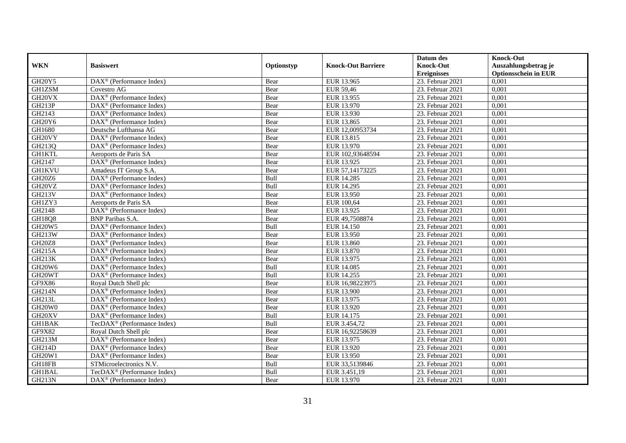|                                 |                                                       |             |                           | Datum des          | <b>Knock-Out</b>            |
|---------------------------------|-------------------------------------------------------|-------------|---------------------------|--------------------|-----------------------------|
| <b>WKN</b>                      | <b>Basiswert</b>                                      | Optionstyp  | <b>Knock-Out Barriere</b> | <b>Knock-Out</b>   | Auszahlungsbetrag je        |
|                                 |                                                       |             |                           | <b>Ereignisses</b> | <b>Optionsschein in EUR</b> |
| GH20Y5                          | DAX <sup>®</sup> (Performance Index)                  | Bear        | EUR 13.965                | 23. Februar 2021   | 0,001                       |
| <b>GH1ZSM</b>                   | Covestro AG                                           | Bear        | <b>EUR 59,46</b>          | 23. Februar 2021   | 0,001                       |
| GH20VX                          | $\overline{\text{DAX}^{\otimes}}$ (Performance Index) | Bear        | EUR 13.955                | 23. Februar 2021   | 0,001                       |
| GH213P                          | $DAX^{\circledcirc}$ (Performance Index)              | Bear        | EUR 13.970                | 23. Februar 2021   | 0,001                       |
| GH2143                          | DAX <sup>®</sup> (Performance Index)                  | Bear        | EUR 13.930                | 23. Februar 2021   | 0,001                       |
| GH <sub>20</sub> Y <sub>6</sub> | $\overline{\text{DAX}^{\otimes}}$ (Performance Index) | Bear        | EUR 13.865                | 23. Februar 2021   | 0,001                       |
| GH1680                          | Deutsche Lufthansa AG                                 | Bear        | EUR 12,00953734           | 23. Februar 2021   | 0,001                       |
| GH20VY                          | DAX <sup>®</sup> (Performance Index)                  | Bear        | EUR 13.815                | 23. Februar 2021   | 0,001                       |
| GH213Q                          | $\text{DAX}^{\textcircled{n}}$ (Performance Index)    | Bear        | EUR 13.970                | 23. Februar 2021   | 0,001                       |
| <b>GH1KTL</b>                   | Aeroports de Paris SA                                 | Bear        | EUR 102,93648594          | 23. Februar 2021   | 0,001                       |
| GH2147                          | $\text{DAX}^{\otimes}$ (Performance Index)            | Bear        | EUR 13.925                | 23. Februar 2021   | 0,001                       |
| <b>GH1KVU</b>                   | Amadeus IT Group S.A.                                 | Bear        | EUR 57,14173225           | $23.$ Februar 2021 | 0,001                       |
| GH20Z6                          | DAX <sup>®</sup> (Performance Index)                  | Bull        | EUR 14.285                | 23. Februar 2021   | 0,001                       |
| GH <sub>20VZ</sub>              | $\text{DAX}^{\textcircled{D}}$ (Performance Index)    | Bull        | EUR 14.295                | 23. Februar 2021   | 0,001                       |
| GH213V                          | DAX <sup>®</sup> (Performance Index)                  | Bear        | EUR 13.950                | 23. Februar 2021   | 0,001                       |
| GH1ZY3                          | Aeroports de Paris SA                                 | Bear        | EUR 100,64                | 23. Februar 2021   | 0,001                       |
| GH2148                          | DAX <sup>®</sup> (Performance Index)                  | Bear        | EUR 13.925                | 23. Februar 2021   | 0,001                       |
| <b>GH18Q8</b>                   | <b>BNP</b> Paribas S.A.                               | Bear        | EUR 49.7508874            | 23. Februar 2021   | 0,001                       |
| <b>GH20W5</b>                   | DAX <sup>®</sup> (Performance Index)                  | Bull        | <b>EUR 14.150</b>         | 23. Februar 2021   | 0,001                       |
| <b>GH213W</b>                   | DAX <sup>®</sup> (Performance Index)                  | Bear        | EUR 13.950                | 23. Februar 2021   | 0,001                       |
| <b>GH20Z8</b>                   | DAX <sup>®</sup> (Performance Index)                  | Bear        | EUR 13.860                | 23. Februar 2021   | 0,001                       |
| <b>GH215A</b>                   | $\overline{\text{DAX}^{\otimes}}$ (Performance Index) | Bear        | EUR 13.870                | 23. Februar 2021   | 0,001                       |
| <b>GH213K</b>                   | DAX <sup>®</sup> (Performance Index)                  | Bear        | EUR 13.975                | 23. Februar 2021   | 0,001                       |
| <b>GH20W6</b>                   | DAX <sup>®</sup> (Performance Index)                  | Bull        | <b>EUR 14.085</b>         | 23. Februar 2021   | 0,001                       |
| GH20WT                          | $\overline{\text{DAX}^{\otimes}}$ (Performance Index) | <b>Bull</b> | EUR 14.255                | 23. Februar 2021   | 0.001                       |
| GF9X86                          | Royal Dutch Shell plc                                 | Bear        | EUR 16,98223975           | 23. Februar 2021   | 0,001                       |
| <b>GH214N</b>                   | DAX <sup>®</sup> (Performance Index)                  | Bear        | <b>EUR 13.900</b>         | 23. Februar 2021   | 0,001                       |
| GH213L                          | $\text{DAX}^{\textcircled{D}}$ (Performance Index)    | Bear        | EUR 13.975                | 23. Februar 2021   | 0,001                       |
| GH20W0                          | $\overline{\text{DAX}^{\otimes}}$ (Performance Index) | Bear        | EUR 13.920                | 23. Februar 2021   | 0,001                       |
| GH20XV                          | DAX <sup>®</sup> (Performance Index)                  | Bull        | EUR 14.175                | 23. Februar 2021   | 0,001                       |
| <b>GH1BAK</b>                   | TecDAX <sup>®</sup> (Performance Index)               | Bull        | EUR 3.454,72              | 23. Februar 2021   | 0,001                       |
| GF9X82                          | Royal Dutch Shell plc                                 | Bear        | EUR 16,92258639           | 23. Februar 2021   | 0,001                       |
| <b>GH213M</b>                   | $\text{DAX}^{\textcircled{D}}$ (Performance Index)    | Bear        | EUR 13.975                | 23. Februar 2021   | 0,001                       |
| <b>GH214D</b>                   | DAX <sup>®</sup> (Performance Index)                  | Bear        | EUR 13.920                | 23. Februar 2021   | 0,001                       |
| <b>GH20W1</b>                   | DAX <sup>®</sup> (Performance Index)                  | Bear        | EUR 13.950                | 23. Februar 2021   | 0,001                       |
| GH18FB                          | STMicroelectronics N.V.                               | Bull        | EUR 33,5139846            | 23. Februar 2021   | 0,001                       |
| <b>GH1BAL</b>                   | TecDAX <sup>®</sup> (Performance Index)               | Bull        | EUR 3.451,19              | 23. Februar 2021   | 0,001                       |
| <b>GH213N</b>                   | DAX <sup>®</sup> (Performance Index)                  | Bear        | EUR 13.970                | 23. Februar 2021   | 0,001                       |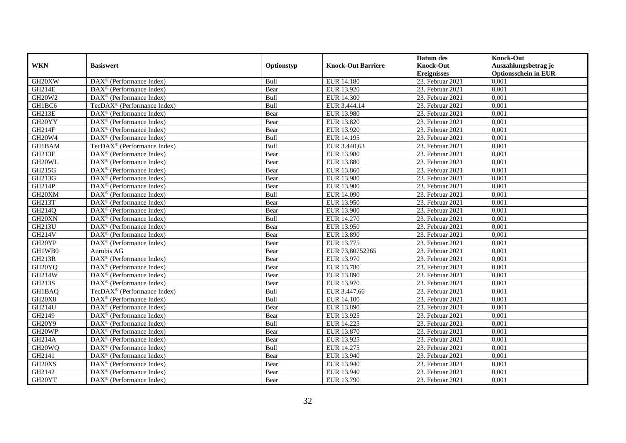|                     |                                                         |            |                           | Datum des          | <b>Knock-Out</b>            |
|---------------------|---------------------------------------------------------|------------|---------------------------|--------------------|-----------------------------|
| <b>WKN</b>          | <b>Basiswert</b>                                        | Optionstyp | <b>Knock-Out Barriere</b> | <b>Knock-Out</b>   | Auszahlungsbetrag je        |
|                     |                                                         |            |                           | <b>Ereignisses</b> | <b>Optionsschein in EUR</b> |
| GH20XW              | DAX <sup>®</sup> (Performance Index)                    | Bull       | EUR 14.180                | 23. Februar 2021   | 0,001                       |
| GH214E              | $\text{DAX}^{\textcircled{p}}$ (Performance Index)      | Bear       | EUR 13.920                | 23. Februar 2021   | 0,001                       |
| GH20W2              | $DAX^{\circledR}$ (Performance Index)                   | Bull       | <b>EUR 14.300</b>         | 23. Februar 2021   | 0,001                       |
| GH1BC6              | TecDAX <sup>®</sup> (Performance Index)                 | Bull       | EUR 3.444,14              | 23. Februar 2021   | 0,001                       |
| <b>GH213E</b>       | DAX <sup>®</sup> (Performance Index)                    | Bear       | EUR 13.980                | 23. Februar 2021   | 0,001                       |
| GH20YY              | DAX <sup>®</sup> (Performance Index)                    | Bear       | EUR 13.820                | 23. Februar 2021   | 0,001                       |
| <b>GH214F</b>       | $DAX^{\otimes}$ (Performance Index)                     | Bear       | EUR 13.920                | 23. Februar 2021   | 0,001                       |
| <b>GH20W4</b>       | DAX <sup>®</sup> (Performance Index)                    | Bull       | EUR 14.195                | 23. Februar 2021   | 0,001                       |
| GH1BAM              | TecDAX <sup>®</sup> (Performance Index)                 | Bull       | EUR 3.440,63              | 23. Februar 2021   | 0,001                       |
| <b>GH213F</b>       | DAX <sup>®</sup> (Performance Index)                    | Bear       | <b>EUR 13.980</b>         | 23. Februar 2021   | 0,001                       |
| GH20WL              | $\overline{\text{DAX}^{\otimes}}$ (Performance Index)   | Bear       | EUR 13.880                | 23. Februar 2021   | 0,001                       |
| GH215G              | DAX <sup>®</sup> (Performance Index)                    | Bear       | EUR 13.860                | 23. Februar 2021   | 0,001                       |
| GH213G              | $\text{DAX}^{\textcircled{n}}$ (Performance Index)      | Bear       | <b>EUR 13.980</b>         | 23. Februar 2021   | 0,001                       |
| <b>GH214P</b>       | DAX <sup>®</sup> (Performance Index)                    | Bear       | <b>EUR 13.900</b>         | 23. Februar 2021   | 0.001                       |
| GH20XM              | DAX <sup>®</sup> (Performance Index)                    | Bull       | EUR 14.090                | 23. Februar 2021   | 0,001                       |
| GH213T              | DAX <sup>®</sup> (Performance Index)                    | Bear       | EUR 13.950                | 23. Februar 2021   | 0,001                       |
| GH214Q              | DAX <sup>®</sup> (Performance Index)                    | Bear       | <b>EUR 13.900</b>         | 23. Februar 2021   | 0,001                       |
| GH20XN              | DAX <sup>®</sup> (Performance Index)                    | Bull       | EUR 14.270                | 23. Februar 2021   | 0,001                       |
| <b>GH213U</b>       | $\text{DAX}^{\textcircled{n}}$ (Performance Index)      | Bear       | EUR 13.950                | 23. Februar 2021   | 0,001                       |
| GH214V              | $\text{DAX}^{\otimes}$ (Performance Index)              | Bear       | EUR 13.890                | 23. Februar 2021   | 0,001                       |
| GH20YP              | DAX <sup>®</sup> (Performance Index)                    | Bear       | EUR 13.775                | 23. Februar 2021   | 0,001                       |
| GH1WB0              | Aurubis AG                                              | Bear       | EUR 73,80752265           | 23. Februar 2021   | 0,001                       |
| <b>GH213R</b>       | $\overline{\text{DAX}}^{\textcirc}$ (Performance Index) | Bear       | EUR 13.970                | 23. Februar 2021   | 0,001                       |
| GH <sub>20</sub> YQ | $\text{DAX}^{\textcircled{D}}$ (Performance Index)      | Bear       | <b>EUR 13.780</b>         | 23. Februar 2021   | 0,001                       |
| GH214W              | $\text{DAX}^{\textcircled{D}}$ (Performance Index)      | Bear       | <b>EUR 13.890</b>         | 23. Februar 2021   | 0,001                       |
| GH213S              | DAX <sup>®</sup> (Performance Index)                    | Bear       | EUR 13.970                | 23. Februar 2021   | 0,001                       |
| GH1BAQ              | TecDAX <sup>®</sup> (Performance Index)                 | Bull       | EUR 3.447,66              | 23. Februar 2021   | 0,001                       |
| <b>GH20X8</b>       | DAX <sup>®</sup> (Performance Index)                    | Bull       | <b>EUR 14.100</b>         | 23. Februar 2021   | 0,001                       |
| <b>GH214U</b>       | $\text{DAX}^{\textcircled{n}}$ (Performance Index)      | Bear       | EUR 13.890                | 23. Februar 2021   | 0,001                       |
| GH2149              | $\text{DAX}^{\textcircled{n}}$ (Performance Index)      | Bear       | EUR 13.925                | 23. Februar 2021   | 0,001                       |
| GH20Y9              | $DAX^{\otimes}$ (Performance Index)                     | Bull       | EUR 14.225                | 23. Februar 2021   | 0,001                       |
| GH20WP              | DAX <sup>®</sup> (Performance Index)                    | Bear       | EUR 13.870                | 23. Februar 2021   | 0,001                       |
| <b>GH214A</b>       | $\overline{\text{DAX}^{\otimes}}$ (Performance Index)   | Bear       | EUR 13.925                | 23. Februar 2021   | 0,001                       |
| GH20WQ              | $\overline{\text{DAX}}^{\textcirc}$ (Performance Index) | Bull       | EUR 14.275                | $23.$ Februar 2021 | 0,001                       |
| GH2141              | $\text{DAX}^{\textcircled{n}}$ (Performance Index)      | Bear       | EUR 13.940                | 23. Februar 2021   | 0,001                       |
| GH20XS              | $\text{DAX}^{\textcircled{n}}$ (Performance Index)      | Bear       | EUR 13.940                | 23. Februar 2021   | 0,001                       |
| GH2142              | $\text{DAX}^{\otimes}$ (Performance Index)              | Bear       | EUR 13.940                | 23. Februar 2021   | 0,001                       |
| GH20YT              | $\text{DAX}^{\textcircled{n}}$ (Performance Index)      | Bear       | EUR 13.790                | 23. Februar 2021   | 0,001                       |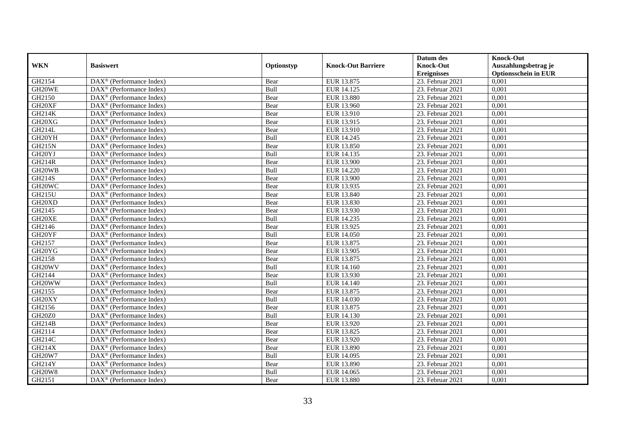|                     |                                                              |            |                           | Datum des          | <b>Knock-Out</b>            |
|---------------------|--------------------------------------------------------------|------------|---------------------------|--------------------|-----------------------------|
| <b>WKN</b>          | <b>Basiswert</b>                                             | Optionstyp | <b>Knock-Out Barriere</b> | <b>Knock-Out</b>   | Auszahlungsbetrag je        |
|                     |                                                              |            |                           | <b>Ereignisses</b> | <b>Optionsschein in EUR</b> |
| GH2154              | DAX <sup>®</sup> (Performance Index)                         | Bear       | EUR 13.875                | 23. Februar 2021   | 0,001                       |
| GH20WE              | $DAX^{\circledR}$ (Performance Index)                        | Bull       | EUR 14.125                | 23. Februar 2021   | 0,001                       |
| GH2150              | DAX <sup>®</sup> (Performance Index)                         | Bear       | EUR 13.880                | 23. Februar 2021   | 0,001                       |
| GH20XF              | $\text{DAX}^{\otimes}$ (Performance Index)                   | Bear       | EUR 13.960                | 23. Februar 2021   | 0,001                       |
| GH214K              | DAX <sup>®</sup> (Performance Index)                         | Bear       | EUR 13.910                | 23. Februar 2021   | 0,001                       |
| GH20XG              | $\text{DAX}^{\textcircled{n}}$ (Performance Index)           | Bear       | EUR 13.915                | 23. Februar 2021   | 0,001                       |
| GH214L              | $\text{DAX}^{\textcircled{n}}$ (Performance Index)           | Bear       | EUR 13.910                | 23. Februar 2021   | 0,001                       |
| GH20YH              | $\text{DAX}^{\textcircled{}}$ (Performance Index)            | Bull       | EUR 14.245                | 23. Februar 2021   | 0,001                       |
| <b>GH215N</b>       | $\text{DAX}^{\textcircled{p}}$ (Performance Index)           | Bear       | EUR 13.850                | 23. Februar 2021   | 0,001                       |
| GH20YJ              | $DAX^{\otimes}$ (Performance Index)                          | Bull       | EUR 14.135                | 23. Februar 2021   | 0,001                       |
| <b>GH214R</b>       | $\overline{\text{DAX}}^{\textcircled{}}$ (Performance Index) | Bear       | <b>EUR 13.900</b>         | 23. Februar 2021   | 0,001                       |
| GH <sub>20</sub> WB | $\overline{\text{DAX}^{\otimes}}$ (Performance Index)        | Bull       | <b>EUR 14.220</b>         | 23. Februar 2021   | 0,001                       |
| GH214S              | $\text{DAX}^{\textcircled{n}}$ (Performance Index)           | Bear       | EUR 13.900                | 23. Februar 2021   | 0,001                       |
| GH20WC              | DAX <sup>®</sup> (Performance Index)                         | Bear       | EUR 13.935                | 23. Februar 2021   | 0,001                       |
| GH215U              | DAX <sup>®</sup> (Performance Index)                         | Bear       | EUR 13.840                | 23. Februar 2021   | 0,001                       |
| GH20XD              | DAX <sup>®</sup> (Performance Index)                         | Bear       | EUR 13.830                | 23. Februar 2021   | 0,001                       |
| GH2145              | DAX <sup>®</sup> (Performance Index)                         | Bear       | EUR 13.930                | 23. Februar 2021   | 0,001                       |
| GH20XE              | $\overline{\text{DAX}}^{\textcirc}$ (Performance Index)      | Bull       | EUR 14.235                | 23. Februar 2021   | 0,001                       |
| GH2146              | DAX <sup>®</sup> (Performance Index)                         | Bear       | EUR 13.925                | 23. Februar 2021   | 0,001                       |
| GH20YF              | DAX <sup>®</sup> (Performance Index)                         | Bull       | EUR 14.050                | 23. Februar 2021   | 0,001                       |
| GH2157              | DAX <sup>®</sup> (Performance Index)                         | Bear       | EUR 13.875                | 23. Februar 2021   | 0,001                       |
| GH <sub>20</sub> YG | $\overline{\text{DAX}^{\otimes}}$ (Performance Index)        | Bear       | EUR 13.905                | 23. Februar 2021   | 0,001                       |
| GH2158              | $\text{DAX}^{\circledast}$ (Performance Index)               | Bear       | EUR 13.875                | 23. Februar 2021   | 0,001                       |
| GH <sub>20</sub> WV | DAX <sup>®</sup> (Performance Index)                         | Bull       | EUR 14.160                | 23. Februar 2021   | 0,001                       |
| GH2144              | DAX <sup>®</sup> (Performance Index)                         | Bear       | EUR 13.930                | 23. Februar 2021   | 0,001                       |
| GH20WW              | $\text{DAX}^{\otimes}$ (Performance Index)                   | Bull       | EUR 14.140                | 23. Februar 2021   | 0,001                       |
| GH2155              | $\text{DAX}^{\circledast}$ (Performance Index)               | Bear       | EUR 13.875                | 23. Februar 2021   | 0,001                       |
| GH20XY              | $DAX^{\circledR}$ (Performance Index)                        | Bull       | EUR 14.030                | $23.$ Februar 2021 | 0,001                       |
| GH2156              | $\text{DAX}^{\textcircled{p}}$ (Performance Index)           | Bear       | EUR 13.875                | 23. Februar 2021   | 0,001                       |
| <b>GH20Z0</b>       | $DAX^{\circledcirc}$ (Performance Index)                     | Bull       | EUR 14.130                | 23. Februar 2021   | 0,001                       |
| GH214B              | DAX <sup>®</sup> (Performance Index)                         | Bear       | EUR 13.920                | 23. Februar 2021   | 0,001                       |
| GH2114              | $\text{DAX}^{\otimes}$ (Performance Index)                   | Bear       | EUR 13.825                | 23. Februar 2021   | 0,001                       |
| GH214C              | $\overline{\text{DAX}^{\otimes}}$ (Performance Index)        | Bear       | EUR 13.920                | 23. Februar 2021   | 0,001                       |
| GH214X              | DAX <sup>®</sup> (Performance Index)                         | Bear       | EUR 13.890                | $23.$ Februar 2021 | 0,001                       |
| <b>GH20W7</b>       | $\text{DAX}^{\textcircled{n}}$ (Performance Index)           | Bull       | EUR 14.095                | 23. Februar 2021   | 0,001                       |
| GH214Y              | $\text{DAX}^{\textcircled{n}}$ (Performance Index)           | Bear       | EUR 13.890                | 23. Februar 2021   | 0,001                       |
| <b>GH20W8</b>       | $\text{DAX}^{\otimes}$ (Performance Index)                   | Bull       | EUR 14.065                | 23. Februar 2021   | 0,001                       |
| GH2151              | $\overline{\text{DAX}}^{\textcirc}$ (Performance Index)      | Bear       | <b>EUR 13.880</b>         | 23. Februar 2021   | 0,001                       |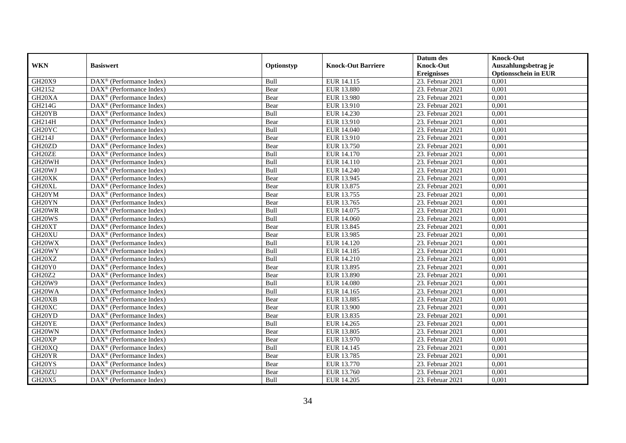|                                 |                                                              |             |                           | Datum des          | <b>Knock-Out</b>            |
|---------------------------------|--------------------------------------------------------------|-------------|---------------------------|--------------------|-----------------------------|
| <b>WKN</b>                      | <b>Basiswert</b>                                             | Optionstyp  | <b>Knock-Out Barriere</b> | <b>Knock-Out</b>   | Auszahlungsbetrag je        |
|                                 |                                                              |             |                           | <b>Ereignisses</b> | <b>Optionsschein in EUR</b> |
| GH20X9                          | DAX <sup>®</sup> (Performance Index)                         | Bull        | EUR 14.115                | 23. Februar 2021   | 0,001                       |
| GH2152                          | $DAX^{\circledR}$ (Performance Index)                        | Bear        | <b>EUR 13.880</b>         | 23. Februar 2021   | 0,001                       |
| GH <sub>20</sub> XA             | DAX <sup>®</sup> (Performance Index)                         | Bear        | EUR 13.980                | 23. Februar 2021   | 0,001                       |
| GH214G                          | $\text{DAX}^{\circledast}$ (Performance Index)               | Bear        | EUR 13.910                | 23. Februar 2021   | 0,001                       |
| GH <sub>20</sub> YB             | DAX <sup>®</sup> (Performance Index)                         | Bull        | EUR 14.230                | 23. Februar 2021   | 0,001                       |
| GH214H                          | $\text{DAX}^{\circledast}$ (Performance Index)               | Bear        | EUR 13.910                | 23. Februar 2021   | 0,001                       |
| GH20YC                          | $\text{DAX}^{\textcircled{n}}$ (Performance Index)           | Bull        | EUR 14.040                | 23. Februar 2021   | 0,001                       |
| GH214J                          | $\text{DAX}^{\textcircled{}}$ (Performance Index)            | Bear        | EUR 13.910                | 23. Februar 2021   | 0,001                       |
| GH <sub>20</sub> ZD             | $\text{DAX}^{\textcircled{p}}$ (Performance Index)           | Bear        | EUR 13.750                | 23. Februar 2021   | 0,001                       |
| GH20ZE                          | $DAX^{\otimes}$ (Performance Index)                          | Bull        | EUR 14.170                | 23. Februar 2021   | 0,001                       |
| GH20WH                          | $\overline{\text{DAX}}^{\textcircled{}}$ (Performance Index) | Bull        | <b>EUR 14.110</b>         | 23. Februar 2021   | 0,001                       |
| GH <sub>20</sub> WJ             | $\overline{\text{DAX}^{\otimes}}$ (Performance Index)        | Bull        | <b>EUR 14.240</b>         | 23. Februar 2021   | 0,001                       |
| GH20XK                          | $\text{DAX}^{\circledast}$ (Performance Index)               | Bear        | EUR 13.945                | 23. Februar 2021   | 0,001                       |
| GH20XL                          | DAX <sup>®</sup> (Performance Index)                         | Bear        | EUR 13.875                | 23. Februar 2021   | 0,001                       |
| GH20YM                          | DAX <sup>®</sup> (Performance Index)                         | Bear        | EUR 13.755                | 23. Februar 2021   | 0,001                       |
| GH20YN                          | DAX <sup>®</sup> (Performance Index)                         | Bear        | EUR 13.765                | 23. Februar 2021   | 0,001                       |
| GH20WR                          | DAX <sup>®</sup> (Performance Index)                         | Bull        | EUR 14.075                | 23. Februar 2021   | 0,001                       |
| GH20WS                          | $\overline{\text{DAX}}^{\textcirc}$ (Performance Index)      | <b>Bull</b> | EUR 14.060                | 23. Februar 2021   | 0,001                       |
| GH20XT                          | DAX <sup>®</sup> (Performance Index)                         | Bear        | EUR 13.845                | 23. Februar 2021   | 0,001                       |
| GH <sub>20</sub> XU             | DAX <sup>®</sup> (Performance Index)                         | Bear        | EUR 13.985                | 23. Februar 2021   | 0,001                       |
| GH20WX                          | DAX <sup>®</sup> (Performance Index)                         | Bull        | EUR 14.120                | 23. Februar 2021   | 0,001                       |
| GH20WY                          | $\overline{\text{DAX}^{\otimes}}$ (Performance Index)        | Bull        | <b>EUR 14.185</b>         | 23. Februar 2021   | 0,001                       |
| GH20XZ                          | $\text{DAX}^{\circledast}$ (Performance Index)               | Bull        | EUR 14.210                | 23. Februar 2021   | 0,001                       |
| GH <sub>20</sub> Y <sub>0</sub> | DAX <sup>®</sup> (Performance Index)                         | Bear        | EUR 13.895                | 23. Februar 2021   | 0,001                       |
| GH20Z2                          | DAX <sup>®</sup> (Performance Index)                         | Bear        | EUR 13.890                | 23. Februar 2021   | 0,001                       |
| GH20W9                          | $\text{DAX}^{\otimes}$ (Performance Index)                   | Bull        | <b>EUR 14.080</b>         | 23. Februar 2021   | 0,001                       |
| GH20WA                          | $\text{DAX}^{\circledast}$ (Performance Index)               | Bull        | EUR 14.165                | 23. Februar 2021   | 0,001                       |
| GH20XB                          | $\text{DAX}^{\textcircled{D}}$ (Performance Index)           | Bear        | EUR 13.885                | $23.$ Februar 2021 | 0,001                       |
| GH <sub>20</sub> XC             | $\text{DAX}^{\textcircled{D}}$ (Performance Index)           | Bear        | EUR 13.900                | 23. Februar 2021   | 0,001                       |
| GH <sub>20</sub> YD             | $DAX^{\circledcirc}$ (Performance Index)                     | Bear        | EUR 13.835                | 23. Februar 2021   | 0,001                       |
| GH20YE                          | DAX <sup>®</sup> (Performance Index)                         | Bull        | EUR 14.265                | 23. Februar 2021   | 0,001                       |
| GH20WN                          | $\text{DAX}^{\otimes}$ (Performance Index)                   | Bear        | EUR 13.805                | 23. Februar 2021   | 0,001                       |
| GH <sub>20</sub> XP             | $\overline{\text{DAX}^{\otimes}}$ (Performance Index)        | Bear        | EUR 13.970                | 23. Februar 2021   | 0,001                       |
| GH <sub>20</sub> XQ             | $\text{DAX}^{\circledast}$ (Performance Index)               | Bull        | EUR 14.145                | $23.$ Februar 2021 | 0,001                       |
| GH20YR                          | $\text{DAX}^{\textcircled{n}}$ (Performance Index)           | Bear        | EUR 13.785                | 23. Februar 2021   | 0,001                       |
| GH20YS                          | $\text{DAX}^{\textcircled{n}}$ (Performance Index)           | Bear        | EUR 13.770                | 23. Februar 2021   | 0,001                       |
| GH20ZU                          | $\text{DAX}^{\otimes}$ (Performance Index)                   | Bear        | EUR 13.760                | 23. Februar 2021   | 0,001                       |
| GH20X5                          | $\overline{\text{DAX}}^{\textcirc}$ (Performance Index)      | Bull        | EUR 14.205                | 23. Februar 2021   | 0,001                       |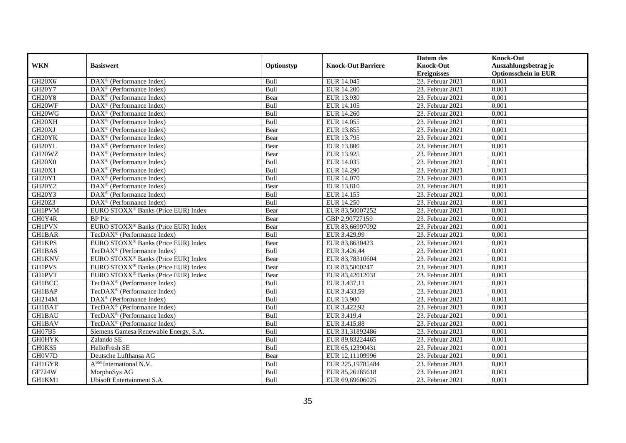|                                 |                                                              |             |                           | Datum des          | <b>Knock-Out</b>            |
|---------------------------------|--------------------------------------------------------------|-------------|---------------------------|--------------------|-----------------------------|
| <b>WKN</b>                      | <b>Basiswert</b>                                             | Optionstyp  | <b>Knock-Out Barriere</b> | <b>Knock-Out</b>   | Auszahlungsbetrag je        |
|                                 |                                                              |             |                           | <b>Ereignisses</b> | <b>Optionsschein in EUR</b> |
| GH20X6                          | DAX <sup>®</sup> (Performance Index)                         | Bull        | EUR 14.045                | 23. Februar 2021   | 0,001                       |
| GH20Y7                          | $\text{DAX}^{\textcircled{n}}$ (Performance Index)           | Bull        | <b>EUR 14.200</b>         | 23. Februar 2021   | 0,001                       |
| <b>GH20Y8</b>                   | DAX <sup>®</sup> (Performance Index)                         | Bear        | EUR 13.930                | 23. Februar 2021   | 0,001                       |
| GH20WF                          | $DAX^{\circledcirc}$ (Performance Index)                     | Bull        | EUR 14.105                | 23. Februar 2021   | 0,001                       |
| GH <sub>20</sub> W <sub>G</sub> | DAX <sup>®</sup> (Performance Index)                         | Bull        | <b>EUR 14.260</b>         | 23. Februar 2021   | 0,001                       |
| GH20XH                          | $\text{DAX}^{\textcircled{D}}$ (Performance Index)           | Bull        | EUR 14.055                | 23. Februar 2021   | 0,001                       |
| GH <sub>20</sub> XJ             | $DAX^{\otimes}$ (Performance Index)                          | Bear        | EUR 13.855                | 23. Februar 2021   | 0,001                       |
| GH20YK                          | $\text{DAX}^{\textcircled{n}}$ (Performance Index)           | Bear        | EUR 13.795                | 23. Februar 2021   | 0,001                       |
| GH20YL                          | $\text{DAX}^{\textcircled{n}}$ (Performance Index)           | Bear        | <b>EUR 13.800</b>         | 23. Februar 2021   | 0,001                       |
| GH20WZ                          | $\text{DAX}^{\otimes}$ (Performance Index)                   | Bear        | EUR 13.925                | 23. Februar 2021   | 0,001                       |
| GH20X0                          | $\overline{\text{DAX}}^{\textcircled{}}$ (Performance Index) | Bull        | EUR 14.035                | 23. Februar 2021   | 0,001                       |
| <b>GH20X1</b>                   | DAX <sup>®</sup> (Performance Index)                         | Bull        | <b>EUR 14.290</b>         | 23. Februar 2021   | 0,001                       |
| GH20Y1                          | DAX <sup>®</sup> (Performance Index)                         | Bull        | EUR 14.070                | 23. Februar 2021   | 0,001                       |
| <b>GH20Y2</b>                   | $DAX^{\circledR}$ (Performance Index)                        | Bear        | EUR 13.810                | 23. Februar 2021   | 0,001                       |
| GH20Y3                          | $\text{DAX}^{\otimes}$ (Performance Index)                   | Bull        | EUR 14.155                | 23. Februar 2021   | 0,001                       |
| GH20Z3                          | DAX <sup>®</sup> (Performance Index)                         | Bull        | <b>EUR 14.250</b>         | 23. Februar 2021   | 0,001                       |
| <b>GH1PVM</b>                   | EURO STOXX <sup>®</sup> Banks (Price EUR) Index              | Bear        | EUR 83,50007252           | 23. Februar 2021   | 0,001                       |
| GH0Y4R                          | <b>BP</b> Plc                                                | Bear        | GBP 2.90727159            | 23. Februar 2021   | 0,001                       |
| <b>GH1PVN</b>                   | EURO STOXX <sup>®</sup> Banks (Price EUR) Index              | Bear        | EUR 83,66997092           | 23. Februar 2021   | 0,001                       |
| <b>GH1BAR</b>                   | TecDAX <sup>®</sup> (Performance Index)                      | Bull        | EUR 3.429,99              | 23. Februar 2021   | 0,001                       |
| <b>GH1KPS</b>                   | EURO STOXX <sup>®</sup> Banks (Price EUR) Index              | Bear        | EUR 83,8630423            | 23. Februar 2021   | 0,001                       |
| <b>GH1BAS</b>                   | TecDAX <sup>®</sup> (Performance Index)                      | Bull        | EUR 3.426,44              | 23. Februar 2021   | 0,001                       |
| <b>GH1KNV</b>                   | EURO STOXX <sup>®</sup> Banks (Price EUR) Index              | Bear        | EUR 83,78310604           | 23. Februar 2021   | 0,001                       |
| <b>GH1PVS</b>                   | EURO STOXX <sup>®</sup> Banks (Price EUR) Index              | Bear        | EUR 83,5800247            | 23. Februar 2021   | 0,001                       |
| <b>GH1PVT</b>                   | EURO STOXX <sup>®</sup> Banks (Price EUR) Index              | Bear        | EUR 83,42012031           | 23. Februar 2021   | 0.001                       |
| <b>GH1BCC</b>                   | TecDAX <sup>®</sup> (Performance Index)                      | Bull        | EUR 3.437,11              | 23. Februar 2021   | 0,001                       |
| <b>GH1BAP</b>                   | TecDAX <sup>®</sup> (Performance Index)                      | Bull        | EUR 3.433,59              | 23. Februar 2021   | 0,001                       |
| GH214M                          | $\text{DAX}^{\textcircled{D}}$ (Performance Index)           | Bull        | <b>EUR 13.900</b>         | 23. Februar 2021   | 0,001                       |
| GH1BAT                          | TecDAX <sup>®</sup> (Performance Index)                      | Bull        | EUR 3.422,92              | 23. Februar 2021   | 0,001                       |
| <b>GH1BAU</b>                   | TecDAX <sup>®</sup> (Performance Index)                      | Bull        | EUR 3.419,4               | 23. Februar 2021   | 0,001                       |
| GH1BAV                          | TecDAX <sup>®</sup> (Performance Index)                      | Bull        | EUR 3.415,88              | 23. Februar 2021   | 0,001                       |
| GH07B5                          | Siemens Gamesa Renewable Energy, S.A.                        | <b>Bull</b> | EUR 31,31892486           | 23. Februar 2021   | 0,001                       |
| <b>GH0HYK</b>                   | Zalando SE                                                   | Bull        | EUR 89,83224465           | 23. Februar 2021   | 0,001                       |
| GH0KS5                          | HelloFresh SE                                                | Bull        | EUR 65,12390431           | 23. Februar 2021   | 0,001                       |
| GH0V7D                          | Deutsche Lufthansa AG                                        | Bear        | EUR 12,11109996           | 23. Februar 2021   | 0,001                       |
| GH1GYR                          | A <sup>SM</sup> International N.V.                           | Bull        | EUR 225,19785484          | 23. Februar 2021   | 0,001                       |
| <b>GF724W</b>                   | MorphoSys AG                                                 | Bull        | EUR 85,26185618           | 23. Februar 2021   | 0,001                       |
| GH1KM1                          | Ubisoft Entertainment S.A.                                   | Bull        | EUR 69,69606025           | 23. Februar 2021   | 0,001                       |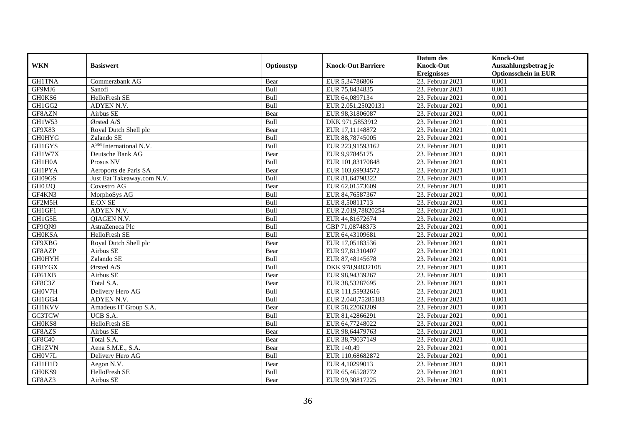|               |                                    |            |                           | Datum des          | <b>Knock-Out</b>            |
|---------------|------------------------------------|------------|---------------------------|--------------------|-----------------------------|
| <b>WKN</b>    | <b>Basiswert</b>                   | Optionstyp | <b>Knock-Out Barriere</b> | <b>Knock-Out</b>   | Auszahlungsbetrag je        |
|               |                                    |            |                           | <b>Ereignisses</b> | <b>Optionsschein in EUR</b> |
| <b>GH1TNA</b> | Commerzbank AG                     | Bear       | EUR 5,34786806            | 23. Februar 2021   | 0,001                       |
| GF9MJ6        | Sanofi                             | Bull       | EUR 75,8434835            | 23. Februar 2021   | 0,001                       |
| GH0KS6        | HelloFresh SE                      | Bull       | EUR 64,0897134            | 23. Februar 2021   | 0,001                       |
| GH1GG2        | ADYEN N.V.                         | Bull       | EUR 2.051,25020131        | 23. Februar 2021   | 0,001                       |
| GF8AZN        | Airbus SE                          | Bear       | EUR 98,31806087           | 23. Februar 2021   | 0,001                       |
| <b>GH1W53</b> | Ørsted $A/S$                       | Bull       | DKK 971,5853912           | 23. Februar 2021   | 0,001                       |
| GF9X83        | Royal Dutch Shell plc              | Bear       | EUR 17,11148872           | 23. Februar 2021   | 0,001                       |
| <b>GH0HYG</b> | Zalando SE                         | Bull       | EUR 88,78745005           | 23. Februar 2021   | 0,001                       |
| <b>GH1GYS</b> | A <sup>SM</sup> International N.V. | Bull       | EUR 223,91593162          | 23. Februar 2021   | 0,001                       |
| GH1W7X        | Deutsche Bank AG                   | Bear       | EUR 9,97845175            | 23. Februar 2021   | 0,001                       |
| GH1H0A        | Prosus NV                          | Bull       | EUR 101,83170848          | 23. Februar 2021   | 0,001                       |
| <b>GH1PYA</b> | Aeroports de Paris SA              | Bear       | EUR 103,69934572          | 23. Februar 2021   | 0,001                       |
| GH09GS        | Just Eat Takeaway.com N.V.         | Bull       | EUR 81,64798322           | 23. Februar 2021   | 0,001                       |
| GH0J2Q        | Covestro AG                        | Bear       | EUR 62,01573609           | 23. Februar 2021   | 0,001                       |
| GF4KN3        | MorphoSys AG                       | Bull       | EUR 84,76587367           | 23. Februar 2021   | 0,001                       |
| GF2M5H        | <b>E.ON SE</b>                     | Bull       | EUR 8,50811713            | 23. Februar 2021   | 0,001                       |
| GH1GF1        | ADYEN N.V.                         | Bull       | EUR 2.019,78820254        | 23. Februar 2021   | 0,001                       |
| GH1G5E        | <b>OIAGEN N.V.</b>                 | Bull       | EUR 44,81672674           | 23. Februar 2021   | 0,001                       |
| GF9QN9        | AstraZeneca Plc                    | Bull       | GBP 71,08748373           | 23. Februar 2021   | 0,001                       |
| <b>GH0KSA</b> | HelloFresh SE                      | Bull       | EUR 64,43109681           | 23. Februar 2021   | 0,001                       |
| GF9XBG        | Royal Dutch Shell plc              | Bear       | EUR 17,05183536           | 23. Februar 2021   | 0,001                       |
| GF8AZP        | Airbus SE                          | Bear       | EUR 97,81310407           | 23. Februar 2021   | 0,001                       |
| <b>GH0HYH</b> | Zalando SE                         | Bull       | EUR 87,48145678           | 23. Februar 2021   | 0,001                       |
| GF8YGX        | Ørsted A/S                         | Bull       | DKK 978,94832108          | 23. Februar 2021   | 0,001                       |
| GF61XB        | Airbus SE                          | Bear       | EUR 98,94339267           | 23. Februar 2021   | 0,001                       |
| GF8C3Z        | Total S.A.                         | Bear       | EUR 38,53287695           | 23. Februar 2021   | 0,001                       |
| GH0V7H        | Delivery Hero AG                   | Bull       | EUR 111,55932616          | 23. Februar 2021   | 0,001                       |
| GH1GG4        | ADYEN N.V.                         | Bull       | EUR 2.040,75285183        | 23. Februar 2021   | 0,001                       |
| <b>GH1KVV</b> | Amadeus IT Group S.A.              | Bear       | EUR 58,22063209           | 23. Februar 2021   | 0,001                       |
| <b>GC3TCW</b> | UCB S.A.                           | Bull       | EUR 81,42866291           | 23. Februar 2021   | 0,001                       |
| GH0KS8        | HelloFresh SE                      | Bull       | EUR 64,77248022           | 23. Februar 2021   | 0,001                       |
| GF8AZS        | Airbus SE                          | Bear       | EUR 98,64479763           | 23. Februar 2021   | 0,001                       |
| GF8C40        | Total S.A.                         | Bear       | EUR 38,79037149           | 23. Februar 2021   | 0,001                       |
| <b>GH1ZVN</b> | Aena S.M.E., S.A.                  | Bear       | EUR 140.49                | 23. Februar 2021   | 0,001                       |
| GH0V7L        | Delivery Hero AG                   | Bull       | EUR 110,68682872          | 23. Februar 2021   | 0,001                       |
| GH1H1D        | Aegon N.V.                         | Bear       | EUR 4,10299013            | 23. Februar 2021   | 0,001                       |
| GH0KS9        | HelloFresh SE                      | Bull       | EUR 65,46528772           | 23. Februar 2021   | 0,001                       |
| GF8AZ3        | Airbus SE                          | Bear       | EUR 99,30817225           | 23. Februar 2021   | 0,001                       |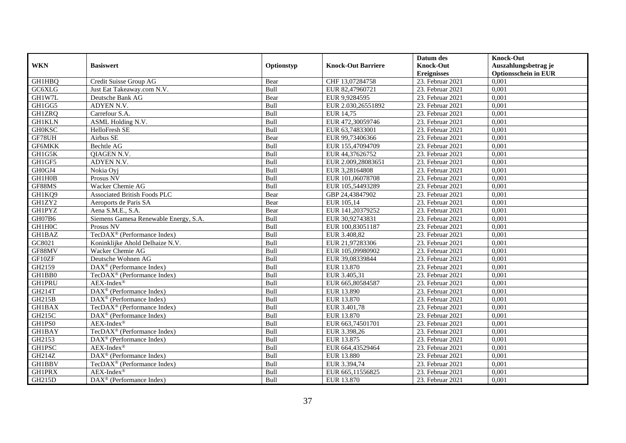|               |                                                              |             |                           | Datum des          | <b>Knock-Out</b>            |
|---------------|--------------------------------------------------------------|-------------|---------------------------|--------------------|-----------------------------|
| <b>WKN</b>    | <b>Basiswert</b>                                             | Optionstyp  | <b>Knock-Out Barriere</b> | <b>Knock-Out</b>   | Auszahlungsbetrag je        |
|               |                                                              |             |                           | <b>Ereignisses</b> | <b>Optionsschein in EUR</b> |
| <b>GH1HBQ</b> | Credit Suisse Group AG                                       | Bear        | CHF 13,07284758           | 23. Februar 2021   | 0,001                       |
| GC6XLG        | Just Eat Takeaway.com N.V.                                   | Bull        | EUR 82,47960721           | 23. Februar 2021   | 0,001                       |
| GH1W7L        | Deutsche Bank AG                                             | Bear        | EUR 9,9284595             | 23. Februar 2021   | 0,001                       |
| GH1GG5        | ADYEN N.V.                                                   | Bull        | EUR 2.030,26551892        | 23. Februar 2021   | 0,001                       |
| <b>GH1ZRQ</b> | Carrefour S.A.                                               | Bull        | EUR 14,75                 | 23. Februar 2021   | 0,001                       |
| <b>GH1KLN</b> | ASML Holding N.V.                                            | Bull        | EUR 472,30059746          | 23. Februar 2021   | 0,001                       |
| <b>GH0KSC</b> | HelloFresh SE                                                | Bull        | EUR 63,74833001           | 23. Februar 2021   | 0,001                       |
| GF78UH        | Airbus SE                                                    | Bear        | EUR 99,73406366           | 23. Februar 2021   | 0,001                       |
| <b>GF6MKK</b> | <b>Bechtle AG</b>                                            | Bull        | EUR 155,47094709          | 23. Februar 2021   | 0,001                       |
| GH1G5K        | QIAGEN N.V.                                                  | Bull        | EUR 44,37626752           | 23. Februar 2021   | 0,001                       |
| GH1GF5        | ADYEN N.V.                                                   | Bull        | EUR 2.009,28083651        | 23. Februar 2021   | 0,001                       |
| GH0GJ4        | Nokia Oyj                                                    | Bull        | EUR 3,28164808            | 23. Februar 2021   | 0,001                       |
| GH1H0B        | Prosus NV                                                    | Bull        | EUR 101,06078708          | 23. Februar 2021   | 0,001                       |
| GF88MS        | Wacker Chemie AG                                             | Bull        | EUR 105,54493289          | 23. Februar 2021   | 0,001                       |
| GH1KQ9        | <b>Associated British Foods PLC</b>                          | Bear        | GBP 24,43847902           | 23. Februar 2021   | 0,001                       |
| GH1ZY2        | Aeroports de Paris SA                                        | Bear        | EUR 105,14                | 23. Februar 2021   | 0,001                       |
| <b>GH1PYZ</b> | Aena S.M.E., S.A.                                            | Bear        | EUR 141,20379252          | 23. Februar 2021   | 0,001                       |
| GH07B6        | Siemens Gamesa Renewable Energy, S.A.                        | <b>Bull</b> | EUR 30,92743831           | 23. Februar 2021   | 0,001                       |
| GH1H0C        | Prosus NV                                                    | Bull        | EUR 100,83051187          | 23. Februar 2021   | 0,001                       |
| <b>GH1BAZ</b> | TecDAX <sup>®</sup> (Performance Index)                      | Bull        | EUR 3.408,82              | 23. Februar 2021   | 0,001                       |
| GC8021        | Koninklijke Ahold Delhaize N.V.                              | Bull        | EUR 21,97283306           | 23. Februar 2021   | 0,001                       |
| GF88MV        | Wacker Chemie AG                                             | Bull        | EUR 105,09980902          | 23. Februar 2021   | 0,001                       |
| GF10ZF        | Deutsche Wohnen AG                                           | Bull        | EUR 39,08339844           | $23.$ Februar 2021 | 0,001                       |
| GH2159        | DAX <sup>®</sup> (Performance Index)                         | Bull        | EUR 13.870                | 23. Februar 2021   | 0,001                       |
| GH1BB0        | TecDAX <sup>®</sup> (Performance Index)                      | Bull        | EUR 3.405,31              | 23. Februar 2021   | 0,001                       |
| <b>GH1PRU</b> | $AEX-Index^{\circledR}$                                      | Bull        | EUR 665,80584587          | 23. Februar 2021   | 0,001                       |
| GH214T        | DAX <sup>®</sup> (Performance Index)                         | Bull        | <b>EUR 13.890</b>         | 23. Februar 2021   | 0,001                       |
| GH215B        | $\text{DAX}^{\textcircled{D}}$ (Performance Index)           | Bull        | EUR 13.870                | 23. Februar 2021   | 0,001                       |
| <b>GH1BAX</b> | TecDAX <sup>®</sup> (Performance Index)                      | Bull        | EUR 3.401,78              | 23. Februar 2021   | 0,001                       |
| <b>GH215C</b> | DAX <sup>®</sup> (Performance Index)                         | Bull        | <b>EUR 13.870</b>         | 23. Februar 2021   | 0,001                       |
| GH1PS0        | $AEX-Index^{\circledR}$                                      | Bull        | EUR 663,74501701          | 23. Februar 2021   | 0,001                       |
| GH1BAY        | TecDAX <sup>®</sup> (Performance Index)                      | Bull        | EUR 3.398,26              | 23. Februar 2021   | 0,001                       |
| GH2153        | DAX <sup>®</sup> (Performance Index)                         | Bull        | EUR 13.875                | 23. Februar 2021   | 0,001                       |
| <b>GH1PSC</b> | $AEX-Index^{\circledR}$                                      | Bull        | EUR 664,43529464          | $23.$ Februar 2021 | 0,001                       |
| GH214Z        | DAX <sup>®</sup> (Performance Index)                         | Bull        | <b>EUR 13.880</b>         | 23. Februar 2021   | 0,001                       |
| GH1BBV        | TecDAX <sup>®</sup> (Performance Index)                      | Bull        | EUR 3.394,74              | 23. Februar 2021   | 0,001                       |
| <b>GH1PRX</b> | $AEX-Index^{\circledR}$                                      | Bull        | EUR 665,11556825          | 23. Februar 2021   | 0,001                       |
| GH215D        | $\overline{\text{DAX}}^{\textcircled{}}$ (Performance Index) | Bull        | EUR 13.870                | 23. Februar 2021   | 0,001                       |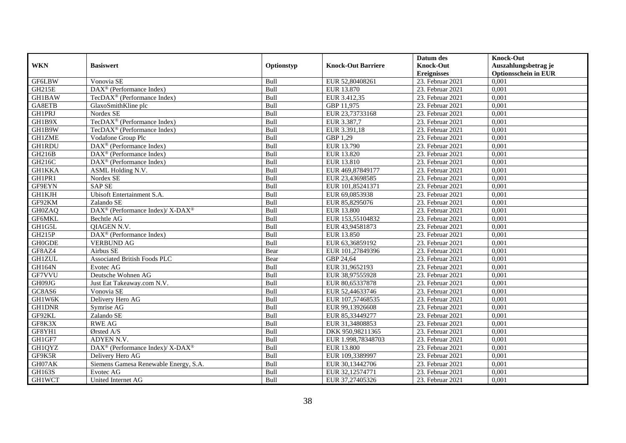|               |                                                                  |            |                           | Datum des          | <b>Knock-Out</b>            |
|---------------|------------------------------------------------------------------|------------|---------------------------|--------------------|-----------------------------|
| <b>WKN</b>    | <b>Basiswert</b>                                                 | Optionstyp | <b>Knock-Out Barriere</b> | <b>Knock-Out</b>   | Auszahlungsbetrag je        |
|               |                                                                  |            |                           | <b>Ereignisses</b> | <b>Optionsschein in EUR</b> |
| <b>GF6LBW</b> | Vonovia SE                                                       | Bull       | EUR 52,80408261           | 23. Februar 2021   | 0,001                       |
| <b>GH215E</b> | $\text{DAX}^{\textcircled{}}$ (Performance Index)                | Bull       | EUR 13.870                | 23. Februar 2021   | 0,001                       |
| <b>GH1BAW</b> | TecDAX <sup>®</sup> (Performance Index)                          | Bull       | EUR 3.412,35              | 23. Februar 2021   | 0,001                       |
| GA8ETB        | GlaxoSmithKline plc                                              | Bull       | GBP 11,975                | 23. Februar 2021   | 0,001                       |
| <b>GH1PRJ</b> | Nordex SE                                                        | Bull       | EUR 23,73733168           | 23. Februar 2021   | 0,001                       |
| GH1B9X        | TecDAX <sup>®</sup> (Performance Index)                          | Bull       | EUR 3.387,7               | 23. Februar 2021   | 0,001                       |
| GH1B9W        | TecDAX <sup>®</sup> (Performance Index)                          | Bull       | EUR 3.391,18              | 23. Februar 2021   | 0,001                       |
| <b>GH1ZME</b> | Vodafone Group Plc                                               | Bull       | GBP 1,29                  | 23. Februar 2021   | 0,001                       |
| <b>GH1RDU</b> | $\text{DAX}^{\textcircled{D}}$ (Performance Index)               | Bull       | EUR 13.790                | 23. Februar 2021   | 0,001                       |
| GH216B        | $DAX^{\otimes}$ (Performance Index)                              | Bull       | EUR 13.820                | 23. Februar 2021   | 0,001                       |
| GH216C        | DAX <sup>®</sup> (Performance Index)                             | Bull       | EUR 13.810                | 23. Februar 2021   | 0,001                       |
| <b>GH1KKA</b> | ASML Holding N.V.                                                | Bull       | EUR 469,87849177          | 23. Februar 2021   | 0,001                       |
| GH1PR1        | Nordex SE                                                        | Bull       | EUR 23,43698585           | 23. Februar 2021   | 0,001                       |
| GF9EYN        | <b>SAP SE</b>                                                    | Bull       | EUR 101,85241371          | 23. Februar 2021   | 0,001                       |
| GH1KJH        | <b>Ubisoft Entertainment S.A.</b>                                | Bull       | EUR 69,0853938            | 23. Februar 2021   | 0,001                       |
| GF92KM        | Zalando SE                                                       | Bull       | EUR 85,8295076            | 23. Februar 2021   | 0,001                       |
| <b>GH0ZAQ</b> | $DAX^{\circledast}$ (Performance Index)/ X-DAX <sup>®</sup>      | Bull       | <b>EUR 13.800</b>         | 23. Februar 2021   | 0,001                       |
| GF6MKL        | Bechtle AG                                                       | Bull       | EUR 153,55104832          | 23. Februar 2021   | 0,001                       |
| GH1G5L        | <b>OIAGEN N.V.</b>                                               | Bull       | EUR 43,94581873           | 23. Februar 2021   | 0,001                       |
| GH215P        | DAX <sup>®</sup> (Performance Index)                             | Bull       | EUR 13.850                | 23. Februar 2021   | 0,001                       |
| <b>GH0GDE</b> | <b>VERBUND AG</b>                                                | Bull       | EUR 63,36859192           | 23. Februar 2021   | 0,001                       |
| GF8AZ4        | Airbus SE                                                        | Bear       | EUR 101,27849396          | 23. Februar 2021   | 0,001                       |
| <b>GH1ZUL</b> | <b>Associated British Foods PLC</b>                              | Bear       | GBP 24,64                 | 23. Februar 2021   | 0,001                       |
| <b>GH164N</b> | Evotec AG                                                        | Bull       | EUR 31,9652193            | 23. Februar 2021   | 0,001                       |
| GF7VVU        | Deutsche Wohnen AG                                               | Bull       | EUR 38,97555928           | 23. Februar 2021   | 0,001                       |
| GH09JG        | Just Eat Takeaway.com N.V.                                       | Bull       | EUR 80,65337878           | 23. Februar 2021   | 0,001                       |
| GC8AS6        | Vonovia SE                                                       | Bull       | EUR 52,44633746           | 23. Februar 2021   | 0,001                       |
| GH1W6K        | Delivery Hero AG                                                 | Bull       | EUR 107,57468535          | 23. Februar 2021   | 0,001                       |
| <b>GH1DNR</b> | Symrise AG                                                       | Bull       | EUR 99,13926608           | 23. Februar 2021   | 0,001                       |
| GF92KL        | Zalando SE                                                       | Bull       | EUR 85,33449277           | 23. Februar 2021   | 0,001                       |
| GF8K3X        | <b>RWE AG</b>                                                    | Bull       | EUR 31,34808853           | 23. Februar 2021   | 0,001                       |
| GF8YH1        | Ørsted A/S                                                       | Bull       | DKK 950,98211365          | 23. Februar 2021   | 0,001                       |
| GH1GF7        | ADYEN N.V.                                                       | Bull       | EUR 1.998,78348703        | 23. Februar 2021   | 0,001                       |
| GH1QYZ        | $\text{DAX}^{\circledR}$ (Performance Index)/ X-DAX <sup>®</sup> | Bull       | <b>EUR 13.800</b>         | $23.$ Februar 2021 | 0,001                       |
| GF9K5R        | Delivery Hero AG                                                 | Bull       | EUR 109,3389997           | 23. Februar 2021   | 0,001                       |
| GH07AK        | Siemens Gamesa Renewable Energy, S.A.                            | Bull       | EUR 30,13442706           | 23. Februar 2021   | 0,001                       |
| GH163S        | Evotec AG                                                        | Bull       | EUR 32,12574771           | 23. Februar 2021   | 0,001                       |
| <b>GH1WCT</b> | United Internet AG                                               | Bull       | EUR 37,27405326           | 23. Februar 2021   | 0,001                       |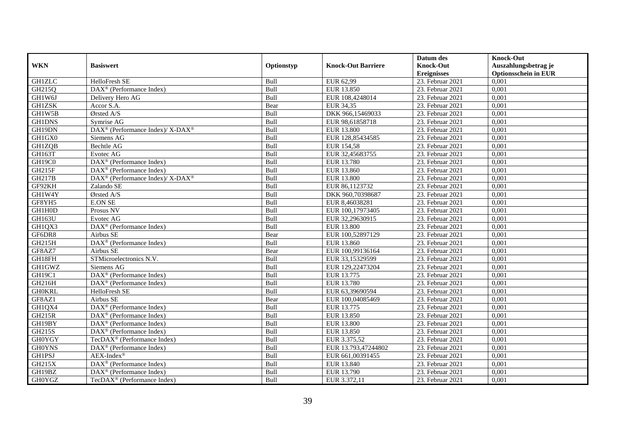|               |                                                                    |            |                           | Datum des          | <b>Knock-Out</b>            |
|---------------|--------------------------------------------------------------------|------------|---------------------------|--------------------|-----------------------------|
| <b>WKN</b>    | <b>Basiswert</b>                                                   | Optionstyp | <b>Knock-Out Barriere</b> | <b>Knock-Out</b>   | Auszahlungsbetrag je        |
|               |                                                                    |            |                           | <b>Ereignisses</b> | <b>Optionsschein in EUR</b> |
| <b>GH1ZLC</b> | HelloFresh SE                                                      | Bull       | EUR 62,99                 | 23. Februar 2021   | 0,001                       |
| GH215Q        | $\overline{\text{DAX}^{\otimes}}$ (Performance Index)              | Bull       | EUR 13.850                | 23. Februar 2021   | 0,001                       |
| GH1W6J        | Delivery Hero AG                                                   | Bull       | EUR 108,4248014           | 23. Februar 2021   | 0,001                       |
| <b>GH1ZSK</b> | Accor S.A.                                                         | Bear       | EUR 34,35                 | 23. Februar 2021   | 0,001                       |
| GH1W5B        | Ørsted A/S                                                         | Bull       | DKK 966,15469033          | 23. Februar 2021   | 0,001                       |
| <b>GH1DNS</b> | Symrise AG                                                         | Bull       | EUR 98,61858718           | 23. Februar 2021   | 0,001                       |
| GH19DN        | $\text{DAX}^{\circledR}$ (Performance Index)/ X-DAX <sup>®</sup>   | Bull       | <b>EUR 13.800</b>         | 23. Februar 2021   | 0,001                       |
| GH1GX0        | Siemens AG                                                         | Bull       | EUR 128,85434585          | 23. Februar 2021   | 0,001                       |
| GH1ZQB        | Bechtle AG                                                         | Bull       | EUR 154,58                | 23. Februar 2021   | 0,001                       |
| GH163T        | Evotec AG                                                          | Bull       | EUR 32,45683755           | 23. Februar 2021   | 0,001                       |
| GH19C0        | DAX <sup>®</sup> (Performance Index)                               | Bull       | EUR 13.780                | 23. Februar 2021   | 0,001                       |
| <b>GH215F</b> | $\overline{\text{DAX}^{\otimes}}$ (Performance Index)              | Bull       | EUR 13.860                | 23. Februar 2021   | 0,001                       |
| GH217B        | $\text{DAX}^{\circledast}$ (Performance Index)/ X-DAX <sup>®</sup> | Bull       | <b>EUR 13.800</b>         | 23. Februar 2021   | 0,001                       |
| GF92KH        | Zalando SE                                                         | Bull       | EUR 86,1123732            | 23. Februar 2021   | 0,001                       |
| GH1W4Y        | Ørsted A/S                                                         | Bull       | DKK 960,70398687          | 23. Februar 2021   | 0,001                       |
| GF8YH5        | <b>E.ON SE</b>                                                     | Bull       | EUR 8,46038281            | 23. Februar 2021   | 0,001                       |
| GH1H0D        | Prosus NV                                                          | Bull       | EUR 100,17973405          | 23. Februar 2021   | 0,001                       |
| <b>GH163U</b> | Evotec AG                                                          | Bull       | EUR 32.29630915           | 23. Februar 2021   | 0,001                       |
| GH1QX3        | DAX <sup>®</sup> (Performance Index)                               | Bull       | <b>EUR 13.800</b>         | 23. Februar 2021   | 0,001                       |
| GF6DR8        | Airbus SE                                                          | Bear       | EUR 100,52897129          | 23. Februar 2021   | 0,001                       |
| <b>GH215H</b> | $\overline{\text{DAX}^{\otimes}}$ (Performance Index)              | Bull       | EUR 13.860                | 23. Februar 2021   | 0,001                       |
| GF8AZ7        | Airbus SE                                                          | Bear       | EUR 100,99136164          | 23. Februar 2021   | 0,001                       |
| GH18FH        | STMicroelectronics N.V.                                            | Bull       | EUR 33,15329599           | $23.$ Februar 2021 | 0,001                       |
| GH1GWZ        | Siemens AG                                                         | Bull       | EUR 129,22473204          | 23. Februar 2021   | 0,001                       |
| GH19C1        | $\overline{\text{DAX}^{\otimes}}$ (Performance Index)              | Bull       | EUR 13.775                | 23. Februar 2021   | 0,001                       |
| GH216H        | $\text{DAX}^{\otimes}$ (Performance Index)                         | Bull       | EUR 13.780                | 23. Februar 2021   | 0,001                       |
| <b>GH0KRL</b> | HelloFresh SE                                                      | Bull       | EUR 63,39690594           | 23. Februar 2021   | 0,001                       |
| GF8AZ1        | Airbus SE                                                          | Bear       | EUR 100,04085469          | 23. Februar 2021   | 0,001                       |
| GH1QX4        | DAX <sup>®</sup> (Performance Index)                               | Bull       | EUR 13.775                | 23. Februar 2021   | 0,001                       |
| <b>GH215R</b> | $\overline{\text{DAX}^{\otimes}}$ (Performance Index)              | Bull       | EUR 13.850                | 23. Februar 2021   | 0,001                       |
| GH19BY        | $\text{DAX}^{\textcircled{D}}$ (Performance Index)                 | Bull       | <b>EUR 13.800</b>         | 23. Februar 2021   | 0,001                       |
| GH215S        | DAX <sup>®</sup> (Performance Index)                               | Bull       | EUR 13.850                | 23. Februar 2021   | 0,001                       |
| <b>GH0YGY</b> | TecDAX <sup>®</sup> (Performance Index)                            | Bull       | EUR 3.375,52              | 23. Februar 2021   | 0,001                       |
| <b>GH0YNS</b> | $\text{DAX}^{\circledast}$ (Performance Index)                     | Bull       | EUR 13.793,47244802       | $23.$ Februar 2021 | 0,001                       |
| <b>GH1PSJ</b> | $AEX-Index^{\circledR}$                                            | Bull       | EUR 661,00391455          | 23. Februar 2021   | 0,001                       |
| GH215X        | $\text{DAX}^{\textcircled{n}}$ (Performance Index)                 | Bull       | EUR 13.840                | 23. Februar 2021   | 0,001                       |
| GH19BZ        | DAX <sup>®</sup> (Performance Index)                               | Bull       | EUR 13.790                | 23. Februar 2021   | 0,001                       |
| <b>GH0YGZ</b> | TecDAX <sup>®</sup> (Performance Index)                            | Bull       | EUR 3.372,11              | 23. Februar 2021   | 0,001                       |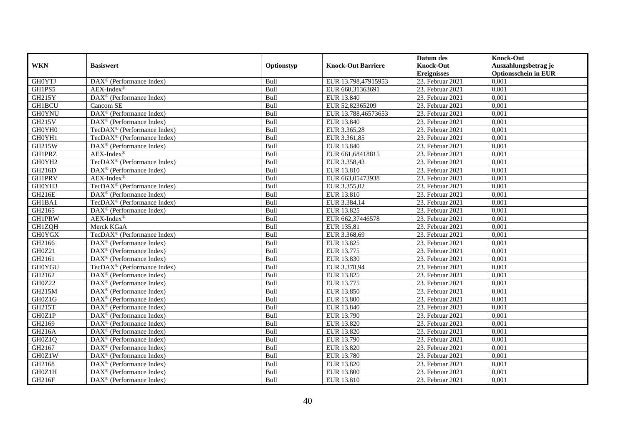|               |                                                         |            |                           | Datum des          | <b>Knock-Out</b>            |
|---------------|---------------------------------------------------------|------------|---------------------------|--------------------|-----------------------------|
| <b>WKN</b>    | <b>Basiswert</b>                                        | Optionstyp | <b>Knock-Out Barriere</b> | <b>Knock-Out</b>   | Auszahlungsbetrag je        |
|               |                                                         |            |                           | <b>Ereignisses</b> | <b>Optionsschein in EUR</b> |
| <b>GHOYTJ</b> | $\overline{\text{DAX}}^{\textcirc}$ (Performance Index) | Bull       | EUR 13.798,47915953       | 23. Februar 2021   | 0,001                       |
| GH1PS5        | $AEX-Index^{\circledR}$                                 | Bull       | EUR 660,31363691          | 23. Februar 2021   | 0,001                       |
| GH215Y        | DAX <sup>®</sup> (Performance Index)                    | Bull       | EUR 13.840                | 23. Februar 2021   | 0,001                       |
| <b>GH1BCU</b> | Cancom SE                                               | Bull       | EUR 52,82365209           | 23. Februar 2021   | 0,001                       |
| <b>GH0YNU</b> | DAX <sup>®</sup> (Performance Index)                    | Bull       | EUR 13.788,46573653       | 23. Februar 2021   | 0,001                       |
| GH215V        | DAX <sup>®</sup> (Performance Index)                    | Bull       | EUR 13.840                | 23. Februar 2021   | 0,001                       |
| GH0YH0        | TecDAX <sup>®</sup> (Performance Index)                 | Bull       | EUR 3.365,28              | 23. Februar 2021   | 0,001                       |
| GH0YH1        | TecDAX <sup>®</sup> (Performance Index)                 | Bull       | EUR 3.361,85              | 23. Februar 2021   | 0,001                       |
| <b>GH215W</b> | $\text{DAX}^{\textcircled{D}}$ (Performance Index)      | Bull       | EUR 13.840                | 23. Februar 2021   | 0,001                       |
| <b>GH1PRZ</b> | $AEX-Index^{\circledR}$                                 | Bull       | EUR 661,68418815          | 23. Februar 2021   | 0,001                       |
| GH0YH2        | TecDAX <sup>®</sup> (Performance Index)                 | Bull       | EUR 3.358,43              | 23. Februar 2021   | 0,001                       |
| GH216D        | DAX <sup>®</sup> (Performance Index)                    | Bull       | EUR 13.810                | 23. Februar 2021   | 0,001                       |
| <b>GH1PRV</b> | $AEX-Index^{\circledR}$                                 | Bull       | EUR 663,05473938          | 23. Februar 2021   | 0,001                       |
| GH0YH3        | TecDAX <sup>®</sup> (Performance Index)                 | Bull       | EUR 3.355,02              | 23. Februar 2021   | 0,001                       |
| GH216E        | DAX <sup>®</sup> (Performance Index)                    | Bull       | EUR 13.810                | 23. Februar 2021   | 0,001                       |
| GH1BA1        | TecDAX <sup>®</sup> (Performance Index)                 | Bull       | EUR 3.384,14              | 23. Februar 2021   | 0,001                       |
| GH2165        | DAX <sup>®</sup> (Performance Index)                    | Bull       | EUR 13.825                | 23. Februar 2021   | 0,001                       |
| <b>GH1PRW</b> | $AEX-Index^{\circledR}$                                 | Bull       | EUR 662,37446578          | 23. Februar 2021   | 0,001                       |
| GH1ZQH        | Merck KGaA                                              | Bull       | EUR 135,81                | 23. Februar 2021   | 0,001                       |
| <b>GH0YGX</b> | TecDAX <sup>®</sup> (Performance Index)                 | Bull       | EUR 3.368,69              | 23. Februar 2021   | 0,001                       |
| GH2166        | DAX <sup>®</sup> (Performance Index)                    | Bull       | EUR 13.825                | 23. Februar 2021   | 0,001                       |
| GH0Z21        | $\overline{\text{DAX}^{\otimes}}$ (Performance Index)   | Bull       | EUR 13.775                | 23. Februar 2021   | 0,001                       |
| GH2161        | $\overline{\text{DAX}^{\otimes}}$ (Performance Index)   | Bull       | EUR 13.830                | 23. Februar 2021   | 0,001                       |
| <b>GH0YGU</b> | TecDAX <sup>®</sup> (Performance Index)                 | Bull       | EUR 3.378,94              | 23. Februar 2021   | 0,001                       |
| GH2162        | $\text{DAX}^{\textcircled{n}}$ (Performance Index)      | Bull       | EUR 13.825                | 23. Februar 2021   | 0,001                       |
| GH0Z22        | $\text{DAX}^{\otimes}$ (Performance Index)              | Bull       | EUR 13.775                | 23. Februar 2021   | 0,001                       |
| <b>GH215M</b> | DAX <sup>®</sup> (Performance Index)                    | Bull       | <b>EUR 13.850</b>         | 23. Februar 2021   | 0,001                       |
| GH0Z1G        | $\text{DAX}^{\textcircled{p}}$ (Performance Index)      | Bull       | <b>EUR 13.800</b>         | $23.$ Februar 2021 | 0,001                       |
| GH215T        | $\text{DAX}^{\textcircled{p}}$ (Performance Index)      | Bull       | EUR 13.840                | 23. Februar 2021   | 0,001                       |
| GH0Z1P        | $\text{DAX}^{\textcircled{p}}$ (Performance Index)      | Bull       | EUR 13.790                | 23. Februar 2021   | 0,001                       |
| GH2169        | DAX <sup>®</sup> (Performance Index)                    | Bull       | EUR 13.820                | 23. Februar 2021   | 0,001                       |
| GH216A        | $\text{DAX}^{\textcircled{n}}$ (Performance Index)      | Bull       | EUR 13.820                | 23. Februar 2021   | 0,001                       |
| GH0Z1Q        | $\overline{\text{DAX}^{\otimes}}$ (Performance Index)   | Bull       | EUR 13.790                | 23. Februar 2021   | 0,001                       |
| GH2167        | DAX <sup>®</sup> (Performance Index)                    | Bull       | EUR 13.820                | $23.$ Februar 2021 | 0,001                       |
| GH0Z1W        | $\text{DAX}^{\textcircled{n}}$ (Performance Index)      | Bull       | <b>EUR 13.780</b>         | 23. Februar 2021   | 0,001                       |
| GH2168        | $\text{DAX}^{\textcircled{n}}$ (Performance Index)      | Bull       | EUR 13.820                | 23. Februar 2021   | 0,001                       |
| GH0Z1H        | $\text{DAX}^{\otimes}$ (Performance Index)              | Bull       | EUR 13.800                | 23. Februar 2021   | 0,001                       |
| GH216F        | $\text{DAX}^{\textcircled{n}}$ (Performance Index)      | Bull       | EUR 13.810                | 23. Februar 2021   | 0,001                       |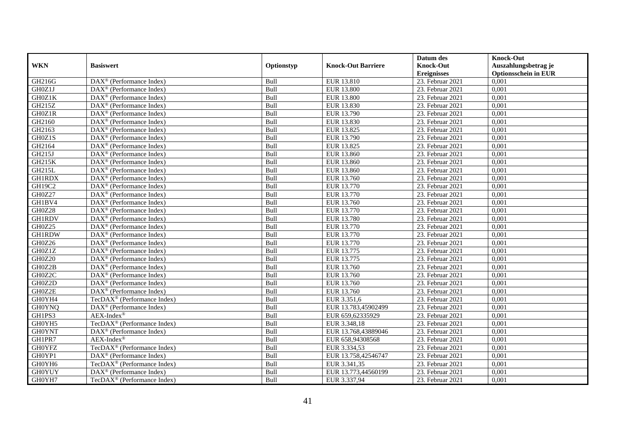|               |                                                              |            |                           | Datum des          | <b>Knock-Out</b>            |
|---------------|--------------------------------------------------------------|------------|---------------------------|--------------------|-----------------------------|
| <b>WKN</b>    | <b>Basiswert</b>                                             | Optionstyp | <b>Knock-Out Barriere</b> | <b>Knock-Out</b>   | Auszahlungsbetrag je        |
|               |                                                              |            |                           | <b>Ereignisses</b> | <b>Optionsschein in EUR</b> |
| GH216G        | DAX <sup>®</sup> (Performance Index)                         | Bull       | EUR 13.810                | 23. Februar 2021   | 0,001                       |
| GH0Z1J        | $\text{DAX}^{\textcircled{n}}$ (Performance Index)           | Bull       | <b>EUR 13.800</b>         | 23. Februar 2021   | 0,001                       |
| GH0Z1K        | DAX <sup>®</sup> (Performance Index)                         | Bull       | <b>EUR 13.800</b>         | 23. Februar 2021   | 0,001                       |
| GH215Z        | $\text{DAX}^{\otimes}$ (Performance Index)                   | Bull       | EUR 13.830                | 23. Februar 2021   | 0,001                       |
| GH0Z1R        | DAX <sup>®</sup> (Performance Index)                         | Bull       | EUR 13.790                | 23. Februar 2021   | 0,001                       |
| GH2160        | $\text{DAX}^{\textcircled{p}}$ (Performance Index)           | Bull       | EUR 13.830                | 23. Februar 2021   | 0,001                       |
| GH2163        | $DAX^{\otimes}$ (Performance Index)                          | Bull       | EUR 13.825                | 23. Februar 2021   | 0,001                       |
| GH0Z1S        | $\text{DAX}^{\textcircled{n}}$ (Performance Index)           | Bull       | EUR 13.790                | 23. Februar 2021   | 0,001                       |
| GH2164        | $\text{DAX}^{\textcircled{n}}$ (Performance Index)           | Bull       | EUR 13.825                | 23. Februar 2021   | 0,001                       |
| GH215J        | $\text{DAX}^{\otimes}$ (Performance Index)                   | Bull       | EUR 13.860                | 23. Februar 2021   | 0,001                       |
| <b>GH215K</b> | $\overline{\text{DAX}}^{\textcircled{}}$ (Performance Index) | Bull       | EUR 13.860                | 23. Februar 2021   | 0,001                       |
| <b>GH215L</b> | $\overline{\text{DAX}}^{\textcirc}$ (Performance Index)      | Bull       | EUR 13.860                | 23. Februar 2021   | 0,001                       |
| <b>GH1RDX</b> | $\text{DAX}^{\textcircled{n}}$ (Performance Index)           | Bull       | EUR 13.760                | 23. Februar 2021   | 0,001                       |
| GH19C2        | $DAX^{\circledR}$ (Performance Index)                        | Bull       | EUR 13.770                | 23. Februar 2021   | 0,001                       |
| GH0Z27        | $\text{DAX}^{\otimes}$ (Performance Index)                   | Bull       | EUR 13.770                | 23. Februar 2021   | 0,001                       |
| GH1BV4        | DAX <sup>®</sup> (Performance Index)                         | Bull       | EUR 13.760                | 23. Februar 2021   | 0,001                       |
| GH0Z28        | DAX <sup>®</sup> (Performance Index)                         | Bull       | EUR 13.770                | 23. Februar 2021   | 0,001                       |
| <b>GH1RDV</b> | $DAX^{\circledR}$ (Performance Index)                        | Bull       | EUR 13.780                | 23. Februar 2021   | 0,001                       |
| GH0Z25        | DAX <sup>®</sup> (Performance Index)                         | Bull       | EUR 13.770                | 23. Februar 2021   | 0,001                       |
| <b>GH1RDW</b> | DAX <sup>®</sup> (Performance Index)                         | Bull       | EUR 13.770                | 23. Februar 2021   | 0,001                       |
| GH0Z26        | DAX <sup>®</sup> (Performance Index)                         | Bull       | EUR 13.770                | 23. Februar 2021   | 0,001                       |
| GH0Z1Z        | $\overline{\text{DAX}^{\otimes}}$ (Performance Index)        | Bull       | EUR 13.775                | 23. Februar 2021   | 0,001                       |
| GH0Z20        | DAX <sup>®</sup> (Performance Index)                         | Bull       | EUR 13.775                | 23. Februar 2021   | 0,001                       |
| GH0Z2B        | $\text{DAX}^{\circledast}$ (Performance Index)               | Bull       | EUR 13.760                | 23. Februar 2021   | 0,001                       |
| GH0Z2C        | DAX <sup>®</sup> (Performance Index)                         | Bull       | EUR 13.760                | 23. Februar 2021   | 0.001                       |
| GH0Z2D        | DAX <sup>®</sup> (Performance Index)                         | Bull       | EUR 13.760                | 23. Februar 2021   | 0,001                       |
| GH0Z2E        | $\overline{\text{DAX}^{\otimes}}$ (Performance Index)        | Bull       | EUR 13.760                | 23. Februar 2021   | 0,001                       |
| GH0YH4        | TecDAX <sup>®</sup> (Performance Index)                      | Bull       | EUR 3.351,6               | 23. Februar 2021   | 0,001                       |
| <b>GH0YNQ</b> | $\overline{\text{DAX}}^{\textcircled{}}$ (Performance Index) | Bull       | EUR 13.783,45902499       | 23. Februar 2021   | 0,001                       |
| GH1PS3        | $AEX-Index^{\circledR}$                                      | Bull       | EUR 659,62335929          | 23. Februar 2021   | 0,001                       |
| GH0YH5        | TecDAX <sup>®</sup> (Performance Index)                      | Bull       | EUR 3.348,18              | 23. Februar 2021   | 0,001                       |
| <b>GH0YNT</b> | $\text{DAX}^{\circledast}$ (Performance Index)               | Bull       | EUR 13.768,43889046       | 23. Februar 2021   | 0,001                       |
| GH1PR7        | $AEX-Index^{\circledR}$                                      | Bull       | EUR 658,94308568          | 23. Februar 2021   | 0,001                       |
| <b>GH0YFZ</b> | TecDAX <sup>®</sup> (Performance Index)                      | Bull       | EUR 3.334,53              | 23. Februar 2021   | 0,001                       |
| GH0YP1        | DAX <sup>®</sup> (Performance Index)                         | Bull       | EUR 13.758,42546747       | 23. Februar 2021   | 0,001                       |
| GH0YH6        | TecDAX <sup>®</sup> (Performance Index)                      | Bull       | EUR 3.341,35              | 23. Februar 2021   | 0,001                       |
| <b>GH0YUY</b> | DAX <sup>®</sup> (Performance Index)                         | Bull       | EUR 13.773,44560199       | 23. Februar 2021   | 0,001                       |
| GH0YH7        | TecDAX <sup>®</sup> (Performance Index)                      | Bull       | EUR 3.337,94              | 23. Februar 2021   | 0,001                       |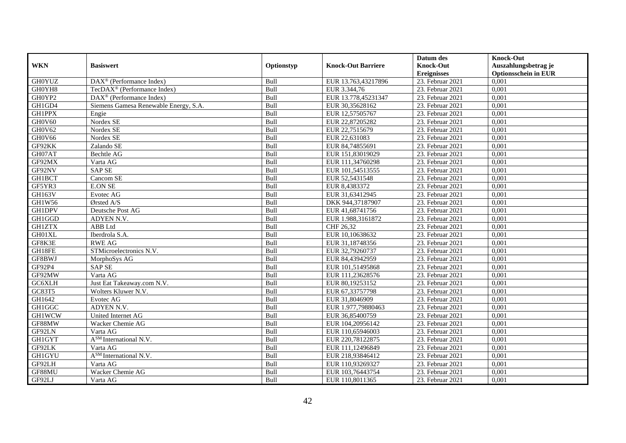|               |                                                             |            |                           | Datum des          | <b>Knock-Out</b>            |
|---------------|-------------------------------------------------------------|------------|---------------------------|--------------------|-----------------------------|
| <b>WKN</b>    | <b>Basiswert</b>                                            | Optionstyp | <b>Knock-Out Barriere</b> | <b>Knock-Out</b>   | Auszahlungsbetrag je        |
|               |                                                             |            |                           | <b>Ereignisses</b> | <b>Optionsschein in EUR</b> |
| <b>GH0YUZ</b> | $\overline{\text{DAX}^{\otimes}(\text{Performance Index})}$ | Bull       | EUR 13.763,43217896       | 23. Februar 2021   | 0,001                       |
| GH0YH8        | $TecDAX^{\circledast}$ (Performance Index)                  | Bull       | EUR 3.344,76              | 23. Februar 2021   | 0,001                       |
| GH0YP2        | $DAX^{\circledcirc}$ (Performance Index)                    | Bull       | EUR 13.778,45231347       | 23. Februar 2021   | 0,001                       |
| GH1GD4        | Siemens Gamesa Renewable Energy, S.A.                       | Bull       | EUR 30,35628162           | 23. Februar 2021   | 0,001                       |
| <b>GH1PPX</b> | Engie                                                       | Bull       | EUR 12,57505767           | 23. Februar 2021   | 0,001                       |
| GH0V60        | Nordex SE                                                   | Bull       | EUR 22,87205282           | 23. Februar 2021   | 0,001                       |
| GH0V62        | Nordex SE                                                   | Bull       | EUR 22,7515679            | 23. Februar 2021   | 0,001                       |
| GH0V66        | Nordex SE                                                   | Bull       | EUR 22,631083             | 23. Februar 2021   | 0,001                       |
| GF92KK        | Zalando SE                                                  | Bull       | EUR 84,74855691           | 23. Februar 2021   | 0,001                       |
| GH07AT        | <b>Bechtle AG</b>                                           | Bull       | EUR 151,83019029          | 23. Februar 2021   | 0,001                       |
| GF92MX        | Varta AG                                                    | Bull       | EUR 111,34760298          | 23. Februar 2021   | 0,001                       |
| GF92NV        | <b>SAP SE</b>                                               | Bull       | EUR 101,54513555          | 23. Februar 2021   | 0,001                       |
| GH1BCT        | Cancom SE                                                   | Bull       | EUR 52,5431548            | 23. Februar 2021   | 0,001                       |
| GF5YR3        | <b>E.ON SE</b>                                              | Bull       | EUR 8,4383372             | 23. Februar 2021   | 0.001                       |
| GH163V        | Evotec AG                                                   | Bull       | EUR 31,63412945           | 23. Februar 2021   | 0,001                       |
| GH1W56        | Ørsted A/S                                                  | Bull       | DKK 944,37187907          | 23. Februar 2021   | 0,001                       |
| <b>GH1DPV</b> | Deutsche Post AG                                            | Bull       | EUR 41,68741756           | $23.$ Februar 2021 | 0,001                       |
| GH1GGD        | ADYEN N.V.                                                  | Bull       | EUR 1.988,3161872         | 23. Februar 2021   | 0,001                       |
| <b>GH1ZTX</b> | ABB Ltd                                                     | Bull       | CHF 26,32                 | 23. Februar 2021   | 0,001                       |
| GH01XL        | Iberdrola S.A.                                              | Bull       | EUR 10,10638632           | 23. Februar 2021   | 0,001                       |
| GF8K3E        | <b>RWE AG</b>                                               | Bull       | EUR 31,18748356           | 23. Februar 2021   | 0,001                       |
| GH18FE        | STMicroelectronics N.V.                                     | Bull       | EUR 32,79260737           | 23. Februar 2021   | 0,001                       |
| GF8BWJ        | MorphoSys AG                                                | Bull       | EUR 84,43942959           | 23. Februar 2021   | 0,001                       |
| GF92P4        | <b>SAP SE</b>                                               | Bull       | EUR 101,51495868          | 23. Februar 2021   | 0,001                       |
| GF92MW        | Varta AG                                                    | Bull       | EUR 111,23628576          | 23. Februar 2021   | 0,001                       |
| GC6XLH        | Just Eat Takeaway.com N.V.                                  | Bull       | EUR 80,19253152           | 23. Februar 2021   | 0,001                       |
| GC83T5        | Wolters Kluwer N.V.                                         | Bull       | EUR 67,33757798           | 23. Februar 2021   | 0,001                       |
| GH1642        | Evotec AG                                                   | Bull       | EUR 31,8046909            | 23. Februar 2021   | 0,001                       |
| GH1GGC        | ADYEN N.V.                                                  | Bull       | EUR 1.977,79880463        | 23. Februar 2021   | 0,001                       |
| <b>GH1WCW</b> | United Internet AG                                          | Bull       | EUR 36,85400759           | 23. Februar 2021   | 0,001                       |
| GF88MW        | Wacker Chemie AG                                            | Bull       | EUR 104,20956142          | 23. Februar 2021   | 0,001                       |
| GF92LN        | Varta AG                                                    | Bull       | EUR 110,65946003          | 23. Februar 2021   | 0,001                       |
| <b>GH1GYT</b> | A <sup>SM</sup> International N.V.                          | Bull       | EUR 220,78122875          | 23. Februar 2021   | 0,001                       |
| GF92LK        | Varta AG                                                    | Bull       | EUR 111,12496849          | 23. Februar 2021   | 0,001                       |
| GH1GYU        | A <sup>SM</sup> International N.V.                          | Bull       | EUR 218,93846412          | 23. Februar 2021   | 0,001                       |
| GF92LH        | Varta AG                                                    | Bull       | EUR 110,93269327          | 23. Februar 2021   | 0,001                       |
| GF88MU        | Wacker Chemie AG                                            | Bull       | EUR 103,76443754          | 23. Februar 2021   | 0,001                       |
| GF92LJ        | Varta AG                                                    | Bull       | EUR 110,8011365           | 23. Februar 2021   | 0,001                       |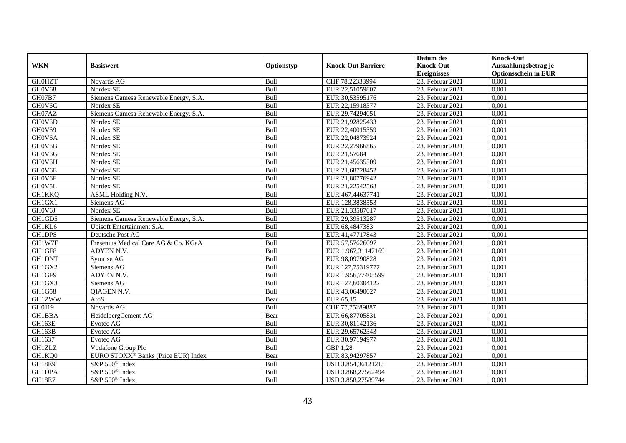|               |                                                 |            |                           | Datum des          | <b>Knock-Out</b>            |
|---------------|-------------------------------------------------|------------|---------------------------|--------------------|-----------------------------|
| <b>WKN</b>    | <b>Basiswert</b>                                | Optionstyp | <b>Knock-Out Barriere</b> | <b>Knock-Out</b>   | Auszahlungsbetrag je        |
|               |                                                 |            |                           | <b>Ereignisses</b> | <b>Optionsschein in EUR</b> |
| <b>GH0HZT</b> | Novartis AG                                     | Bull       | CHF 78,22333994           | 23. Februar 2021   | 0,001                       |
| GH0V68        | Nordex SE                                       | Bull       | EUR 22,51059807           | 23. Februar 2021   | 0,001                       |
| GH07B7        | Siemens Gamesa Renewable Energy, S.A.           | Bull       | EUR 30,53595176           | 23. Februar 2021   | 0,001                       |
| GH0V6C        | Nordex SE                                       | Bull       | EUR 22,15918377           | 23. Februar 2021   | 0,001                       |
| GH07AZ        | Siemens Gamesa Renewable Energy, S.A.           | Bull       | EUR 29,74294051           | 23. Februar 2021   | 0,001                       |
| GH0V6D        | Nordex SE                                       | Bull       | EUR 21,92825433           | 23. Februar 2021   | 0,001                       |
| GH0V69        | Nordex SE                                       | Bull       | EUR 22,40015359           | 23. Februar 2021   | 0,001                       |
| GH0V6A        | Nordex SE                                       | Bull       | EUR 22,04873924           | 23. Februar 2021   | 0,001                       |
| GH0V6B        | Nordex SE                                       | Bull       | EUR 22,27966865           | 23. Februar 2021   | 0,001                       |
| GH0V6G        | Nordex SE                                       | Bull       | EUR 21,57684              | 23. Februar 2021   | 0,001                       |
| GH0V6H        | Nordex SE                                       | Bull       | EUR 21,45635509           | 23. Februar 2021   | 0,001                       |
| GH0V6E        | Nordex SE                                       | Bull       | EUR 21,68728452           | 23. Februar 2021   | 0,001                       |
| GH0V6F        | Nordex SE                                       | Bull       | EUR 21,80776942           | 23. Februar 2021   | 0,001                       |
| GH0V5L        | Nordex SE                                       | Bull       | EUR 21,22542568           | 23. Februar 2021   | 0,001                       |
| <b>GH1KKQ</b> | <b>ASML Holding N.V.</b>                        | Bull       | EUR 467,44637741          | 23. Februar 2021   | 0,001                       |
| GH1GX1        | Siemens AG                                      | Bull       | EUR 128,3838553           | 23. Februar 2021   | 0,001                       |
| GH0V6J        | Nordex SE                                       | Bull       | EUR 21,33587017           | 23. Februar 2021   | 0,001                       |
| GH1GD5        | Siemens Gamesa Renewable Energy, S.A.           | Bull       | EUR 29.39513287           | 23. Februar 2021   | 0,001                       |
| GH1KL6        | <b>Ubisoft Entertainment S.A.</b>               | Bull       | EUR 68,4847383            | 23. Februar 2021   | 0,001                       |
| GH1DPS        | Deutsche Post AG                                | Bull       | EUR 41,47717843           | 23. Februar 2021   | 0,001                       |
| GH1W7F        | Fresenius Medical Care AG & Co. KGaA            | Bull       | EUR 57,57626097           | 23. Februar 2021   | 0,001                       |
| GH1GF8        | ADYEN N.V.                                      | Bull       | EUR 1.967,31147169        | 23. Februar 2021   | 0,001                       |
| <b>GH1DNT</b> | Symrise AG                                      | Bull       | EUR 98,09790828           | 23. Februar 2021   | 0,001                       |
| GH1GX2        | Siemens AG                                      | Bull       | EUR 127,75319777          | 23. Februar 2021   | 0,001                       |
| GH1GF9        | ADYEN N.V.                                      | Bull       | EUR 1.956,77405599        | 23. Februar 2021   | 0,001                       |
| GH1GX3        | Siemens AG                                      | Bull       | EUR 127,60304122          | 23. Februar 2021   | 0,001                       |
| GH1G58        | <b>QIAGEN N.V.</b>                              | Bull       | EUR 43,06490027           | 23. Februar 2021   | 0,001                       |
| <b>GH1ZWW</b> | AtoS                                            | Bear       | EUR 65,15                 | 23. Februar 2021   | 0,001                       |
| GH0J19        | Novartis AG                                     | Bull       | CHF 77,75289887           | 23. Februar 2021   | 0,001                       |
| <b>GH1BBA</b> | HeidelbergCement AG                             | Bear       | EUR 66,87705831           | 23. Februar 2021   | 0,001                       |
| GH163E        | Evotec AG                                       | Bull       | EUR 30,81142136           | 23. Februar 2021   | 0,001                       |
| GH163B        | Evotec AG                                       | Bull       | EUR 29,65762343           | 23. Februar 2021   | 0,001                       |
| GH1637        | Evotec AG                                       | Bull       | EUR 30,97194977           | 23. Februar 2021   | 0,001                       |
| <b>GH1ZLZ</b> | Vodafone Group Plc                              | Bull       | GBP 1,28                  | 23. Februar 2021   | 0,001                       |
| GH1KQ0        | EURO STOXX <sup>®</sup> Banks (Price EUR) Index | Bear       | EUR 83,94297857           | 23. Februar 2021   | 0,001                       |
| <b>GH18E9</b> | S&P 500 <sup>®</sup> Index                      | Bull       | USD 3.854,36121215        | 23. Februar 2021   | 0,001                       |
| GH1DPA        | S&P 500 <sup>®</sup> Index                      | Bull       | USD 3.868,27562494        | 23. Februar 2021   | 0,001                       |
| <b>GH18E7</b> | $S\&P 500^{\circ}$ Index                        | Bull       | USD 3.858,27589744        | 23. Februar 2021   | 0,001                       |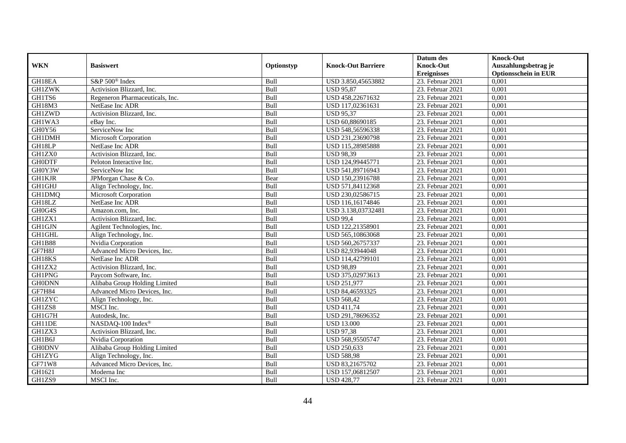|               |                                 |             |                           | Datum des          | <b>Knock-Out</b>            |
|---------------|---------------------------------|-------------|---------------------------|--------------------|-----------------------------|
| <b>WKN</b>    | <b>Basiswert</b>                | Optionstyp  | <b>Knock-Out Barriere</b> | <b>Knock-Out</b>   | Auszahlungsbetrag je        |
|               |                                 |             |                           | <b>Ereignisses</b> | <b>Optionsschein in EUR</b> |
| GH18EA        | S&P 500 <sup>®</sup> Index      | Bull        | USD 3.850,45653882        | 23. Februar 2021   | 0,001                       |
| <b>GH1ZWK</b> | Activision Blizzard, Inc.       | Bull        | <b>USD 95,87</b>          | 23. Februar 2021   | 0,001                       |
| GH1TS6        | Regeneron Pharmaceuticals, Inc. | Bull        | USD 458,22671632          | 23. Februar 2021   | 0,001                       |
| GH18M3        | NetEase Inc ADR                 | Bull        | USD 117,02361631          | 23. Februar 2021   | 0,001                       |
| <b>GH1ZWD</b> | Activision Blizzard, Inc.       | Bull        | <b>USD 95,37</b>          | 23. Februar 2021   | 0,001                       |
| GH1WA3        | eBay Inc.                       | Bull        | USD 60,88690185           | 23. Februar 2021   | 0,001                       |
| GH0Y56        | ServiceNow Inc                  | Bull        | USD 548,56596338          | 23. Februar 2021   | 0,001                       |
| GH1DMH        | Microsoft Corporation           | Bull        | USD 231,23690798          | 23. Februar 2021   | 0,001                       |
| GH18LP        | NetEase Inc ADR                 | Bull        | USD 115,28985888          | 23. Februar 2021   | 0,001                       |
| GH1ZX0        | Activision Blizzard, Inc.       | Bull        | <b>USD 98,39</b>          | 23. Februar 2021   | 0,001                       |
| <b>GH0DTF</b> | Peloton Interactive Inc.        | Bull        | USD 124,99445771          | 23. Februar 2021   | 0,001                       |
| GH0Y3W        | ServiceNow Inc                  | Bull        | USD 541,89716943          | 23. Februar 2021   | 0,001                       |
| <b>GH1KJR</b> | JPMorgan Chase & Co.            | Bear        | USD 150,23916788          | 23. Februar 2021   | 0,001                       |
| <b>GH1GHJ</b> | Align Technology, Inc.          | <b>Bull</b> | USD 571,84112368          | 23. Februar 2021   | 0.001                       |
| GH1DMQ        | <b>Microsoft Corporation</b>    | Bull        | USD 230,02586715          | 23. Februar 2021   | 0,001                       |
| GH18LZ        | NetEase Inc ADR                 | Bull        | USD 116,16174846          | 23. Februar 2021   | 0,001                       |
| GH0G4S        | Amazon.com. Inc.                | Bull        | USD 3.138,03732481        | 23. Februar 2021   | 0,001                       |
| GH1ZX1        | Activision Blizzard, Inc.       | Bull        | <b>USD 99,4</b>           | 23. Februar 2021   | 0,001                       |
| <b>GH1GJN</b> | Agilent Technologies, Inc.      | Bull        | USD 122,21358901          | 23. Februar 2021   | 0,001                       |
| GH1GHL        | Align Technology, Inc.          | Bull        | USD 565,10863068          | 23. Februar 2021   | 0,001                       |
| <b>GH1B88</b> | Nvidia Corporation              | Bull        | USD 560,26757337          | 23. Februar 2021   | 0,001                       |
| GF7H8J        | Advanced Micro Devices, Inc.    | Bull        | USD 82,93944048           | 23. Februar 2021   | 0,001                       |
| GH18KS        | NetEase Inc ADR                 | Bull        | USD 114,42799101          | 23. Februar 2021   | 0,001                       |
| GH1ZX2        | Activision Blizzard, Inc.       | Bull        | <b>USD 98,89</b>          | 23. Februar 2021   | 0,001                       |
| <b>GH1PNG</b> | Paycom Software, Inc.           | Bull        | USD 375,02973613          | 23. Februar 2021   | 0,001                       |
| <b>GH0DNN</b> | Alibaba Group Holding Limited   | Bull        | <b>USD 251,977</b>        | 23. Februar 2021   | 0,001                       |
| <b>GF7H84</b> | Advanced Micro Devices, Inc.    | Bull        | USD 84,46593325           | 23. Februar 2021   | 0,001                       |
| <b>GH1ZYC</b> | Align Technology, Inc.          | Bull        | <b>USD 568,42</b>         | 23. Februar 2021   | 0,001                       |
| GH1ZS8        | MSCI Inc.                       | Bull        | <b>USD 411,74</b>         | 23. Februar 2021   | 0,001                       |
| GH1G7H        | Autodesk, Inc.                  | Bull        | USD 291,78696352          | 23. Februar 2021   | 0,001                       |
| GH11DE        | NASDAQ-100 Index®               | Bull        | <b>USD 13.000</b>         | 23. Februar 2021   | 0,001                       |
| GH1ZX3        | Activision Blizzard, Inc.       | Bull        | <b>USD 97,38</b>          | 23. Februar 2021   | 0,001                       |
| GH1B6J        | Nvidia Corporation              | Bull        | USD 568,95505747          | 23. Februar 2021   | 0,001                       |
| <b>GH0DNV</b> | Alibaba Group Holding Limited   | Bull        | <b>USD 250,633</b>        | 23. Februar 2021   | 0,001                       |
| <b>GH1ZYG</b> | Align Technology, Inc.          | Bull        | <b>USD 588,98</b>         | 23. Februar 2021   | 0,001                       |
| GF71W8        | Advanced Micro Devices, Inc.    | Bull        | USD 83,21675702           | 23. Februar 2021   | 0,001                       |
| GH1621        | Moderna Inc                     | Bull        | USD 157,06812507          | 23. Februar 2021   | 0,001                       |
| GH1ZS9        | MSCI Inc.                       | Bull        | <b>USD 428,77</b>         | 23. Februar 2021   | 0,001                       |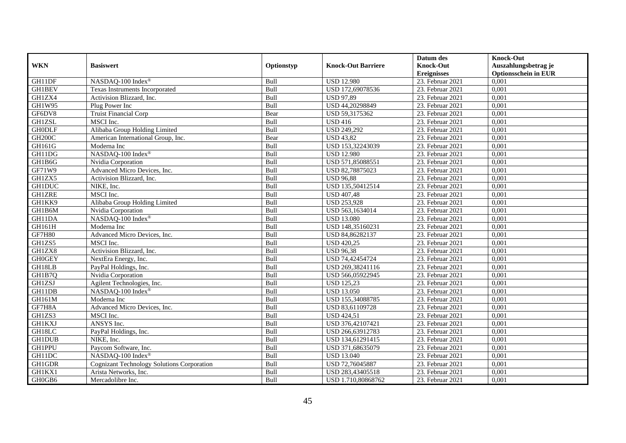|               |                                                   |            |                           | Datum des          | <b>Knock-Out</b>            |
|---------------|---------------------------------------------------|------------|---------------------------|--------------------|-----------------------------|
| <b>WKN</b>    | <b>Basiswert</b>                                  | Optionstyp | <b>Knock-Out Barriere</b> | <b>Knock-Out</b>   | Auszahlungsbetrag je        |
|               |                                                   |            |                           | <b>Ereignisses</b> | <b>Optionsschein in EUR</b> |
| GH11DF        | NASDAQ-100 Index®                                 | Bull       | <b>USD 12.980</b>         | 23. Februar 2021   | 0,001                       |
| <b>GH1BEV</b> | Texas Instruments Incorporated                    | Bull       | USD 172,69078536          | 23. Februar 2021   | 0,001                       |
| GH1ZX4        | Activision Blizzard, Inc.                         | Bull       | <b>USD 97,89</b>          | 23. Februar 2021   | 0,001                       |
| GH1W95        | Plug Power Inc                                    | Bull       | USD 44,20298849           | 23. Februar 2021   | 0,001                       |
| GF6DV8        | <b>Truist Financial Corp</b>                      | Bear       | USD 59,3175362            | 23. Februar 2021   | 0,001                       |
| <b>GH1ZSL</b> | MSCI Inc.                                         | Bull       | <b>USD 416</b>            | 23. Februar 2021   | 0,001                       |
| <b>GH0DLF</b> | Alibaba Group Holding Limited                     | Bull       | <b>USD 249,292</b>        | 23. Februar 2021   | 0,001                       |
| <b>GH200C</b> | American International Group, Inc.                | Bear       | <b>USD 43,82</b>          | 23. Februar 2021   | 0,001                       |
| GH161G        | Moderna Inc                                       | Bull       | USD 153,32243039          | 23. Februar 2021   | 0,001                       |
| GH11DG        | NASDAQ-100 Index®                                 | Bull       | <b>USD 12.980</b>         | 23. Februar 2021   | 0,001                       |
| GH1B6G        | Nvidia Corporation                                | Bull       | USD 571,85088551          | 23. Februar 2021   | 0,001                       |
| GF71W9        | Advanced Micro Devices, Inc.                      | Bull       | USD 82,78875023           | 23. Februar 2021   | 0,001                       |
| GH1ZX5        | Activision Blizzard, Inc.                         | Bull       | <b>USD 96,88</b>          | 23. Februar 2021   | 0,001                       |
| <b>GH1DUC</b> | NIKE, Inc.                                        | Bull       | USD 135,50412514          | 23. Februar 2021   | 0,001                       |
| <b>GH1ZRE</b> | MSCI Inc.                                         | Bull       | <b>USD 407,48</b>         | 23. Februar 2021   | 0,001                       |
| GH1KK9        | Alibaba Group Holding Limited                     | Bull       | <b>USD 253,928</b>        | 23. Februar 2021   | 0,001                       |
| GH1B6M        | Nvidia Corporation                                | Bull       | USD 563,1634014           | 23. Februar 2021   | 0,001                       |
| GH11DA        | NASDAO-100 Index®                                 | Bull       | <b>USD 13.080</b>         | 23. Februar 2021   | 0,001                       |
| GH161H        | Moderna Inc                                       | Bull       | USD 148,35160231          | 23. Februar 2021   | 0,001                       |
| <b>GF7H80</b> | Advanced Micro Devices, Inc.                      | Bull       | USD 84,86282137           | 23. Februar 2021   | 0,001                       |
| GH1ZS5        | MSCI Inc.                                         | Bull       | <b>USD 420,25</b>         | 23. Februar 2021   | 0,001                       |
| GH1ZX8        | Activision Blizzard, Inc.                         | Bull       | <b>USD 96,38</b>          | 23. Februar 2021   | 0,001                       |
| <b>GH0GEY</b> | NextEra Energy, Inc.                              | Bull       | USD 74,42454724           | $23.$ Februar 2021 | 0,001                       |
| GH18LB        | PayPal Holdings, Inc.                             | Bull       | USD 269,38241116          | 23. Februar 2021   | 0,001                       |
| GH1B7Q        | Nvidia Corporation                                | Bull       | USD 566,05922945          | 23. Februar 2021   | 0,001                       |
| <b>GH1ZSJ</b> | Agilent Technologies, Inc.                        | Bull       | <b>USD 125,23</b>         | 23. Februar 2021   | 0,001                       |
| GH11DB        | NASDAQ-100 Index®                                 | Bull       | <b>USD 13.050</b>         | 23. Februar 2021   | 0,001                       |
| GH161M        | Moderna Inc                                       | Bull       | USD 155,34088785          | $23.$ Februar 2021 | 0,001                       |
| GF7H8A        | Advanced Micro Devices, Inc.                      | Bull       | USD 83,61109728           | 23. Februar 2021   | 0,001                       |
| GH1ZS3        | MSCI Inc.                                         | Bull       | <b>USD 424,51</b>         | 23. Februar 2021   | 0,001                       |
| <b>GH1KXJ</b> | ANSYS Inc.                                        | Bull       | USD 376,42107421          | 23. Februar 2021   | 0,001                       |
| GH18LC        | PayPal Holdings, Inc.                             | Bull       | USD 266,63912783          | 23. Februar 2021   | 0,001                       |
| <b>GH1DUB</b> | NIKE, Inc.                                        | Bull       | USD 134,61291415          | 23. Februar 2021   | 0,001                       |
| <b>GH1PPU</b> | Paycom Software, Inc.                             | Bull       | USD 371,68635079          | $23.$ Februar 2021 | 0,001                       |
| GH11DC        | NASDAQ-100 Index®                                 | Bull       | <b>USD 13.040</b>         | 23. Februar 2021   | 0,001                       |
| GH1GDR        | <b>Cognizant Technology Solutions Corporation</b> | Bull       | USD 72,76045887           | 23. Februar 2021   | 0,001                       |
| GH1KX1        | Arista Networks, Inc.                             | Bull       | USD 283,43405518          | 23. Februar 2021   | 0,001                       |
| GH0GB6        | Mercadolibre Inc.                                 | Bull       | USD 1.710,80868762        | 23. Februar 2021   | 0,001                       |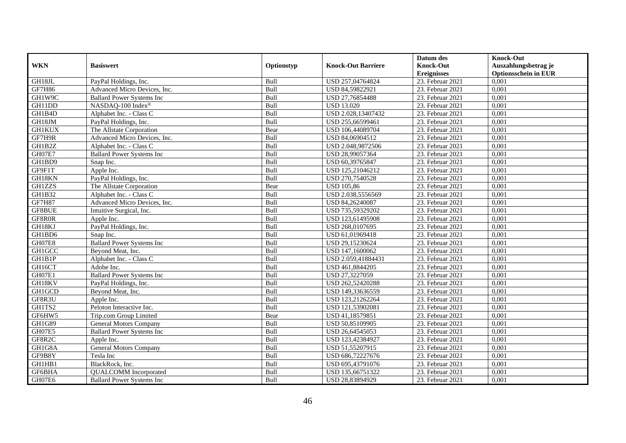|               |                                   |             |                           | Datum des          | <b>Knock-Out</b>            |
|---------------|-----------------------------------|-------------|---------------------------|--------------------|-----------------------------|
| <b>WKN</b>    | <b>Basiswert</b>                  | Optionstyp  | <b>Knock-Out Barriere</b> | <b>Knock-Out</b>   | Auszahlungsbetrag je        |
|               |                                   |             |                           | <b>Ereignisses</b> | <b>Optionsschein in EUR</b> |
| GH18JL        | PayPal Holdings, Inc.             | Bull        | USD 257,04764824          | 23. Februar 2021   | 0,001                       |
| <b>GF7H86</b> | Advanced Micro Devices, Inc.      | Bull        | USD 84,59822921           | 23. Februar 2021   | 0,001                       |
| GH1W9C        | <b>Ballard Power Systems Inc</b>  | Bull        | USD 27,76854488           | 23. Februar 2021   | 0,001                       |
| GH11DD        | NASDAQ-100 Index®                 | Bull        | <b>USD 13.020</b>         | 23. Februar 2021   | 0,001                       |
| GH1B4D        | Alphabet Inc. - Class C           | Bull        | USD 2.028,13407432        | 23. Februar 2021   | 0,001                       |
| GH18JM        | PayPal Holdings, Inc.             | Bull        | USD 255,66599461          | 23. Februar 2021   | 0,001                       |
| <b>GH1KUX</b> | The Allstate Corporation          | Bear        | USD 106,44089704          | 23. Februar 2021   | 0,001                       |
| GF7H9R        | Advanced Micro Devices, Inc.      | Bull        | USD 84,06904512           | 23. Februar 2021   | 0,001                       |
| GH1B2Z        | Alphabet Inc. - Class C           | Bull        | USD 2.048,9872506         | 23. Februar 2021   | 0,001                       |
| GH07E7        | <b>Ballard Power Systems Inc</b>  | Bull        | USD 28,99057364           | 23. Februar 2021   | 0,001                       |
| GH1BD9        | Snap Inc.                         | Bull        | USD 60,39765847           | 23. Februar 2021   | 0,001                       |
| GF9F1T        | Apple Inc.                        | Bull        | USD 125,21046212          | 23. Februar 2021   | 0,001                       |
| GH18KN        | PayPal Holdings, Inc.             | Bull        | USD 270,7540528           | 23. Februar 2021   | 0,001                       |
| GH1ZZS        | The Allstate Corporation          | Bear        | <b>USD 105,86</b>         | 23. Februar 2021   | 0,001                       |
| GH1B32        | Alphabet Inc. - Class C           | Bull        | USD 2.038,5556569         | 23. Februar 2021   | 0,001                       |
| <b>GF7H87</b> | Advanced Micro Devices, Inc.      | Bull        | USD 84,26240087           | 23. Februar 2021   | 0,001                       |
| GF8BUE        | Intuitive Surgical, Inc.          | Bull        | USD 735,59329202          | 23. Februar 2021   | 0,001                       |
| GF8R0R        | Apple Inc.                        | <b>Bull</b> | USD 123.61495908          | 23. Februar 2021   | 0,001                       |
| GH18KJ        | PayPal Holdings, Inc.             | Bull        | USD 268,0107695           | 23. Februar 2021   | 0,001                       |
| GH1BD6        | Snap Inc.                         | Bull        | USD 61,01969418           | 23. Februar 2021   | 0,001                       |
| GH07E8        | <b>Ballard Power Systems Inc</b>  | Bull        | USD 29,15230624           | 23. Februar 2021   | 0,001                       |
| <b>GH1GCC</b> | Beyond Meat, Inc.                 | Bull        | USD 147,1600062           | 23. Februar 2021   | 0,001                       |
| GH1B1P        | Alphabet Inc. - Class C           | Bull        | USD 2.059,41884431        | $23.$ Februar 2021 | 0,001                       |
| GH16CT        | Adobe Inc.                        | Bull        | USD 461,8844205           | 23. Februar 2021   | 0,001                       |
| GH07E1        | <b>Ballard Power Systems Inc.</b> | Bull        | USD 27,3227059            | 23. Februar 2021   | 0,001                       |
| GH18KV        | PayPal Holdings, Inc.             | Bull        | USD 262,52420288          | 23. Februar 2021   | 0,001                       |
| GH1GCD        | Beyond Meat, Inc.                 | Bull        | USD 149,33636559          | 23. Februar 2021   | 0,001                       |
| GF8R3U        | Apple Inc.                        | Bull        | USD 123,21262264          | 23. Februar 2021   | 0,001                       |
| GH1TS2        | Peloton Interactive Inc.          | Bull        | USD 121,53902081          | 23. Februar 2021   | 0,001                       |
| GF6HW5        | Trip.com Group Limited            | Bear        | USD 41,18579851           | 23. Februar 2021   | 0,001                       |
| GH1G89        | <b>General Motors Company</b>     | Bull        | USD 50,85109905           | 23. Februar 2021   | 0,001                       |
| GH07E5        | <b>Ballard Power Systems Inc</b>  | Bull        | USD 26,64545053           | 23. Februar 2021   | 0,001                       |
| GF8R2C        | Apple Inc.                        | Bull        | USD 123,42384927          | 23. Februar 2021   | 0,001                       |
| GH1G8A        | <b>General Motors Company</b>     | Bull        | USD 51,55207915           | $23.$ Februar 2021 | 0,001                       |
| GF9B8Y        | Tesla Inc                         | Bull        | USD 686,72227676          | 23. Februar 2021   | 0,001                       |
| GH1HB1        | BlackRock, Inc.                   | Bull        | USD 695,43791076          | 23. Februar 2021   | 0,001                       |
| GF6BHA        | <b>QUALCOMM</b> Incorporated      | Bull        | USD 135,66751322          | 23. Februar 2021   | 0,001                       |
| GH07E6        | <b>Ballard Power Systems Inc</b>  | Bull        | USD 28,83894929           | 23. Februar 2021   | 0,001                       |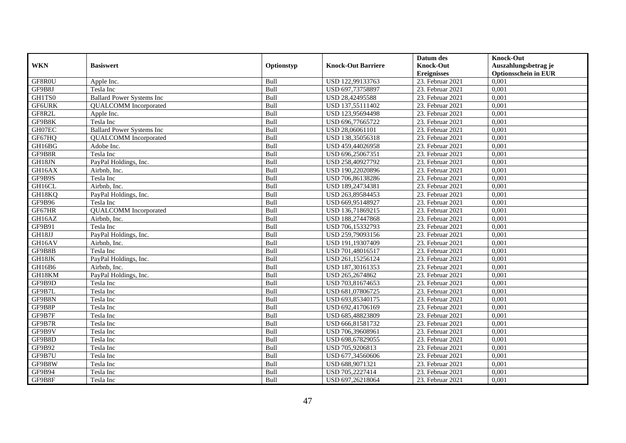|               |                                  |            |                           | Datum des          | <b>Knock-Out</b>            |
|---------------|----------------------------------|------------|---------------------------|--------------------|-----------------------------|
| <b>WKN</b>    | <b>Basiswert</b>                 | Optionstyp | <b>Knock-Out Barriere</b> | <b>Knock-Out</b>   | Auszahlungsbetrag je        |
|               |                                  |            |                           | <b>Ereignisses</b> | <b>Optionsschein in EUR</b> |
| GF8R0U        | Apple Inc.                       | Bull       | USD 122,99133763          | 23. Februar 2021   | 0,001                       |
| GF9B8J        | Tesla Inc                        | Bull       | USD 697,73758897          | 23. Februar 2021   | 0,001                       |
| GH1TS0        | <b>Ballard Power Systems Inc</b> | Bull       | USD 28,42495588           | 23. Februar 2021   | 0,001                       |
| <b>GF6URK</b> | <b>QUALCOMM</b> Incorporated     | Bull       | USD 137,55111402          | 23. Februar 2021   | 0,001                       |
| GF8R2L        | Apple Inc.                       | Bull       | USD 123,95694498          | 23. Februar 2021   | 0,001                       |
| GF9B8K        | Tesla Inc                        | Bull       | USD 696,77665722          | 23. Februar 2021   | 0,001                       |
| GH07EC        | <b>Ballard Power Systems Inc</b> | Bull       | USD 28,06061101           | 23. Februar 2021   | 0,001                       |
| GF67HQ        | <b>QUALCOMM</b> Incorporated     | Bull       | USD 138,35056318          | 23. Februar 2021   | 0,001                       |
| GH16BG        | Adobe Inc.                       | Bull       | USD 459,44026958          | 23. Februar 2021   | 0,001                       |
| GF9B8R        | Tesla Inc                        | Bull       | USD 696,25067351          | 23. Februar 2021   | 0,001                       |
| GH18JN        | PayPal Holdings, Inc.            | Bull       | USD 258,40927792          | 23. Februar 2021   | 0,001                       |
| GH16AX        | Airbnb, Inc.                     | Bull       | USD 190,22020896          | 23. Februar 2021   | 0,001                       |
| GF9B9S        | Tesla Inc                        | Bull       | USD 706,86138286          | 23. Februar 2021   | 0.001                       |
| GH16CL        | Airbnb, Inc.                     | Bull       | USD 189,24734381          | 23. Februar 2021   | 0,001                       |
| GH18KQ        | PayPal Holdings, Inc.            | Bull       | USD 263,89584453          | 23. Februar 2021   | 0,001                       |
| GF9B96        | Tesla Inc                        | Bull       | USD 669,95148927          | 23. Februar 2021   | 0,001                       |
| GF67HR        | <b>QUALCOMM</b> Incorporated     | Bull       | USD 136,71869215          | 23. Februar 2021   | 0,001                       |
| GH16AZ        | Airbnb. Inc.                     | Bull       | USD 188,27447868          | 23. Februar 2021   | 0.001                       |
| GF9B91        | Tesla Inc                        | Bull       | USD 706,15332793          | 23. Februar 2021   | 0,001                       |
| GH18JJ        | PayPal Holdings, Inc.            | Bull       | USD 259,79093156          | 23. Februar 2021   | 0,001                       |
| GH16AV        | Airbnb, Inc.                     | Bull       | USD 191,19307409          | 23. Februar 2021   | 0,001                       |
| GF9B8B        | Tesla Inc                        | Bull       | USD 701,48016517          | 23. Februar 2021   | 0,001                       |
| GH18JK        | PayPal Holdings, Inc.            | Bull       | USD 261,15256124          | 23. Februar 2021   | 0,001                       |
| GH16B6        | Airbnb, Inc.                     | Bull       | USD 187,30161353          | 23. Februar 2021   | 0,001                       |
| GH18KM        | PayPal Holdings, Inc.            | Bull       | USD 265,2674862           | 23. Februar 2021   | 0,001                       |
| GF9B9D        | Tesla Inc                        | Bull       | USD 703,81674653          | 23. Februar 2021   | 0,001                       |
| GF9B7L        | Tesla Inc                        | Bull       | USD 681,07806725          | 23. Februar 2021   | 0,001                       |
| GF9B8N        | Tesla Inc                        | Bull       | USD 693,85340175          | 23. Februar 2021   | 0,001                       |
| GF9B8P        | Tesla Inc                        | Bull       | USD 692,41706169          | 23. Februar 2021   | 0,001                       |
| GF9B7F        | Tesla Inc                        | Bull       | USD 685,48823809          | 23. Februar 2021   | 0,001                       |
| GF9B7R        | Tesla Inc                        | Bull       | USD 666,81581732          | 23. Februar 2021   | 0,001                       |
| GF9B9V        | Tesla Inc                        | Bull       | USD 706,39608961          | 23. Februar 2021   | 0,001                       |
| GF9B8D        | Tesla Inc                        | Bull       | USD 698,67829055          | 23. Februar 2021   | 0,001                       |
| GF9B92        | Tesla Inc                        | Bull       | USD 705,9206813           | 23. Februar 2021   | 0,001                       |
| GF9B7U        | Tesla Inc                        | Bull       | USD 677,34560606          | 23. Februar 2021   | 0,001                       |
| GF9B8W        | Tesla Inc                        | Bull       | USD 688,9071321           | 23. Februar 2021   | 0,001                       |
| GF9B94        | Tesla Inc                        | Bull       | USD 705,2227414           | 23. Februar 2021   | 0,001                       |
| GF9B8F        | Tesla Inc                        | Bull       | USD 697,26218064          | 23. Februar 2021   | 0,001                       |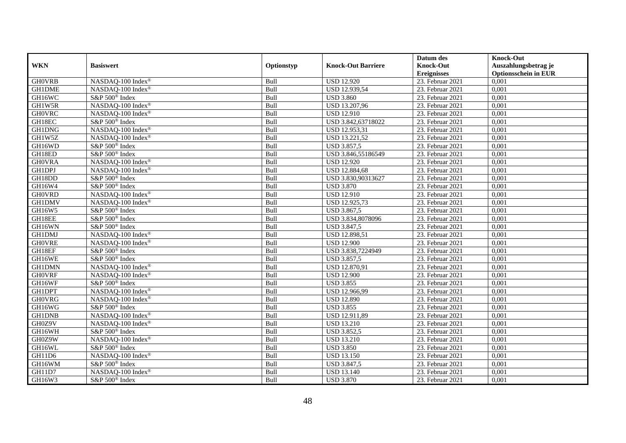|               |                            |            |                           | Datum des          | <b>Knock-Out</b>            |
|---------------|----------------------------|------------|---------------------------|--------------------|-----------------------------|
| <b>WKN</b>    | <b>Basiswert</b>           | Optionstyp | <b>Knock-Out Barriere</b> | <b>Knock-Out</b>   | Auszahlungsbetrag je        |
|               |                            |            |                           | <b>Ereignisses</b> | <b>Optionsschein in EUR</b> |
| <b>GH0VRB</b> | NASDAQ-100 Index®          | Bull       | <b>USD 12.920</b>         | 23. Februar 2021   | 0,001                       |
| <b>GH1DME</b> | NASDAO-100 Index®          | Bull       | <b>USD 12.939,54</b>      | 23. Februar 2021   | 0,001                       |
| GH16WC        | S&P 500 <sup>®</sup> Index | Bull       | <b>USD 3.860</b>          | 23. Februar 2021   | 0,001                       |
| GH1W5R        | NASDAQ-100 Index®          | Bull       | USD 13.207,96             | 23. Februar 2021   | 0,001                       |
| <b>GH0VRC</b> | NASDAQ-100 Index®          | Bull       | <b>USD 12.910</b>         | 23. Februar 2021   | 0,001                       |
| GH18EC        | S&P 500 <sup>®</sup> Index | Bull       | USD 3.842,63718022        | 23. Februar 2021   | 0,001                       |
| GH1DNG        | NASDAQ-100 Index®          | Bull       | USD 12.953,31             | 23. Februar 2021   | 0,001                       |
| GH1W5Z        | NASDAQ-100 Index®          | Bull       | USD 13.221,52             | 23. Februar 2021   | 0,001                       |
| GH16WD        | S&P 500 <sup>®</sup> Index | Bull       | <b>USD 3.857,5</b>        | 23. Februar 2021   | 0,001                       |
| GH18ED        | $S\&P 500^{\circ}$ Index   | Bull       | USD 3.846,55186549        | 23. Februar 2021   | 0,001                       |
| <b>GHOVRA</b> | NASDAQ-100 Index®          | Bull       | <b>USD 12.920</b>         | 23. Februar 2021   | 0,001                       |
| <b>GH1DPJ</b> | NASDAQ-100 Index®          | Bull       | <b>USD 12.884,68</b>      | 23. Februar 2021   | 0,001                       |
| GH18DD        | S&P 500 <sup>®</sup> Index | Bull       | USD 3.830,90313627        | 23. Februar 2021   | 0,001                       |
| GH16W4        | S&P 500 <sup>®</sup> Index | Bull       | <b>USD 3.870</b>          | 23. Februar 2021   | 0,001                       |
| <b>GH0VRD</b> | NASDAQ-100 Index®          | Bull       | <b>USD 12.910</b>         | 23. Februar 2021   | 0,001                       |
| <b>GH1DMV</b> | NASDAQ-100 Index®          | Bull       | USD 12.925,73             | 23. Februar 2021   | 0,001                       |
| GH16W5        | S&P 500 <sup>®</sup> Index | Bull       | <b>USD 3.867,5</b>        | 23. Februar 2021   | 0,001                       |
| GH18EE        | S&P 500 <sup>®</sup> Index | Bull       | USD 3.834,8078096         | 23. Februar 2021   | 0.001                       |
| GH16WN        | S&P 500 <sup>®</sup> Index | Bull       | <b>USD 3.847,5</b>        | 23. Februar 2021   | 0,001                       |
| <b>GH1DMJ</b> | NASDAQ-100 Index®          | Bull       | USD 12.898,51             | 23. Februar 2021   | 0,001                       |
| <b>GHOVRE</b> | NASDAQ-100 Index®          | Bull       | <b>USD 12.900</b>         | 23. Februar 2021   | 0,001                       |
| GH18EF        | S&P 500 <sup>®</sup> Index | Bull       | USD 3.838,7224949         | 23. Februar 2021   | 0,001                       |
| GH16WE        | S&P 500 <sup>®</sup> Index | Bull       | <b>USD 3.857,5</b>        | $23.$ Februar 2021 | 0,001                       |
| <b>GH1DMN</b> | NASDAQ-100 Index®          | Bull       | USD 12.870,91             | 23. Februar 2021   | 0,001                       |
| <b>GHOVRF</b> | NASDAQ-100 Index®          | Bull       | <b>USD 12.900</b>         | 23. Februar 2021   | 0,001                       |
| GH16WF        | S&P 500 <sup>®</sup> Index | Bull       | <b>USD 3.855</b>          | 23. Februar 2021   | 0,001                       |
| <b>GH1DPT</b> | NASDAQ-100 Index®          | Bull       | USD 12.966,99             | 23. Februar 2021   | 0,001                       |
| <b>GH0VRG</b> | NASDAQ-100 Index®          | Bull       | <b>USD 12.890</b>         | 23. Februar 2021   | 0,001                       |
| GH16WG        | S&P 500 <sup>®</sup> Index | Bull       | <b>USD 3.855</b>          | 23. Februar 2021   | 0,001                       |
| <b>GH1DNB</b> | NASDAO-100 Index®          | Bull       | USD 12.911,89             | 23. Februar 2021   | 0,001                       |
| GH0Z9V        | NASDAQ-100 Index®          | Bull       | <b>USD 13.210</b>         | 23. Februar 2021   | 0,001                       |
| GH16WH        | S&P 500 <sup>®</sup> Index | Bull       | <b>USD 3.852,5</b>        | 23. Februar 2021   | 0,001                       |
| GH0Z9W        | NASDAQ-100 Index®          | Bull       | <b>USD 13.210</b>         | 23. Februar 2021   | 0,001                       |
| GH16WL        | S&P 500 <sup>®</sup> Index | Bull       | <b>USD 3.850</b>          | $23.$ Februar 2021 | 0,001                       |
| GH11D6        | NASDAQ-100 Index®          | Bull       | <b>USD 13.150</b>         | 23. Februar 2021   | 0,001                       |
| GH16WM        | S&P 500 <sup>®</sup> Index | Bull       | <b>USD 3.847,5</b>        | 23. Februar 2021   | 0,001                       |
| GH11D7        | NASDAQ-100 Index®          | Bull       | <b>USD 13.140</b>         | 23. Februar 2021   | 0,001                       |
| GH16W3        | S&P 500 <sup>®</sup> Index | Bull       | <b>USD 3.870</b>          | 23. Februar 2021   | 0,001                       |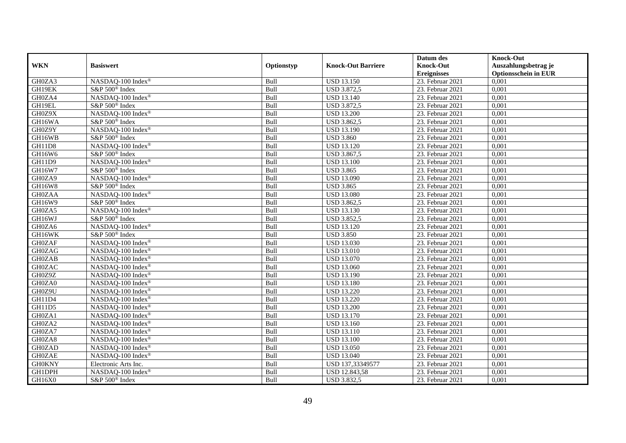|               |                            |            |                           | Datum des          | <b>Knock-Out</b>            |
|---------------|----------------------------|------------|---------------------------|--------------------|-----------------------------|
| <b>WKN</b>    | <b>Basiswert</b>           | Optionstyp | <b>Knock-Out Barriere</b> | <b>Knock-Out</b>   | Auszahlungsbetrag je        |
|               |                            |            |                           | <b>Ereignisses</b> | <b>Optionsschein in EUR</b> |
| GH0ZA3        | NASDAQ-100 Index®          | Bull       | <b>USD 13.150</b>         | 23. Februar 2021   | 0,001                       |
| GH19EK        | S&P 500 <sup>®</sup> Index | Bull       | <b>USD 3.872,5</b>        | 23. Februar 2021   | 0,001                       |
| GH0ZA4        | NASDAQ-100 Index®          | Bull       | <b>USD 13.140</b>         | 23. Februar 2021   | 0,001                       |
| GH19EL        | S&P 500 <sup>®</sup> Index | Bull       | <b>USD 3.872,5</b>        | 23. Februar 2021   | 0,001                       |
| GH0Z9X        | NASDAQ-100 Index®          | Bull       | <b>USD 13.200</b>         | 23. Februar 2021   | 0,001                       |
| GH16WA        | S&P 500 <sup>®</sup> Index | Bull       | USD 3.862,5               | 23. Februar 2021   | 0,001                       |
| GH0Z9Y        | NASDAQ-100 Index®          | Bull       | <b>USD 13.190</b>         | 23. Februar 2021   | 0,001                       |
| GH16WB        | S&P 500 <sup>®</sup> Index | Bull       | <b>USD 3.860</b>          | 23. Februar 2021   | 0,001                       |
| GH11D8        | NASDAQ-100 Index®          | Bull       | <b>USD 13.120</b>         | 23. Februar 2021   | 0,001                       |
| GH16W6        | S&P 500 <sup>®</sup> Index | Bull       | USD 3.867,5               | 23. Februar 2021   | 0,001                       |
| GH11D9        | NASDAQ-100 Index®          | Bull       | <b>USD 13.100</b>         | 23. Februar 2021   | 0,001                       |
| GH16W7        | S&P 500 <sup>®</sup> Index | Bull       | <b>USD 3.865</b>          | 23. Februar 2021   | 0,001                       |
| GH0ZA9        | NASDAQ-100 Index®          | Bull       | <b>USD 13.090</b>         | 23. Februar 2021   | 0,001                       |
| <b>GH16W8</b> | S&P 500 <sup>®</sup> Index | Bull       | <b>USD 3.865</b>          | 23. Februar 2021   | 0,001                       |
| <b>GH0ZAA</b> | NASDAQ-100 Index®          | Bull       | <b>USD 13.080</b>         | 23. Februar 2021   | 0,001                       |
| GH16W9        | S&P 500 <sup>®</sup> Index | Bull       | USD 3.862,5               | 23. Februar 2021   | 0,001                       |
| GH0ZA5        | NASDAQ-100 Index®          | Bull       | <b>USD 13.130</b>         | 23. Februar 2021   | 0,001                       |
| GH16WJ        | S&P 500 <sup>®</sup> Index | Bull       | <b>USD 3.852,5</b>        | 23. Februar 2021   | 0,001                       |
| GH0ZA6        | NASDAQ-100 Index®          | Bull       | <b>USD 13.120</b>         | 23. Februar 2021   | 0,001                       |
| GH16WK        | S&P 500 <sup>®</sup> Index | Bull       | <b>USD 3.850</b>          | 23. Februar 2021   | 0,001                       |
| <b>GH0ZAF</b> | NASDAQ-100 Index®          | Bull       | <b>USD 13.030</b>         | 23. Februar 2021   | 0,001                       |
| <b>GH0ZAG</b> | NASDAQ-100 Index®          | Bull       | <b>USD 13.010</b>         | 23. Februar 2021   | 0,001                       |
| <b>GH0ZAB</b> | NASDAQ-100 Index®          | Bull       | <b>USD 13.070</b>         | 23. Februar 2021   | 0,001                       |
| <b>GH0ZAC</b> | NASDAQ-100 Index®          | Bull       | <b>USD 13.060</b>         | 23. Februar 2021   | 0,001                       |
| GH0Z9Z        | NASDAQ-100 Index®          | Bull       | <b>USD 13.190</b>         | 23. Februar 2021   | 0,001                       |
| GH0ZA0        | NASDAQ-100 Index®          | Bull       | <b>USD 13.180</b>         | 23. Februar 2021   | 0,001                       |
| GH0Z9U        | NASDAQ-100 Index®          | Bull       | <b>USD 13.220</b>         | 23. Februar 2021   | 0,001                       |
| GH11D4        | NASDAQ-100 Index®          | Bull       | <b>USD 13.220</b>         | 23. Februar 2021   | 0,001                       |
| GH11D5        | NASDAQ-100 Index®          | Bull       | <b>USD 13.200</b>         | 23. Februar 2021   | 0,001                       |
| GH0ZA1        | NASDAQ-100 Index®          | Bull       | <b>USD 13.170</b>         | 23. Februar 2021   | 0,001                       |
| GH0ZA2        | NASDAQ-100 Index®          | Bull       | <b>USD 13.160</b>         | 23. Februar 2021   | 0,001                       |
| GH0ZA7        | NASDAQ-100 Index®          | Bull       | <b>USD 13.110</b>         | 23. Februar 2021   | 0,001                       |
| GH0ZA8        | NASDAQ-100 Index®          | Bull       | <b>USD 13.100</b>         | 23. Februar 2021   | 0,001                       |
| <b>GH0ZAD</b> | NASDAQ-100 Index®          | Bull       | <b>USD 13.050</b>         | $23.$ Februar 2021 | 0,001                       |
| <b>GH0ZAE</b> | NASDAQ-100 Index®          | Bull       | <b>USD 13.040</b>         | 23. Februar 2021   | 0,001                       |
| <b>GH0KNY</b> | Electronic Arts Inc.       | Bull       | USD 137,33349577          | 23. Februar 2021   | 0,001                       |
| GH1DPH        | NASDAQ-100 Index®          | Bull       | USD 12.843,58             | 23. Februar 2021   | 0,001                       |
| GH16X0        | S&P 500 <sup>®</sup> Index | Bull       | <b>USD 3.832,5</b>        | 23. Februar 2021   | 0,001                       |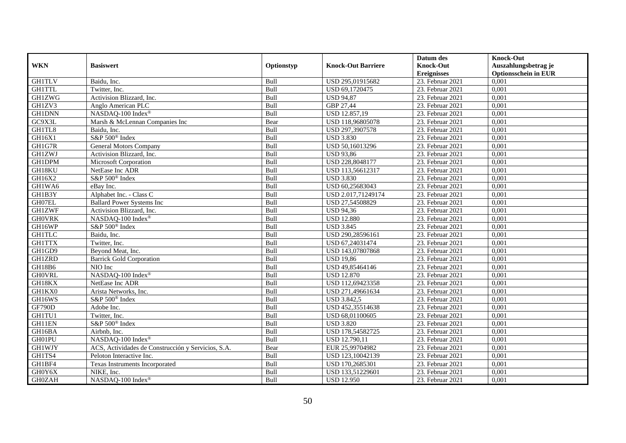|               |                                                    |            |                           | Datum des          | <b>Knock-Out</b>            |
|---------------|----------------------------------------------------|------------|---------------------------|--------------------|-----------------------------|
| <b>WKN</b>    | <b>Basiswert</b>                                   | Optionstyp | <b>Knock-Out Barriere</b> | <b>Knock-Out</b>   | Auszahlungsbetrag je        |
|               |                                                    |            |                           | <b>Ereignisses</b> | <b>Optionsschein in EUR</b> |
| <b>GH1TLV</b> | Baidu, Inc.                                        | Bull       | USD 295,01915682          | 23. Februar 2021   | 0,001                       |
| <b>GH1TTL</b> | Twitter, Inc.                                      | Bull       | USD 69,1720475            | 23. Februar 2021   | 0,001                       |
| <b>GH1ZWG</b> | Activision Blizzard, Inc.                          | Bull       | <b>USD 94,87</b>          | 23. Februar 2021   | 0,001                       |
| GH1ZV3        | Anglo American PLC                                 | Bull       | GBP 27,44                 | 23. Februar 2021   | 0,001                       |
| <b>GH1DNN</b> | NASDAQ-100 Index®                                  | Bull       | USD 12.857,19             | 23. Februar 2021   | 0,001                       |
| GC9X3L        | Marsh & McLennan Companies Inc                     | Bear       | USD 118,96805078          | 23. Februar 2021   | 0,001                       |
| GH1TL8        | Baidu, Inc.                                        | Bull       | USD 297,3907578           | 23. Februar 2021   | 0,001                       |
| GH16X1        | S&P 500 <sup>®</sup> Index                         | Bull       | <b>USD 3.830</b>          | 23. Februar 2021   | 0,001                       |
| GH1G7R        | <b>General Motors Company</b>                      | Bull       | USD 50,16013296           | 23. Februar 2021   | 0,001                       |
| <b>GH1ZWJ</b> | Activision Blizzard, Inc.                          | Bull       | <b>USD 93,86</b>          | 23. Februar 2021   | 0,001                       |
| <b>GH1DPM</b> | Microsoft Corporation                              | Bull       | USD 228,8048177           | 23. Februar 2021   | 0,001                       |
| GH18KU        | NetEase Inc ADR                                    | Bull       | USD 113,56612317          | 23. Februar 2021   | 0,001                       |
| GH16X2        | S&P 500 <sup>®</sup> Index                         | Bull       | <b>USD 3.830</b>          | 23. Februar 2021   | 0,001                       |
| GH1WA6        | eBay Inc.                                          | Bull       | USD 60,25683043           | 23. Februar 2021   | 0,001                       |
| GH1B3Y        | Alphabet Inc. - Class C                            | Bull       | USD 2.017,71249174        | 23. Februar 2021   | 0,001                       |
| GH07EL        | <b>Ballard Power Systems Inc</b>                   | Bull       | USD 27,54508829           | 23. Februar 2021   | 0,001                       |
| <b>GH1ZWF</b> | Activision Blizzard, Inc.                          | Bull       | <b>USD 94,36</b>          | 23. Februar 2021   | 0,001                       |
| <b>GH0VRK</b> | NASDAO-100 Index®                                  | Bull       | <b>USD 12.880</b>         | 23. Februar 2021   | 0,001                       |
| GH16WP        | S&P 500 <sup>®</sup> Index                         | Bull       | <b>USD 3.845</b>          | 23. Februar 2021   | 0,001                       |
| <b>GH1TLC</b> | Baidu, Inc.                                        | Bull       | USD 290,28596161          | 23. Februar 2021   | 0,001                       |
| <b>GH1TTX</b> | Twitter, Inc.                                      | Bull       | USD 67,24031474           | 23. Februar 2021   | 0,001                       |
| GH1GD9        | Beyond Meat, Inc.                                  | Bull       | USD 143,07807868          | 23. Februar 2021   | 0,001                       |
| <b>GH1ZRD</b> | <b>Barrick Gold Corporation</b>                    | Bull       | <b>USD 19,86</b>          | $23.$ Februar 2021 | 0,001                       |
| GH18B6        | NIO Inc                                            | Bull       | USD 49,85464146           | 23. Februar 2021   | 0,001                       |
| <b>GHOVRL</b> | NASDAQ-100 Index®                                  | Bull       | <b>USD 12.870</b>         | 23. Februar 2021   | 0,001                       |
| GH18KX        | NetEase Inc ADR                                    | Bull       | USD 112,69423358          | 23. Februar 2021   | 0,001                       |
| GH1KX0        | Arista Networks, Inc.                              | Bull       | USD 271,49661634          | 23. Februar 2021   | 0,001                       |
| GH16WS        | S&P 500 <sup>®</sup> Index                         | Bull       | <b>USD 3.842,5</b>        | $23.$ Februar 2021 | 0,001                       |
| <b>GF790D</b> | Adobe Inc.                                         | Bull       | USD 452,35514638          | 23. Februar 2021   | 0,001                       |
| GH1TU1        | Twitter, Inc.                                      | Bull       | USD 68,01100605           | 23. Februar 2021   | 0,001                       |
| GH11EN        | S&P 500 <sup>®</sup> Index                         | Bull       | <b>USD 3.820</b>          | 23. Februar 2021   | 0,001                       |
| GH16BA        | Airbnb, Inc.                                       | Bull       | USD 178,54582725          | 23. Februar 2021   | 0,001                       |
| GH01PU        | NASDAQ-100 Index®                                  | Bull       | USD 12.790,11             | 23. Februar 2021   | 0,001                       |
| <b>GH1WJY</b> | ACS, Actividades de Construcción y Servicios, S.A. | Bear       | EUR 25,99704982           | $23.$ Februar 2021 | 0,001                       |
| GH1TS4        | Peloton Interactive Inc.                           | Bull       | USD 123,10042139          | 23. Februar 2021   | 0,001                       |
| GH1BF4        | Texas Instruments Incorporated                     | Bull       | USD 170,2685301           | 23. Februar 2021   | 0,001                       |
| GH0Y6X        | NIKE, Inc.                                         | Bull       | USD 133,51229601          | 23. Februar 2021   | 0,001                       |
| <b>GH0ZAH</b> | NASDAQ-100 Index®                                  | Bull       | <b>USD 12.950</b>         | 23. Februar 2021   | 0,001                       |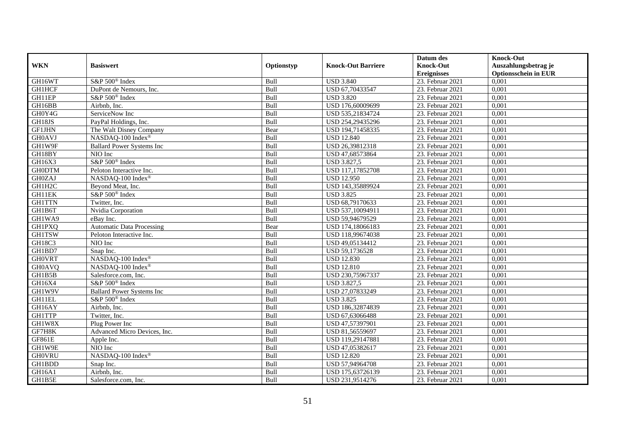|               |                                  |            |                           | Datum des          | <b>Knock-Out</b>            |
|---------------|----------------------------------|------------|---------------------------|--------------------|-----------------------------|
| <b>WKN</b>    | <b>Basiswert</b>                 | Optionstyp | <b>Knock-Out Barriere</b> | <b>Knock-Out</b>   | Auszahlungsbetrag je        |
|               |                                  |            |                           | <b>Ereignisses</b> | <b>Optionsschein in EUR</b> |
| GH16WT        | S&P 500 <sup>®</sup> Index       | Bull       | <b>USD 3.840</b>          | 23. Februar 2021   | 0,001                       |
| <b>GH1HCF</b> | DuPont de Nemours, Inc.          | Bull       | USD 67,70433547           | 23. Februar 2021   | 0,001                       |
| GH11EP        | $S\&P 500^{\circ}$ Index         | Bull       | <b>USD 3.820</b>          | 23. Februar 2021   | 0,001                       |
| GH16BB        | Airbnb, Inc.                     | Bull       | USD 176,60009699          | 23. Februar 2021   | 0,001                       |
| GH0Y4G        | ServiceNow Inc                   | Bull       | USD 535,21834724          | 23. Februar 2021   | 0,001                       |
| GH18JS        | PayPal Holdings, Inc.            | Bull       | USD 254,29435296          | 23. Februar 2021   | 0,001                       |
| GF1JHN        | The Walt Disney Company          | Bear       | USD 194,71458335          | 23. Februar 2021   | 0,001                       |
| <b>GH0AVJ</b> | NASDAQ-100 Index®                | Bull       | <b>USD 12.840</b>         | 23. Februar 2021   | 0,001                       |
| GH1W9F        | <b>Ballard Power Systems Inc</b> | Bull       | USD 26,39812318           | 23. Februar 2021   | 0,001                       |
| GH18BY        | NIO Inc                          | Bull       | USD 47,68573864           | 23. Februar 2021   | 0,001                       |
| GH16X3        | S&P 500 <sup>®</sup> Index       | Bull       | <b>USD 3.827,5</b>        | 23. Februar 2021   | 0,001                       |
| <b>GH0DTM</b> | Peloton Interactive Inc.         | Bull       | USD 117,17852708          | 23. Februar 2021   | 0,001                       |
| <b>GH0ZAJ</b> | NASDAQ-100 Index®                | Bull       | <b>USD 12.950</b>         | 23. Februar 2021   | 0,001                       |
| GH1H2C        | Beyond Meat, Inc.                | Bull       | USD 143,35889924          | 23. Februar 2021   | 0,001                       |
| GH11EK        | S&P 500 <sup>®</sup> Index       | Bull       | <b>USD 3.825</b>          | 23. Februar 2021   | 0,001                       |
| <b>GH1TTN</b> | Twitter, Inc.                    | Bull       | USD 68,79170633           | 23. Februar 2021   | 0,001                       |
| GH1B6T        | Nvidia Corporation               | Bull       | USD 537,10094911          | 23. Februar 2021   | 0,001                       |
| GH1WA9        | eBav Inc.                        | Bull       | USD 59.94679529           | 23. Februar 2021   | 0,001                       |
| <b>GH1PXQ</b> | <b>Automatic Data Processing</b> | Bear       | USD 174,18066183          | 23. Februar 2021   | 0,001                       |
| <b>GH1TSW</b> | Peloton Interactive Inc.         | Bull       | USD 118,99674038          | 23. Februar 2021   | 0,001                       |
| GH18C3        | NIO Inc                          | Bull       | USD 49,05134412           | 23. Februar 2021   | 0,001                       |
| GH1BD7        | Snap Inc.                        | Bull       | USD 59,1736528            | 23. Februar 2021   | 0,001                       |
| <b>GH0VRT</b> | NASDAQ-100 Index®                | Bull       | <b>USD 12.830</b>         | $23.$ Februar 2021 | 0,001                       |
| <b>GH0AVQ</b> | NASDAQ-100 Index®                | Bull       | <b>USD 12.810</b>         | 23. Februar 2021   | 0,001                       |
| GH1B5B        | Salesforce.com, Inc.             | Bull       | USD 230,75967337          | 23. Februar 2021   | 0,001                       |
| GH16X4        | S&P 500 <sup>®</sup> Index       | Bull       | <b>USD 3.827,5</b>        | 23. Februar 2021   | 0,001                       |
| GH1W9V        | <b>Ballard Power Systems Inc</b> | Bull       | USD 27,07833249           | 23. Februar 2021   | 0,001                       |
| GH11EL        | S&P 500 <sup>®</sup> Index       | Bull       | <b>USD 3.825</b>          | $23.$ Februar 2021 | 0,001                       |
| GH16AY        | Airbnb, Inc.                     | Bull       | USD 186,32874839          | 23. Februar 2021   | 0,001                       |
| <b>GH1TTP</b> | Twitter, Inc.                    | Bull       | USD 67,63066488           | 23. Februar 2021   | 0,001                       |
| GH1W8X        | Plug Power Inc                   | Bull       | USD 47,57397901           | 23. Februar 2021   | 0,001                       |
| GF7H8K        | Advanced Micro Devices, Inc.     | Bull       | USD 81,56559697           | 23. Februar 2021   | 0,001                       |
| <b>GF861E</b> | Apple Inc.                       | Bull       | USD 119,29147881          | 23. Februar 2021   | 0,001                       |
| GH1W9E        | NIO Inc                          | Bull       | USD 47,05382617           | $23.$ Februar 2021 | 0,001                       |
| <b>GH0VRU</b> | NASDAQ-100 Index®                | Bull       | <b>USD 12.820</b>         | 23. Februar 2021   | 0,001                       |
| GH1BDD        | Snap Inc.                        | Bull       | USD 57,94964708           | 23. Februar 2021   | 0,001                       |
| GH16A1        | Airbnb, Inc.                     | Bull       | USD 175,63726139          | 23. Februar 2021   | 0,001                       |
| GH1B5E        | Salesforce.com, Inc.             | Bull       | USD 231,9514276           | 23. Februar 2021   | 0,001                       |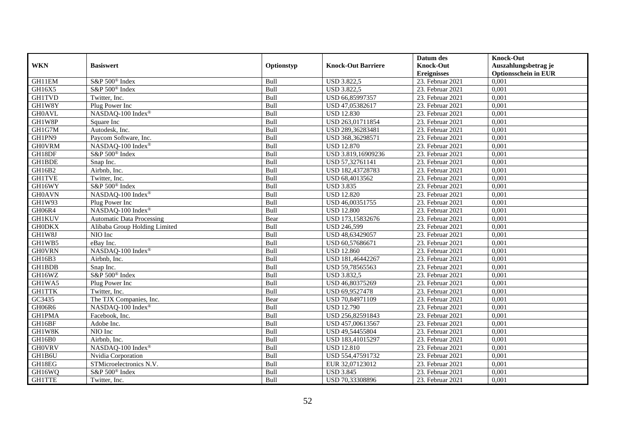|               |                                  |             |                           | Datum des          | <b>Knock-Out</b>            |
|---------------|----------------------------------|-------------|---------------------------|--------------------|-----------------------------|
| <b>WKN</b>    | <b>Basiswert</b>                 | Optionstyp  | <b>Knock-Out Barriere</b> | <b>Knock-Out</b>   | Auszahlungsbetrag je        |
|               |                                  |             |                           | <b>Ereignisses</b> | <b>Optionsschein in EUR</b> |
| GH11EM        | S&P 500 <sup>®</sup> Index       | Bull        | <b>USD 3.822,5</b>        | 23. Februar 2021   | 0,001                       |
| GH16X5        | S&P 500 <sup>®</sup> Index       | Bull        | <b>USD 3.822,5</b>        | 23. Februar 2021   | 0,001                       |
| <b>GH1TVD</b> | Twitter, Inc.                    | Bull        | USD 66,85997357           | 23. Februar 2021   | 0,001                       |
| GH1W8Y        | Plug Power Inc                   | Bull        | USD 47,05382617           | 23. Februar 2021   | 0,001                       |
| <b>GH0AVL</b> | NASDAQ-100 Index®                | Bull        | <b>USD 12.830</b>         | 23. Februar 2021   | 0,001                       |
| GH1W8P        | Square Inc                       | Bull        | USD 263,01711854          | 23. Februar 2021   | 0,001                       |
| GH1G7M        | Autodesk, Inc.                   | Bull        | USD 289,36283481          | 23. Februar 2021   | 0,001                       |
| GH1PN9        | Paycom Software, Inc.            | Bull        | USD 368,36298571          | 23. Februar 2021   | 0,001                       |
| <b>GH0VRM</b> | NASDAQ-100 Index®                | Bull        | <b>USD 12.870</b>         | 23. Februar 2021   | 0,001                       |
| GH18DF        | S&P 500 <sup>®</sup> Index       | Bull        | USD 3.819,16909236        | 23. Februar 2021   | 0,001                       |
| <b>GH1BDE</b> | Snap Inc.                        | Bull        | USD 57,32761141           | 23. Februar 2021   | 0,001                       |
| GH16B2        | Airbnb, Inc.                     | Bull        | USD 182,43728783          | 23. Februar 2021   | 0,001                       |
| <b>GH1TVE</b> | Twitter, Inc.                    | Bull        | USD 68,4013562            | 23. Februar 2021   | 0,001                       |
| GH16WY        | S&P 500 <sup>®</sup> Index       | <b>Bull</b> | <b>USD 3.835</b>          | 23. Februar 2021   | 0.001                       |
| <b>GH0AVN</b> | NASDAQ-100 Index®                | Bull        | <b>USD 12.820</b>         | 23. Februar 2021   | 0,001                       |
| GH1W93        | Plug Power Inc                   | Bull        | USD 46,00351755           | 23. Februar 2021   | 0,001                       |
| GH06R4        | NASDAQ-100 Index®                | Bull        | <b>USD 12.800</b>         | 23. Februar 2021   | 0,001                       |
| <b>GH1KUV</b> | <b>Automatic Data Processing</b> | Bear        | USD 173,15832676          | 23. Februar 2021   | 0,001                       |
| <b>GH0DKX</b> | Alibaba Group Holding Limited    | Bull        | <b>USD 246,599</b>        | 23. Februar 2021   | 0,001                       |
| GH1W8J        | NIO Inc                          | Bull        | USD 48,63429057           | 23. Februar 2021   | 0,001                       |
| GH1WB5        | eBay Inc.                        | Bull        | USD 60,57686671           | 23. Februar 2021   | 0,001                       |
| <b>GHOVRN</b> | NASDAQ-100 Index®                | Bull        | <b>USD 12.860</b>         | 23. Februar 2021   | 0,001                       |
| GH16B3        | Airbnb, Inc.                     | Bull        | USD 181,46442267          | 23. Februar 2021   | 0,001                       |
| <b>GH1BDB</b> | Snap Inc.                        | Bull        | USD 59,78565563           | 23. Februar 2021   | 0,001                       |
| GH16WZ        | S&P 500 <sup>®</sup> Index       | Bull        | <b>USD 3.832,5</b>        | 23. Februar 2021   | 0,001                       |
| GH1WA5        | Plug Power Inc                   | Bull        | USD 46,80375269           | 23. Februar 2021   | 0,001                       |
| <b>GH1TTK</b> | Twitter, Inc.                    | Bull        | USD 69,9527478            | 23. Februar 2021   | 0,001                       |
| GC3435        | The TJX Companies, Inc.          | Bear        | USD 70,84971109           | 23. Februar 2021   | 0,001                       |
| GH06R6        | NASDAQ-100 Index®                | Bull        | <b>USD 12.790</b>         | 23. Februar 2021   | 0,001                       |
| <b>GH1PMA</b> | Facebook, Inc.                   | Bull        | USD 256,82591843          | 23. Februar 2021   | 0,001                       |
| GH16BF        | Adobe Inc.                       | Bull        | USD 457,00613567          | 23. Februar 2021   | 0,001                       |
| GH1W8K        | NIO Inc                          | Bull        | USD 49,54455804           | 23. Februar 2021   | 0,001                       |
| GH16B0        | Airbnb, Inc.                     | Bull        | USD 183,41015297          | 23. Februar 2021   | 0,001                       |
| <b>GH0VRV</b> | NASDAQ-100 Index®                | Bull        | <b>USD 12.810</b>         | 23. Februar 2021   | 0,001                       |
| GH1B6U        | Nvidia Corporation               | Bull        | USD 554,47591732          | 23. Februar 2021   | 0,001                       |
| GH18EG        | STMicroelectronics N.V.          | Bull        | EUR 32,07123012           | 23. Februar 2021   | 0,001                       |
| GH16WQ        | S&P 500 <sup>®</sup> Index       | Bull        | <b>USD 3.845</b>          | 23. Februar 2021   | 0,001                       |
| <b>GH1TTE</b> | Twitter, Inc.                    | Bull        | USD 70,33308896           | 23. Februar 2021   | 0,001                       |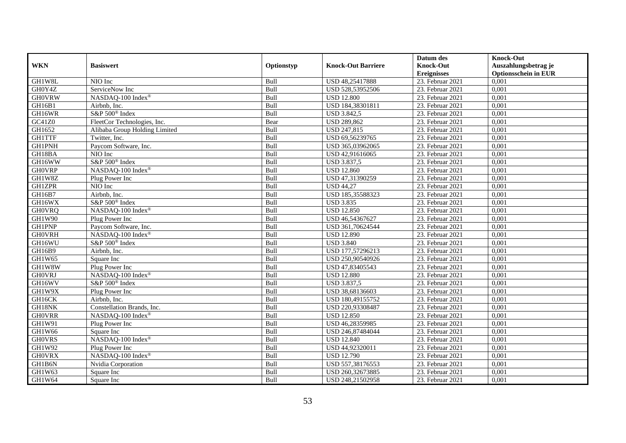|               |                               |            |                           | Datum des          | <b>Knock-Out</b>            |
|---------------|-------------------------------|------------|---------------------------|--------------------|-----------------------------|
| <b>WKN</b>    | <b>Basiswert</b>              | Optionstyp | <b>Knock-Out Barriere</b> | <b>Knock-Out</b>   | Auszahlungsbetrag je        |
|               |                               |            |                           | <b>Ereignisses</b> | <b>Optionsschein in EUR</b> |
| GH1W8L        | NIO Inc                       | Bull       | USD 48,25417888           | 23. Februar 2021   | 0,001                       |
| GH0Y4Z        | ServiceNow Inc                | Bull       | USD 528,53952506          | 23. Februar 2021   | 0,001                       |
| <b>GHOVRW</b> | NASDAQ-100 Index®             | Bull       | <b>USD 12.800</b>         | 23. Februar 2021   | 0,001                       |
| GH16B1        | Airbnb, Inc.                  | Bull       | USD 184,38301811          | 23. Februar 2021   | 0,001                       |
| GH16WR        | S&P 500 <sup>®</sup> Index    | Bull       | <b>USD 3.842,5</b>        | 23. Februar 2021   | 0,001                       |
| GC41Z0        | FleetCor Technologies, Inc.   | Bear       | <b>USD 289,862</b>        | 23. Februar 2021   | 0,001                       |
| GH1652        | Alibaba Group Holding Limited | Bull       | USD 247,815               | 23. Februar 2021   | 0,001                       |
| <b>GH1TTF</b> | Twitter, Inc.                 | Bull       | USD 69,56239765           | 23. Februar 2021   | 0,001                       |
| <b>GH1PNH</b> | Paycom Software, Inc.         | Bull       | USD 365,03962065          | 23. Februar 2021   | 0,001                       |
| GH18BA        | NIO Inc                       | Bull       | USD 42,91616065           | 23. Februar 2021   | 0,001                       |
| GH16WW        | S&P 500 <sup>®</sup> Index    | Bull       | <b>USD 3.837,5</b>        | 23. Februar 2021   | 0,001                       |
| <b>GHOVRP</b> | NASDAQ-100 Index®             | Bull       | <b>USD 12.860</b>         | 23. Februar 2021   | 0,001                       |
| GH1W8Z        | Plug Power Inc                | Bull       | USD 47,31390259           | 23. Februar 2021   | 0,001                       |
| <b>GH1ZPR</b> | NIO Inc                       | Bull       | <b>USD 44,27</b>          | 23. Februar 2021   | 0,001                       |
| GH16B7        | Airbnb, Inc.                  | Bull       | USD 185,35588323          | 23. Februar 2021   | 0,001                       |
| GH16WX        | S&P 500 <sup>®</sup> Index    | Bull       | <b>USD 3.835</b>          | 23. Februar 2021   | 0,001                       |
| <b>GHOVRQ</b> | NASDAQ-100 Index®             | Bull       | <b>USD 12.850</b>         | 23. Februar 2021   | 0,001                       |
| GH1W90        | Plug Power Inc                | Bull       | USD 46.54367627           | 23. Februar 2021   | 0,001                       |
| <b>GH1PNP</b> | Paycom Software, Inc.         | Bull       | USD 361,70624544          | 23. Februar 2021   | 0,001                       |
| <b>GHOVRH</b> | NASDAQ-100 Index®             | Bull       | <b>USD 12.890</b>         | 23. Februar 2021   | 0,001                       |
| GH16WU        | S&P 500 <sup>®</sup> Index    | Bull       | <b>USD 3.840</b>          | 23. Februar 2021   | 0,001                       |
| GH16B9        | Airbnb, Inc.                  | Bull       | USD 177,57296213          | 23. Februar 2021   | 0,001                       |
| GH1W65        | Square Inc                    | Bull       | USD 250,90540926          | $23.$ Februar 2021 | 0,001                       |
| GH1W8W        | Plug Power Inc                | Bull       | USD 47,83405543           | 23. Februar 2021   | 0,001                       |
| <b>GHOVRJ</b> | NASDAQ-100 Index®             | Bull       | <b>USD 12.880</b>         | 23. Februar 2021   | 0,001                       |
| GH16WV        | S&P 500 <sup>®</sup> Index    | Bull       | USD 3.837,5               | 23. Februar 2021   | 0,001                       |
| GH1W9X        | Plug Power Inc                | Bull       | USD 38,68136603           | 23. Februar 2021   | 0,001                       |
| GH16CK        | Airbnb. Inc.                  | Bull       | USD 180,49155752          | $23.$ Februar 2021 | 0,001                       |
| GH18NK        | Constellation Brands, Inc.    | Bull       | USD 220,93308487          | 23. Februar 2021   | 0,001                       |
| <b>GHOVRR</b> | NASDAQ-100 Index®             | Bull       | <b>USD 12.850</b>         | 23. Februar 2021   | 0,001                       |
| GH1W91        | Plug Power Inc                | Bull       | USD 46,28359985           | 23. Februar 2021   | 0,001                       |
| GH1W66        | Square Inc                    | Bull       | USD 246,87484044          | 23. Februar 2021   | 0,001                       |
| <b>GHOVRS</b> | NASDAQ-100 Index®             | Bull       | <b>USD 12.840</b>         | 23. Februar 2021   | 0,001                       |
| GH1W92        | Plug Power Inc                | Bull       | USD 44,92320011           | $23.$ Februar 2021 | 0,001                       |
| <b>GHOVRX</b> | NASDAQ-100 Index®             | Bull       | <b>USD 12.790</b>         | 23. Februar 2021   | 0,001                       |
| GH1B6N        | Nvidia Corporation            | Bull       | USD 557,38176553          | 23. Februar 2021   | 0,001                       |
| GH1W63        | Square Inc                    | Bull       | USD 260,32673885          | 23. Februar 2021   | 0,001                       |
| GH1W64        | Square Inc                    | Bull       | USD 248,21502958          | 23. Februar 2021   | 0,001                       |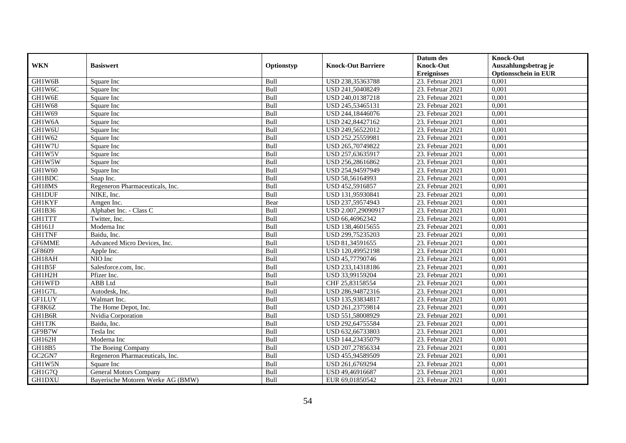|                    |                                   |            |                           | Datum des          | <b>Knock-Out</b>            |
|--------------------|-----------------------------------|------------|---------------------------|--------------------|-----------------------------|
| <b>WKN</b>         | <b>Basiswert</b>                  | Optionstyp | <b>Knock-Out Barriere</b> | <b>Knock-Out</b>   | Auszahlungsbetrag je        |
|                    |                                   |            |                           | <b>Ereignisses</b> | <b>Optionsschein in EUR</b> |
| GH1W6B             | Square Inc                        | Bull       | USD 238,35363788          | 23. Februar 2021   | 0,001                       |
| GH1W6C             | Square Inc                        | Bull       | USD 241,50408249          | 23. Februar 2021   | 0,001                       |
| GH1W6E             | Square Inc                        | Bull       | USD 240,01387218          | 23. Februar 2021   | 0,001                       |
| GH1W68             | Square Inc                        | Bull       | USD 245,53465131          | 23. Februar 2021   | 0,001                       |
| GH1W69             | Square Inc                        | Bull       | USD 244,18446076          | 23. Februar 2021   | 0,001                       |
| GH1W6A             | Square Inc                        | Bull       | USD 242,84427162          | 23. Februar 2021   | 0,001                       |
| GH1W6U             | Square Inc                        | Bull       | USD 249,56522012          | 23. Februar 2021   | 0,001                       |
| GH1W62             | Square Inc                        | Bull       | USD 252,25559981          | 23. Februar 2021   | 0,001                       |
| GH1W7U             | Square Inc                        | Bull       | USD 265,70749822          | 23. Februar 2021   | 0,001                       |
| GH1W5V             | Square Inc                        | Bull       | USD 257,63635917          | 23. Februar 2021   | 0,001                       |
| GH1W5W             | Square Inc                        | Bull       | USD 256,28616862          | 23. Februar 2021   | 0,001                       |
| GH1W60             | Square Inc                        | Bull       | USD 254,94597949          | 23. Februar 2021   | 0,001                       |
| <b>GH1BDC</b>      | Snap Inc.                         | Bull       | USD 58,56164993           | 23. Februar 2021   | 0,001                       |
| GH18MS             | Regeneron Pharmaceuticals, Inc.   | Bull       | USD 452,5916857           | 23. Februar 2021   | 0,001                       |
| <b>GH1DUF</b>      | NIKE, Inc.                        | Bull       | USD 131,95930841          | 23. Februar 2021   | 0,001                       |
| <b>GH1KYF</b>      | Amgen Inc.                        | Bear       | USD 237,59574943          | 23. Februar 2021   | 0,001                       |
| GH1B36             | Alphabet Inc. - Class C           | Bull       | USD 2.007,29090917        | 23. Februar 2021   | 0,001                       |
| <b>GH1TTT</b>      | Twitter, Inc.                     | Bull       | USD 66,46962342           | 23. Februar 2021   | 0,001                       |
| GH161J             | Moderna Inc                       | Bull       | USD 138,46015655          | 23. Februar 2021   | 0,001                       |
| <b>GH1TNF</b>      | Baidu, Inc.                       | Bull       | USD 299,75235203          | 23. Februar 2021   | 0,001                       |
| GF6MME             | Advanced Micro Devices, Inc.      | Bull       | USD 81,34591655           | 23. Februar 2021   | 0,001                       |
| GF8609             | Apple Inc.                        | Bull       | USD 120,49952198          | 23. Februar 2021   | 0,001                       |
| GH18AH             | NIO Inc                           | Bull       | USD 45,77790746           | 23. Februar 2021   | 0,001                       |
| GH1B5F             | Salesforce.com, Inc.              | Bull       | USD 233,14318186          | 23. Februar 2021   | 0,001                       |
| GH1H2H             | Pfizer Inc.                       | Bull       | USD 33,99159204           | 23. Februar 2021   | 0,001                       |
| GH1WFD             | ABB Ltd                           | Bull       | CHF 25,83158554           | 23. Februar 2021   | 0,001                       |
| GH1G7L             | Autodesk, Inc.                    | Bull       | USD 286,94872316          | 23. Februar 2021   | 0,001                       |
| <b>GF1LUY</b>      | Walmart Inc.                      | Bull       | USD 135,93834817          | 23. Februar 2021   | 0,001                       |
| GF8K6Z             | The Home Depot, Inc.              | Bull       | USD 261,23759814          | 23. Februar 2021   | 0,001                       |
| GH1B6R             | Nvidia Corporation                | Bull       | USD 551,58008929          | 23. Februar 2021   | 0,001                       |
| <b>GH1TJK</b>      | Baidu, Inc.                       | Bull       | USD 292,64755584          | 23. Februar 2021   | 0,001                       |
| GF9B7W             | Tesla Inc                         | Bull       | USD 632,66733803          | 23. Februar 2021   | 0,001                       |
| GH162H             | Moderna Inc                       | Bull       | USD 144,23435079          | 23. Februar 2021   | 0,001                       |
| GH18B5             | The Boeing Company                | Bull       | USD 207,27856334          | 23. Februar 2021   | 0,001                       |
| GC <sub>2GN7</sub> | Regeneron Pharmaceuticals, Inc.   | Bull       | USD 455,94589509          | 23. Februar 2021   | 0,001                       |
| GH1W5N             | Square Inc                        | Bull       | USD 261,6769294           | 23. Februar 2021   | 0,001                       |
| GH1G7Q             | <b>General Motors Company</b>     | Bull       | USD 49,46916687           | 23. Februar 2021   | 0,001                       |
| <b>GH1DXU</b>      | Bayerische Motoren Werke AG (BMW) | Bull       | EUR 69,01850542           | 23. Februar 2021   | 0,001                       |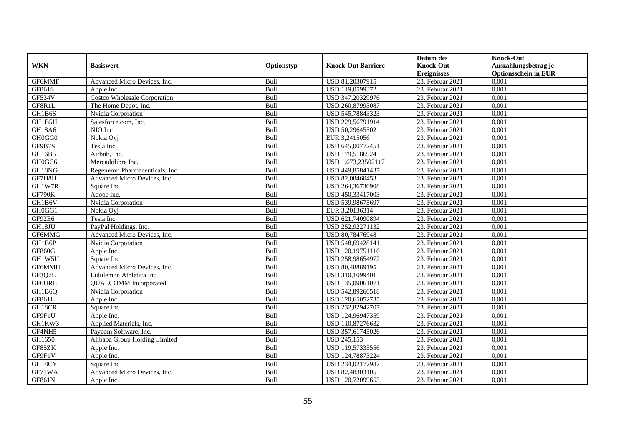|               |                                     |            |                           | Datum des          | <b>Knock-Out</b>            |
|---------------|-------------------------------------|------------|---------------------------|--------------------|-----------------------------|
| <b>WKN</b>    | <b>Basiswert</b>                    | Optionstyp | <b>Knock-Out Barriere</b> | <b>Knock-Out</b>   | Auszahlungsbetrag je        |
|               |                                     |            |                           | <b>Ereignisses</b> | <b>Optionsschein in EUR</b> |
| GF6MMF        | Advanced Micro Devices, Inc.        | Bull       | USD 81,20307915           | 23. Februar 2021   | 0,001                       |
| GF861S        | Apple Inc.                          | Bull       | USD 119,0599372           | 23. Februar 2021   | 0,001                       |
| <b>GF534V</b> | <b>Costco Wholesale Corporation</b> | Bull       | USD 347,20329976          | 23. Februar 2021   | 0,001                       |
| GF8R1L        | The Home Depot, Inc.                | Bull       | USD 260,87993087          | 23. Februar 2021   | 0,001                       |
| GH1B6S        | Nvidia Corporation                  | Bull       | USD 545,78843323          | 23. Februar 2021   | 0,001                       |
| GH1B5H        | Salesforce.com, Inc.                | Bull       | USD 229,56791914          | 23. Februar 2021   | 0,001                       |
| GH18A6        | NIO Inc                             | Bull       | USD 50,29645502           | 23. Februar 2021   | 0,001                       |
| GH0GG0        | Nokia Oyj                           | Bull       | EUR 3,2415056             | 23. Februar 2021   | 0,001                       |
| GF9B7S        | Tesla Inc                           | Bull       | USD 645,00772451          | 23. Februar 2021   | 0,001                       |
| GH16B5        | Airbnb, Inc.                        | Bull       | USD 179,5186924           | 23. Februar 2021   | 0,001                       |
| GH0GC6        | Mercadolibre Inc.                   | Bull       | USD 1.673,23502117        | 23. Februar 2021   | 0,001                       |
| GH18NG        | Regeneron Pharmaceuticals, Inc.     | Bull       | USD 449,85841437          | 23. Februar 2021   | 0,001                       |
| GF7H8H        | Advanced Micro Devices, Inc.        | Bull       | USD 82,08460453           | 23. Februar 2021   | 0,001                       |
| GH1W7R        | Square Inc                          | Bull       | USD 264,36730908          | 23. Februar 2021   | 0,001                       |
| GF790K        | Adobe Inc.                          | Bull       | USD 450,33417003          | 23. Februar 2021   | 0,001                       |
| GH1B6V        | Nvidia Corporation                  | Bull       | USD 539,98675697          | 23. Februar 2021   | 0,001                       |
| GH0GG1        | Nokia Ovi                           | Bull       | EUR 3,20136314            | 23. Februar 2021   | 0,001                       |
| GF92E6        | Tesla Inc                           | Bull       | USD 621,74090894          | 23. Februar 2021   | 0,001                       |
| GH18JU        | PayPal Holdings, Inc.               | Bull       | USD 252,92271132          | 23. Februar 2021   | 0,001                       |
| GF6MMG        | Advanced Micro Devices, Inc.        | Bull       | USD 80,78476948           | 23. Februar 2021   | 0,001                       |
| GH1B6P        | Nvidia Corporation                  | Bull       | USD 548,69428141          | 23. Februar 2021   | 0,001                       |
| GF860G        | Apple Inc.                          | Bull       | USD 120,19751116          | 23. Februar 2021   | 0,001                       |
| GH1W5U        | Square Inc                          | Bull       | USD 258,98654972          | $23.$ Februar 2021 | 0,001                       |
| GF6MMH        | Advanced Micro Devices, Inc.        | Bull       | USD 80,48889195           | 23. Februar 2021   | 0,001                       |
| GF3Q7L        | Lululemon Athletica Inc.            | Bull       | USD 310,1099401           | 23. Februar 2021   | 0,001                       |
| GF6URL        | <b>QUALCOMM</b> Incorporated        | Bull       | USD 135,09061071          | 23. Februar 2021   | 0,001                       |
| GH1B6Q        | Nvidia Corporation                  | Bull       | USD 542,89260518          | 23. Februar 2021   | 0,001                       |
| GF861L        | Apple Inc.                          | Bull       | USD 120,65052735          | $23.$ Februar 2021 | 0,001                       |
| GH18CR        | Square Inc                          | Bull       | USD 232,82942707          | 23. Februar 2021   | 0,001                       |
| GF9F1U        | Apple Inc.                          | Bull       | USD 124,96947359          | 23. Februar 2021   | 0,001                       |
| GH1KW3        | Applied Materials, Inc.             | Bull       | USD 110,87276632          | 23. Februar 2021   | 0,001                       |
| GF4NH5        | Paycom Software, Inc.               | Bull       | USD 357,61745026          | 23. Februar 2021   | 0,001                       |
| GH1650        | Alibaba Group Holding Limited       | Bull       | <b>USD 245,153</b>        | 23. Februar 2021   | 0,001                       |
| GF85ZK        | Apple Inc.                          | Bull       | USD 119,57335556          | $23.$ Februar 2021 | 0,001                       |
| GF9F1V        | Apple Inc.                          | Bull       | USD 124,78873224          | 23. Februar 2021   | 0,001                       |
| GH18CY        | Square Inc                          | Bull       | USD 234,02177987          | 23. Februar 2021   | 0,001                       |
| GF71WA        | Advanced Micro Devices, Inc.        | Bull       | USD 82,48303105           | 23. Februar 2021   | 0,001                       |
| GF861N        | Apple Inc.                          | Bull       | USD 120,72099653          | 23. Februar 2021   | 0,001                       |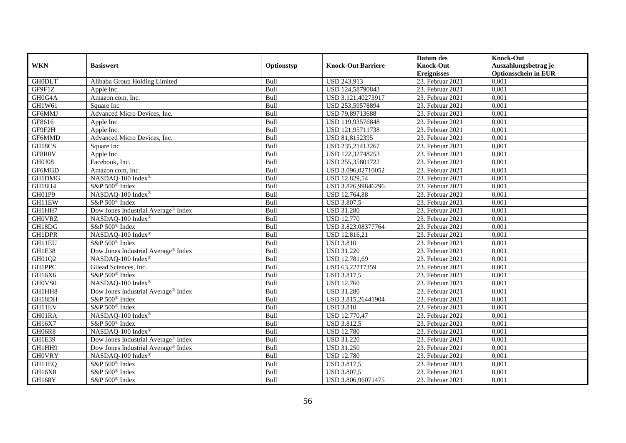|               |                                                 |            |                           | Datum des          | <b>Knock-Out</b>            |
|---------------|-------------------------------------------------|------------|---------------------------|--------------------|-----------------------------|
| <b>WKN</b>    | <b>Basiswert</b>                                | Optionstyp | <b>Knock-Out Barriere</b> | <b>Knock-Out</b>   | Auszahlungsbetrag je        |
|               |                                                 |            |                           | <b>Ereignisses</b> | <b>Optionsschein in EUR</b> |
| <b>GH0DLT</b> | Alibaba Group Holding Limited                   | Bull       | <b>USD 243,913</b>        | 23. Februar 2021   | 0,001                       |
| GF9F1Z        | Apple Inc.                                      | Bull       | USD 124,58790843          | 23. Februar 2021   | 0,001                       |
| GH0G4A        | Amazon.com, Inc.                                | Bull       | USD 3.121,40273917        | 23. Februar 2021   | 0,001                       |
| GH1W61        | Square Inc                                      | Bull       | USD 253,59578894          | 23. Februar 2021   | 0,001                       |
| GF6MMJ        | Advanced Micro Devices, Inc.                    | Bull       | USD 79,89713688           | 23. Februar 2021   | 0,001                       |
| GF8616        | Apple Inc.                                      | Bull       | USD 119,93576848          | 23. Februar 2021   | 0,001                       |
| GF9F2H        | Apple Inc.                                      | Bull       | USD 121,95711738          | 23. Februar 2021   | 0,001                       |
| GF6MMD        | Advanced Micro Devices, Inc.                    | Bull       | USD 81,8152395            | 23. Februar 2021   | 0,001                       |
| GH18CS        | Square Inc                                      | Bull       | USD 235,21413267          | 23. Februar 2021   | 0,001                       |
| GF8R0V        | Apple Inc.                                      | Bull       | USD 122,32748253          | 23. Februar 2021   | 0,001                       |
| GH0J08        | Facebook, Inc.                                  | Bull       | USD 255,35801722          | 23. Februar 2021   | 0,001                       |
| GF6MGD        | Amazon.com, Inc.                                | Bull       | USD 3.096,02710052        | 23. Februar 2021   | 0,001                       |
| GH1DMG        | NASDAQ-100 Index®                               | Bull       | USD 12.829,54             | 23. Februar 2021   | 0,001                       |
| GH18H4        | S&P 500 <sup>®</sup> Index                      | Bull       | USD 3.826,99846296        | 23. Februar 2021   | 0,001                       |
| GH01P9        | NASDAQ-100 Index®                               | Bull       | USD 12.764,88             | 23. Februar 2021   | 0,001                       |
| GH11EW        | S&P 500 <sup>®</sup> Index                      | Bull       | <b>USD 3.807,5</b>        | 23. Februar 2021   | 0,001                       |
| GH1HH7        | Dow Jones Industrial Average® Index             | Bull       | <b>USD 31.280</b>         | 23. Februar 2021   | 0,001                       |
| <b>GH0VRZ</b> | NASDAO-100 Index®                               | Bull       | <b>USD 12.770</b>         | 23. Februar 2021   | 0,001                       |
| GH18DG        | S&P 500 <sup>®</sup> Index                      | Bull       | USD 3.823,08377764        | 23. Februar 2021   | 0,001                       |
| <b>GH1DPR</b> | NASDAQ-100 Index®                               | Bull       | USD 12.816,21             | 23. Februar 2021   | 0,001                       |
| GH11EU        | S&P 500 <sup>®</sup> Index                      | Bull       | <b>USD 3.810</b>          | 23. Februar 2021   | 0,001                       |
| GH1E38        | Dow Jones Industrial Average® Index             | Bull       | <b>USD 31.220</b>         | 23. Februar 2021   | 0,001                       |
| GH01Q2        | NASDAQ-100 Index®                               | Bull       | USD 12.781,69             | $23.$ Februar 2021 | 0,001                       |
| <b>GH1PPC</b> | Gilead Sciences, Inc.                           | Bull       | USD 63,22717359           | 23. Februar 2021   | 0,001                       |
| GH16X6        | S&P 500 <sup>®</sup> Index                      | Bull       | <b>USD 3.817,5</b>        | 23. Februar 2021   | 0,001                       |
| GH0VS0        | NASDAQ-100 Index®                               | Bull       | <b>USD 12.760</b>         | 23. Februar 2021   | 0,001                       |
| GH1HH8        | Dow Jones Industrial Average <sup>®</sup> Index | Bull       | <b>USD 31.280</b>         | 23. Februar 2021   | 0,001                       |
| GH18DH        | S&P 500 <sup>®</sup> Index                      | Bull       | USD 3.815,26441904        | $23.$ Februar 2021 | 0,001                       |
| GH11EV        | S&P 500 <sup>®</sup> Index                      | Bull       | <b>USD 3.810</b>          | 23. Februar 2021   | 0,001                       |
| GH01RA        | NASDAQ-100 Index®                               | Bull       | <b>USD 12.770,47</b>      | 23. Februar 2021   | 0,001                       |
| GH16X7        | S&P 500 <sup>®</sup> Index                      | Bull       | <b>USD 3.812,5</b>        | 23. Februar 2021   | 0,001                       |
| GH06R8        | NASDAQ-100 Index®                               | Bull       | <b>USD 12.780</b>         | 23. Februar 2021   | 0,001                       |
| <b>GH1E39</b> | Dow Jones Industrial Average® Index             | Bull       | <b>USD 31.220</b>         | 23. Februar 2021   | 0,001                       |
| GH1HH9        | Dow Jones Industrial Average <sup>®</sup> Index | Bull       | <b>USD 31.250</b>         | $23.$ Februar 2021 | 0,001                       |
| <b>GHOVRY</b> | NASDAQ-100 Index®                               | Bull       | <b>USD 12.780</b>         | 23. Februar 2021   | 0,001                       |
| GH11EQ        | S&P 500 <sup>®</sup> Index                      | Bull       | <b>USD 3.817,5</b>        | 23. Februar 2021   | 0,001                       |
| GH16X8        | S&P 500 <sup>®</sup> Index                      | Bull       | <b>USD 3.807,5</b>        | 23. Februar 2021   | 0,001                       |
| GH168Y        | S&P 500 <sup>®</sup> Index                      | Bull       | USD 3.806,96071475        | 23. Februar 2021   | 0,001                       |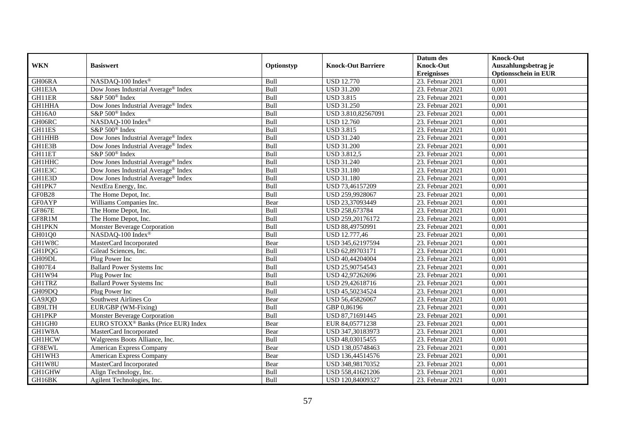|               |                                                 |            |                           | Datum des          | <b>Knock-Out</b>            |
|---------------|-------------------------------------------------|------------|---------------------------|--------------------|-----------------------------|
| <b>WKN</b>    | <b>Basiswert</b>                                | Optionstyp | <b>Knock-Out Barriere</b> | <b>Knock-Out</b>   | Auszahlungsbetrag je        |
|               |                                                 |            |                           | <b>Ereignisses</b> | <b>Optionsschein in EUR</b> |
| GH06RA        | NASDAQ-100 Index®                               | Bull       | <b>USD 12.770</b>         | 23. Februar 2021   | 0,001                       |
| GH1E3A        | Dow Jones Industrial Average® Index             | Bull       | <b>USD 31.200</b>         | 23. Februar 2021   | 0,001                       |
| GH11ER        | S&P 500 <sup>®</sup> Index                      | Bull       | <b>USD 3.815</b>          | 23. Februar 2021   | 0,001                       |
| GH1HHA        | Dow Jones Industrial Average® Index             | Bull       | <b>USD 31.250</b>         | 23. Februar 2021   | 0,001                       |
| GH16A0        | S&P 500 <sup>®</sup> Index                      | Bull       | USD 3.810,82567091        | 23. Februar 2021   | 0,001                       |
| GH06RC        | NASDAQ-100 Index®                               | Bull       | <b>USD 12.760</b>         | 23. Februar 2021   | 0,001                       |
| GH11ES        | S&P 500 <sup>®</sup> Index                      | Bull       | <b>USD 3.815</b>          | 23. Februar 2021   | 0,001                       |
| <b>GH1HHB</b> | Dow Jones Industrial Average® Index             | Bull       | <b>USD 31.240</b>         | 23. Februar 2021   | 0,001                       |
| GH1E3B        | Dow Jones Industrial Average® Index             | Bull       | <b>USD 31.200</b>         | 23. Februar 2021   | 0,001                       |
| GH11ET        | S&P 500 <sup>®</sup> Index                      | Bull       | <b>USD 3.812,5</b>        | 23. Februar 2021   | 0,001                       |
| <b>GH1HHC</b> | Dow Jones Industrial Average <sup>®</sup> Index | Bull       | <b>USD 31.240</b>         | 23. Februar 2021   | 0,001                       |
| GH1E3C        | Dow Jones Industrial Average® Index             | Bull       | <b>USD 31.180</b>         | 23. Februar 2021   | 0,001                       |
| GH1E3D        | Dow Jones Industrial Average <sup>®</sup> Index | Bull       | <b>USD 31.180</b>         | 23. Februar 2021   | 0,001                       |
| GH1PK7        | NextEra Energy, Inc.                            | Bull       | USD 73,46157209           | 23. Februar 2021   | 0,001                       |
| GF0B28        | The Home Depot, Inc.                            | Bull       | USD 259,9928067           | 23. Februar 2021   | 0,001                       |
| <b>GF0AYP</b> | Williams Companies Inc.                         | Bear       | USD 23,37093449           | 23. Februar 2021   | 0,001                       |
| <b>GF867E</b> | The Home Depot, Inc.                            | Bull       | USD 258,673784            | 23. Februar 2021   | 0,001                       |
| GF8R1M        | The Home Depot, Inc.                            | Bull       | USD 259,20176172          | 23. Februar 2021   | 0,001                       |
| <b>GH1PKN</b> | Monster Beverage Corporation                    | Bull       | USD 88,49750991           | 23. Februar 2021   | 0,001                       |
| GH01Q0        | NASDAQ-100 Index®                               | Bull       | USD 12.777,46             | 23. Februar 2021   | 0,001                       |
| GH1W8C        | MasterCard Incorporated                         | Bear       | USD 345,62197594          | 23. Februar 2021   | 0,001                       |
| <b>GH1PQG</b> | Gilead Sciences, Inc.                           | Bull       | USD 62,89703171           | 23. Februar 2021   | 0,001                       |
| GH09DL        | Plug Power Inc                                  | Bull       | USD 40,44204004           | 23. Februar 2021   | 0,001                       |
| GH07E4        | <b>Ballard Power Systems Inc</b>                | Bull       | USD 25,90754543           | 23. Februar 2021   | 0,001                       |
| GH1W94        | Plug Power Inc                                  | Bull       | USD 42,97262696           | 23. Februar 2021   | 0.001                       |
| <b>GH1TRZ</b> | <b>Ballard Power Systems Inc</b>                | Bull       | USD 29,42618716           | 23. Februar 2021   | 0,001                       |
| GH09DQ        | Plug Power Inc                                  | Bull       | USD 45,50234524           | 23. Februar 2021   | 0,001                       |
| GA9JQD        | Southwest Airlines Co                           | Bear       | USD 56,45826067           | 23. Februar 2021   | 0,001                       |
| GB9LTH        | EUR/GBP (WM-Fixing)                             | Bull       | GBP 0,86196               | 23. Februar 2021   | 0,001                       |
| <b>GH1PKP</b> | Monster Beverage Corporation                    | Bull       | USD 87,71691445           | 23. Februar 2021   | 0,001                       |
| GH1GH0        | EURO STOXX <sup>®</sup> Banks (Price EUR) Index | Bear       | EUR 84,05771238           | 23. Februar 2021   | 0,001                       |
| GH1W8A        | MasterCard Incorporated                         | Bear       | USD 347,30183973          | 23. Februar 2021   | 0,001                       |
| <b>GH1HCW</b> | Walgreens Boots Alliance, Inc.                  | Bull       | USD 48,03015455           | 23. Februar 2021   | 0,001                       |
| GF8EWL        | American Express Company                        | Bear       | USD 138,05748463          | 23. Februar 2021   | 0,001                       |
| GH1WH3        | American Express Company                        | Bear       | USD 136,44514576          | 23. Februar 2021   | 0,001                       |
| GH1W8U        | MasterCard Incorporated                         | Bear       | USD 348,98170352          | 23. Februar 2021   | 0,001                       |
| GH1GHW        | Align Technology, Inc.                          | Bull       | USD 558,41621206          | 23. Februar 2021   | 0,001                       |
| GH16BK        | Agilent Technologies, Inc.                      | Bull       | USD 120,84009327          | 23. Februar 2021   | 0,001                       |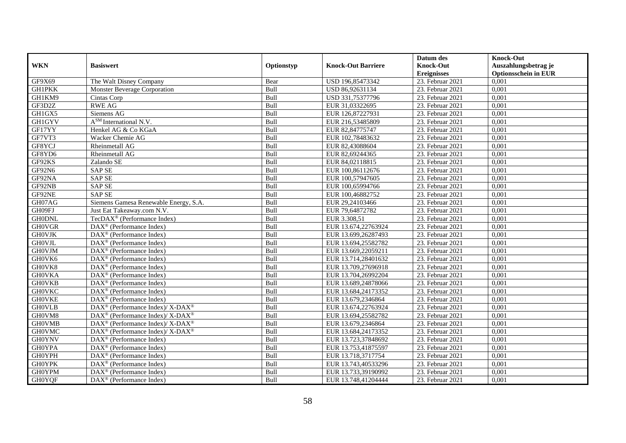|               |                                                                                        |            |                           | Datum des          | <b>Knock-Out</b>            |
|---------------|----------------------------------------------------------------------------------------|------------|---------------------------|--------------------|-----------------------------|
| <b>WKN</b>    | <b>Basiswert</b>                                                                       | Optionstyp | <b>Knock-Out Barriere</b> | <b>Knock-Out</b>   | Auszahlungsbetrag je        |
|               |                                                                                        |            |                           | <b>Ereignisses</b> | <b>Optionsschein in EUR</b> |
| GF9X69        | The Walt Disney Company                                                                | Bear       | USD 196,85473342          | 23. Februar 2021   | 0,001                       |
| <b>GH1PKK</b> | Monster Beverage Corporation                                                           | Bull       | USD 86,92631134           | 23. Februar 2021   | 0,001                       |
| GH1KM9        | Cintas Corp                                                                            | Bull       | USD 331,75377796          | 23. Februar 2021   | 0,001                       |
| GF3D2Z        | <b>RWE AG</b>                                                                          | Bull       | EUR 31,03322695           | 23. Februar 2021   | 0,001                       |
| GH1GX5        | Siemens AG                                                                             | Bull       | EUR 126,87227931          | 23. Februar 2021   | 0,001                       |
| <b>GH1GYV</b> | $A^{SM}$ International N.V.                                                            | Bull       | EUR 216,53485809          | 23. Februar 2021   | 0,001                       |
| GF17YY        | Henkel AG & Co KGaA                                                                    | Bull       | EUR 82,84775747           | 23. Februar 2021   | 0,001                       |
| GF7VT3        | Wacker Chemie AG                                                                       | Bull       | EUR 102,78483632          | 23. Februar 2021   | 0,001                       |
| GF8YCJ        | Rheinmetall AG                                                                         | Bull       | EUR 82,43088604           | 23. Februar 2021   | 0,001                       |
| GF8YD6        | Rheinmetall AG                                                                         | Bull       | EUR 82,69244365           | 23. Februar 2021   | 0,001                       |
| GF92KS        | Zalando SE                                                                             | Bull       | EUR 84,02118815           | 23. Februar 2021   | 0,001                       |
| GF92N6        | <b>SAP SE</b>                                                                          | Bull       | EUR 100,86112676          | 23. Februar 2021   | 0,001                       |
| GF92NA        | <b>SAP SE</b>                                                                          | Bull       | EUR 100,57947605          | 23. Februar 2021   | 0,001                       |
| GF92NB        | <b>SAP SE</b>                                                                          | Bull       | EUR 100,65994766          | 23. Februar 2021   | 0,001                       |
| GF92NE        | <b>SAP SE</b>                                                                          | Bull       | EUR 100,46882752          | 23. Februar 2021   | 0,001                       |
| GH07AG        | Siemens Gamesa Renewable Energy, S.A.                                                  | Bull       | EUR 29,24103466           | 23. Februar 2021   | 0,001                       |
| GH09FJ        | Just Eat Takeaway.com N.V.                                                             | Bull       | EUR 79,64872782           | 23. Februar 2021   | 0,001                       |
| <b>GH0DNL</b> | TecDAX <sup>®</sup> (Performance Index)                                                | Bull       | EUR 3.308,51              | 23. Februar 2021   | 0,001                       |
| <b>GHOVGR</b> | $\text{DAX}^{\textcircled{n}}$ (Performance Index)                                     | Bull       | EUR 13.674,22763924       | 23. Februar 2021   | 0,001                       |
| <b>GHOVJK</b> | $\text{DAX}^{\textcircled{n}}$ (Performance Index)                                     | Bull       | EUR 13.699,26287493       | 23. Februar 2021   | 0,001                       |
| <b>GHOVJL</b> | DAX <sup>®</sup> (Performance Index)                                                   | Bull       | EUR 13.694,25582782       | 23. Februar 2021   | 0,001                       |
| <b>GH0VJM</b> | $\overline{\text{DAX}}^{\textcirc}$ (Performance Index)                                | Bull       | EUR 13.669,22059211       | 23. Februar 2021   | 0,001                       |
| GH0VK6        | DAX <sup>®</sup> (Performance Index)                                                   | Bull       | EUR 13.714,28401632       | $23.$ Februar 2021 | 0,001                       |
| GH0VK8        | $\text{DAX}^{\textcircled{D}}$ (Performance Index)                                     | Bull       | EUR 13.709,27696918       | 23. Februar 2021   | 0,001                       |
| <b>GHOVKA</b> | $\text{DAX}^{\textcircled{D}}$ (Performance Index)                                     | Bull       | EUR 13.704,26992204       | 23. Februar 2021   | 0,001                       |
| <b>GHOVKB</b> | DAX <sup>®</sup> (Performance Index)                                                   | Bull       | EUR 13.689,24878066       | 23. Februar 2021   | 0,001                       |
| <b>GHOVKC</b> | DAX <sup>®</sup> (Performance Index)                                                   | Bull       | EUR 13.684,24173352       | 23. Februar 2021   | 0,001                       |
| <b>GHOVKE</b> | $\overline{\text{DAX}^{\otimes}}$ (Performance Index)                                  | Bull       | EUR 13.679,2346864        | 23. Februar 2021   | 0,001                       |
| <b>GH0VLB</b> | $\overline{\text{DAX}^{\textcircled{\tiny 0}}}$ (Performance Index)/X-DAX <sup>®</sup> | Bull       | EUR 13.674,22763924       | 23. Februar 2021   | 0,001                       |
| GH0VM8        | $DAX^{\circledcirc}$ (Performance Index)/ X-DAX <sup>®</sup>                           | Bull       | EUR 13.694,25582782       | 23. Februar 2021   | 0.001                       |
| <b>GH0VMB</b> | $DAX^{\circledcirc}$ (Performance Index)/ X-DAX <sup>®</sup>                           | Bull       | EUR 13.679,2346864        | 23. Februar 2021   | 0,001                       |
| <b>GHOVMC</b> | $\text{DAX}^{\circledR}$ (Performance Index)/ X-DAX <sup>®</sup>                       | Bull       | EUR 13.684,24173352       | 23. Februar 2021   | 0,001                       |
| <b>GH0YNV</b> | $\overline{\text{DAX}^{\otimes}}$ (Performance Index)                                  | Bull       | EUR 13.723,37848692       | 23. Februar 2021   | 0,001                       |
| <b>GH0YPA</b> | $\overline{\text{DAX}}^{\textcirc}$ (Performance Index)                                | Bull       | EUR 13.753,41875597       | 23. Februar 2021   | 0,001                       |
| <b>GH0YPH</b> | DAX <sup>®</sup> (Performance Index)                                                   | Bull       | EUR 13.718,3717754        | 23. Februar 2021   | 0,001                       |
| <b>GH0YPK</b> | DAX <sup>®</sup> (Performance Index)                                                   | Bull       | EUR 13.743,40533296       | 23. Februar 2021   | 0,001                       |
| <b>GH0YPM</b> | $\text{DAX}^{\otimes}$ (Performance Index)                                             | Bull       | EUR 13.733,39190992       | 23. Februar 2021   | 0,001                       |
| <b>GH0YQF</b> | DAX <sup>®</sup> (Performance Index)                                                   | Bull       | EUR 13.748,41204444       | 23. Februar 2021   | 0,001                       |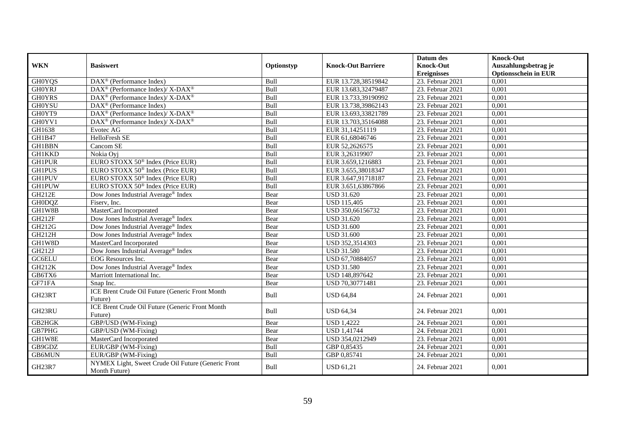| <b>WKN</b>    | <b>Basiswert</b>                                                    | Optionstyp | <b>Knock-Out Barriere</b> | Datum des<br><b>Knock-Out</b> | <b>Knock-Out</b><br>Auszahlungsbetrag je |
|---------------|---------------------------------------------------------------------|------------|---------------------------|-------------------------------|------------------------------------------|
|               |                                                                     |            |                           | <b>Ereignisses</b>            | <b>Optionsschein in EUR</b>              |
| <b>GHOYQS</b> | DAX <sup>®</sup> (Performance Index)                                | Bull       | EUR 13.728,38519842       | 23. Februar 2021              | 0,001                                    |
| <b>GHOYRJ</b> | DAX <sup>®</sup> (Performance Index)/ X-DAX <sup>®</sup>            | Bull       | EUR 13.683,32479487       | 23. Februar 2021              | 0,001                                    |
| <b>GH0YRS</b> | $\text{DAX}^{\circledR}$ (Performance Index)/ X-DAX <sup>®</sup>    | Bull       | EUR 13.733,39190992       | 23. Februar 2021              | 0,001                                    |
| <b>GH0YSU</b> | DAX <sup>®</sup> (Performance Index)                                | Bull       | EUR 13.738,39862143       | 23. Februar 2021              | 0,001                                    |
| GH0YT9        | $\text{DAX}^{\circledast}$ (Performance Index)/ X-DAX <sup>®</sup>  | Bull       | EUR 13.693,33821789       | 23. Februar 2021              | 0,001                                    |
| GH0YV1        | $\text{DAX}^{\circledast}$ (Performance Index)/ X-DAX <sup>®</sup>  | Bull       | EUR 13.703,35164088       | 23. Februar 2021              | 0,001                                    |
| GH1638        | Evotec AG                                                           | Bull       | EUR 31,14251119           | 23. Februar 2021              | 0,001                                    |
| GH1B47        | HelloFresh SE                                                       | Bull       | EUR 61,68046746           | 23. Februar 2021              | 0,001                                    |
| <b>GH1BBN</b> | Cancom SE                                                           | Bull       | EUR 52,2626575            | 23. Februar 2021              | 0,001                                    |
| <b>GH1KKD</b> | Nokia Ovi                                                           | Bull       | EUR 3,26319907            | $23.$ Februar 2021            | 0,001                                    |
| <b>GH1PUR</b> | EURO STOXX 50 <sup>®</sup> Index (Price EUR)                        | Bull       | EUR 3.659,1216883         | 23. Februar 2021              | 0,001                                    |
| <b>GH1PUS</b> | EURO STOXX 50 <sup>®</sup> Index (Price EUR)                        | Bull       | EUR 3.655,38018347        | 23. Februar 2021              | 0,001                                    |
| <b>GH1PUV</b> | EURO STOXX $50^{\circ}$ Index (Price EUR)                           | Bull       | EUR 3.647,91718187        | 23. Februar 2021              | 0,001                                    |
| <b>GH1PUW</b> | EURO STOXX $50^{\circ}$ Index (Price EUR)                           | Bull       | EUR 3.651,63867866        | 23. Februar 2021              | 0,001                                    |
| <b>GH212E</b> | Dow Jones Industrial Average® Index                                 | Bear       | <b>USD 31.620</b>         | 23. Februar 2021              | 0,001                                    |
| GH0DQZ        | Fiserv, Inc.                                                        | Bear       | <b>USD 115,405</b>        | 23. Februar 2021              | 0,001                                    |
| GH1W8B        | MasterCard Incorporated                                             | Bear       | USD 350,66156732          | 23. Februar 2021              | 0,001                                    |
| <b>GH212F</b> | Dow Jones Industrial Average <sup>®</sup> Index                     | Bear       | <b>USD 31.620</b>         | 23. Februar 2021              | 0,001                                    |
| GH212G        | Dow Jones Industrial Average® Index                                 | Bear       | <b>USD 31.600</b>         | 23. Februar 2021              | 0,001                                    |
| GH212H        | Dow Jones Industrial Average® Index                                 | Bear       | <b>USD 31.600</b>         | 23. Februar 2021              | 0,001                                    |
| GH1W8D        | MasterCard Incorporated                                             | Bear       | USD 352,3514303           | 23. Februar 2021              | 0,001                                    |
| GH212J        | Dow Jones Industrial Average <sup>®</sup> Index                     | Bear       | <b>USD 31.580</b>         | 23. Februar 2021              | 0,001                                    |
| <b>GC6ELU</b> | EOG Resources Inc.                                                  | Bear       | USD 67,70884057           | 23. Februar 2021              | 0,001                                    |
| <b>GH212K</b> | Dow Jones Industrial Average® Index                                 | Bear       | <b>USD 31.580</b>         | 23. Februar 2021              | 0,001                                    |
| GB6TX6        | Marriott International Inc.                                         | Bear       | USD 148,897642            | 23. Februar 2021              | 0,001                                    |
| GF71FA        | Snap Inc.                                                           | Bear       | USD 70,30771481           | 23. Februar 2021              | 0,001                                    |
| GH23RT        | ICE Brent Crude Oil Future (Generic Front Month<br>Future)          | Bull       | <b>USD 64,84</b>          | 24. Februar 2021              | 0,001                                    |
| GH23RU        | ICE Brent Crude Oil Future (Generic Front Month<br>Future)          | Bull       | <b>USD 64,34</b>          | 24. Februar 2021              | 0,001                                    |
| GB2HGK        | GBP/USD (WM-Fixing)                                                 | Bear       | <b>USD 1,4222</b>         | 24. Februar 2021              | 0,001                                    |
| GB7PHG        | GBP/USD (WM-Fixing)                                                 | Bear       | <b>USD 1,41744</b>        | 24. Februar 2021              | 0,001                                    |
| GH1W8E        | MasterCard Incorporated                                             | Bear       | USD 354,0212949           | 23. Februar 2021              | 0,001                                    |
| GB9GDZ        | EUR/GBP (WM-Fixing)                                                 | Bull       | GBP 0,85435               | 24. Februar 2021              | 0,001                                    |
| GB6MUN        | EUR/GBP (WM-Fixing)                                                 | Bull       | GBP 0,85741               | 24. Februar 2021              | 0,001                                    |
| <b>GH23R7</b> | NYMEX Light, Sweet Crude Oil Future (Generic Front<br>Month Future) | Bull       | <b>USD 61,21</b>          | 24. Februar 2021              | 0.001                                    |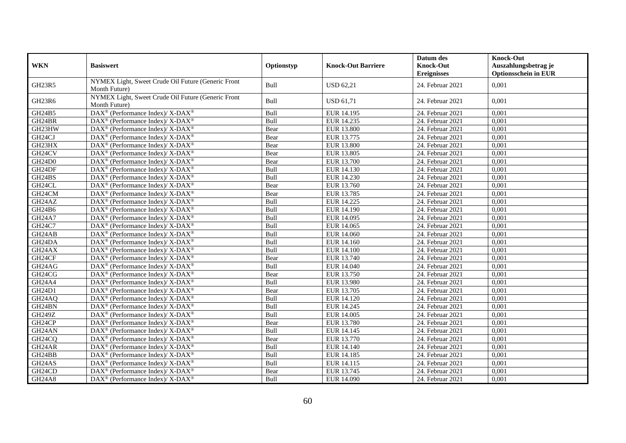|                     |                                                                     |            |                           | Datum des          | <b>Knock-Out</b>                                    |
|---------------------|---------------------------------------------------------------------|------------|---------------------------|--------------------|-----------------------------------------------------|
| <b>WKN</b>          | <b>Basiswert</b>                                                    | Optionstyp | <b>Knock-Out Barriere</b> | <b>Knock-Out</b>   | Auszahlungsbetrag je<br><b>Optionsschein in EUR</b> |
|                     | NYMEX Light, Sweet Crude Oil Future (Generic Front                  |            |                           | <b>Ereignisses</b> |                                                     |
| GH23R5              | Month Future)                                                       | Bull       | <b>USD 62,21</b>          | 24. Februar 2021   | 0,001                                               |
| GH23R6              | NYMEX Light, Sweet Crude Oil Future (Generic Front<br>Month Future) | Bull       | <b>USD 61,71</b>          | 24. Februar 2021   | 0,001                                               |
| GH24B5              | DAX <sup>®</sup> (Performance Index)/ X-DAX <sup>®</sup>            | Bull       | EUR 14.195                | 24. Februar 2021   | 0,001                                               |
| GH24BR              | $DAX^{\circledcirc}$ (Performance Index)/ X- $DAX^{\circledcirc}$   | Bull       | EUR 14.235                | 24. Februar 2021   | 0,001                                               |
| GH23HW              | $DAX^{\circledast}$ (Performance Index)/ X-DAX <sup>®</sup>         | Bear       | <b>EUR 13.800</b>         | 24. Februar 2021   | 0,001                                               |
| GH24CJ              | $DAX^{\circledast}$ (Performance Index)/X-DAX <sup>®</sup>          | Bear       | EUR 13.775                | 24. Februar 2021   | 0,001                                               |
| GH23HX              | DAX <sup>®</sup> (Performance Index)/X-DAX <sup>®</sup>             | Bear       | <b>EUR 13.800</b>         | 24. Februar 2021   | 0,001                                               |
| GH24CV              | DAX <sup>®</sup> (Performance Index)/ X-DAX <sup>®</sup>            | Bear       | EUR 13.805                | 24. Februar 2021   | 0,001                                               |
| <b>GH24D0</b>       | DAX <sup>®</sup> (Performance Index)/X-DAX <sup>®</sup>             | Bear       | EUR 13.700                | 24. Februar 2021   | 0,001                                               |
| GH24DF              | DAX <sup>®</sup> (Performance Index)/X-DAX <sup>®</sup>             | Bull       | EUR 14.130                | 24. Februar 2021   | 0,001                                               |
| GH24BS              | $DAX^{\circledast}$ (Performance Index)/X-DAX <sup>®</sup>          | Bull       | EUR 14.230                | 24. Februar 2021   | 0,001                                               |
| GH24CL              | $DAX^{\circledcirc}$ (Performance Index)/X-DAX <sup>®</sup>         | Bear       | EUR 13.760                | 24. Februar 2021   | 0,001                                               |
| GH24CM              | $DAX^{\circledast}$ (Performance Index)/X-DAX <sup>®</sup>          | Bear       | EUR 13.785                | 24. Februar 2021   | 0,001                                               |
| GH24AZ              | $DAX^{\circledast}$ (Performance Index)/X-DAX <sup>®</sup>          | Bull       | <b>EUR 14.225</b>         | 24. Februar 2021   | 0,001                                               |
| GH24B6              | DAX <sup>®</sup> (Performance Index)/ X-DAX <sup>®</sup>            | Bull       | EUR 14.190                | 24. Februar 2021   | 0,001                                               |
| <b>GH24A7</b>       | $DAX^{\circledast}$ (Performance Index)/X-DAX <sup>®</sup>          | Bull       | EUR 14.095                | $24.$ Februar 2021 | 0,001                                               |
| GH24C7              | $DAX^{\circledast}$ (Performance Index)/X-DAX <sup>®</sup>          | Bull       | EUR 14.065                | 24. Februar 2021   | 0,001                                               |
| GH24AB              | DAX <sup>®</sup> (Performance Index)/X-DAX <sup>®</sup>             | Bull       | <b>EUR 14.060</b>         | 24. Februar 2021   | 0,001                                               |
| GH24DA              | $DAX^{\circledast}$ (Performance Index)/X-DAX <sup>®</sup>          | Bull       | EUR 14.160                | 24. Februar 2021   | 0,001                                               |
| GH24AX              | DAX <sup>®</sup> (Performance Index)/ X-DAX <sup>®</sup>            | Bull       | EUR 14.100                | 24. Februar 2021   | 0,001                                               |
| GH <sub>24</sub> CF | DAX <sup>®</sup> (Performance Index)/X-DAX <sup>®</sup>             | Bear       | EUR 13.740                | 24. Februar 2021   | 0,001                                               |
| GH24AG              | $DAX^{\circledast}$ (Performance Index)/X-DAX <sup>®</sup>          | Bull       | EUR 14.040                | 24. Februar 2021   | 0,001                                               |
| GH24CG              | DAX <sup>®</sup> (Performance Index)/ X-DAX <sup>®</sup>            | Bear       | EUR 13.750                | 24. Februar 2021   | 0,001                                               |
| GH24A4              | $DAX^{\circledast}$ (Performance Index)/X-DAX <sup>®</sup>          | Bull       | EUR 13.980                | 24. Februar 2021   | 0.001                                               |
| GH24D1              | DAX <sup>®</sup> (Performance Index)/X-DAX <sup>®</sup>             | Bear       | EUR 13.705                | 24. Februar 2021   | 0,001                                               |
| GH <sub>24</sub> AQ | DAX <sup>®</sup> (Performance Index)/ X-DAX <sup>®</sup>            | Bull       | EUR 14.120                | 24. Februar 2021   | 0,001                                               |
| GH24BN              | DAX <sup>®</sup> (Performance Index)/X-DAX <sup>®</sup>             | Bull       | EUR 14.245                | 24. Februar 2021   | 0,001                                               |
| <b>GH249Z</b>       | $DAX^{\circledcirc}$ (Performance Index)/X-DAX <sup>®</sup>         | Bull       | EUR 14.005                | 24. Februar 2021   | 0,001                                               |
| GH24CP              | DAX <sup>®</sup> (Performance Index)/X-DAX <sup>®</sup>             | Bear       | EUR 13.780                | 24. Februar 2021   | 0,001                                               |
| GH24AN              | DAX <sup>®</sup> (Performance Index)/X-DAX <sup>®</sup>             | Bull       | EUR 14.145                | 24. Februar 2021   | 0,001                                               |
| GH <sub>24</sub> CQ | $DAX^{\circledast}$ (Performance Index)/ X-DAX <sup>®</sup>         | Bear       | EUR 13.770                | 24. Februar 2021   | 0,001                                               |
| GH24AR              | DAX <sup>®</sup> (Performance Index)/ X-DAX <sup>®</sup>            | Bull       | EUR 14.140                | 24. Februar 2021   | 0,001                                               |
| GH24BB              | DAX <sup>®</sup> (Performance Index)/ X-DAX <sup>®</sup>            | Bull       | <b>EUR 14.185</b>         | 24. Februar 2021   | 0,001                                               |
| GH24AS              | DAX <sup>®</sup> (Performance Index)/X-DAX <sup>®</sup>             | Bull       | EUR 14.115                | 24. Februar 2021   | 0,001                                               |
| GH24CD              | DAX <sup>®</sup> (Performance Index)/ X-DAX <sup>®</sup>            | Bear       | EUR 13.745                | 24. Februar 2021   | 0,001                                               |
| <b>GH24A8</b>       | DAX <sup>®</sup> (Performance Index)/X-DAX <sup>®</sup>             | Bull       | EUR 14.090                | 24. Februar 2021   | 0,001                                               |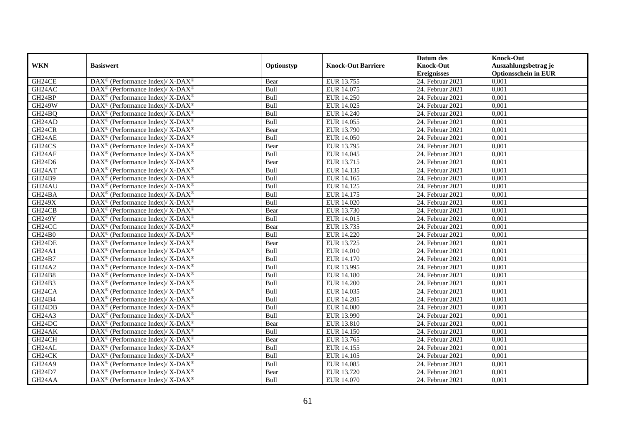|                     |                                                                    |            |                           | Datum des          | <b>Knock-Out</b>            |
|---------------------|--------------------------------------------------------------------|------------|---------------------------|--------------------|-----------------------------|
| <b>WKN</b>          | <b>Basiswert</b>                                                   | Optionstyp | <b>Knock-Out Barriere</b> | <b>Knock-Out</b>   | Auszahlungsbetrag je        |
|                     |                                                                    |            |                           | <b>Ereignisses</b> | <b>Optionsschein in EUR</b> |
| GH24CE              | DAX <sup>®</sup> (Performance Index)/X-DAX <sup>®</sup>            | Bear       | EUR 13.755                | 24. Februar 2021   | 0,001                       |
| GH24AC              | $DAX^{\circledast}$ (Performance Index)/ X-DAX <sup>®</sup>        | Bull       | EUR 14.075                | 24. Februar 2021   | 0,001                       |
| GH24BP              | $DAX^{\circledast}$ (Performance Index)/ X-DAX <sup>®</sup>        | Bull       | EUR 14.250                | 24. Februar 2021   | 0,001                       |
| <b>GH249W</b>       | $DAX^{\circledast}$ (Performance Index)/ X-DAX <sup>®</sup>        | Bull       | EUR 14.025                | 24. Februar 2021   | 0,001                       |
| GH24BQ              | $\text{DAX}^{\circledast}$ (Performance Index)/ X-DAX <sup>®</sup> | Bull       | <b>EUR 14.240</b>         | 24. Februar 2021   | 0,001                       |
| GH24AD              | DAX <sup>®</sup> (Performance Index)/ X-DAX <sup>®</sup>           | Bull       | EUR 14.055                | 24. Februar 2021   | 0,001                       |
| GH <sub>24</sub> CR | $DAX^{\circledast}$ (Performance Index)/ X-DAX <sup>®</sup>        | Bear       | EUR 13.790                | 24. Februar 2021   | 0,001                       |
| GH24AE              | $DAX^{\circledast}$ (Performance Index)/ X-DAX <sup>®</sup>        | Bull       | <b>EUR 14.050</b>         | 24. Februar 2021   | 0,001                       |
| GH24CS              | $DAX^{\circledast}$ (Performance Index)/ X-DAX <sup>®</sup>        | Bear       | EUR 13.795                | 24. Februar 2021   | 0,001                       |
| GH24AF              | $DAX^{\circledast}$ (Performance Index)/ X-DAX <sup>®</sup>        | Bull       | EUR 14.045                | 24. Februar 2021   | 0,001                       |
| GH24D6              | $DAX^{\circledast}$ (Performance Index)/ X-DAX <sup>®</sup>        | Bear       | EUR 13.715                | 24. Februar 2021   | 0,001                       |
| GH24AT              | DAX <sup>®</sup> (Performance Index)/ X-DAX <sup>®</sup>           | Bull       | EUR 14.135                | 24. Februar 2021   | 0,001                       |
| GH24B9              | $DAX^{\circledast}$ (Performance Index)/ X-DAX <sup>®</sup>        | Bull       | EUR 14.165                | 24. Februar 2021   | 0,001                       |
| GH24AU              | DAX <sup>®</sup> (Performance Index)/ X-DAX <sup>®</sup>           | Bull       | EUR 14.125                | 24. Februar 2021   | 0,001                       |
| GH24BA              | DAX <sup>®</sup> (Performance Index)/ X-DAX <sup>®</sup>           | Bull       | EUR 14.175                | 24. Februar 2021   | 0,001                       |
| <b>GH249X</b>       | DAX <sup>®</sup> (Performance Index)/ X-DAX <sup>®</sup>           | Bull       | EUR 14.020                | 24. Februar 2021   | 0,001                       |
| GH24CB              | DAX <sup>®</sup> (Performance Index)/ X-DAX <sup>®</sup>           | Bear       | EUR 13.730                | 24. Februar 2021   | 0,001                       |
| <b>GH249Y</b>       | $DAX^{\circledast}$ (Performance Index)/ X-DAX <sup>®</sup>        | Bull       | EUR 14.015                | 24. Februar 2021   | 0,001                       |
| GH <sub>24</sub> CC | $DAX^{\circledast}$ (Performance Index)/ X-DAX <sup>®</sup>        | Bear       | EUR 13.735                | 24. Februar 2021   | 0,001                       |
| <b>GH24B0</b>       | DAX <sup>®</sup> (Performance Index)/ X-DAX <sup>®</sup>           | Bull       | <b>EUR 14.220</b>         | 24. Februar 2021   | 0,001                       |
| GH24DE              | DAX <sup>®</sup> (Performance Index)/X-DAX <sup>®</sup>            | Bear       | EUR 13.725                | 24. Februar 2021   | 0,001                       |
| <b>GH24A1</b>       | $\text{DAX}^{\circledast}$ (Performance Index)/ X-DAX <sup>®</sup> | Bull       | <b>EUR 14.010</b>         | 24. Februar 2021   | 0,001                       |
| GH24B7              | DAX <sup>®</sup> (Performance Index)/ X-DAX <sup>®</sup>           | Bull       | EUR 14.170                | 24. Februar 2021   | 0,001                       |
| <b>GH24A2</b>       | $DAX^{\circledast}$ (Performance Index)/ X-DAX <sup>®</sup>        | Bull       | EUR 13.995                | 24. Februar 2021   | 0,001                       |
| <b>GH24B8</b>       | DAX <sup>®</sup> (Performance Index)/ X-DAX <sup>®</sup>           | Bull       | <b>EUR 14.180</b>         | 24. Februar 2021   | 0.001                       |
| GH24B3              | DAX <sup>®</sup> (Performance Index)/ X-DAX <sup>®</sup>           | Bull       | <b>EUR 14.200</b>         | 24. Februar 2021   | 0,001                       |
| GH <sub>24</sub> CA | DAX <sup>®</sup> (Performance Index)/ X-DAX <sup>®</sup>           | Bull       | EUR 14.035                | 24. Februar 2021   | 0,001                       |
| GH24B4              | DAX <sup>®</sup> (Performance Index)/ X-DAX <sup>®</sup>           | Bull       | EUR 14.205                | 24. Februar 2021   | 0,001                       |
| GH24DB              | DAX <sup>®</sup> (Performance Index)/ X-DAX <sup>®</sup>           | Bull       | <b>EUR 14.080</b>         | 24. Februar 2021   | 0,001                       |
| <b>GH24A3</b>       | $\text{DAX}^{\circledast}$ (Performance Index)/ X-DAX <sup>®</sup> | Bull       | EUR 13.990                | 24. Februar 2021   | 0,001                       |
| GH24DC              | $DAX^{\circledast}$ (Performance Index)/ X-DAX <sup>®</sup>        | Bear       | EUR 13.810                | 24. Februar 2021   | 0,001                       |
| GH24AK              | DAX <sup>®</sup> (Performance Index)/X-DAX <sup>®</sup>            | Bull       | <b>EUR 14.150</b>         | 24. Februar 2021   | 0,001                       |
| GH24CH              | $DAX^{\circledast}$ (Performance Index)/ X-DAX <sup>®</sup>        | Bear       | EUR 13.765                | 24. Februar 2021   | 0,001                       |
| GH24AL              | DAX <sup>®</sup> (Performance Index)/ X-DAX <sup>®</sup>           | Bull       | EUR 14.155                | 24. Februar 2021   | 0,001                       |
| GH24CK              | DAX <sup>®</sup> (Performance Index)/ X-DAX <sup>®</sup>           | Bull       | EUR 14.105                | 24. Februar 2021   | 0,001                       |
| <b>GH24A9</b>       | $\text{DAX}^{\circledast}$ (Performance Index)/ X-DAX <sup>®</sup> | Bull       | EUR 14.085                | 24. Februar 2021   | 0,001                       |
| GH24D7              | DAX <sup>®</sup> (Performance Index)/ X-DAX <sup>®</sup>           | Bear       | EUR 13.720                | 24. Februar 2021   | 0,001                       |
| GH <sub>24</sub> AA | DAX <sup>®</sup> (Performance Index)/ X-DAX <sup>®</sup>           | Bull       | EUR 14.070                | 24. Februar 2021   | 0,001                       |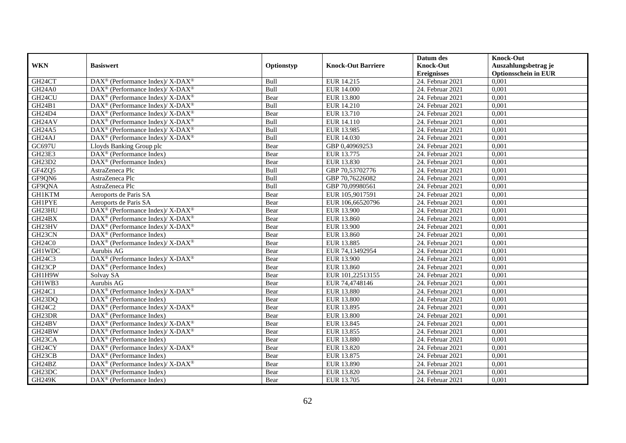|                     |                                                                    |             |                           | Datum des          | <b>Knock-Out</b>            |
|---------------------|--------------------------------------------------------------------|-------------|---------------------------|--------------------|-----------------------------|
| <b>WKN</b>          | <b>Basiswert</b>                                                   | Optionstyp  | <b>Knock-Out Barriere</b> | <b>Knock-Out</b>   | Auszahlungsbetrag je        |
|                     |                                                                    |             |                           | <b>Ereignisses</b> | <b>Optionsschein in EUR</b> |
| GH24CT              | DAX <sup>®</sup> (Performance Index)/ X-DAX <sup>®</sup>           | Bull        | EUR 14.215                | 24. Februar 2021   | 0,001                       |
| <b>GH24A0</b>       | $\text{DAX}^{\circledR}$ (Performance Index)/ X-DAX <sup>®</sup>   | Bull        | <b>EUR 14.000</b>         | 24. Februar 2021   | 0,001                       |
| GH24CU              | $\text{DAX}^{\circledast}$ (Performance Index)/ X-DAX <sup>®</sup> | Bear        | <b>EUR 13.800</b>         | 24. Februar 2021   | 0,001                       |
| GH24B1              | DAX <sup>®</sup> (Performance Index)/ X-DAX <sup>®</sup>           | Bull        | EUR 14.210                | 24. Februar 2021   | 0,001                       |
| GH24D4              | DAX <sup>®</sup> (Performance Index)/ X-DAX <sup>®</sup>           | Bear        | EUR 13.710                | 24. Februar 2021   | 0,001                       |
| GH <sub>24</sub> AV | $DAX^{\circledast}$ (Performance Index)/ X-DAX <sup>®</sup>        | Bull        | EUR 14.110                | 24. Februar 2021   | 0,001                       |
| <b>GH24A5</b>       | $DAX^{\circledast}$ (Performance Index)/ X-DAX <sup>®</sup>        | Bull        | EUR 13.985                | 24. Februar 2021   | 0,001                       |
| GH24AJ              | $\text{DAX}^{\circledast}$ (Performance Index)/ X-DAX <sup>®</sup> | Bull        | EUR 14.030                | 24. Februar 2021   | 0,001                       |
| GC697U              | Lloyds Banking Group plc                                           | Bear        | GBP 0,40969253            | 24. Februar 2021   | 0,001                       |
| GH23E3              | DAX <sup>®</sup> (Performance Index)                               | Bear        | EUR 13.775                | 24. Februar 2021   | 0,001                       |
| GH23D2              | $\overline{\text{DAX}^{\otimes}}$ (Performance Index)              | Bear        | EUR 13.830                | 24. Februar 2021   | 0,001                       |
| GF4ZQ5              | AstraZeneca Plc                                                    | Bull        | GBP 70,53702776           | 24. Februar 2021   | 0,001                       |
| GF9QN6              | AstraZeneca Plc                                                    | Bull        | GBP 70,76226082           | 24. Februar 2021   | 0,001                       |
| GF9QNA              | AstraZeneca Plc                                                    | <b>Bull</b> | GBP 70.09980561           | 24. Februar 2021   | 0.001                       |
| <b>GH1KTM</b>       | Aeroports de Paris SA                                              | Bear        | EUR 105,9017591           | 24. Februar 2021   | 0,001                       |
| <b>GH1PYE</b>       | Aeroports de Paris SA                                              | Bear        | EUR 106,66520796          | 24. Februar 2021   | 0,001                       |
| GH23HU              | DAX <sup>®</sup> (Performance Index)/X-DAX <sup>®</sup>            | Bear        | <b>EUR 13.900</b>         | 24. Februar 2021   | 0,001                       |
| GH24BX              | $\text{DAX}^{\circledast}$ (Performance Index)/ X-DAX <sup>®</sup> | Bear        | EUR 13.860                | 24. Februar 2021   | 0,001                       |
| GH23HV              | $\text{DAX}^{\circledast}$ (Performance Index)/ X-DAX <sup>®</sup> | Bear        | <b>EUR 13.900</b>         | 24. Februar 2021   | 0,001                       |
| GH23CN              | $\text{DAX}^{\otimes}$ (Performance Index)                         | Bear        | EUR 13.860                | 24. Februar 2021   | 0,001                       |
| GH24C0              | DAX <sup>®</sup> (Performance Index)/ X-DAX <sup>®</sup>           | Bear        | EUR 13.885                | 24. Februar 2021   | 0,001                       |
| <b>GH1WDC</b>       | Aurubis AG                                                         | Bear        | EUR 74,13492954           | 24. Februar 2021   | 0,001                       |
| GH24C3              | $DAX^{\circledast}$ (Performance Index)/ X-DAX <sup>®</sup>        | Bear        | <b>EUR 13.900</b>         | 24. Februar 2021   | 0,001                       |
| GH23CP              | $\overline{\text{DAX}}^{\textcirc}$ (Performance Index)            | Bear        | EUR 13.860                | 24. Februar 2021   | 0,001                       |
| GH1H9W              | Solvay SA                                                          | Bear        | EUR 101,22513155          | 24. Februar 2021   | 0,001                       |
| GH1WB3              | Aurubis AG                                                         | Bear        | EUR 74,4748146            | 24. Februar 2021   | 0,001                       |
| GH24C1              | DAX <sup>®</sup> (Performance Index)/X-DAX <sup>®</sup>            | Bear        | <b>EUR 13.880</b>         | 24. Februar 2021   | 0,001                       |
| GH23DQ              | DAX <sup>®</sup> (Performance Index)                               | Bear        | <b>EUR 13.800</b>         | 24. Februar 2021   | 0,001                       |
| GH24C2              | $\text{DAX}^{\circledast}$ (Performance Index)/ X-DAX <sup>®</sup> | Bear        | EUR 13.895                | 24. Februar 2021   | 0,001                       |
| GH23DR              | $\text{DAX}^{\circledast}$ (Performance Index)                     | Bear        | <b>EUR 13.800</b>         | 24. Februar 2021   | 0,001                       |
| GH24BV              | $DAX^{\circledast}$ (Performance Index)/ X-DAX <sup>®</sup>        | Bear        | EUR 13.845                | 24. Februar 2021   | 0,001                       |
| GH24BW              | DAX <sup>®</sup> (Performance Index)/ X-DAX <sup>®</sup>           | Bear        | EUR 13.855                | 24. Februar 2021   | 0,001                       |
| GH <sub>23</sub> CA | $\text{DAX}^{\textcircled{D}}$ (Performance Index)                 | Bear        | <b>EUR 13.880</b>         | 24. Februar 2021   | 0,001                       |
| GH24CY              | $\text{DAX}^{\circledR}$ (Performance Index)/ X-DAX <sup>®</sup>   | Bear        | EUR 13.820                | 24. Februar 2021   | 0,001                       |
| GH23CB              | $\text{DAX}^{\circledast}$ (Performance Index)                     | Bear        | EUR 13.875                | 24. Februar 2021   | 0,001                       |
| GH24BZ              | DAX <sup>®</sup> (Performance Index)/X-DAX <sup>®</sup>            | Bear        | EUR 13.890                | 24. Februar 2021   | 0,001                       |
| GH23DC              | $\text{DAX}^{\otimes}$ (Performance Index)                         | Bear        | EUR 13.820                | 24. Februar 2021   | 0,001                       |
| <b>GH249K</b>       | $\text{DAX}^{\textcircled{n}}$ (Performance Index)                 | Bear        | EUR 13.705                | 24. Februar 2021   | 0,001                       |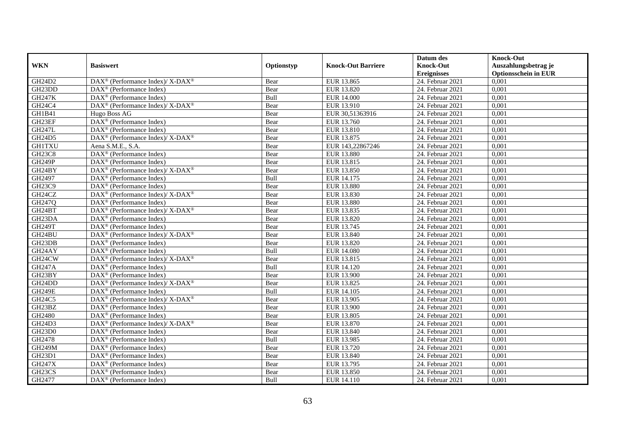|                     |                                                                                         |            |                           | Datum des          | <b>Knock-Out</b>            |
|---------------------|-----------------------------------------------------------------------------------------|------------|---------------------------|--------------------|-----------------------------|
| <b>WKN</b>          | <b>Basiswert</b>                                                                        | Optionstyp | <b>Knock-Out Barriere</b> | <b>Knock-Out</b>   | Auszahlungsbetrag je        |
|                     |                                                                                         |            |                           | <b>Ereignisses</b> | <b>Optionsschein in EUR</b> |
| GH24D2              | DAX <sup>®</sup> (Performance Index)/ X-DAX <sup>®</sup>                                | Bear       | EUR 13.865                | 24. Februar 2021   | 0,001                       |
| GH <sub>23</sub> DD | $DAX^{\circledR}$ (Performance Index)                                                   | Bear       | EUR 13.820                | 24. Februar 2021   | 0,001                       |
| <b>GH247K</b>       | DAX <sup>®</sup> (Performance Index)                                                    | Bull       | <b>EUR 14.000</b>         | 24. Februar 2021   | 0,001                       |
| GH24C4              | DAX <sup>®</sup> (Performance Index)/ X-DAX <sup>®</sup>                                | Bear       | EUR 13.910                | 24. Februar 2021   | 0,001                       |
| GH1B41              | Hugo Boss AG                                                                            | Bear       | EUR 30,51363916           | 24. Februar 2021   | 0,001                       |
| GH23EF              | DAX <sup>®</sup> (Performance Index)                                                    | Bear       | EUR 13.760                | 24. Februar 2021   | 0,001                       |
| <b>GH247L</b>       | $\text{DAX}^{\textcircled{n}}$ (Performance Index)                                      | Bear       | EUR 13.810                | 24. Februar 2021   | 0,001                       |
| GH24D5              | $\text{DAX}^{\circledast}$ (Performance Index)/ $\overline{\text{X-DAX}^{\circledast}}$ | Bear       | EUR 13.875                | 24. Februar 2021   | 0,001                       |
| <b>GH1TXU</b>       | Aena S.M.E., S.A.                                                                       | Bear       | EUR 143,22867246          | 24. Februar 2021   | 0,001                       |
| <b>GH23C8</b>       | DAX <sup>®</sup> (Performance Index)                                                    | Bear       | <b>EUR 13.880</b>         | 24. Februar 2021   | 0,001                       |
| <b>GH249P</b>       | $\overline{\text{DAX}}^{\textcirc}$ (Performance Index)                                 | Bear       | EUR 13.815                | 24. Februar 2021   | 0,001                       |
| GH24BY              | DAX <sup>®</sup> (Performance Index)/ X-DAX <sup>®</sup>                                | Bear       | EUR 13.850                | 24. Februar 2021   | 0,001                       |
| GH2497              | $\text{DAX}^{\circledast}$ (Performance Index)                                          | Bull       | EUR 14.175                | 24. Februar 2021   | 0,001                       |
| GH23C9              | DAX <sup>®</sup> (Performance Index)                                                    | Bear       | <b>EUR 13.880</b>         | 24. Februar 2021   | 0,001                       |
| GH24CZ              | DAX <sup>®</sup> (Performance Index)/ X-DAX <sup>®</sup>                                | Bear       | EUR 13.830                | 24. Februar 2021   | 0,001                       |
| GH247Q              | $\overline{\text{DAX}}^{\textcircled{}}$ (Performance Index)                            | Bear       | <b>EUR 13.880</b>         | 24. Februar 2021   | 0,001                       |
| GH24BT              | DAX <sup>®</sup> (Performance Index)/X-DAX <sup>®</sup>                                 | Bear       | EUR 13.835                | 24. Februar 2021   | 0,001                       |
| GH <sub>23</sub> DA | $DAX^{\circledR}$ (Performance Index)                                                   | Bear       | EUR 13.820                | 24. Februar 2021   | 0,001                       |
| <b>GH249T</b>       | DAX <sup>®</sup> (Performance Index)                                                    | Bear       | EUR 13.745                | 24. Februar 2021   | 0,001                       |
| GH24BU              | DAX <sup>®</sup> (Performance Index)/ X-DAX <sup>®</sup>                                | Bear       | EUR 13.840                | 24. Februar 2021   | 0,001                       |
| GH23DB              | $\overline{\text{DAX}^{\otimes}}$ (Performance Index)                                   | Bear       | EUR 13.820                | 24. Februar 2021   | 0,001                       |
| GH24AY              | $\overline{\text{DAX}^{\otimes}}$ (Performance Index)                                   | Bull       | <b>EUR 14.080</b>         | 24. Februar 2021   | 0,001                       |
| GH24CW              | $\text{DAX}^{\circledast}$ (Performance Index)/ X-DAX <sup>®</sup>                      | Bear       | EUR 13.815                | 24. Februar 2021   | 0,001                       |
| <b>GH247A</b>       | DAX <sup>®</sup> (Performance Index)                                                    | Bull       | EUR 14.120                | 24. Februar 2021   | 0,001                       |
| GH23BY              | $\text{DAX}^{\textcircled{n}}$ (Performance Index)                                      | Bear       | <b>EUR 13.900</b>         | 24. Februar 2021   | 0,001                       |
| GH24DD              | $DAX^{\circledast}$ (Performance Index)/X-DAX <sup>®</sup>                              | Bear       | EUR 13.825                | 24. Februar 2021   | 0,001                       |
| <b>GH249E</b>       | $\text{DAX}^{\circledast}$ (Performance Index)                                          | Bull       | EUR 14.105                | 24. Februar 2021   | 0,001                       |
| GH24C5              | $\text{DAX}^{\textcircled{\tiny{\textcircled{\tiny \dag}}}}$ (Performance Index)/X-DAX® | Bear       | EUR 13.905                | 24. Februar 2021   | 0,001                       |
| GH23BZ              | $\text{DAX}^{\textcircled{D}}$ (Performance Index)                                      | Bear       | EUR 13.900                | 24. Februar 2021   | 0,001                       |
| GH2480              | $DAX^{\circledR}$ (Performance Index)                                                   | Bear       | EUR 13.805                | 24. Februar 2021   | 0,001                       |
| GH24D3              | $\text{DAX}^{\circledR}$ (Performance Index)/ X-DAX <sup>®</sup>                        | Bear       | EUR 13.870                | 24. Februar 2021   | 0,001                       |
| GH23D0              | $\text{DAX}^{\textcircled{n}}$ (Performance Index)                                      | Bear       | EUR 13.840                | 24. Februar 2021   | 0,001                       |
| GH2478              | $\overline{\text{DAX}^{\otimes}}$ (Performance Index)                                   | Bull       | EUR 13.985                | 24. Februar 2021   | 0,001                       |
| <b>GH249M</b>       | DAX <sup>®</sup> (Performance Index)                                                    | Bear       | EUR 13.720                | 24. Februar 2021   | 0,001                       |
| GH23D1              | $\text{DAX}^{\textcircled{n}}$ (Performance Index)                                      | Bear       | EUR 13.840                | 24. Februar 2021   | 0,001                       |
| <b>GH247X</b>       | $\text{DAX}^{\textcircled{n}}$ (Performance Index)                                      | Bear       | EUR 13.795                | 24. Februar 2021   | 0,001                       |
| GH23CS              | $\text{DAX}^{\otimes}$ (Performance Index)                                              | Bear       | EUR 13.850                | 24. Februar 2021   | 0,001                       |
| GH2477              | $\text{DAX}^{\textcircled{n}}$ (Performance Index)                                      | Bull       | EUR 14.110                | 24. Februar 2021   | 0,001                       |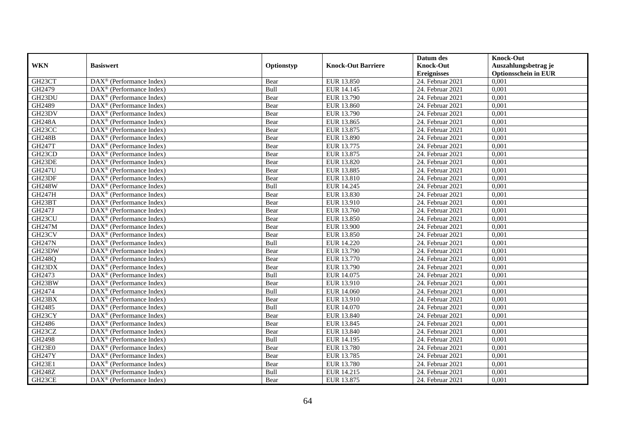|                     |                                                              |            |                           | Datum des          | <b>Knock-Out</b>            |
|---------------------|--------------------------------------------------------------|------------|---------------------------|--------------------|-----------------------------|
| <b>WKN</b>          | <b>Basiswert</b>                                             | Optionstyp | <b>Knock-Out Barriere</b> | <b>Knock-Out</b>   | Auszahlungsbetrag je        |
|                     |                                                              |            |                           | <b>Ereignisses</b> | <b>Optionsschein in EUR</b> |
| GH23CT              | DAX <sup>®</sup> (Performance Index)                         | Bear       | EUR 13.850                | 24. Februar 2021   | 0,001                       |
| GH2479              | $DAX^{\circledR}$ (Performance Index)                        | Bull       | EUR 14.145                | 24. Februar 2021   | 0,001                       |
| GH23DU              | DAX <sup>®</sup> (Performance Index)                         | Bear       | EUR 13.790                | 24. Februar 2021   | 0,001                       |
| GH2489              | $\text{DAX}^{\otimes}$ (Performance Index)                   | Bear       | EUR 13.860                | 24. Februar 2021   | 0,001                       |
| GH23DV              | DAX <sup>®</sup> (Performance Index)                         | Bear       | EUR 13.790                | 24. Februar 2021   | 0,001                       |
| <b>GH248A</b>       | $\text{DAX}^{\textcircled{n}}$ (Performance Index)           | Bear       | EUR 13.865                | 24. Februar 2021   | 0,001                       |
| GH23CC              | $\text{DAX}^{\textcircled{n}}$ (Performance Index)           | Bear       | EUR 13.875                | 24. Februar 2021   | 0,001                       |
| <b>GH248B</b>       | $\text{DAX}^{\textcircled{}}$ (Performance Index)            | Bear       | <b>EUR 13.890</b>         | 24. Februar 2021   | 0,001                       |
| <b>GH247T</b>       | $\text{DAX}^{\textcircled{D}}$ (Performance Index)           | Bear       | EUR 13.775                | 24. Februar 2021   | 0,001                       |
| GH <sub>23</sub> CD | $DAX^{\otimes}$ (Performance Index)                          | Bear       | EUR 13.875                | 24. Februar 2021   | 0,001                       |
| GH23DE              | $\overline{\text{DAX}}^{\textcircled{}}$ (Performance Index) | Bear       | EUR 13.820                | 24. Februar 2021   | 0,001                       |
| <b>GH247U</b>       | $\overline{\text{DAX}^{\otimes}}$ (Performance Index)        | Bear       | <b>EUR 13.885</b>         | 24. Februar 2021   | 0,001                       |
| GH23DF              | $\text{DAX}^{\textcircled{n}}$ (Performance Index)           | Bear       | EUR 13.810                | 24. Februar 2021   | 0,001                       |
| <b>GH248W</b>       | DAX <sup>®</sup> (Performance Index)                         | Bull       | EUR 14.245                | 24. Februar 2021   | 0,001                       |
| GH247H              | DAX <sup>®</sup> (Performance Index)                         | Bear       | EUR 13.830                | 24. Februar 2021   | 0,001                       |
| GH23BT              | DAX <sup>®</sup> (Performance Index)                         | Bear       | EUR 13.910                | 24. Februar 2021   | 0,001                       |
| GH247J              | DAX <sup>®</sup> (Performance Index)                         | Bear       | EUR 13.760                | 24. Februar 2021   | 0,001                       |
| GH23CU              | $\overline{\text{DAX}}^{\textcirc}$ (Performance Index)      | Bear       | EUR 13.850                | 24. Februar 2021   | 0,001                       |
| <b>GH247M</b>       | DAX <sup>®</sup> (Performance Index)                         | Bear       | EUR 13.900                | 24. Februar 2021   | 0,001                       |
| GH23CV              | DAX <sup>®</sup> (Performance Index)                         | Bear       | EUR 13.850                | 24. Februar 2021   | 0,001                       |
| <b>GH247N</b>       | DAX <sup>®</sup> (Performance Index)                         | Bull       | <b>EUR 14.220</b>         | 24. Februar 2021   | 0,001                       |
| GH23DW              | $\overline{\text{DAX}^{\otimes}}$ (Performance Index)        | Bear       | EUR 13.790                | 24. Februar 2021   | 0,001                       |
| GH248Q              | $\text{DAX}^{\circledast}$ (Performance Index)               | Bear       | EUR 13.770                | 24. Februar 2021   | 0,001                       |
| GH23DX              | DAX <sup>®</sup> (Performance Index)                         | Bear       | EUR 13.790                | 24. Februar 2021   | 0,001                       |
| GH2473              | DAX <sup>®</sup> (Performance Index)                         | Bull       | EUR 14.075                | 24. Februar 2021   | 0,001                       |
| GH23BW              | $\text{DAX}^{\otimes}$ (Performance Index)                   | Bear       | EUR 13.910                | 24. Februar 2021   | 0,001                       |
| GH2474              | $\text{DAX}^{\circledast}$ (Performance Index)               | Bull       | EUR 14.060                | 24. Februar 2021   | 0,001                       |
| GH23BX              | $DAX^{\circledR}$ (Performance Index)                        | Bear       | EUR 13.910                | $24.$ Februar 2021 | 0,001                       |
| GH2485              | $\text{DAX}^{\textcircled{D}}$ (Performance Index)           | Bull       | EUR 14.070                | 24. Februar 2021   | 0,001                       |
| GH23CY              | $DAX^{\circledcirc}$ (Performance Index)                     | Bear       | EUR 13.840                | 24. Februar 2021   | 0,001                       |
| GH2486              | DAX <sup>®</sup> (Performance Index)                         | Bear       | EUR 13.845                | 24. Februar 2021   | 0,001                       |
| GH23CZ              | $\text{DAX}^{\otimes}$ (Performance Index)                   | Bear       | EUR 13.840                | 24. Februar 2021   | 0,001                       |
| GH2498              | $\overline{\text{DAX}^{\otimes}}$ (Performance Index)        | Bull       | EUR 14.195                | 24. Februar 2021   | 0,001                       |
| GH23E0              | $\text{DAX}^{\otimes}$ (Performance Index)                   | Bear       | <b>EUR 13.780</b>         | 24. Februar 2021   | 0,001                       |
| <b>GH247Y</b>       | DAX <sup>®</sup> (Performance Index)                         | Bear       | EUR 13.785                | 24. Februar 2021   | 0,001                       |
| GH23E1              | $\text{DAX}^{\textcircled{n}}$ (Performance Index)           | Bear       | EUR 13.780                | 24. Februar 2021   | 0,001                       |
| <b>GH248Z</b>       | $\text{DAX}^{\otimes}$ (Performance Index)                   | Bull       | EUR 14.215                | 24. Februar 2021   | 0,001                       |
| GH23CE              | $\overline{\text{DAX}}^{\textcirc}$ (Performance Index)      | Bear       | EUR 13.875                | 24. Februar 2021   | 0,001                       |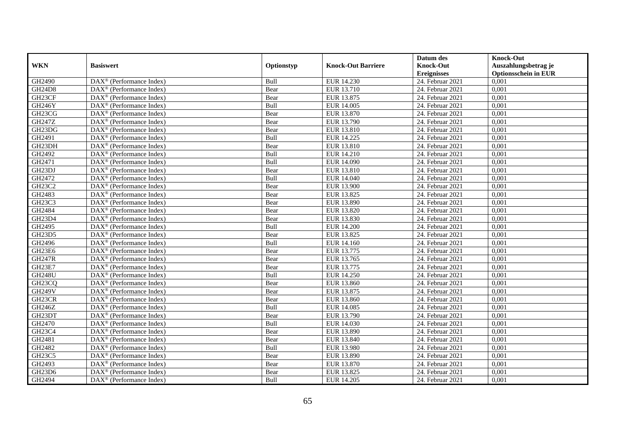|                                 |                                                              |            |                           | Datum des          | <b>Knock-Out</b>            |
|---------------------------------|--------------------------------------------------------------|------------|---------------------------|--------------------|-----------------------------|
| <b>WKN</b>                      | <b>Basiswert</b>                                             | Optionstyp | <b>Knock-Out Barriere</b> | <b>Knock-Out</b>   | Auszahlungsbetrag je        |
|                                 |                                                              |            |                           | <b>Ereignisses</b> | <b>Optionsschein in EUR</b> |
| GH2490                          | DAX <sup>®</sup> (Performance Index)                         | Bull       | EUR 14.230                | 24. Februar 2021   | 0,001                       |
| <b>GH24D8</b>                   | $DAX^{\circledR}$ (Performance Index)                        | Bear       | EUR 13.710                | 24. Februar 2021   | 0,001                       |
| GH23CF                          | DAX <sup>®</sup> (Performance Index)                         | Bear       | EUR 13.875                | 24. Februar 2021   | 0,001                       |
| <b>GH246Y</b>                   | $\text{DAX}^{\otimes}$ (Performance Index)                   | Bull       | EUR 14.005                | 24. Februar 2021   | 0,001                       |
| GH23CG                          | DAX <sup>®</sup> (Performance Index)                         | Bear       | EUR 13.870                | 24. Februar 2021   | 0,001                       |
| GH247Z                          | $\text{DAX}^{\textcircled{n}}$ (Performance Index)           | Bear       | EUR 13.790                | 24. Februar 2021   | 0,001                       |
| GH23DG                          | $\text{DAX}^{\textcircled{n}}$ (Performance Index)           | Bear       | EUR 13.810                | 24. Februar 2021   | 0,001                       |
| GH2491                          | $DAX^{\otimes}$ (Performance Index)                          | Bull       | EUR 14.225                | 24. Februar 2021   | 0,001                       |
| GH23DH                          | $\text{DAX}^{\textcircled{D}}$ (Performance Index)           | Bear       | EUR 13.810                | 24. Februar 2021   | 0,001                       |
| GH2492                          | $DAX^{\otimes}$ (Performance Index)                          | Bull       | EUR 14.210                | 24. Februar 2021   | 0,001                       |
| GH2471                          | $\overline{\text{DAX}}^{\textcircled{}}$ (Performance Index) | Bull       | <b>EUR 14.090</b>         | 24. Februar 2021   | 0,001                       |
| GH23DJ                          | $\overline{\text{DAX}^{\otimes}}$ (Performance Index)        | Bear       | EUR 13.810                | 24. Februar 2021   | 0,001                       |
| GH2472                          | $\text{DAX}^{\textcircled{n}}$ (Performance Index)           | Bull       | <b>EUR 14.040</b>         | 24. Februar 2021   | 0,001                       |
| GH23C2                          | DAX <sup>®</sup> (Performance Index)                         | Bear       | <b>EUR 13.900</b>         | 24. Februar 2021   | 0,001                       |
| GH2483                          | DAX <sup>®</sup> (Performance Index)                         | Bear       | EUR 13.825                | 24. Februar 2021   | 0,001                       |
| GH <sub>23</sub> C <sub>3</sub> | DAX <sup>®</sup> (Performance Index)                         | Bear       | <b>EUR 13.890</b>         | 24. Februar 2021   | 0,001                       |
| GH2484                          | DAX <sup>®</sup> (Performance Index)                         | Bear       | EUR 13.820                | 24. Februar 2021   | 0,001                       |
| <b>GH23D4</b>                   | $\overline{\text{DAX}}^{\textcirc}$ (Performance Index)      | Bear       | EUR 13.830                | 24. Februar 2021   | 0,001                       |
| GH2495                          | DAX <sup>®</sup> (Performance Index)                         | Bull       | <b>EUR 14.200</b>         | 24. Februar 2021   | 0,001                       |
| GH23D5                          | DAX <sup>®</sup> (Performance Index)                         | Bear       | EUR 13.825                | 24. Februar 2021   | 0,001                       |
| GH2496                          | DAX <sup>®</sup> (Performance Index)                         | Bull       | EUR 14.160                | 24. Februar 2021   | 0,001                       |
| GH23E6                          | $\overline{\text{DAX}^{\otimes}}$ (Performance Index)        | Bear       | EUR 13.775                | 24. Februar 2021   | 0,001                       |
| <b>GH247R</b>                   | $\text{DAX}^{\circledast}$ (Performance Index)               | Bear       | EUR 13.765                | 24. Februar 2021   | 0,001                       |
| <b>GH23E7</b>                   | DAX <sup>®</sup> (Performance Index)                         | Bear       | EUR 13.775                | 24. Februar 2021   | 0,001                       |
| <b>GH248U</b>                   | DAX <sup>®</sup> (Performance Index)                         | Bull       | EUR 14.250                | 24. Februar 2021   | 0,001                       |
| GH <sub>23</sub> CQ             | $\text{DAX}^{\otimes}$ (Performance Index)                   | Bear       | EUR 13.860                | 24. Februar 2021   | 0,001                       |
| <b>GH249V</b>                   | $\text{DAX}^{\circledast}$ (Performance Index)               | Bear       | EUR 13.875                | 24. Februar 2021   | 0,001                       |
| GH23CR                          | $DAX^{\circledR}$ (Performance Index)                        | Bear       | EUR 13.860                | $24.$ Februar 2021 | 0,001                       |
| GH246Z                          | $\text{DAX}^{\textcircled{D}}$ (Performance Index)           | Bull       | EUR 14.085                | 24. Februar 2021   | 0,001                       |
| GH23DT                          | $\text{DAX}^{\circledR}$ (Performance Index)                 | Bear       | EUR 13.790                | 24. Februar 2021   | 0,001                       |
| GH2470                          | DAX <sup>®</sup> (Performance Index)                         | Bull       | EUR 14.030                | 24. Februar 2021   | 0,001                       |
| GH23C4                          | $\text{DAX}^{\otimes}$ (Performance Index)                   | Bear       | <b>EUR 13.890</b>         | 24. Februar 2021   | 0,001                       |
| GH2481                          | $\overline{\text{DAX}^{\otimes}}$ (Performance Index)        | Bear       | EUR 13.840                | 24. Februar 2021   | 0,001                       |
| GH2482                          | DAX <sup>®</sup> (Performance Index)                         | Bull       | <b>EUR 13.980</b>         | 24. Februar 2021   | 0,001                       |
| GH23C5                          | $\text{DAX}^{\textcircled{n}}$ (Performance Index)           | Bear       | EUR 13.890                | 24. Februar 2021   | 0,001                       |
| GH2493                          | $\text{DAX}^{\textcircled{n}}$ (Performance Index)           | Bear       | EUR 13.870                | 24. Februar 2021   | 0,001                       |
| GH23D6                          | $\text{DAX}^{\otimes}$ (Performance Index)                   | Bear       | EUR 13.825                | 24. Februar 2021   | 0,001                       |
| GH2494                          | $\overline{\text{DAX}}^{\textcirc}$ (Performance Index)      | Bull       | EUR 14.205                | 24. Februar 2021   | 0,001                       |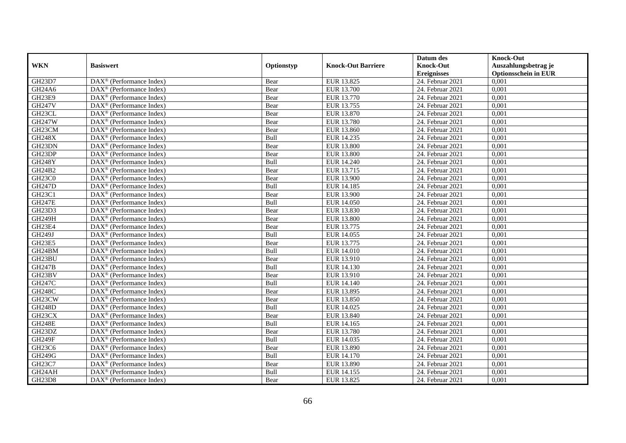|                                 |                                                         |             |                           | Datum des          | <b>Knock-Out</b>            |
|---------------------------------|---------------------------------------------------------|-------------|---------------------------|--------------------|-----------------------------|
| <b>WKN</b>                      | <b>Basiswert</b>                                        | Optionstyp  | <b>Knock-Out Barriere</b> | <b>Knock-Out</b>   | Auszahlungsbetrag je        |
|                                 |                                                         |             |                           | <b>Ereignisses</b> | <b>Optionsschein in EUR</b> |
| GH23D7                          | DAX <sup>®</sup> (Performance Index)                    | Bear        | EUR 13.825                | 24. Februar 2021   | 0,001                       |
| GH24A6                          | $\text{DAX}^{\circledast}$ (Performance Index)          | Bear        | EUR 13.700                | 24. Februar 2021   | 0,001                       |
| GH23E9                          | $DAX^{\circledR}$ (Performance Index)                   | Bear        | EUR 13.770                | 24. Februar 2021   | 0,001                       |
| <b>GH247V</b>                   | DAX <sup>®</sup> (Performance Index)                    | Bear        | EUR 13.755                | 24. Februar 2021   | 0,001                       |
| GH23CL                          | DAX <sup>®</sup> (Performance Index)                    | Bear        | EUR 13.870                | 24. Februar 2021   | 0,001                       |
| <b>GH247W</b>                   | $\text{DAX}^{\textcircled{D}}$ (Performance Index)      | Bear        | <b>EUR 13.780</b>         | 24. Februar 2021   | 0,001                       |
| GH23CM                          | $\overline{\text{DAX}}^{\textcirc}$ (Performance Index) | Bear        | EUR 13.860                | 24. Februar 2021   | 0,001                       |
| <b>GH248X</b>                   | $\text{DAX}^{\textcircled{n}}$ (Performance Index)      | Bull        | EUR 14.235                | 24. Februar 2021   | 0,001                       |
| GH23DN                          | $\text{DAX}^{\circledast}$ (Performance Index)          | Bear        | <b>EUR 13.800</b>         | 24. Februar 2021   | 0,001                       |
| GH23DP                          | DAX <sup>®</sup> (Performance Index)                    | Bear        | <b>EUR 13.800</b>         | 24. Februar 2021   | 0,001                       |
| <b>GH248Y</b>                   | $\overline{\text{DAX}^{\otimes}}$ (Performance Index)   | Bull        | EUR 14.240                | 24. Februar 2021   | 0,001                       |
| GH24B2                          | DAX <sup>®</sup> (Performance Index)                    | Bear        | EUR 13.715                | 24. Februar 2021   | 0,001                       |
| GH <sub>23</sub> C <sub>0</sub> | $\text{DAX}^{\textcircled{n}}$ (Performance Index)      | Bear        | EUR 13.900                | 24. Februar 2021   | 0,001                       |
| <b>GH247D</b>                   | DAX <sup>®</sup> (Performance Index)                    | <b>Bull</b> | EUR 14.185                | 24. Februar 2021   | 0.001                       |
| <b>GH23C1</b>                   | $\overline{\text{DAX}^{\otimes}}$ (Performance Index)   | Bear        | EUR 13.900                | 24. Februar 2021   | 0,001                       |
| <b>GH247E</b>                   | DAX <sup>®</sup> (Performance Index)                    | Bull        | <b>EUR 14.050</b>         | 24. Februar 2021   | 0,001                       |
| GH23D3                          | DAX <sup>®</sup> (Performance Index)                    | Bear        | EUR 13.830                | 24. Februar 2021   | 0,001                       |
| <b>GH249H</b>                   | DAX <sup>®</sup> (Performance Index)                    | Bear        | <b>EUR 13.800</b>         | 24. Februar 2021   | 0,001                       |
| GH23E4                          | DAX <sup>®</sup> (Performance Index)                    | Bear        | EUR 13.775                | 24. Februar 2021   | 0,001                       |
| GH249J                          | $\text{DAX}^{\otimes}$ (Performance Index)              | Bull        | EUR 14.055                | 24. Februar 2021   | 0,001                       |
| GH23E5                          | DAX <sup>®</sup> (Performance Index)                    | Bear        | EUR 13.775                | 24. Februar 2021   | 0,001                       |
| GH24BM                          | $DAX^{\circledR}$ (Performance Index)                   | <b>Bull</b> | <b>EUR 14.010</b>         | 24. Februar 2021   | 0,001                       |
| GH23BU                          | $\text{DAX}^{\textcircled{D}}$ (Performance Index)      | Bear        | EUR 13.910                | 24. Februar 2021   | 0,001                       |
| <b>GH247B</b>                   | $\text{DAX}^{\textcircled{p}}$ (Performance Index)      | Bull        | EUR 14.130                | 24. Februar 2021   | 0,001                       |
| GH23BV                          | $DAX^{\circledR}$ (Performance Index)                   | Bear        | EUR 13.910                | 24. Februar 2021   | 0,001                       |
| GH247C                          | $\text{DAX}^{\circledast}$ (Performance Index)          | Bull        | EUR 14.140                | 24. Februar 2021   | 0,001                       |
| <b>GH248C</b>                   | DAX <sup>®</sup> (Performance Index)                    | Bear        | EUR 13.895                | 24. Februar 2021   | 0,001                       |
| GH23CW                          | DAX <sup>®</sup> (Performance Index)                    | Bear        | EUR 13.850                | 24. Februar 2021   | 0,001                       |
| <b>GH248D</b>                   | $\text{DAX}^{\otimes}$ (Performance Index)              | Bull        | EUR 14.025                | 24. Februar 2021   | 0,001                       |
| GH23CX                          | $\text{DAX}^{\textcircled{n}}$ (Performance Index)      | Bear        | EUR 13.840                | 24. Februar 2021   | 0,001                       |
| <b>GH248E</b>                   | DAX <sup>®</sup> (Performance Index)                    | Bull        | EUR 14.165                | 24. Februar 2021   | 0,001                       |
| GH23DZ                          | DAX <sup>®</sup> (Performance Index)                    | Bear        | <b>EUR 13.780</b>         | 24. Februar 2021   | 0,001                       |
| <b>GH249F</b>                   | $\overline{\text{DAX}}^{\textcirc}$ (Performance Index) | Bull        | EUR 14.035                | 24. Februar 2021   | 0,001                       |
| GH23C6                          | $\overline{\text{DAX}}^{\textcirc}$ (Performance Index) | Bear        | EUR 13.890                | $24.$ Februar 2021 | 0,001                       |
| <b>GH249G</b>                   | $\text{DAX}^{\otimes}$ (Performance Index)              | Bull        | <b>EUR 14.170</b>         | 24. Februar 2021   | 0,001                       |
| GH23C7                          | $\text{DAX}^{\textcircled{n}}$ (Performance Index)      | Bear        | EUR 13.890                | 24. Februar 2021   | 0,001                       |
| GH24AH                          | $\text{DAX}^{\otimes}$ (Performance Index)              | Bull        | EUR 14.155                | 24. Februar 2021   | 0,001                       |
| <b>GH23D8</b>                   | $\overline{\text{DAX}}^{\textcirc}$ (Performance Index) | Bear        | EUR 13.825                | 24. Februar 2021   | 0,001                       |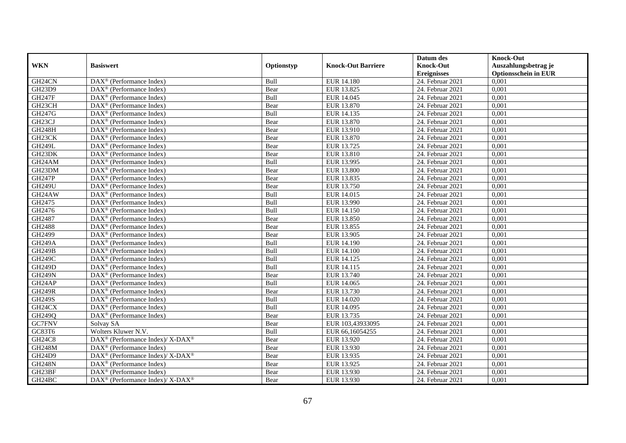|                     |                                                              |             |                           | Datum des          | <b>Knock-Out</b>            |
|---------------------|--------------------------------------------------------------|-------------|---------------------------|--------------------|-----------------------------|
| <b>WKN</b>          | <b>Basiswert</b>                                             | Optionstyp  | <b>Knock-Out Barriere</b> | <b>Knock-Out</b>   | Auszahlungsbetrag je        |
|                     |                                                              |             |                           | <b>Ereignisses</b> | <b>Optionsschein in EUR</b> |
| GH24CN              | $\overline{\text{DAX}}^{\textcircled{}}$ (Performance Index) | Bull        | <b>EUR 14.180</b>         | 24. Februar 2021   | 0,001                       |
| GH23D9              | $DAX^{\circledast}$ (Performance Index)                      | Bear        | EUR 13.825                | 24. Februar 2021   | 0,001                       |
| <b>GH247F</b>       | $DAX^{\circledR}$ (Performance Index)                        | Bull        | EUR 14.045                | 24. Februar 2021   | 0,001                       |
| GH23CH              | DAX <sup>®</sup> (Performance Index)                         | Bear        | EUR 13.870                | 24. Februar 2021   | 0,001                       |
| GH247G              | $\overline{\text{DAX}}^{\textcirc}$ (Performance Index)      | Bull        | EUR 14.135                | 24. Februar 2021   | 0,001                       |
| GH <sub>23</sub> CJ | $\text{DAX}^{\textcircled{}}$ (Performance Index)            | Bear        | EUR 13.870                | 24. Februar 2021   | 0,001                       |
| <b>GH248H</b>       | $\overline{\text{DAX}^{\otimes}}$ (Performance Index)        | Bear        | <b>EUR 13.910</b>         | 24. Februar 2021   | 0,001                       |
| GH23CK              | $\text{DAX}^{\circledast}$ (Performance Index)               | Bear        | EUR 13.870                | 24. Februar 2021   | 0,001                       |
| <b>GH249L</b>       | $DAX^{\circledast}$ (Performance Index)                      | Bear        | EUR 13.725                | 24. Februar 2021   | 0,001                       |
| GH23DK              | $DAX^{\circledast}$ (Performance Index)                      | Bear        | EUR 13.810                | 24. Februar 2021   | 0,001                       |
| GH24AM              | $\overline{\text{DAX}}^{\textcirc}$ (Performance Index)      | Bull        | EUR 13.995                | 24. Februar 2021   | 0,001                       |
| GH23DM              | $\overline{\text{DAX}}^{\textcirc}$ (Performance Index)      | Bear        | <b>EUR 13.800</b>         | 24. Februar 2021   | 0,001                       |
| <b>GH247P</b>       | $\text{DAX}^{\textcircled{}}$ (Performance Index)            | Bear        | EUR 13.835                | 24. Februar 2021   | 0,001                       |
| <b>GH249U</b>       | $DAX^{\circledR}$ (Performance Index)                        | Bear        | EUR 13.750                | 24. Februar 2021   | 0,001                       |
| GH24AW              | $DAX^{\circledast}$ (Performance Index)                      | Bull        | EUR 14.015                | 24. Februar 2021   | 0,001                       |
| GH2475              | $\text{DAX}^{\otimes}$ (Performance Index)                   | Bull        | EUR 13.990                | 24. Februar 2021   | 0,001                       |
| GH2476              | $\text{DAX}^{\textcircled{}}$ (Performance Index)            | Bull        | EUR 14.150                | 24. Februar 2021   | 0,001                       |
| GH2487              | $DAX^{\circledcirc}$ (Performance Index)                     | Bear        | EUR 13.850                | 24. Februar 2021   | 0,001                       |
| GH2488              | $\text{DAX}^{\textcircled{}}$ (Performance Index)            | Bear        | EUR 13.855                | 24. Februar 2021   | 0,001                       |
| GH2499              | DAX <sup>®</sup> (Performance Index)                         | Bear        | EUR 13.905                | 24. Februar 2021   | 0,001                       |
| <b>GH249A</b>       | $DAX^{\circledast}$ (Performance Index)                      | Bull        | <b>EUR 14.190</b>         | 24. Februar 2021   | 0,001                       |
| <b>GH249B</b>       | $\overline{\text{DAX}^{\otimes}}$ (Performance Index)        | Bull        | <b>EUR 14.100</b>         | 24. Februar 2021   | 0,001                       |
| <b>GH249C</b>       | $\text{DAX}^{\circledast}$ (Performance Index)               | Bull        | EUR 14.125                | 24. Februar 2021   | 0,001                       |
| <b>GH249D</b>       | $DAX^{\circledast}$ (Performance Index)                      | Bull        | EUR 14.115                | 24. Februar 2021   | 0,001                       |
| <b>GH249N</b>       | $DAX^{\circledR}$ (Performance Index)                        | Bear        | EUR 13.740                | 24. Februar 2021   | 0.001                       |
| GH24AP              | DAX <sup>®</sup> (Performance Index)                         | Bull        | EUR 14.065                | 24. Februar 2021   | 0,001                       |
| <b>GH249R</b>       | DAX <sup>®</sup> (Performance Index)                         | Bear        | EUR 13.730                | 24. Februar 2021   | 0,001                       |
| <b>GH249S</b>       | DAX <sup>®</sup> (Performance Index)                         | Bull        | EUR 14.020                | 24. Februar 2021   | 0,001                       |
| GH24CX              | $\overline{\text{DAX}}^{\textcirc}$ (Performance Index)      | Bull        | EUR 14.095                | $24.$ Februar 2021 | 0,001                       |
| GH249Q              | DAX <sup>®</sup> (Performance Index)                         | Bear        | EUR 13.735                | 24. Februar 2021   | 0,001                       |
| GC7FNV              | Solvay SA                                                    | Bear        | EUR 103,43933095          | 24. Februar 2021   | 0,001                       |
| GC83T6              | Wolters Kluwer N.V.                                          | <b>Bull</b> | EUR 66,16054255           | 24. Februar 2021   | 0.001                       |
| <b>GH24C8</b>       | DAX <sup>®</sup> (Performance Index)/ X-DAX <sup>®</sup>     | Bear        | EUR 13.920                | 24. Februar 2021   | 0,001                       |
| <b>GH248M</b>       | $\overline{\text{DAX}}^{\textcirc}$ (Performance Index)      | Bear        | EUR 13.930                | 24. Februar 2021   | 0,001                       |
| GH24D9              | DAX <sup>®</sup> (Performance Index)/ X-DAX <sup>®</sup>     | Bear        | EUR 13.935                | 24. Februar 2021   | 0,001                       |
| <b>GH248N</b>       | $DAX^{\circledR}$ (Performance Index)                        | Bear        | EUR 13.925                | 24. Februar 2021   | 0,001                       |
| GH23BF              | $DAX^{\circledast}$ (Performance Index)                      | Bear        | EUR 13.930                | 24. Februar 2021   | 0,001                       |
| GH24BC              | DAX <sup>®</sup> (Performance Index)/X-DAX <sup>®</sup>      | Bear        | EUR 13.930                | 24. Februar 2021   | 0,001                       |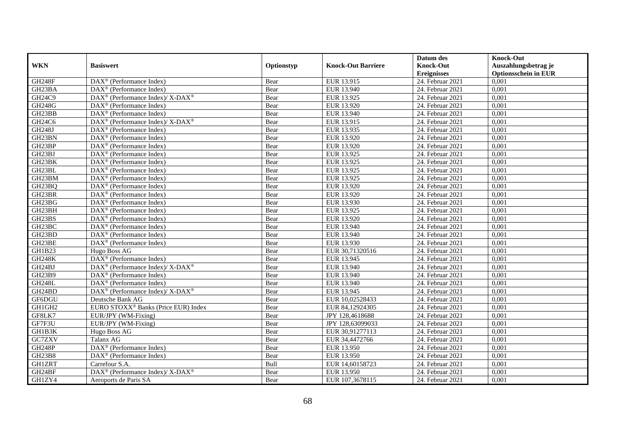|                                 |                                                                       |            |                           | Datum des          | <b>Knock-Out</b>            |
|---------------------------------|-----------------------------------------------------------------------|------------|---------------------------|--------------------|-----------------------------|
| <b>WKN</b>                      | <b>Basiswert</b>                                                      | Optionstyp | <b>Knock-Out Barriere</b> | <b>Knock-Out</b>   | Auszahlungsbetrag je        |
|                                 |                                                                       |            |                           | <b>Ereignisses</b> | <b>Optionsschein in EUR</b> |
| <b>GH248F</b>                   | DAX <sup>®</sup> (Performance Index)                                  | Bear       | EUR 13.915                | 24. Februar 2021   | 0,001                       |
| GH23BA                          | $DAX^{\circledR}$ (Performance Index)                                 | Bear       | EUR 13.940                | 24. Februar 2021   | 0,001                       |
| GH24C9                          | $\text{DAX}^{\circledast}$ (Performance Index)/ X-DAX <sup>®</sup>    | Bear       | EUR 13.925                | 24. Februar 2021   | 0,001                       |
| GH248G                          | $\text{DAX}^{\textcircled{n}}$ (Performance Index)                    | Bear       | EUR 13.920                | 24. Februar 2021   | 0,001                       |
| GH23BB                          | DAX <sup>®</sup> (Performance Index)                                  | Bear       | EUR 13.940                | 24. Februar 2021   | 0,001                       |
| GH <sub>24</sub> C <sub>6</sub> | $\text{DAX}^{\textcircled{p}}$ (Performance Index)/X-DAX <sup>®</sup> | Bear       | EUR 13.915                | 24. Februar 2021   | 0,001                       |
| <b>GH248J</b>                   | $\text{DAX}^{\textcircled{D}}$ (Performance Index)                    | Bear       | EUR 13.935                | 24. Februar 2021   | 0,001                       |
| GH23BN                          | $\overline{\text{DAX}}^{\textcirc}$ (Performance Index)               | Bear       | EUR 13.920                | 24. Februar 2021   | 0,001                       |
| GH23BP                          | $\text{DAX}^{\textcircled{n}}$ (Performance Index)                    | Bear       | EUR 13.920                | 24. Februar 2021   | 0,001                       |
| GH23BJ                          | $\text{DAX}^{\textcircled{}}$ (Performance Index)                     | Bear       | EUR 13.925                | 24. Februar 2021   | 0,001                       |
| GH23BK                          | $\overline{\text{DAX}^{\otimes}}$ (Performance Index)                 | Bear       | EUR 13.925                | 24. Februar 2021   | 0,001                       |
| GH23BL                          | DAX <sup>®</sup> (Performance Index)                                  | Bear       | EUR 13.925                | 24. Februar 2021   | 0,001                       |
| GH23BM                          | $\text{DAX}^{\textcircled{n}}$ (Performance Index)                    | Bear       | EUR 13.925                | 24. Februar 2021   | 0,001                       |
| GH23BQ                          | DAX <sup>®</sup> (Performance Index)                                  | Bear       | EUR 13.920                | 24. Februar 2021   | 0.001                       |
| GH23BR                          | $DAX^{\otimes}$ (Performance Index)                                   | Bear       | EUR 13.920                | 24. Februar 2021   | 0,001                       |
| GH23BG                          | $\overline{\text{DAX}}^{\textcirc}$ (Performance Index)               | Bear       | EUR 13.930                | 24. Februar 2021   | 0,001                       |
| GH23BH                          | $\text{DAX}^{\textcircled{p}}$ (Performance Index)                    | Bear       | EUR 13.925                | 24. Februar 2021   | 0,001                       |
| GH23BS                          | DAX <sup>®</sup> (Performance Index)                                  | Bear       | EUR 13.920                | 24. Februar 2021   | 0,001                       |
| GH23BC                          | $\text{DAX}^{\textcircled{n}}$ (Performance Index)                    | Bear       | EUR 13.940                | 24. Februar 2021   | 0,001                       |
| GH23BD                          | $\text{DAX}^{\otimes}$ (Performance Index)                            | Bear       | EUR 13.940                | 24. Februar 2021   | 0,001                       |
| GH23BE                          | $\overline{\text{DAX}}^{\textcircled{}}$ (Performance Index)          | Bear       | EUR 13.930                | 24. Februar 2021   | 0,001                       |
| <b>GH1B23</b>                   | Hugo Boss AG                                                          | Bear       | EUR 30,71320516           | 24. Februar 2021   | 0,001                       |
| <b>GH248K</b>                   | $\text{DAX}^{\textcircled{p}}$ (Performance Index)                    | Bear       | EUR 13.945                | 24. Februar 2021   | 0,001                       |
| GH24BJ                          | $DAX^{\circledast}$ (Performance Index)/ X-DAX <sup>®</sup>           | Bear       | EUR 13.940                | 24. Februar 2021   | 0,001                       |
| GH23B9                          | $DAX^{\circledR}$ (Performance Index)                                 | Bear       | EUR 13.940                | 24. Februar 2021   | 0,001                       |
| <b>GH248L</b>                   | $DAX^{\otimes}$ (Performance Index)                                   | Bear       | EUR 13.940                | 24. Februar 2021   | 0,001                       |
| GH24BD                          | DAX <sup>®</sup> (Performance Index)/ X-DAX <sup>®</sup>              | Bear       | EUR 13.945                | 24. Februar 2021   | 0,001                       |
| GF6DGU                          | Deutsche Bank AG                                                      | Bear       | EUR 10,02528433           | 24. Februar 2021   | 0,001                       |
| GH1GH2                          | EURO STOXX <sup>®</sup> Banks (Price EUR) Index                       | Bear       | EUR 84,12924305           | 24. Februar 2021   | 0,001                       |
| GF8LK7                          | EUR/JPY (WM-Fixing)                                                   | Bear       | JPY 128,4618688           | 24. Februar 2021   | 0,001                       |
| GF7F3U                          | EUR/JPY (WM-Fixing)                                                   | Bear       | JPY 128,63099033          | 24. Februar 2021   | 0,001                       |
| GH1B3K                          | Hugo Boss AG                                                          | Bear       | EUR 30,91277113           | 24. Februar 2021   | 0,001                       |
| GC7ZXV                          | Talanx AG                                                             | Bear       | EUR 34,4472766            | 24. Februar 2021   | 0,001                       |
| <b>GH248P</b>                   | DAX <sup>®</sup> (Performance Index)                                  | Bear       | EUR 13.950                | 24. Februar 2021   | 0,001                       |
| GH23B8                          | $\text{DAX}^{\otimes}$ (Performance Index)                            | Bear       | EUR 13.950                | 24. Februar 2021   | 0,001                       |
| <b>GH1ZRT</b>                   | Carrefour S.A.                                                        | Bull       | EUR 14,60158723           | 24. Februar 2021   | 0,001                       |
| GH24BF                          | $DAX^{\circledast}$ (Performance Index)/X-DAX <sup>®</sup>            | Bear       | EUR 13.950                | 24. Februar 2021   | 0,001                       |
| GH1ZY4                          | Aeroports de Paris SA                                                 | Bear       | EUR 107,3678115           | 24. Februar 2021   | 0,001                       |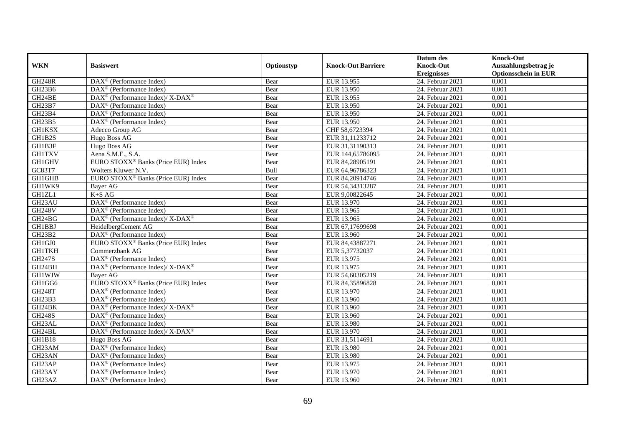|               |                                                                                                 |            |                           | Datum des          | <b>Knock-Out</b>            |
|---------------|-------------------------------------------------------------------------------------------------|------------|---------------------------|--------------------|-----------------------------|
| <b>WKN</b>    | <b>Basiswert</b>                                                                                | Optionstyp | <b>Knock-Out Barriere</b> | <b>Knock-Out</b>   | Auszahlungsbetrag je        |
|               |                                                                                                 |            |                           | <b>Ereignisses</b> | <b>Optionsschein in EUR</b> |
| <b>GH248R</b> | $\overline{\text{DAX}^{\otimes}}$ (Performance Index)                                           | Bear       | EUR 13.955                | 24. Februar 2021   | 0,001                       |
| GH23B6        | $\text{DAX}^{\textcircled{p}}$ (Performance Index)                                              | Bear       | EUR 13.950                | 24. Februar 2021   | 0,001                       |
| GH24BE        | $\text{DAX}^{\circledast}$ (Performance Index)/ X-DAX <sup>®</sup>                              | Bear       | EUR 13.955                | 24. Februar 2021   | 0,001                       |
| GH23B7        | $\text{DAX}^{\textcircled{n}}$ (Performance Index)                                              | Bear       | EUR 13.950                | 24. Februar 2021   | 0,001                       |
| GH23B4        | DAX <sup>®</sup> (Performance Index)                                                            | Bear       | EUR 13.950                | 24. Februar 2021   | 0,001                       |
| GH23B5        | $\text{DAX}^{\textcircled{n}}$ (Performance Index)                                              | Bear       | EUR 13.950                | 24. Februar 2021   | 0,001                       |
| <b>GH1KSX</b> | Adecco Group AG                                                                                 | Bear       | CHF 58,6723394            | 24. Februar 2021   | 0,001                       |
| GH1B2S        | Hugo Boss AG                                                                                    | Bear       | EUR 31,11233712           | 24. Februar 2021   | 0,001                       |
| GH1B3F        | Hugo Boss AG                                                                                    | Bear       | EUR 31,31190313           | 24. Februar 2021   | 0,001                       |
| <b>GH1TXV</b> | Aena S.M.E., S.A.                                                                               | Bear       | EUR 144,65786095          | 24. Februar 2021   | 0,001                       |
| <b>GH1GHV</b> | EURO STOXX <sup>®</sup> Banks (Price EUR) Index                                                 | Bear       | EUR 84,28905191           | 24. Februar 2021   | 0,001                       |
| GC83T7        | Wolters Kluwer N.V.                                                                             | Bull       | EUR 64,96786323           | 24. Februar 2021   | 0,001                       |
| GH1GHB        | EURO STOXX <sup>®</sup> Banks (Price EUR) Index                                                 | Bear       | EUR 84,20914746           | 24. Februar 2021   | 0,001                       |
| GH1WK9        | Bayer AG                                                                                        | Bear       | EUR 54,34313287           | 24. Februar 2021   | 0,001                       |
| GH1ZL1        | $K+SAG$                                                                                         | Bear       | EUR 9,00822645            | 24. Februar 2021   | 0,001                       |
| GH23AU        | DAX <sup>®</sup> (Performance Index)                                                            | Bear       | EUR 13.970                | 24. Februar 2021   | 0,001                       |
| <b>GH248V</b> | DAX <sup>®</sup> (Performance Index)                                                            | Bear       | EUR 13.965                | 24. Februar 2021   | 0,001                       |
| GH24BG        | $\text{DAX}^{\textcircled{p}}$ (Performance Index)/ $\overline{\text{X-DAX}^{\textcircled{p}}}$ | Bear       | EUR 13.965                | 24. Februar 2021   | 0,001                       |
| <b>GH1BBJ</b> | HeidelbergCement AG                                                                             | Bear       | EUR 67,17699698           | 24. Februar 2021   | 0,001                       |
| GH23B2        | DAX <sup>®</sup> (Performance Index)                                                            | Bear       | EUR 13.960                | 24. Februar 2021   | 0,001                       |
| GH1GJ0        | EURO STOXX <sup>®</sup> Banks (Price EUR) Index                                                 | Bear       | EUR 84,43887271           | 24. Februar 2021   | 0,001                       |
| <b>GH1TKH</b> | Commerzbank AG                                                                                  | Bear       | EUR 5,37732037            | 24. Februar 2021   | 0,001                       |
| <b>GH247S</b> | DAX <sup>®</sup> (Performance Index)                                                            | Bear       | EUR 13.975                | $24.$ Februar 2021 | 0,001                       |
| GH24BH        | DAX <sup>®</sup> (Performance Index)/ X-DAX <sup>®</sup>                                        | Bear       | EUR 13.975                | 24. Februar 2021   | 0,001                       |
| <b>GH1WJW</b> | Baver AG                                                                                        | Bear       | EUR 54,60305219           | 24. Februar 2021   | 0,001                       |
| GH1GG6        | EURO STOXX <sup>®</sup> Banks (Price EUR) Index                                                 | Bear       | EUR 84,35896828           | 24. Februar 2021   | 0,001                       |
| <b>GH248T</b> | DAX <sup>®</sup> (Performance Index)                                                            | Bear       | EUR 13.970                | 24. Februar 2021   | 0,001                       |
| GH23B3        | $\text{DAX}^{\textcircled{p}}$ (Performance Index)                                              | Bear       | EUR 13.960                | 24. Februar 2021   | 0,001                       |
| GH24BK        | $DAX^{\circledcirc}$ (Performance Index)/X-DAX <sup>®</sup>                                     | Bear       | EUR 13.960                | 24. Februar 2021   | 0,001                       |
| <b>GH248S</b> | $\text{DAX}^{\textcircled{p}}$ (Performance Index)                                              | Bear       | EUR 13.960                | 24. Februar 2021   | 0,001                       |
| GH23AL        | $\text{DAX}^{\textcircled{p}}$ (Performance Index)                                              | Bear       | <b>EUR 13.980</b>         | 24. Februar 2021   | 0,001                       |
| GH24BL        | $\text{DAX}^{\circledast}$ (Performance Index)/ $\overline{\text{X-DAX}^{\circledast}}$         | Bear       | EUR 13.970                | 24. Februar 2021   | 0,001                       |
| GH1B18        | Hugo Boss AG                                                                                    | Bear       | EUR 31,5114691            | 24. Februar 2021   | 0,001                       |
| GH23AM        | DAX <sup>®</sup> (Performance Index)                                                            | Bear       | <b>EUR 13.980</b>         | $24.$ Februar 2021 | 0,001                       |
| GH23AN        | $\text{DAX}^{\textcircled{n}}$ (Performance Index)                                              | Bear       | EUR 13.980                | 24. Februar 2021   | 0,001                       |
| GH23AP        | DAX <sup>®</sup> (Performance Index)                                                            | Bear       | EUR 13.975                | 24. Februar 2021   | 0,001                       |
| GH23AY        | $\text{DAX}^{\otimes}$ (Performance Index)                                                      | Bear       | EUR 13.970                | 24. Februar 2021   | 0,001                       |
| GH23AZ        | $\text{DAX}^{\textcircled{n}}$ (Performance Index)                                              | Bear       | EUR 13.960                | 24. Februar 2021   | 0,001                       |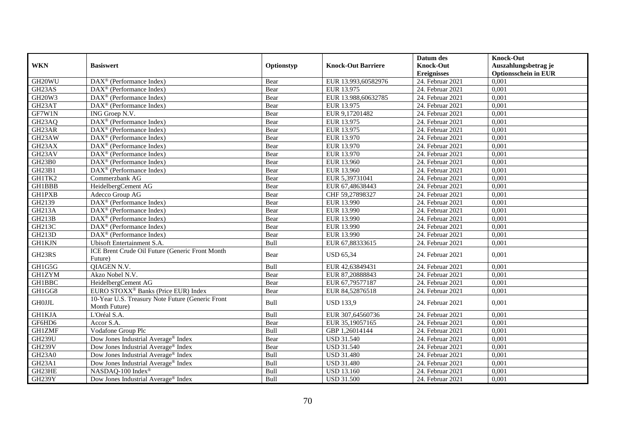| <b>WKN</b>                      | <b>Basiswert</b>                                                  | Optionstyp | <b>Knock-Out Barriere</b> | Datum des<br><b>Knock-Out</b> | <b>Knock-Out</b><br>Auszahlungsbetrag je |
|---------------------------------|-------------------------------------------------------------------|------------|---------------------------|-------------------------------|------------------------------------------|
|                                 |                                                                   |            |                           | <b>Ereignisses</b>            | <b>Optionsschein in EUR</b>              |
| GH20WU                          | DAX <sup>®</sup> (Performance Index)                              | Bear       | EUR 13.993,60582976       | 24. Februar 2021              | 0,001                                    |
| GH23AS                          | $DAX^{\circledast}$ (Performance Index)                           | Bear       | EUR 13.975                | 24. Februar 2021              | 0,001                                    |
| <b>GH20W3</b>                   | $DAX^{\circledR}$ (Performance Index)                             | Bear       | EUR 13.988,60632785       | 24. Februar 2021              | 0,001                                    |
| GH23AT                          | $\overline{\text{DAX}^{\otimes}}$ (Performance Index)             | Bear       | EUR 13.975                | 24. Februar 2021              | 0,001                                    |
| GF7W1N                          | ING Groep N.V.                                                    | Bear       | EUR 9,17201482            | 24. Februar 2021              | 0,001                                    |
| GH23AQ                          | DAX <sup>®</sup> (Performance Index)                              | Bear       | EUR 13.975                | 24. Februar 2021              | 0,001                                    |
| GH23AR                          | DAX <sup>®</sup> (Performance Index)                              | Bear       | EUR 13.975                | 24. Februar 2021              | 0,001                                    |
| GH23AW                          | $DAX^{\circledR}$ (Performance Index)                             | Bear       | EUR 13.970                | 24. Februar 2021              | 0,001                                    |
| GH23AX                          | $DAX^{\circledR}$ (Performance Index)                             | Bear       | EUR 13.970                | 24. Februar 2021              | 0,001                                    |
| GH23AV                          | DAX <sup>®</sup> (Performance Index)                              | Bear       | EUR 13.970                | 24. Februar 2021              | 0,001                                    |
| <b>GH23B0</b>                   | DAX <sup>®</sup> (Performance Index)                              | Bear       | EUR 13.960                | 24. Februar 2021              | 0,001                                    |
| <b>GH23B1</b>                   | DAX <sup>®</sup> (Performance Index)                              | Bear       | EUR 13.960                | 24. Februar 2021              | 0,001                                    |
| GH1TK2                          | Commerzbank AG                                                    | Bear       | EUR 5.39731041            | 24. Februar 2021              | 0,001                                    |
| GH1BBB                          | HeidelbergCement AG                                               | Bear       | EUR 67,48638443           | 24. Februar 2021              | 0,001                                    |
| <b>GH1PXB</b>                   | Adecco Group AG                                                   | Bear       | CHF 59,27898327           | 24. Februar 2021              | 0,001                                    |
| GH2139                          | DAX <sup>®</sup> (Performance Index)                              | Bear       | EUR 13.990                | 24. Februar 2021              | 0,001                                    |
| GH213A                          | DAX <sup>®</sup> (Performance Index)                              | Bear       | EUR 13.990                | 24. Februar 2021              | 0,001                                    |
| GH213B                          | $\overline{\text{DAX}}^{\textcirc}$ (Performance Index)           | Bear       | EUR 13.990                | 24. Februar 2021              | 0,001                                    |
| GH213C                          | DAX <sup>®</sup> (Performance Index)                              | Bear       | EUR 13.990                | 24. Februar 2021              | 0,001                                    |
| <b>GH213D</b>                   | $DAX^{\circledcirc}$ (Performance Index)                          | Bear       | EUR 13.990                | 24. Februar 2021              | 0,001                                    |
| <b>GH1KJN</b>                   | Ubisoft Entertainment S.A.                                        | Bull       | EUR 67,88333615           | 24. Februar 2021              | 0,001                                    |
| GH23RS                          | ICE Brent Crude Oil Future (Generic Front Month<br>Future)        | Bear       | <b>USD 65,34</b>          | 24. Februar 2021              | 0,001                                    |
| GH1G5G                          | <b>OIAGEN N.V.</b>                                                | Bull       | EUR 42,63849431           | 24. Februar 2021              | 0,001                                    |
| <b>GH1ZYM</b>                   | Akzo Nobel N.V.                                                   | Bear       | EUR 87,20888843           | 24. Februar 2021              | 0,001                                    |
| GH1BBC                          | HeidelbergCement AG                                               | Bear       | EUR 67,79577187           | 24. Februar 2021              | 0,001                                    |
| GH1GG8                          | EURO STOXX <sup>®</sup> Banks (Price EUR) Index                   | Bear       | EUR 84,52876518           | 24. Februar 2021              | 0,001                                    |
| <b>GH0JJL</b>                   | 10-Year U.S. Treasury Note Future (Generic Front<br>Month Future) | Bull       | <b>USD 133.9</b>          | 24. Februar 2021              | 0,001                                    |
| <b>GH1KJA</b>                   | L'Oréal S.A.                                                      | Bull       | EUR 307,64560736          | 24. Februar 2021              | 0,001                                    |
| GF6HD6                          | Accor S.A.                                                        | Bear       | EUR 35,19057165           | 24. Februar 2021              | 0,001                                    |
| <b>GH1ZMF</b>                   | Vodafone Group Plc                                                | Bull       | GBP 1,26014144            | 24. Februar 2021              | 0,001                                    |
| <b>GH239U</b>                   | Dow Jones Industrial Average <sup>®</sup> Index                   | Bear       | <b>USD 31.540</b>         | 24. Februar 2021              | 0,001                                    |
| <b>GH239V</b>                   | Dow Jones Industrial Average® Index                               | Bear       | <b>USD 31.540</b>         | 24. Februar 2021              | 0,001                                    |
| GH <sub>23</sub> A <sub>0</sub> | Dow Jones Industrial Average® Index                               | Bull       | <b>USD 31.480</b>         | 24. Februar 2021              | 0,001                                    |
| GH <sub>23</sub> A <sub>1</sub> | Dow Jones Industrial Average® Index                               | Bull       | <b>USD 31.480</b>         | 24. Februar 2021              | 0,001                                    |
| GH23HE                          | NASDAQ-100 Index®                                                 | Bull       | <b>USD 13.160</b>         | 24. Februar 2021              | 0,001                                    |
| <b>GH239Y</b>                   | Dow Jones Industrial Average <sup>®</sup> Index                   | Bull       | <b>USD 31.500</b>         | 24. Februar 2021              | 0,001                                    |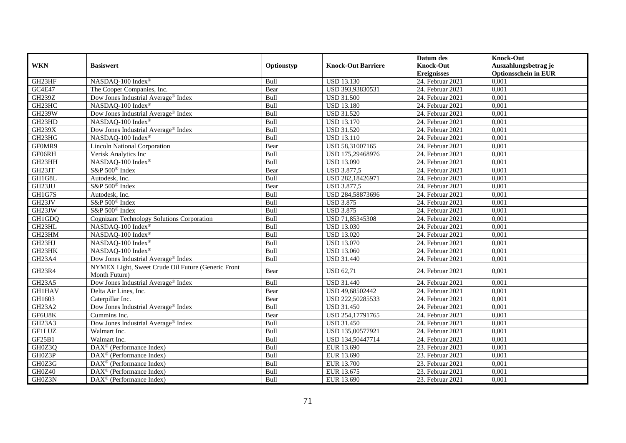|                                 |                                                                     |            |                           | Datum des          | <b>Knock-Out</b>            |
|---------------------------------|---------------------------------------------------------------------|------------|---------------------------|--------------------|-----------------------------|
| <b>WKN</b>                      | <b>Basiswert</b>                                                    | Optionstyp | <b>Knock-Out Barriere</b> | <b>Knock-Out</b>   | Auszahlungsbetrag je        |
|                                 |                                                                     |            |                           | <b>Ereignisses</b> | <b>Optionsschein in EUR</b> |
| GH23HF                          | NASDAQ-100 Index®                                                   | Bull       | <b>USD 13.130</b>         | 24. Februar 2021   | 0,001                       |
| GC4E47                          | The Cooper Companies, Inc.                                          | Bear       | USD 393,93830531          | 24. Februar 2021   | 0,001                       |
| GH239Z                          | Dow Jones Industrial Average® Index                                 | Bull       | <b>USD 31.500</b>         | 24. Februar 2021   | 0,001                       |
| GH23HC                          | NASDAQ-100 Index®                                                   | Bull       | <b>USD 13.180</b>         | 24. Februar 2021   | 0,001                       |
| <b>GH239W</b>                   | Dow Jones Industrial Average <sup>®</sup> Index                     | Bull       | <b>USD 31.520</b>         | 24. Februar 2021   | 0,001                       |
| GH23HD                          | NASDAQ-100 Index®                                                   | Bull       | <b>USD 13.170</b>         | 24. Februar 2021   | 0,001                       |
| <b>GH239X</b>                   | Dow Jones Industrial Average <sup>®</sup> Index                     | Bull       | <b>USD 31.520</b>         | 24. Februar 2021   | 0,001                       |
| GH23HG                          | NASDAQ-100 Index®                                                   | Bull       | <b>USD 13.110</b>         | 24. Februar 2021   | 0,001                       |
| GF0MR9                          | <b>Lincoln National Corporation</b>                                 | Bear       | USD 58,31007165           | 24. Februar 2021   | 0,001                       |
| GF06RH                          | Verisk Analytics Inc                                                | Bull       | USD 175,29468976          | 24. Februar 2021   | 0,001                       |
| GH23HH                          | NASDAQ-100 Index®                                                   | Bull       | <b>USD 13.090</b>         | 24. Februar 2021   | 0,001                       |
| GH23JT                          | S&P 500 <sup>®</sup> Index                                          | Bear       | <b>USD 3.877,5</b>        | 24. Februar 2021   | 0,001                       |
| GH1G8L                          | Autodesk, Inc.                                                      | Bull       | USD 282,18426971          | 24. Februar 2021   | 0,001                       |
| GH23JU                          | S&P 500 <sup>®</sup> Index                                          | Bear       | <b>USD 3.877,5</b>        | 24. Februar 2021   | 0,001                       |
| GH1G7S                          | Autodesk, Inc.                                                      | Bull       | USD 284,58873696          | 24. Februar 2021   | 0,001                       |
| GH23JV                          | S&P 500 <sup>®</sup> Index                                          | Bull       | <b>USD 3.875</b>          | 24. Februar 2021   | 0,001                       |
| GH23JW                          | S&P 500 <sup>®</sup> Index                                          | Bull       | <b>USD 3.875</b>          | 24. Februar 2021   | 0,001                       |
| GH1GDQ                          | <b>Cognizant Technology Solutions Corporation</b>                   | Bull       | USD 71,85345308           | 24. Februar 2021   | 0,001                       |
| GH23HL                          | NASDAQ-100 Index®                                                   | Bull       | <b>USD 13.030</b>         | 24. Februar 2021   | 0,001                       |
| GH23HM                          | NASDAQ-100 Index®                                                   | Bull       | <b>USD 13.020</b>         | 24. Februar 2021   | 0,001                       |
| GH23HJ                          | NASDAQ-100 Index®                                                   | Bull       | <b>USD 13.070</b>         | 24. Februar 2021   | 0,001                       |
| GH23HK                          | NASDAQ-100 Index®                                                   | Bull       | <b>USD 13.060</b>         | 24. Februar 2021   | 0,001                       |
| GH <sub>23</sub> A <sub>4</sub> | Dow Jones Industrial Average® Index                                 | Bull       | <b>USD 31.440</b>         | 24. Februar 2021   | 0,001                       |
| GH23R4                          | NYMEX Light, Sweet Crude Oil Future (Generic Front<br>Month Future) | Bear       | <b>USD 62,71</b>          | 24. Februar 2021   | 0,001                       |
| GH23A5                          | Dow Jones Industrial Average <sup>®</sup> Index                     | Bull       | <b>USD 31.440</b>         | 24. Februar 2021   | 0,001                       |
| <b>GH1HAV</b>                   | Delta Air Lines, Inc.                                               | Bear       | USD 49,68502442           | 24. Februar 2021   | 0,001                       |
| GH1603                          | Caterpillar Inc.                                                    | Bear       | USD 222,50285533          | 24. Februar 2021   | 0,001                       |
| GH23A2                          | Dow Jones Industrial Average <sup>®</sup> Index                     | Bull       | <b>USD 31.450</b>         | 24. Februar 2021   | 0,001                       |
| GF6U8K                          | Cummins Inc.                                                        | Bear       | USD 254,17791765          | 24. Februar 2021   | 0,001                       |
| GH23A3                          | Dow Jones Industrial Average® Index                                 | Bull       | <b>USD 31.450</b>         | 24. Februar 2021   | 0,001                       |
| <b>GF1LUZ</b>                   | Walmart Inc.                                                        | Bull       | USD 135,00577921          | 24. Februar 2021   | 0,001                       |
| GF25B1                          | Walmart Inc.                                                        | Bull       | USD 134,50447714          | 24. Februar 2021   | 0,001                       |
| GH0Z3Q                          | $\overline{\text{DAX}^{\otimes}}$ (Performance Index)               | Bull       | EUR 13.690                | 23. Februar 2021   | 0,001                       |
| GH0Z3P                          | $DAX^{\otimes}$ (Performance Index)                                 | Bull       | EUR 13.690                | 23. Februar 2021   | 0,001                       |
| GH0Z3G                          | $\text{DAX}^{\textcircled{p}}$ (Performance Index)                  | Bull       | EUR 13.700                | 23. Februar 2021   | 0,001                       |
| GH0Z40                          | DAX <sup>®</sup> (Performance Index)                                | Bull       | EUR 13.675                | 23. Februar 2021   | 0,001                       |
| GH0Z3N                          | DAX <sup>®</sup> (Performance Index)                                | Bull       | EUR 13.690                | 23. Februar 2021   | 0,001                       |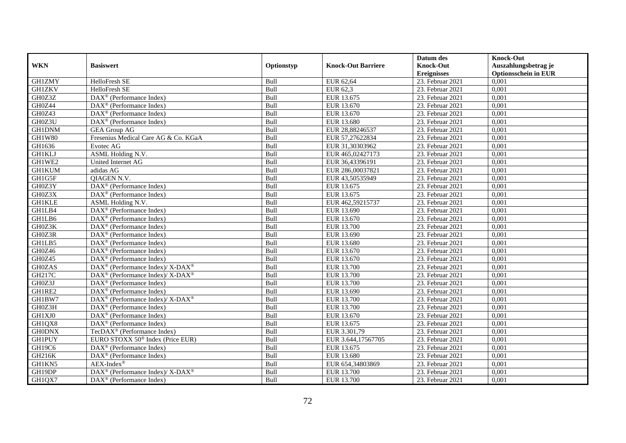|               |                                                                                                 |            |                           | Datum des          | <b>Knock-Out</b>            |
|---------------|-------------------------------------------------------------------------------------------------|------------|---------------------------|--------------------|-----------------------------|
| <b>WKN</b>    | <b>Basiswert</b>                                                                                | Optionstyp | <b>Knock-Out Barriere</b> | <b>Knock-Out</b>   | Auszahlungsbetrag je        |
|               |                                                                                                 |            |                           | <b>Ereignisses</b> | <b>Optionsschein in EUR</b> |
| <b>GH1ZMY</b> | HelloFresh SE                                                                                   | Bull       | EUR 62,64                 | 23. Februar 2021   | 0,001                       |
| <b>GH1ZKV</b> | HelloFresh SE                                                                                   | Bull       | EUR 62,3                  | 23. Februar 2021   | 0,001                       |
| GH0Z3Z        | $\text{DAX}^{\textcircled{n}}$ (Performance Index)                                              | Bull       | EUR 13.675                | 23. Februar 2021   | 0,001                       |
| GH0Z44        | $\text{DAX}^{\textcircled{n}}$ (Performance Index)                                              | Bull       | EUR 13.670                | 23. Februar 2021   | 0,001                       |
| GH0Z43        | DAX <sup>®</sup> (Performance Index)                                                            | Bull       | EUR 13.670                | 23. Februar 2021   | 0,001                       |
| GH0Z3U        | DAX <sup>®</sup> (Performance Index)                                                            | Bull       | EUR 13.680                | 23. Februar 2021   | 0,001                       |
| <b>GH1DNM</b> | <b>GEA Group AG</b>                                                                             | Bull       | EUR 28,88246537           | 23. Februar 2021   | 0,001                       |
| <b>GH1W80</b> | Fresenius Medical Care AG & Co. KGaA                                                            | Bull       | EUR 57,27622834           | 23. Februar 2021   | 0,001                       |
| GH1636        | Evotec AG                                                                                       | Bull       | EUR 31,30303962           | 23. Februar 2021   | 0,001                       |
| <b>GH1KLJ</b> | ASML Holding N.V.                                                                               | Bull       | EUR 465,02427173          | 23. Februar 2021   | 0,001                       |
| GH1WE2        | United Internet AG                                                                              | Bull       | EUR 36,43396191           | 23. Februar 2021   | 0,001                       |
| <b>GH1KUM</b> | adidas AG                                                                                       | Bull       | EUR 286,00037821          | 23. Februar 2021   | 0,001                       |
| GH1G5F        | <b>OIAGEN N.V.</b>                                                                              | Bull       | EUR 43,50535949           | 23. Februar 2021   | 0,001                       |
| GH0Z3Y        | DAX <sup>®</sup> (Performance Index)                                                            | Bull       | EUR 13.675                | 23. Februar 2021   | 0,001                       |
| GH0Z3X        | DAX <sup>®</sup> (Performance Index)                                                            | Bull       | EUR 13.675                | 23. Februar 2021   | 0,001                       |
| <b>GH1KLE</b> | ASML Holding N.V.                                                                               | Bull       | EUR 462,59215737          | 23. Februar 2021   | 0,001                       |
| GH1LB4        | DAX <sup>®</sup> (Performance Index)                                                            | Bull       | EUR 13.690                | 23. Februar 2021   | 0,001                       |
| GH1LB6        | $DAX^{\circledR}$ (Performance Index)                                                           | Bull       | EUR 13.670                | 23. Februar 2021   | 0,001                       |
| GH0Z3K        | $\overline{\text{DAX}}^{\textcircled{}}$ (Performance Index)                                    | Bull       | EUR 13.700                | 23. Februar 2021   | 0,001                       |
| GH0Z3R        | DAX <sup>®</sup> (Performance Index)                                                            | Bull       | EUR 13.690                | 23. Februar 2021   | 0,001                       |
| GH1LB5        | DAX <sup>®</sup> (Performance Index)                                                            | Bull       | EUR 13.680                | 23. Februar 2021   | 0,001                       |
| GH0Z46        | $\overline{\text{DAX}^{\otimes}}$ (Performance Index)                                           | Bull       | EUR 13.670                | 23. Februar 2021   | 0,001                       |
| GH0Z45        | $\overline{\text{DAX}^{\otimes}}$ (Performance Index)                                           | Bull       | EUR 13.670                | $23.$ Februar 2021 | 0,001                       |
| <b>GH0ZAS</b> | DAX <sup>®</sup> (Performance Index)/ X-DAX <sup>®</sup>                                        | Bull       | EUR 13.700                | 23. Februar 2021   | 0,001                       |
| GH217C        | $\text{DAX}^{\textcircled{p}}$ (Performance Index)/ $\overline{\text{X-DAX}^{\textcircled{p}}}$ | Bull       | EUR 13.700                | 23. Februar 2021   | 0,001                       |
| GH0Z3J        | $\text{DAX}^{\otimes}$ (Performance Index)                                                      | Bull       | EUR 13.700                | 23. Februar 2021   | 0,001                       |
| GH1RE2        | DAX <sup>®</sup> (Performance Index)                                                            | Bull       | EUR 13.690                | 23. Februar 2021   | 0,001                       |
| GH1BW7        | $DAX^{\circledcirc}$ (Performance Index)/ X-DAX <sup>®</sup>                                    | Bull       | EUR 13.700                | $23.$ Februar 2021 | 0,001                       |
| GH0Z3H        | $\text{DAX}^{\textcircled{p}}$ (Performance Index)                                              | Bull       | EUR 13.700                | 23. Februar 2021   | 0,001                       |
| GH1XJ0        | $\text{DAX}^{\textcircled{p}}$ (Performance Index)                                              | Bull       | EUR 13.670                | 23. Februar 2021   | 0,001                       |
| GH1QX8        | DAX <sup>®</sup> (Performance Index)                                                            | Bull       | EUR 13.675                | 23. Februar 2021   | 0,001                       |
| <b>GH0DNX</b> | TecDAX <sup>®</sup> (Performance Index)                                                         | Bull       | EUR 3.301,79              | 23. Februar 2021   | 0,001                       |
| <b>GH1PUY</b> | EURO STOXX 50 <sup>®</sup> Index (Price EUR)                                                    | Bull       | EUR 3.644,17567705        | 23. Februar 2021   | 0,001                       |
| GH19C6        | DAX <sup>®</sup> (Performance Index)                                                            | Bull       | EUR 13.675                | $23.$ Februar 2021 | 0,001                       |
| GH216K        | DAX <sup>®</sup> (Performance Index)                                                            | Bull       | EUR 13.680                | 23. Februar 2021   | 0,001                       |
| GH1KN5        | $AEX-Index^{\circledR}$                                                                         | Bull       | EUR 654,34803869          | 23. Februar 2021   | 0,001                       |
| GH19DP        | DAX <sup>®</sup> (Performance Index)/ X-DAX <sup>®</sup>                                        | Bull       | EUR 13.700                | 23. Februar 2021   | 0,001                       |
| GH1QX7        | DAX <sup>®</sup> (Performance Index)                                                            | Bull       | EUR 13.700                | 23. Februar 2021   | 0,001                       |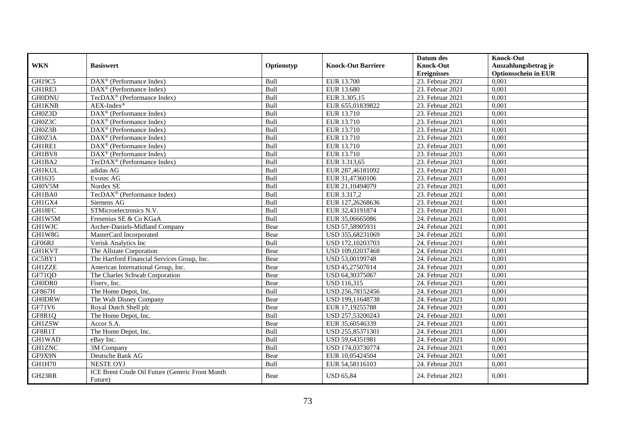| <b>WKN</b>    | <b>Basiswert</b>                                           | Optionstyp | <b>Knock-Out Barriere</b> | Datum des<br><b>Knock-Out</b> | <b>Knock-Out</b><br>Auszahlungsbetrag je |
|---------------|------------------------------------------------------------|------------|---------------------------|-------------------------------|------------------------------------------|
|               |                                                            |            |                           | <b>Ereignisses</b>            | <b>Optionsschein in EUR</b>              |
| GH19C5        | DAX <sup>®</sup> (Performance Index)                       | Bull       | EUR 13.700                | 23. Februar 2021              | 0,001                                    |
| GH1RE3        | $\text{DAX}^{\textcircled{n}}$ (Performance Index)         | Bull       | EUR 13.680                | 23. Februar 2021              | 0,001                                    |
| <b>GH0DNU</b> | TecDAX <sup>®</sup> (Performance Index)                    | Bull       | EUR 3.305,15              | 23. Februar 2021              | 0,001                                    |
| <b>GH1KNB</b> | $AEX-Index^{\circledR}$                                    | Bull       | EUR 655,01839822          | 23. Februar 2021              | 0,001                                    |
| GH0Z3D        | DAX <sup>®</sup> (Performance Index)                       | Bull       | EUR 13.710                | 23. Februar 2021              | 0,001                                    |
| GH0Z3C        | DAX <sup>®</sup> (Performance Index)                       | Bull       | EUR 13.710                | 23. Februar 2021              | 0,001                                    |
| GH0Z3B        | DAX <sup>®</sup> (Performance Index)                       | Bull       | EUR 13.710                | 23. Februar 2021              | 0,001                                    |
| GH0Z3A        | $\text{DAX}^{\textcircled{p}}$ (Performance Index)         | Bull       | EUR 13.710                | 23. Februar 2021              | 0,001                                    |
| GH1RE1        | $\text{DAX}^{\textcircled{p}}$ (Performance Index)         | Bull       | EUR 13.710                | 23. Februar 2021              | 0,001                                    |
| GH1BV8        | DAX <sup>®</sup> (Performance Index)                       | Bull       | EUR 13.710                | 23. Februar 2021              | 0,001                                    |
| GH1BA2        | TecDAX <sup>®</sup> (Performance Index)                    | Bull       | EUR 3.313,65              | 23. Februar 2021              | 0,001                                    |
| <b>GH1KUL</b> | adidas AG                                                  | Bull       | EUR 287,46181092          | 23. Februar 2021              | 0,001                                    |
| GH1635        | Evotec AG                                                  | Bull       | EUR 31,47360106           | 23. Februar 2021              | 0.001                                    |
| GH0V5M        | Nordex SE                                                  | Bull       | EUR 21,10494079           | 23. Februar 2021              | 0,001                                    |
| GH1BA0        | TecDAX <sup>®</sup> (Performance Index)                    | Bull       | EUR 3.317,2               | 23. Februar 2021              | 0,001                                    |
| GH1GX4        | Siemens AG                                                 | Bull       | EUR 127,26268636          | 23. Februar 2021              | 0,001                                    |
| GH18FC        | STMicroelectronics N.V.                                    | Bull       | EUR 32,43191874           | 23. Februar 2021              | 0,001                                    |
| GH1W5M        | Fresenius SE & Co KGaA                                     | Bull       | EUR 35,06665086           | 24. Februar 2021              | 0,001                                    |
| <b>GH1WJC</b> | Archer-Daniels-Midland Company                             | Bear       | USD 57,58905931           | 24. Februar 2021              | 0,001                                    |
| GH1W8G        | MasterCard Incorporated                                    | Bear       | USD 355,68231069          | 24. Februar 2021              | 0,001                                    |
| GF06RJ        | Verisk Analytics Inc                                       | Bull       | USD 172,10203703          | 24. Februar 2021              | 0,001                                    |
| <b>GH1KVT</b> | The Allstate Corporation                                   | Bear       | USD 109,02037468          | 24. Februar 2021              | 0,001                                    |
| GC5BY1        | The Hartford Financial Services Group, Inc.                | Bear       | USD 53,00199748           | 24. Februar 2021              | 0,001                                    |
| <b>GH1ZZE</b> | American International Group, Inc.                         | Bear       | USD 45,27507014           | 24. Februar 2021              | 0,001                                    |
| GF71QD        | The Charles Schwab Corporation                             | Bear       | USD 64,30375067           | 24. Februar 2021              | 0,001                                    |
| GH0DR0        | Fiserv, Inc.                                               | Bear       | <b>USD 116,315</b>        | 24. Februar 2021              | 0,001                                    |
| GF867H        | The Home Depot, Inc.                                       | Bull       | USD 256,78152456          | 24. Februar 2021              | 0,001                                    |
| <b>GH0DRW</b> | The Walt Disney Company                                    | Bear       | USD 199,11648738          | 24. Februar 2021              | 0,001                                    |
| GF71V6        | Royal Dutch Shell plc                                      | Bear       | EUR 17,19255788           | 24. Februar 2021              | 0,001                                    |
| GF8R1Q        | The Home Depot, Inc.                                       | Bull       | USD 257,53200243          | 24. Februar 2021              | 0,001                                    |
| GH1ZSW        | Accor S.A.                                                 | Bear       | EUR 35,60546339           | 24. Februar 2021              | 0,001                                    |
| GF8R1T        | The Home Depot, Inc.                                       | Bull       | USD 255,85371301          | 24. Februar 2021              | 0,001                                    |
| <b>GH1WAD</b> | eBay Inc.                                                  | Bull       | USD 59,64351981           | 24. Februar 2021              | 0,001                                    |
| <b>GH1ZNC</b> | $\overline{3M}$ Company                                    | Bull       | USD 174,03730774          | 24. Februar 2021              | 0,001                                    |
| GF9X9N        | Deutsche Bank AG                                           | Bear       | EUR 10,05424504           | $24.$ Februar 2021            | 0,001                                    |
| GH1H70        | <b>NESTE OYJ</b>                                           | Bull       | EUR 54,58116103           | 24. Februar 2021              | 0,001                                    |
| GH23RR        | ICE Brent Crude Oil Future (Generic Front Month<br>Future) | Bear       | <b>USD 65,84</b>          | 24. Februar 2021              | 0,001                                    |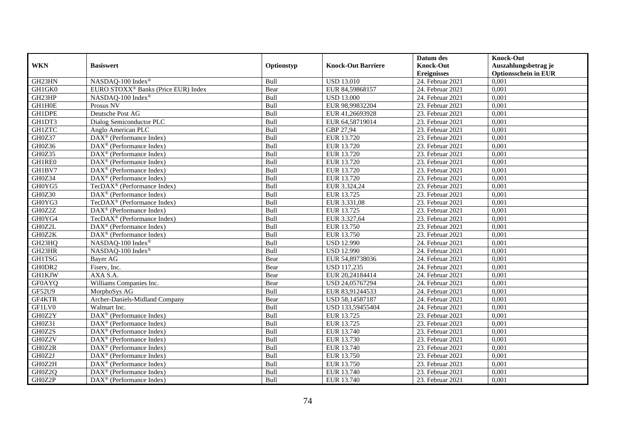|               |                                                              |            |                           | Datum des          | <b>Knock-Out</b>            |
|---------------|--------------------------------------------------------------|------------|---------------------------|--------------------|-----------------------------|
| <b>WKN</b>    | <b>Basiswert</b>                                             | Optionstyp | <b>Knock-Out Barriere</b> | <b>Knock-Out</b>   | Auszahlungsbetrag je        |
|               |                                                              |            |                           | <b>Ereignisses</b> | <b>Optionsschein in EUR</b> |
| GH23HN        | NASDAQ-100 Index®                                            | Bull       | <b>USD 13.010</b>         | 24. Februar 2021   | 0,001                       |
| GH1GK0        | EURO STOXX <sup>®</sup> Banks (Price EUR) Index              | Bear       | EUR 84,59868157           | 24. Februar 2021   | 0,001                       |
| GH23HP        | NASDAQ-100 Index®                                            | Bull       | <b>USD 13.000</b>         | 24. Februar 2021   | 0,001                       |
| GH1H0E        | Prosus NV                                                    | Bull       | EUR 98,99832204           | 23. Februar 2021   | 0,001                       |
| GH1DPE        | Deutsche Post AG                                             | Bull       | EUR 41,26693928           | 23. Februar 2021   | 0,001                       |
| GH1DT3        | Dialog Semiconductor PLC                                     | Bull       | EUR 64,58719014           | 23. Februar 2021   | 0,001                       |
| <b>GH1ZTC</b> | Anglo American PLC                                           | Bull       | GBP 27,94                 | 23. Februar 2021   | 0,001                       |
| GH0Z37        | $\text{DAX}^{\textcircled{p}}$ (Performance Index)           | Bull       | EUR 13.720                | 23. Februar 2021   | 0,001                       |
| GH0Z36        | $\text{DAX}^{\textcircled{p}}$ (Performance Index)           | Bull       | EUR 13.720                | 23. Februar 2021   | 0,001                       |
| GH0Z35        | $DAX^{\otimes}$ (Performance Index)                          | Bull       | EUR 13.720                | 23. Februar 2021   | 0,001                       |
| GH1RE0        | $\overline{\text{DAX}}^{\textcircled{}}$ (Performance Index) | Bull       | EUR 13.720                | 23. Februar 2021   | 0,001                       |
| GH1BV7        | $\overline{\text{DAX}^{\otimes}}$ (Performance Index)        | Bull       | EUR 13.720                | 23. Februar 2021   | 0,001                       |
| GH0Z34        | DAX <sup>®</sup> (Performance Index)                         | Bull       | EUR 13.720                | 23. Februar 2021   | 0,001                       |
| GH0YG5        | TecDAX <sup>®</sup> (Performance Index)                      | Bull       | EUR 3.324,24              | 23. Februar 2021   | 0,001                       |
| GH0Z30        | DAX <sup>®</sup> (Performance Index)                         | Bull       | EUR 13.725                | 23. Februar 2021   | 0,001                       |
| GH0YG3        | TecDAX <sup>®</sup> (Performance Index)                      | Bull       | EUR 3.331,08              | 23. Februar 2021   | 0,001                       |
| GH0Z2Z        | DAX <sup>®</sup> (Performance Index)                         | Bull       | EUR 13.725                | 23. Februar 2021   | 0,001                       |
| GH0YG4        | TecDAX <sup>®</sup> (Performance Index)                      | Bull       | EUR 3.327.64              | 23. Februar 2021   | 0,001                       |
| GH0Z2L        | $\overline{\text{DAX}}^{\textcircled{}}$ (Performance Index) | Bull       | EUR 13.750                | 23. Februar 2021   | 0,001                       |
| GH0Z2K        | DAX <sup>®</sup> (Performance Index)                         | Bull       | EUR 13.750                | 23. Februar 2021   | 0,001                       |
| GH23HQ        | NASDAQ-100 Index®                                            | Bull       | <b>USD 12.990</b>         | 24. Februar 2021   | 0,001                       |
| GH23HR        | NASDAQ-100 Index®                                            | Bull       | <b>USD 12.990</b>         | 24. Februar 2021   | 0,001                       |
| <b>GH1TSG</b> | Bayer AG                                                     | Bear       | EUR 54,89738036           | $24.$ Februar 2021 | 0,001                       |
| GH0DR2        | Fiserv, Inc.                                                 | Bear       | <b>USD 117,235</b>        | 24. Februar 2021   | 0,001                       |
| <b>GH1KJW</b> | AXA S.A.                                                     | Bear       | EUR 20,24184414           | 24. Februar 2021   | 0,001                       |
| <b>GF0AYQ</b> | Williams Companies Inc.                                      | Bear       | USD 24,05767294           | 24. Februar 2021   | 0,001                       |
| GF52U9        | MorphoSys AG                                                 | Bull       | EUR 83,91244533           | 24. Februar 2021   | 0,001                       |
| GF4KTR        | Archer-Daniels-Midland Company                               | Bear       | USD 58,14587187           | $24.$ Februar 2021 | 0,001                       |
| GF1LV0        | Walmart Inc.                                                 | Bull       | USD 133,59455404          | 24. Februar 2021   | 0,001                       |
| GH0Z2Y        | DAX <sup>®</sup> (Performance Index)                         | Bull       | EUR 13.725                | 23. Februar 2021   | 0,001                       |
| GH0Z31        | $DAX^{\otimes}$ (Performance Index)                          | Bull       | EUR 13.725                | 23. Februar 2021   | 0,001                       |
| GH0Z2S        | DAX <sup>®</sup> (Performance Index)                         | Bull       | EUR 13.740                | 23. Februar 2021   | 0,001                       |
| GH0Z2V        | $\overline{\text{DAX}^{\otimes}}$ (Performance Index)        | Bull       | EUR 13.730                | 23. Februar 2021   | 0,001                       |
| GH0Z2R        | DAX <sup>®</sup> (Performance Index)                         | Bull       | EUR 13.740                | $23.$ Februar 2021 | 0,001                       |
| GH0Z2J        | $\text{DAX}^{\textcircled{n}}$ (Performance Index)           | Bull       | EUR 13.750                | 23. Februar 2021   | 0,001                       |
| GH0Z2H        | DAX <sup>®</sup> (Performance Index)                         | Bull       | EUR 13.750                | 23. Februar 2021   | 0,001                       |
| GH0Z2Q        | $\text{DAX}^{\otimes}$ (Performance Index)                   | Bull       | EUR 13.740                | 23. Februar 2021   | 0,001                       |
| GH0Z2P        | $\overline{\text{DAX}}^{\textcircled{}}$ (Performance Index) | Bull       | EUR 13.740                | 23. Februar 2021   | 0,001                       |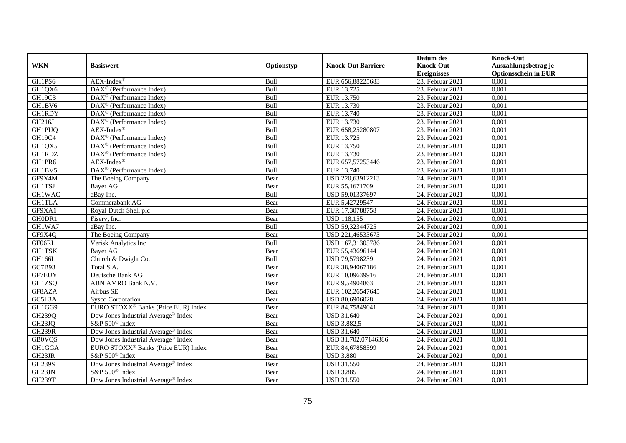|               |                                                              |            |                           | Datum des          | <b>Knock-Out</b>            |
|---------------|--------------------------------------------------------------|------------|---------------------------|--------------------|-----------------------------|
| <b>WKN</b>    | <b>Basiswert</b>                                             | Optionstyp | <b>Knock-Out Barriere</b> | <b>Knock-Out</b>   | Auszahlungsbetrag je        |
|               |                                                              |            |                           | <b>Ereignisses</b> | <b>Optionsschein in EUR</b> |
| GH1PS6        | $AEX-Index^{\circledR}$                                      | Bull       | EUR 656,88225683          | 23. Februar 2021   | 0,001                       |
| GH1QX6        | $\overline{\text{DAX}^{\otimes}}$ (Performance Index)        | Bull       | EUR 13.725                | 23. Februar 2021   | 0,001                       |
| GH19C3        | DAX <sup>®</sup> (Performance Index)                         | Bull       | EUR 13.750                | 23. Februar 2021   | 0,001                       |
| GH1BV6        | $\text{DAX}^{\textcircled{n}}$ (Performance Index)           | Bull       | EUR 13.730                | 23. Februar 2021   | 0,001                       |
| <b>GH1RDY</b> | DAX <sup>®</sup> (Performance Index)                         | Bull       | EUR 13.740                | 23. Februar 2021   | 0,001                       |
| GH216J        | $\overline{\text{DAX}}^{\textcircled{}}$ (Performance Index) | Bull       | EUR 13.730                | 23. Februar 2021   | 0,001                       |
| <b>GH1PUQ</b> | $AEX-Index^{\circledR}$                                      | Bull       | EUR 658,25280807          | 23. Februar 2021   | 0,001                       |
| GH19C4        | DAX <sup>®</sup> (Performance Index)                         | Bull       | EUR 13.725                | 23. Februar 2021   | 0,001                       |
| GH1QX5        | $\text{DAX}^{\textcircled{p}}$ (Performance Index)           | Bull       | EUR 13.750                | 23. Februar 2021   | 0,001                       |
| GH1RDZ        | $\text{DAX}^{\otimes}$ (Performance Index)                   | Bull       | EUR 13.730                | 23. Februar 2021   | 0,001                       |
| GH1PR6        | $AEX-Index^{\circledR}$                                      | Bull       | EUR 657,57253446          | 23. Februar 2021   | 0,001                       |
| GH1BV5        | DAX <sup>®</sup> (Performance Index)                         | Bull       | EUR 13.740                | 23. Februar 2021   | 0,001                       |
| GF9X4M        | The Boeing Company                                           | Bear       | USD 220,63912213          | 24. Februar 2021   | 0,001                       |
| <b>GH1TSJ</b> | Bayer AG                                                     | Bear       | EUR 55,1671709            | 24. Februar 2021   | 0,001                       |
| <b>GH1WAC</b> | eBay Inc.                                                    | Bull       | USD 59,01337697           | 24. Februar 2021   | 0,001                       |
| <b>GH1TLA</b> | Commerzbank AG                                               | Bear       | EUR 5,42729547            | 24. Februar 2021   | 0,001                       |
| GF9XA1        | Royal Dutch Shell plc                                        | Bear       | EUR 17,30788758           | 24. Februar 2021   | 0,001                       |
| GH0DR1        | Fisery. Inc.                                                 | Bear       | <b>USD</b> 118,155        | 24. Februar 2021   | 0,001                       |
| GH1WA7        | eBay Inc.                                                    | Bull       | USD 59,32344725           | 24. Februar 2021   | 0,001                       |
| GF9X4Q        | The Boeing Company                                           | Bear       | USD 221,46533673          | 24. Februar 2021   | 0,001                       |
| GF06RL        | Verisk Analytics Inc                                         | Bull       | USD 167,31305786          | 24. Februar 2021   | 0,001                       |
| <b>GH1TSK</b> | Bayer AG                                                     | Bear       | EUR 55,43696144           | 24. Februar 2021   | 0,001                       |
| GH166L        | Church & Dwight Co.                                          | Bull       | USD 79,5798239            | $24.$ Februar 2021 | 0,001                       |
| GC7B93        | Total S.A.                                                   | Bear       | EUR 38,94067186           | 24. Februar 2021   | 0,001                       |
| <b>GF7EUY</b> | Deutsche Bank AG                                             | Bear       | EUR 10,09639916           | 24. Februar 2021   | 0,001                       |
| <b>GH1ZSQ</b> | ABN AMRO Bank N.V.                                           | Bear       | EUR 9,54904863            | 24. Februar 2021   | 0,001                       |
| GF8AZA        | Airbus SE                                                    | Bear       | EUR 102,26547645          | 24. Februar 2021   | 0,001                       |
| GC5L3A        | <b>Sysco Corporation</b>                                     | Bear       | USD 80,6906028            | 24. Februar 2021   | 0,001                       |
| GH1GG9        | EURO STOXX <sup>®</sup> Banks (Price EUR) Index              | Bear       | EUR 84,75849041           | 24. Februar 2021   | 0,001                       |
| GH239Q        | Dow Jones Industrial Average <sup>®</sup> Index              | Bear       | <b>USD 31.640</b>         | 24. Februar 2021   | 0.001                       |
| GH23JQ        | S&P 500 <sup>®</sup> Index                                   | Bear       | <b>USD 3.882,5</b>        | 24. Februar 2021   | 0,001                       |
| <b>GH239R</b> | Dow Jones Industrial Average® Index                          | Bear       | <b>USD 31.640</b>         | 24. Februar 2021   | 0,001                       |
| <b>GB0VQS</b> | Dow Jones Industrial Average <sup>®</sup> Index              | Bear       | USD 31.702,07146386       | 24. Februar 2021   | 0,001                       |
| GH1GGA        | EURO STOXX <sup>®</sup> Banks (Price EUR) Index              | Bear       | EUR 84,67858599           | $24.$ Februar 2021 | 0,001                       |
| GH23JR        | S&P 500 <sup>®</sup> Index                                   | Bear       | <b>USD 3.880</b>          | 24. Februar 2021   | 0,001                       |
| <b>GH239S</b> | Dow Jones Industrial Average <sup>®</sup> Index              | Bear       | <b>USD 31.550</b>         | 24. Februar 2021   | 0,001                       |
| GH23JN        | S&P 500 <sup>®</sup> Index                                   | Bear       | <b>USD 3.885</b>          | 24. Februar 2021   | 0,001                       |
| <b>GH239T</b> | Dow Jones Industrial Average <sup>®</sup> Index              | Bear       | <b>USD 31.550</b>         | 24. Februar 2021   | 0,001                       |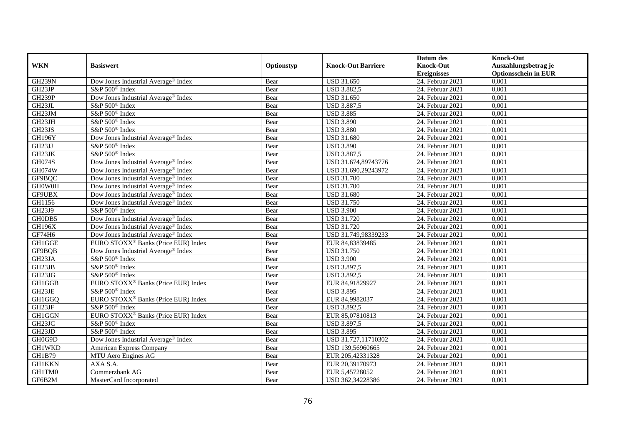|               |                                                 |            |                           | Datum des          | <b>Knock-Out</b>            |
|---------------|-------------------------------------------------|------------|---------------------------|--------------------|-----------------------------|
| <b>WKN</b>    | <b>Basiswert</b>                                | Optionstyp | <b>Knock-Out Barriere</b> | <b>Knock-Out</b>   | Auszahlungsbetrag je        |
|               |                                                 |            |                           | <b>Ereignisses</b> | <b>Optionsschein in EUR</b> |
| <b>GH239N</b> | Dow Jones Industrial Average® Index             | Bear       | <b>USD 31.650</b>         | $24.$ Februar 2021 | 0,001                       |
| GH23JP        | S&P 500 <sup>®</sup> Index                      | Bear       | <b>USD 3.882,5</b>        | 24. Februar 2021   | 0,001                       |
| GH239P        | Dow Jones Industrial Average® Index             | Bear       | <b>USD 31.650</b>         | 24. Februar 2021   | 0,001                       |
| GH23JL        | S&P 500 <sup>®</sup> Index                      | Bear       | <b>USD 3.887,5</b>        | 24. Februar 2021   | 0,001                       |
| GH23JM        | S&P 500 <sup>®</sup> Index                      | Bear       | <b>USD 3.885</b>          | 24. Februar 2021   | 0,001                       |
| GH23JH        | S&P 500 <sup>®</sup> Index                      | Bear       | <b>USD 3.890</b>          | 24. Februar 2021   | 0,001                       |
| GH23JS        | S&P 500 <sup>®</sup> Index                      | Bear       | <b>USD 3.880</b>          | $24.$ Februar 2021 | 0,001                       |
| <b>GH196Y</b> | Dow Jones Industrial Average® Index             | Bear       | <b>USD 31.680</b>         | 24. Februar 2021   | 0,001                       |
| GH23JJ        | S&P 500 <sup>®</sup> Index                      | Bear       | <b>USD 3.890</b>          | 24. Februar 2021   | 0,001                       |
| GH23JK        | S&P 500 <sup>®</sup> Index                      | Bear       | <b>USD 3.887,5</b>        | 24. Februar 2021   | 0,001                       |
| <b>GH074S</b> | Dow Jones Industrial Average® Index             | Bear       | USD 31.674,89743776       | 24. Februar 2021   | 0,001                       |
| GH074W        | Dow Jones Industrial Average® Index             | Bear       | USD 31.690,29243972       | 24. Februar 2021   | 0,001                       |
| GF9BQC        | Dow Jones Industrial Average <sup>®</sup> Index | Bear       | <b>USD 31.700</b>         | 24. Februar 2021   | 0,001                       |
| GH0W0H        | Dow Jones Industrial Average <sup>®</sup> Index | Bear       | <b>USD 31.700</b>         | 24. Februar 2021   | 0,001                       |
| GF9UBX        | Dow Jones Industrial Average <sup>®</sup> Index | Bear       | <b>USD 31.680</b>         | 24. Februar 2021   | 0,001                       |
| GH1156        | Dow Jones Industrial Average® Index             | Bear       | <b>USD 31.750</b>         | 24. Februar 2021   | 0,001                       |
| GH23J9        | S&P 500 <sup>®</sup> Index                      | Bear       | <b>USD 3.900</b>          | 24. Februar 2021   | 0,001                       |
| GH0DB5        | Dow Jones Industrial Average® Index             | Bear       | <b>USD 31.720</b>         | 24. Februar 2021   | 0,001                       |
| <b>GH196X</b> | Dow Jones Industrial Average® Index             | Bear       | <b>USD 31.720</b>         | 24. Februar 2021   | 0,001                       |
| GF74H6        | Dow Jones Industrial Average® Index             | Bear       | USD 31.749,98339233       | 24. Februar 2021   | 0,001                       |
| <b>GH1GGE</b> | EURO STOXX <sup>®</sup> Banks (Price EUR) Index | Bear       | EUR 84,83839485           | 24. Februar 2021   | 0,001                       |
| GF9BQB        | Dow Jones Industrial Average® Index             | Bear       | <b>USD 31.750</b>         | 24. Februar 2021   | 0,001                       |
| GH23JA        | S&P 500 <sup>®</sup> Index                      | Bear       | <b>USD 3.900</b>          | 24. Februar 2021   | 0,001                       |
| GH23JB        | S&P 500 <sup>®</sup> Index                      | Bear       | USD 3.897,5               | 24. Februar 2021   | 0,001                       |
| GH23JG        | S&P 500 <sup>®</sup> Index                      | Bear       | <b>USD 3.892,5</b>        | 24. Februar 2021   | 0.001                       |
| GH1GGB        | EURO STOXX <sup>®</sup> Banks (Price EUR) Index | Bear       | EUR 84,91829927           | 24. Februar 2021   | 0,001                       |
| GH23JE        | S&P 500 <sup>®</sup> Index                      | Bear       | <b>USD 3.895</b>          | 24. Februar 2021   | 0,001                       |
| GH1GGQ        | EURO STOXX <sup>®</sup> Banks (Price EUR) Index | Bear       | EUR 84,9982037            | 24. Februar 2021   | 0,001                       |
| GH23JF        | S&P 500 <sup>®</sup> Index                      | Bear       | <b>USD 3.892,5</b>        | 24. Februar 2021   | 0,001                       |
| GH1GGN        | EURO STOXX <sup>®</sup> Banks (Price EUR) Index | Bear       | EUR 85,07810813           | 24. Februar 2021   | 0,001                       |
| GH23JC        | S&P 500 <sup>®</sup> Index                      | Bear       | <b>USD 3.897,5</b>        | 24. Februar 2021   | 0,001                       |
| GH23JD        | S&P 500 <sup>®</sup> Index                      | Bear       | <b>USD 3.895</b>          | 24. Februar 2021   | 0,001                       |
| GH0G9D        | Dow Jones Industrial Average® Index             | Bear       | USD 31.727,11710302       | 24. Februar 2021   | 0,001                       |
| <b>GH1WKD</b> | American Express Company                        | Bear       | USD 139,56960665          | $24.$ Februar 2021 | 0,001                       |
| <b>GH1B79</b> | MTU Aero Engines AG                             | Bear       | EUR 205,42331328          | 24. Februar 2021   | 0,001                       |
| <b>GH1KKN</b> | AXA S.A.                                        | Bear       | EUR 20,39170973           | 24. Februar 2021   | 0,001                       |
| GH1TM0        | Commerzbank AG                                  | Bear       | EUR 5,45728052            | 24. Februar 2021   | 0,001                       |
| GF6B2M        | MasterCard Incorporated                         | Bear       | USD 362,34228386          | 24. Februar 2021   | 0,001                       |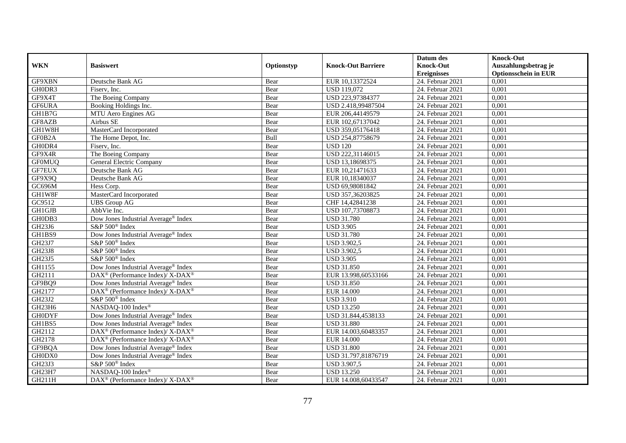|               |                                                          |            |                           | Datum des                              | <b>Knock-Out</b>                     |
|---------------|----------------------------------------------------------|------------|---------------------------|----------------------------------------|--------------------------------------|
| <b>WKN</b>    | <b>Basiswert</b>                                         | Optionstyp | <b>Knock-Out Barriere</b> | <b>Knock-Out</b>                       | Auszahlungsbetrag je                 |
| GF9XBN        |                                                          | Bear       |                           | <b>Ereignisses</b><br>24. Februar 2021 | <b>Optionsschein in EUR</b><br>0,001 |
|               | Deutsche Bank AG                                         |            | EUR 10,13372524           |                                        |                                      |
| GH0DR3        | Fiserv, Inc.                                             | Bear       | <b>USD 119,072</b>        | 24. Februar 2021                       | 0,001                                |
| GF9X4T        | The Boeing Company                                       | Bear       | USD 223,97384377          | 24. Februar 2021                       | 0,001                                |
| GF6URA        | Booking Holdings Inc.                                    | Bear       | USD 2.418,99487504        | 24. Februar 2021                       | 0,001                                |
| GH1B7G        | MTU Aero Engines AG                                      | Bear       | EUR 206,44149579          | 24. Februar 2021                       | 0,001                                |
| GF8AZB        | Airbus SE                                                | Bear       | EUR 102,67137042          | 24. Februar 2021                       | 0,001                                |
| GH1W8H        | MasterCard Incorporated                                  | Bear       | USD 359,05176418          | 24. Februar 2021                       | 0,001                                |
| GF0B2A        | The Home Depot, Inc.                                     | Bull       | USD 254,87758679          | 24. Februar 2021                       | 0,001                                |
| GH0DR4        | Fiserv, Inc.                                             | Bear       | <b>USD 120</b>            | 24. Februar 2021                       | 0,001                                |
| GF9X4R        | The Boeing Company                                       | Bear       | USD 222,31146015          | 24. Februar 2021                       | 0,001                                |
| <b>GF0MUQ</b> | General Electric Company                                 | Bear       | USD 13,18698375           | 24. Februar 2021                       | 0,001                                |
| <b>GF7EUX</b> | Deutsche Bank AG                                         | Bear       | EUR 10,21471633           | 24. Februar 2021                       | 0,001                                |
| GF9X9Q        | Deutsche Bank AG                                         | Bear       | EUR 10,18340037           | 24. Februar 2021                       | 0,001                                |
| GC696M        | Hess Corp.                                               | Bear       | USD 69,98081842           | 24. Februar 2021                       | 0,001                                |
| GH1W8F        | MasterCard Incorporated                                  | Bear       | USD 357,36203825          | 24. Februar 2021                       | 0,001                                |
| GC9512        | <b>UBS</b> Group AG                                      | Bear       | CHF 14,42841238           | 24. Februar 2021                       | 0,001                                |
| GH1GJB        | AbbVie Inc.                                              | Bear       | USD 107,73708873          | 24. Februar 2021                       | 0,001                                |
| GH0DB3        | Dow Jones Industrial Average® Index                      | Bear       | <b>USD 31.780</b>         | 24. Februar 2021                       | 0,001                                |
| GH23J6        | $S&P 500^{\circledcirc}$ Index                           | Bear       | <b>USD 3.905</b>          | 24. Februar 2021                       | 0,001                                |
| GH1BS9        | Dow Jones Industrial Average® Index                      | Bear       | <b>USD 31.780</b>         | 24. Februar 2021                       | 0,001                                |
| GH23J7        | S&P 500 <sup>®</sup> Index                               | Bear       | <b>USD 3.902,5</b>        | 24. Februar 2021                       | 0,001                                |
| <b>GH23J8</b> | S&P 500 <sup>®</sup> Index                               | Bear       | <b>USD 3.902,5</b>        | 24. Februar 2021                       | 0,001                                |
| GH23J5        | S&P 500 <sup>®</sup> Index                               | Bear       | <b>USD 3.905</b>          | 24. Februar 2021                       | 0,001                                |
| GH1155        | Dow Jones Industrial Average® Index                      | Bear       | <b>USD 31.850</b>         | 24. Februar 2021                       | 0,001                                |
| GH2111        | DAX <sup>®</sup> (Performance Index)/ X-DAX <sup>®</sup> | Bear       | EUR 13.998,60533166       | 24. Februar 2021                       | 0,001                                |
| GF9BQ9        | Dow Jones Industrial Average® Index                      | Bear       | <b>USD 31.850</b>         | 24. Februar 2021                       | 0,001                                |
| GH2177        | DAX <sup>®</sup> (Performance Index)/ X-DAX <sup>®</sup> | Bear       | <b>EUR 14.000</b>         | 24. Februar 2021                       | 0,001                                |
| GH23J2        | S&P 500 <sup>®</sup> Index                               | Bear       | <b>USD 3.910</b>          | 24. Februar 2021                       | 0,001                                |
| GH23H6        | NASDAQ-100 Index®                                        | Bear       | <b>USD 13.250</b>         | 24. Februar 2021                       | 0,001                                |
| <b>GH0DYF</b> | Dow Jones Industrial Average <sup>®</sup> Index          | Bear       | USD 31.844,4538133        | 24. Februar 2021                       | 0,001                                |
| GH1BS5        | Dow Jones Industrial Average® Index                      | Bear       | <b>USD 31.880</b>         | 24. Februar 2021                       | 0,001                                |
| GH2112        | DAX <sup>®</sup> (Performance Index)/ X-DAX <sup>®</sup> | Bear       | EUR 14.003,60483357       | 24. Februar 2021                       | 0,001                                |
| GH2178        | DAX <sup>®</sup> (Performance Index)/X-DAX <sup>®</sup>  | Bear       | <b>EUR 14.000</b>         | 24. Februar 2021                       | 0,001                                |
| GF9BQA        | Dow Jones Industrial Average® Index                      | Bear       | <b>USD 31.800</b>         | 24. Februar 2021                       | 0,001                                |
| GH0DX0        | Dow Jones Industrial Average® Index                      | Bear       | USD 31.797,81876719       | 24. Februar 2021                       | 0,001                                |
| GH23J3        | S&P 500 <sup>®</sup> Index                               | Bear       | <b>USD 3.907,5</b>        | 24. Februar 2021                       | 0,001                                |
| GH23H7        | NASDAQ-100 Index®                                        | Bear       | <b>USD 13.250</b>         | 24. Februar 2021                       | 0,001                                |
| GH211H        | DAX <sup>®</sup> (Performance Index)/ X-DAX <sup>®</sup> | Bear       | EUR 14.008,60433547       | 24. Februar 2021                       | 0,001                                |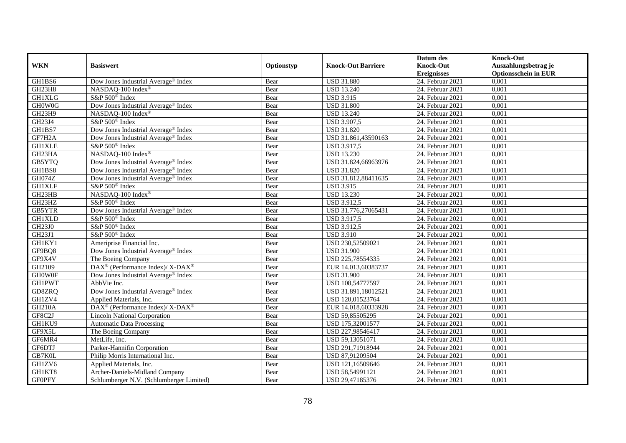|               |                                                          |            |                           | Datum des          | <b>Knock-Out</b>            |
|---------------|----------------------------------------------------------|------------|---------------------------|--------------------|-----------------------------|
| <b>WKN</b>    | <b>Basiswert</b>                                         | Optionstyp | <b>Knock-Out Barriere</b> | <b>Knock-Out</b>   | Auszahlungsbetrag je        |
|               |                                                          |            |                           | <b>Ereignisses</b> | <b>Optionsschein in EUR</b> |
| GH1BS6        | Dow Jones Industrial Average® Index                      | Bear       | <b>USD 31.880</b>         | $24.$ Februar 2021 | 0,001                       |
| GH23H8        | NASDAQ-100 Index®                                        | Bear       | <b>USD 13.240</b>         | 24. Februar 2021   | 0,001                       |
| <b>GH1XLG</b> | S&P 500 <sup>®</sup> Index                               | Bear       | <b>USD 3.915</b>          | 24. Februar 2021   | 0,001                       |
| GH0W0G        | Dow Jones Industrial Average <sup>®</sup> Index          | Bear       | <b>USD 31.800</b>         | 24. Februar 2021   | 0,001                       |
| GH23H9        | NASDAQ-100 Index®                                        | Bear       | <b>USD 13.240</b>         | 24. Februar 2021   | 0,001                       |
| GH23J4        | S&P 500 <sup>®</sup> Index                               | Bear       | <b>USD 3.907,5</b>        | 24. Februar 2021   | 0,001                       |
| GH1BS7        | Dow Jones Industrial Average® Index                      | Bear       | <b>USD 31.820</b>         | $24.$ Februar 2021 | 0,001                       |
| GF7H2A        | Dow Jones Industrial Average® Index                      | Bear       | USD 31.861,43590163       | 24. Februar 2021   | 0,001                       |
| <b>GH1XLE</b> | S&P 500 <sup>®</sup> Index                               | Bear       | <b>USD 3.917,5</b>        | 24. Februar 2021   | 0,001                       |
| GH23HA        | NASDAQ-100 Index®                                        | Bear       | <b>USD 13.230</b>         | 24. Februar 2021   | 0,001                       |
| GB5YTQ        | Dow Jones Industrial Average <sup>®</sup> Index          | Bear       | USD 31.824,66963976       | 24. Februar 2021   | 0,001                       |
| GH1BS8        | Dow Jones Industrial Average® Index                      | Bear       | <b>USD 31.820</b>         | $24.$ Februar 2021 | 0,001                       |
| <b>GH074Z</b> | Dow Jones Industrial Average <sup>®</sup> Index          | Bear       | USD 31.812,88411635       | 24. Februar 2021   | 0,001                       |
| <b>GH1XLF</b> | S&P 500 <sup>®</sup> Index                               | Bear       | <b>USD 3.915</b>          | 24. Februar 2021   | 0,001                       |
| GH23HB        | NASDAQ-100 Index®                                        | Bear       | <b>USD 13.230</b>         | 24. Februar 2021   | 0,001                       |
| GH23HZ        | S&P 500 <sup>®</sup> Index                               | Bear       | <b>USD 3.912,5</b>        | 24. Februar 2021   | 0,001                       |
| GB5YTR        | Dow Jones Industrial Average® Index                      | Bear       | USD 31.776,27065431       | 24. Februar 2021   | 0,001                       |
| <b>GH1XLD</b> | S&P 500 <sup>®</sup> Index                               | Bear       | <b>USD 3.917.5</b>        | 24. Februar 2021   | 0,001                       |
| GH23J0        | S&P 500 <sup>®</sup> Index                               | Bear       | <b>USD 3.912,5</b>        | 24. Februar 2021   | 0,001                       |
| GH23J1        | S&P 500 <sup>®</sup> Index                               | Bear       | <b>USD 3.910</b>          | 24. Februar 2021   | 0,001                       |
| GH1KY1        | Ameriprise Financial Inc.                                | Bear       | USD 230,52509021          | 24. Februar 2021   | 0,001                       |
| GF9BQ8        | Dow Jones Industrial Average® Index                      | Bear       | <b>USD 31.900</b>         | 24. Februar 2021   | 0,001                       |
| GF9X4V        | The Boeing Company                                       | Bear       | USD 225,78554335          | 24. Februar 2021   | 0,001                       |
| GH2109        | DAX <sup>®</sup> (Performance Index)/ X-DAX <sup>®</sup> | Bear       | EUR 14.013,60383737       | 24. Februar 2021   | 0,001                       |
| <b>GHOWOF</b> | Dow Jones Industrial Average <sup>®</sup> Index          | Bear       | <b>USD 31.900</b>         | 24. Februar 2021   | 0.001                       |
| <b>GH1PWT</b> | AbbVie Inc.                                              | Bear       | USD 108,54777597          | 24. Februar 2021   | 0,001                       |
| GD8ZRQ        | Dow Jones Industrial Average <sup>®</sup> Index          | Bear       | USD 31.891,18012521       | 24. Februar 2021   | 0,001                       |
| GH1ZV4        | Applied Materials, Inc.                                  | Bear       | USD 120,01523764          | 24. Februar 2021   | 0,001                       |
| <b>GH210A</b> | DAX <sup>®</sup> (Performance Index)/ X-DAX <sup>®</sup> | Bear       | EUR 14.018,60333928       | 24. Februar 2021   | 0,001                       |
| GF8C2J        | <b>Lincoln National Corporation</b>                      | Bear       | USD 59,85505295           | 24. Februar 2021   | 0,001                       |
| GH1KU9        | <b>Automatic Data Processing</b>                         | Bear       | USD 175,32001577          | 24. Februar 2021   | 0,001                       |
| GF9X5L        | The Boeing Company                                       | Bear       | USD 227,98546417          | 24. Februar 2021   | 0,001                       |
| GF6MR4        | MetLife, Inc.                                            | Bear       | USD 59,13051071           | 24. Februar 2021   | 0,001                       |
| GF6DTJ        | Parker-Hannifin Corporation                              | Bear       | USD 291,71918944          | 24. Februar 2021   | 0,001                       |
| GB7K0L        | Philip Morris International Inc.                         | Bear       | USD 87,91209504           | 24. Februar 2021   | 0,001                       |
| GH1ZV6        | Applied Materials, Inc.                                  | Bear       | USD 121,16509646          | 24. Februar 2021   | 0,001                       |
| GH1KT8        | Archer-Daniels-Midland Company                           | Bear       | USD 58,54991121           | 24. Februar 2021   | 0,001                       |
| <b>GFOPFY</b> | Schlumberger N.V. (Schlumberger Limited)                 | Bear       | USD 29,47185376           | 24. Februar 2021   | 0,001                       |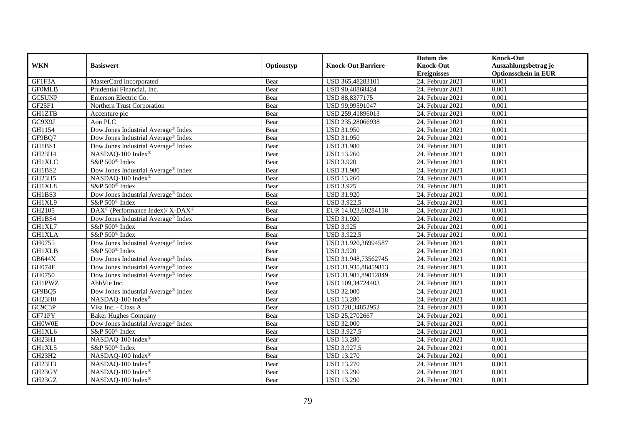|               |                                                          |            |                           | Datum des          | <b>Knock-Out</b>            |
|---------------|----------------------------------------------------------|------------|---------------------------|--------------------|-----------------------------|
| <b>WKN</b>    | <b>Basiswert</b>                                         | Optionstyp | <b>Knock-Out Barriere</b> | <b>Knock-Out</b>   | Auszahlungsbetrag je        |
|               |                                                          |            |                           | <b>Ereignisses</b> | <b>Optionsschein in EUR</b> |
| GF1F3A        | MasterCard Incorporated                                  | Bear       | USD 365,48283101          | 24. Februar 2021   | 0,001                       |
| <b>GFOMLB</b> | Prudential Financial, Inc.                               | Bear       | USD 90,40868424           | 24. Februar 2021   | 0,001                       |
| GC5UNP        | Emerson Electric Co.                                     | Bear       | USD 88,8377175            | 24. Februar 2021   | 0,001                       |
| GF25F1        | Northern Trust Corporation                               | Bear       | USD 99,99591047           | 24. Februar 2021   | 0,001                       |
| <b>GH1ZTB</b> | Accenture plc                                            | Bear       | USD 259,41896013          | 24. Februar 2021   | 0,001                       |
| GC9X9J        | Aon PLC                                                  | Bear       | USD 235,28066938          | 24. Februar 2021   | 0,001                       |
| GH1154        | Dow Jones Industrial Average <sup>®</sup> Index          | Bear       | <b>USD 31.950</b>         | 24. Februar 2021   | 0,001                       |
| GF9BQ7        | Dow Jones Industrial Average® Index                      | Bear       | <b>USD 31.950</b>         | 24. Februar 2021   | 0,001                       |
| GH1BS1        | Dow Jones Industrial Average® Index                      | Bear       | <b>USD 31.980</b>         | 24. Februar 2021   | 0,001                       |
| GH23H4        | NASDAQ-100 Index <sup>®</sup>                            | Bear       | <b>USD 13.260</b>         | 24. Februar 2021   | 0,001                       |
| <b>GH1XLC</b> | S&P 500 <sup>®</sup> Index                               | Bear       | <b>USD 3.920</b>          | 24. Februar 2021   | 0,001                       |
| GH1BS2        | Dow Jones Industrial Average® Index                      | Bear       | <b>USD 31.980</b>         | 24. Februar 2021   | 0,001                       |
| GH23H5        | NASDAQ-100 Index®                                        | Bear       | <b>USD 13.260</b>         | 24. Februar 2021   | 0,001                       |
| GH1XL8        | S&P 500 <sup>®</sup> Index                               | Bear       | <b>USD 3.925</b>          | 24. Februar 2021   | 0,001                       |
| GH1BS3        | Dow Jones Industrial Average <sup>®</sup> Index          | Bear       | <b>USD 31.920</b>         | 24. Februar 2021   | 0,001                       |
| GH1XL9        | S&P 500 <sup>®</sup> Index                               | Bear       | <b>USD 3.922,5</b>        | 24. Februar 2021   | 0,001                       |
| GH2105        | DAX <sup>®</sup> (Performance Index)/ X-DAX <sup>®</sup> | Bear       | EUR 14.023,60284118       | 24. Februar 2021   | 0,001                       |
| GH1BS4        | Dow Jones Industrial Average <sup>®</sup> Index          | Bear       | <b>USD 31.920</b>         | 24. Februar 2021   | 0,001                       |
| GH1XL7        | S&P 500 <sup>®</sup> Index                               | Bear       | <b>USD 3.925</b>          | 24. Februar 2021   | 0,001                       |
| <b>GH1XLA</b> | S&P 500 <sup>®</sup> Index                               | Bear       | <b>USD 3.922,5</b>        | 24. Februar 2021   | 0,001                       |
| GH0755        | Dow Jones Industrial Average® Index                      | Bear       | USD 31.920,36994587       | 24. Februar 2021   | 0,001                       |
| <b>GH1XLB</b> | S&P 500 <sup>®</sup> Index                               | Bear       | <b>USD 3.920</b>          | 24. Februar 2021   | 0,001                       |
| <b>GB644X</b> | Dow Jones Industrial Average® Index                      | Bear       | USD 31.948,73562745       | 24. Februar 2021   | 0,001                       |
| GH074F        | Dow Jones Industrial Average® Index                      | Bear       | USD 31.935,88459813       | 24. Februar 2021   | 0,001                       |
| GH0750        | Dow Jones Industrial Average <sup>®</sup> Index          | Bear       | USD 31.981,89012849       | 24. Februar 2021   | 0,001                       |
| <b>GH1PWZ</b> | AbbVie Inc.                                              | Bear       | USD 109,34724403          | 24. Februar 2021   | 0,001                       |
| GF9BQ5        | Dow Jones Industrial Average <sup>®</sup> Index          | Bear       | <b>USD 32.000</b>         | 24. Februar 2021   | 0,001                       |
| GH23H0        | NASDAQ-100 Index®                                        | Bear       | <b>USD 13.280</b>         | $24.$ Februar 2021 | 0,001                       |
| GC9C3P        | Visa Inc. - Class A                                      | Bear       | USD 220,34852952          | 24. Februar 2021   | 0,001                       |
| GF71PY        | <b>Baker Hughes Company</b>                              | Bear       | USD 25,2702667            | 24. Februar 2021   | 0,001                       |
| <b>GHOWOE</b> | Dow Jones Industrial Average® Index                      | Bear       | <b>USD 32.000</b>         | 24. Februar 2021   | 0,001                       |
| GH1XL6        | S&P 500 <sup>®</sup> Index                               | Bear       | <b>USD 3.927,5</b>        | 24. Februar 2021   | 0,001                       |
| GH23H1        | NASDAQ-100 Index®                                        | Bear       | <b>USD 13.280</b>         | 24. Februar 2021   | 0,001                       |
| GH1XL5        | S&P 500 <sup>®</sup> Index                               | Bear       | <b>USD 3.927,5</b>        | 24. Februar 2021   | 0,001                       |
| GH23H2        | NASDAQ-100 Index®                                        | Bear       | <b>USD 13.270</b>         | 24. Februar 2021   | 0,001                       |
| GH23H3        | NASDAQ-100 Index®                                        | Bear       | <b>USD 13.270</b>         | 24. Februar 2021   | 0,001                       |
| GH23GY        | NASDAQ-100 Index®                                        | Bear       | <b>USD 13.290</b>         | 24. Februar 2021   | 0,001                       |
| GH23GZ        | NASDAQ-100 Index®                                        | Bear       | <b>USD 13.290</b>         | 24. Februar 2021   | 0,001                       |